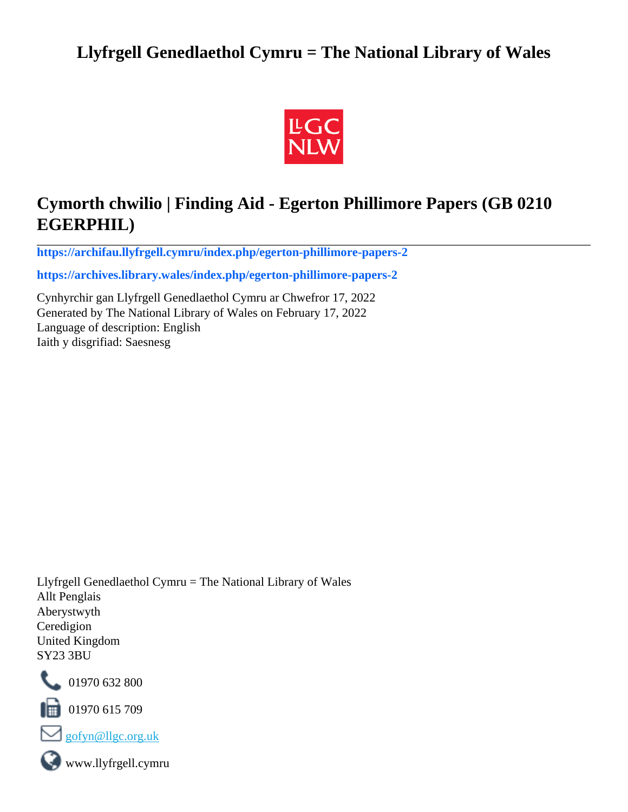# **Llyfrgell Genedlaethol Cymru = The National Library of Wales**



# **Cymorth chwilio | Finding Aid - Egerton Phillimore Papers (GB 0210 EGERPHIL)**

**[https://archifau.llyfrgell.cymru/index.php/egerton-phillimore-papers-2](https://archifau.llyfrgell.cymru/index.php/egerton-phillimore-papers-2;isad?sf_culture=cy)**

**[https://archives.library.wales/index.php/egerton-phillimore-papers-2](https://archives.library.wales/index.php/egerton-phillimore-papers-2;isad?sf_culture=en)**

Cynhyrchir gan Llyfrgell Genedlaethol Cymru ar Chwefror 17, 2022 Generated by The National Library of Wales on February 17, 2022 Language of description: English Iaith y disgrifiad: Saesnesg

Llyfrgell Genedlaethol Cymru = The National Library of Wales Allt Penglais Aberystwyth Ceredigion United Kingdom SY23 3BU



101970 632 800

 $\blacksquare$  01970 615 709



www.llyfrgell.cymru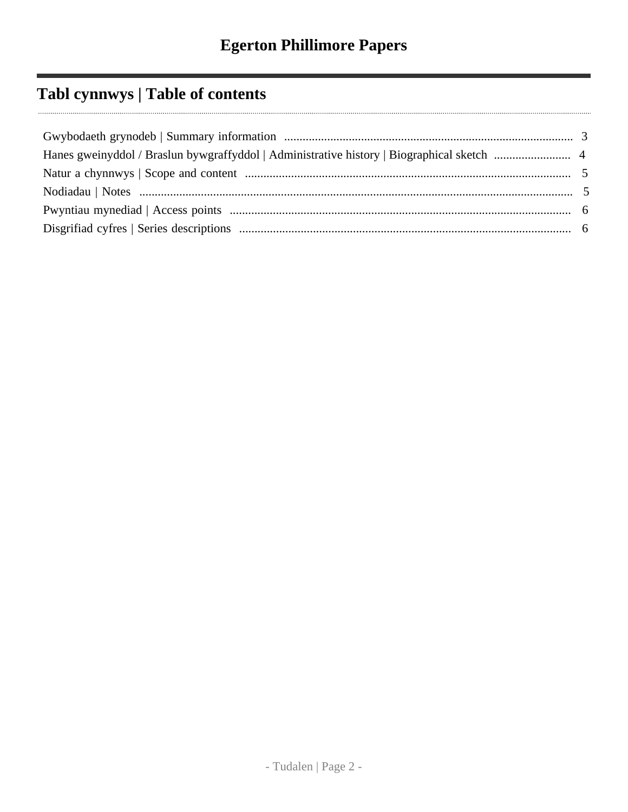# **Tabl cynnwys | Table of contents**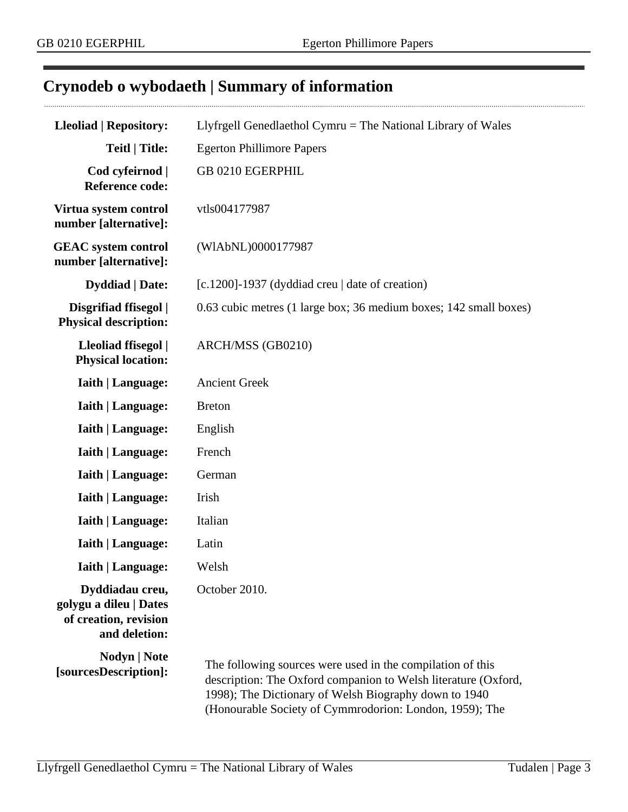$\cdots$ 

# <span id="page-2-0"></span>**Crynodeb o wybodaeth | Summary of information**

| <b>Lleoliad   Repository:</b>                                                       | Llyfrgell Genedlaethol Cymru $=$ The National Library of Wales                                                                                                                                                                                   |
|-------------------------------------------------------------------------------------|--------------------------------------------------------------------------------------------------------------------------------------------------------------------------------------------------------------------------------------------------|
| <b>Teitl   Title:</b>                                                               | <b>Egerton Phillimore Papers</b>                                                                                                                                                                                                                 |
| Cod cyfeirnod  <br><b>Reference code:</b>                                           | GB 0210 EGERPHIL                                                                                                                                                                                                                                 |
| Virtua system control<br>number [alternative]:                                      | vtls004177987                                                                                                                                                                                                                                    |
| <b>GEAC</b> system control<br>number [alternative]:                                 | (WIAbNL)0000177987                                                                                                                                                                                                                               |
| <b>Dyddiad</b>   Date:                                                              | $[c.1200]$ -1937 (dyddiad creu   date of creation)                                                                                                                                                                                               |
| Disgrifiad ffisegol  <br><b>Physical description:</b>                               | 0.63 cubic metres (1 large box; 36 medium boxes; 142 small boxes)                                                                                                                                                                                |
| Lleoliad ffisegol  <br><b>Physical location:</b>                                    | ARCH/MSS (GB0210)                                                                                                                                                                                                                                |
| <b>Iaith   Language:</b>                                                            | <b>Ancient Greek</b>                                                                                                                                                                                                                             |
| <b>Iaith   Language:</b>                                                            | <b>Breton</b>                                                                                                                                                                                                                                    |
| Iaith   Language:                                                                   | English                                                                                                                                                                                                                                          |
| <b>Iaith   Language:</b>                                                            | French                                                                                                                                                                                                                                           |
| <b>Iaith   Language:</b>                                                            | German                                                                                                                                                                                                                                           |
| <b>Iaith   Language:</b>                                                            | Irish                                                                                                                                                                                                                                            |
| <b>Iaith   Language:</b>                                                            | Italian                                                                                                                                                                                                                                          |
| <b>Iaith   Language:</b>                                                            | Latin                                                                                                                                                                                                                                            |
| <b>Iaith   Language:</b>                                                            | Welsh                                                                                                                                                                                                                                            |
| Dyddiadau creu,<br>golygu a dileu   Dates<br>of creation, revision<br>and deletion: | October 2010.                                                                                                                                                                                                                                    |
| Nodyn   Note<br>[sourcesDescription]:                                               | The following sources were used in the compilation of this<br>description: The Oxford companion to Welsh literature (Oxford,<br>1998); The Dictionary of Welsh Biography down to 1940<br>(Honourable Society of Cymmrodorion: London, 1959); The |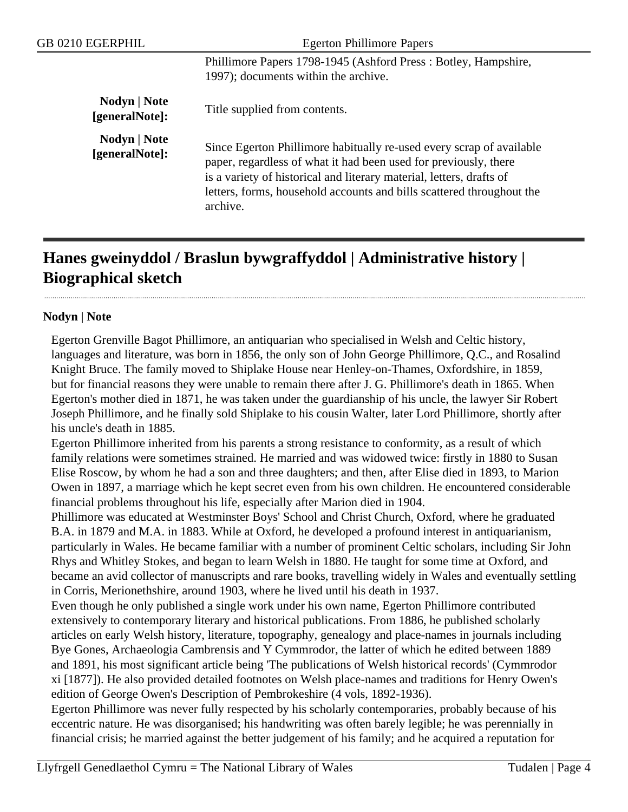| GB 0210 EGERPHIL               | <b>Egerton Phillimore Papers</b>                                                                                                                                                                                                                                                                      |
|--------------------------------|-------------------------------------------------------------------------------------------------------------------------------------------------------------------------------------------------------------------------------------------------------------------------------------------------------|
|                                | Phillimore Papers 1798-1945 (Ashford Press: Botley, Hampshire,<br>1997); documents within the archive.                                                                                                                                                                                                |
| Nodyn   Note<br>[generalNote]: | Title supplied from contents.                                                                                                                                                                                                                                                                         |
| Nodyn   Note<br>[generalNote]: | Since Egerton Phillimore habitually re-used every scrap of available<br>paper, regardless of what it had been used for previously, there<br>is a variety of historical and literary material, letters, drafts of<br>letters, forms, household accounts and bills scattered throughout the<br>archive. |

# <span id="page-3-0"></span>**Hanes gweinyddol / Braslun bywgraffyddol | Administrative history | Biographical sketch**

### **Nodyn | Note**

Egerton Grenville Bagot Phillimore, an antiquarian who specialised in Welsh and Celtic history, languages and literature, was born in 1856, the only son of John George Phillimore, Q.C., and Rosalind Knight Bruce. The family moved to Shiplake House near Henley-on-Thames, Oxfordshire, in 1859, but for financial reasons they were unable to remain there after J. G. Phillimore's death in 1865. When Egerton's mother died in 1871, he was taken under the guardianship of his uncle, the lawyer Sir Robert Joseph Phillimore, and he finally sold Shiplake to his cousin Walter, later Lord Phillimore, shortly after his uncle's death in 1885.

Egerton Phillimore inherited from his parents a strong resistance to conformity, as a result of which family relations were sometimes strained. He married and was widowed twice: firstly in 1880 to Susan Elise Roscow, by whom he had a son and three daughters; and then, after Elise died in 1893, to Marion Owen in 1897, a marriage which he kept secret even from his own children. He encountered considerable financial problems throughout his life, especially after Marion died in 1904.

Phillimore was educated at Westminster Boys' School and Christ Church, Oxford, where he graduated B.A. in 1879 and M.A. in 1883. While at Oxford, he developed a profound interest in antiquarianism, particularly in Wales. He became familiar with a number of prominent Celtic scholars, including Sir John Rhys and Whitley Stokes, and began to learn Welsh in 1880. He taught for some time at Oxford, and became an avid collector of manuscripts and rare books, travelling widely in Wales and eventually settling in Corris, Merionethshire, around 1903, where he lived until his death in 1937.

Even though he only published a single work under his own name, Egerton Phillimore contributed extensively to contemporary literary and historical publications. From 1886, he published scholarly articles on early Welsh history, literature, topography, genealogy and place-names in journals including Bye Gones, Archaeologia Cambrensis and Y Cymmrodor, the latter of which he edited between 1889 and 1891, his most significant article being 'The publications of Welsh historical records' (Cymmrodor xi [1877]). He also provided detailed footnotes on Welsh place-names and traditions for Henry Owen's edition of George Owen's Description of Pembrokeshire (4 vols, 1892-1936).

Egerton Phillimore was never fully respected by his scholarly contemporaries, probably because of his eccentric nature. He was disorganised; his handwriting was often barely legible; he was perennially in financial crisis; he married against the better judgement of his family; and he acquired a reputation for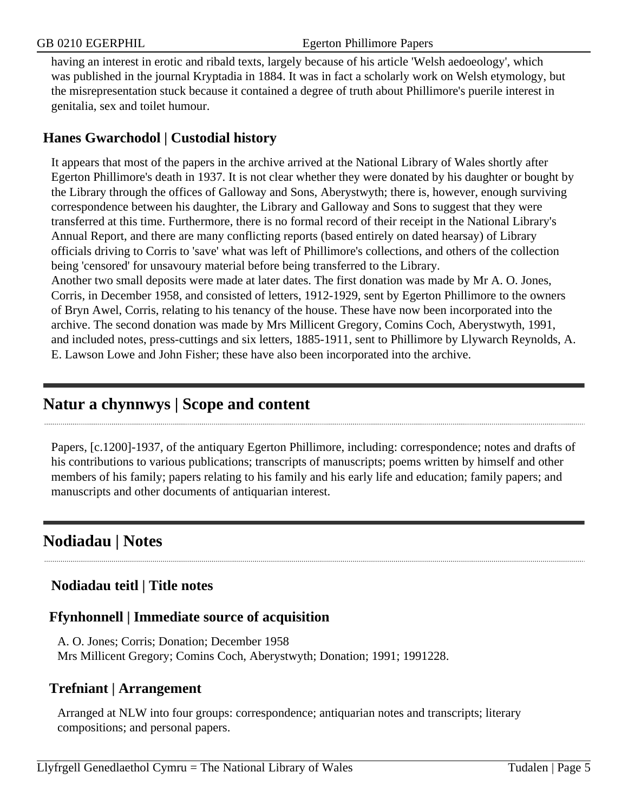having an interest in erotic and ribald texts, largely because of his article 'Welsh aedoeology', which was published in the journal Kryptadia in 1884. It was in fact a scholarly work on Welsh etymology, but the misrepresentation stuck because it contained a degree of truth about Phillimore's puerile interest in genitalia, sex and toilet humour.

## **Hanes Gwarchodol | Custodial history**

It appears that most of the papers in the archive arrived at the National Library of Wales shortly after Egerton Phillimore's death in 1937. It is not clear whether they were donated by his daughter or bought by the Library through the offices of Galloway and Sons, Aberystwyth; there is, however, enough surviving correspondence between his daughter, the Library and Galloway and Sons to suggest that they were transferred at this time. Furthermore, there is no formal record of their receipt in the National Library's Annual Report, and there are many conflicting reports (based entirely on dated hearsay) of Library officials driving to Corris to 'save' what was left of Phillimore's collections, and others of the collection being 'censored' for unsavoury material before being transferred to the Library.

Another two small deposits were made at later dates. The first donation was made by Mr A. O. Jones, Corris, in December 1958, and consisted of letters, 1912-1929, sent by Egerton Phillimore to the owners of Bryn Awel, Corris, relating to his tenancy of the house. These have now been incorporated into the archive. The second donation was made by Mrs Millicent Gregory, Comins Coch, Aberystwyth, 1991, and included notes, press-cuttings and six letters, 1885-1911, sent to Phillimore by Llywarch Reynolds, A. E. Lawson Lowe and John Fisher; these have also been incorporated into the archive.

# <span id="page-4-0"></span>**Natur a chynnwys | Scope and content**

Papers, [c.1200]-1937, of the antiquary Egerton Phillimore, including: correspondence; notes and drafts of his contributions to various publications; transcripts of manuscripts; poems written by himself and other members of his family; papers relating to his family and his early life and education; family papers; and manuscripts and other documents of antiquarian interest.

# <span id="page-4-1"></span>**Nodiadau | Notes**

## **Nodiadau teitl | Title notes**

### **Ffynhonnell | Immediate source of acquisition**

A. O. Jones; Corris; Donation; December 1958 Mrs Millicent Gregory; Comins Coch, Aberystwyth; Donation; 1991; 1991228.

### **Trefniant | Arrangement**

Arranged at NLW into four groups: correspondence; antiquarian notes and transcripts; literary compositions; and personal papers.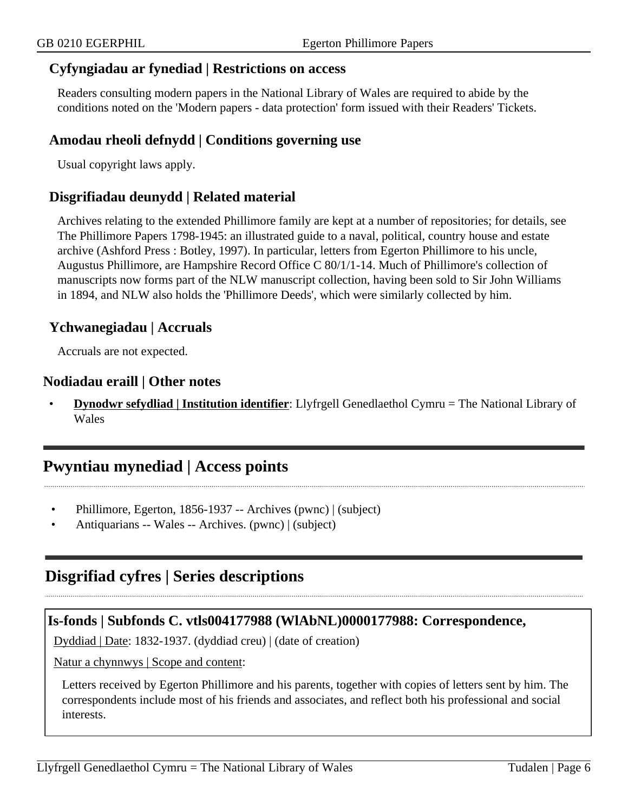#### **Cyfyngiadau ar fynediad | Restrictions on access**

Readers consulting modern papers in the National Library of Wales are required to abide by the conditions noted on the 'Modern papers - data protection' form issued with their Readers' Tickets.

#### **Amodau rheoli defnydd | Conditions governing use**

Usual copyright laws apply.

#### **Disgrifiadau deunydd | Related material**

Archives relating to the extended Phillimore family are kept at a number of repositories; for details, see The Phillimore Papers 1798-1945: an illustrated guide to a naval, political, country house and estate archive (Ashford Press : Botley, 1997). In particular, letters from Egerton Phillimore to his uncle, Augustus Phillimore, are Hampshire Record Office C 80/1/1-14. Much of Phillimore's collection of manuscripts now forms part of the NLW manuscript collection, having been sold to Sir John Williams in 1894, and NLW also holds the 'Phillimore Deeds', which were similarly collected by him.

#### **Ychwanegiadau | Accruals**

Accruals are not expected.

#### **Nodiadau eraill | Other notes**

• **Dynodwr sefydliad | Institution identifier**: Llyfrgell Genedlaethol Cymru = The National Library of Wales

## <span id="page-5-0"></span>**Pwyntiau mynediad | Access points**

- Phillimore, Egerton, 1856-1937 -- Archives (pwnc) | (subject)
- Antiquarians -- Wales -- Archives. (pwnc) | (subject)

# <span id="page-5-1"></span>**Disgrifiad cyfres | Series descriptions**

#### **Is-fonds | Subfonds C. vtls004177988 (WlAbNL)0000177988: Correspondence,**

Dyddiad | Date: 1832-1937. (dyddiad creu) | (date of creation)

Natur a chynnwys | Scope and content:

Letters received by Egerton Phillimore and his parents, together with copies of letters sent by him. The correspondents include most of his friends and associates, and reflect both his professional and social interests.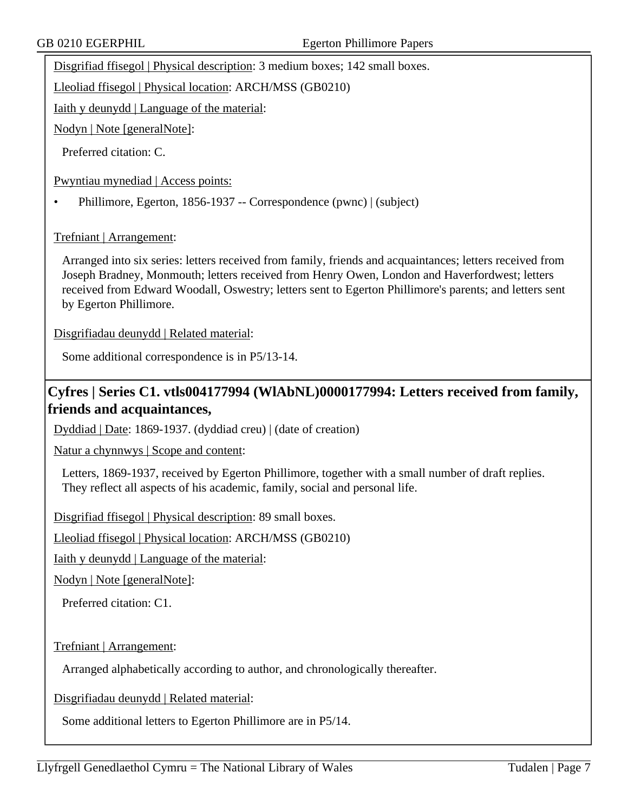Disgrifiad ffisegol | Physical description: 3 medium boxes; 142 small boxes.

Lleoliad ffisegol | Physical location: ARCH/MSS (GB0210)

Iaith y deunydd | Language of the material:

Nodyn | Note [generalNote]:

Preferred citation: C.

Pwyntiau mynediad | Access points:

• Phillimore, Egerton, 1856-1937 -- Correspondence (pwnc) | (subject)

Trefniant | Arrangement:

Arranged into six series: letters received from family, friends and acquaintances; letters received from Joseph Bradney, Monmouth; letters received from Henry Owen, London and Haverfordwest; letters received from Edward Woodall, Oswestry; letters sent to Egerton Phillimore's parents; and letters sent by Egerton Phillimore.

Disgrifiadau deunydd | Related material:

Some additional correspondence is in P5/13-14.

## **Cyfres | Series C1. vtls004177994 (WlAbNL)0000177994: Letters received from family, friends and acquaintances,**

Dyddiad | Date: 1869-1937. (dyddiad creu) | (date of creation)

Natur a chynnwys | Scope and content:

Letters, 1869-1937, received by Egerton Phillimore, together with a small number of draft replies. They reflect all aspects of his academic, family, social and personal life.

Disgrifiad ffisegol | Physical description: 89 small boxes.

Lleoliad ffisegol | Physical location: ARCH/MSS (GB0210)

Iaith y deunydd | Language of the material:

Nodyn | Note [generalNote]:

Preferred citation: C1.

Trefniant | Arrangement:

Arranged alphabetically according to author, and chronologically thereafter.

Disgrifiadau deunydd | Related material:

Some additional letters to Egerton Phillimore are in P5/14.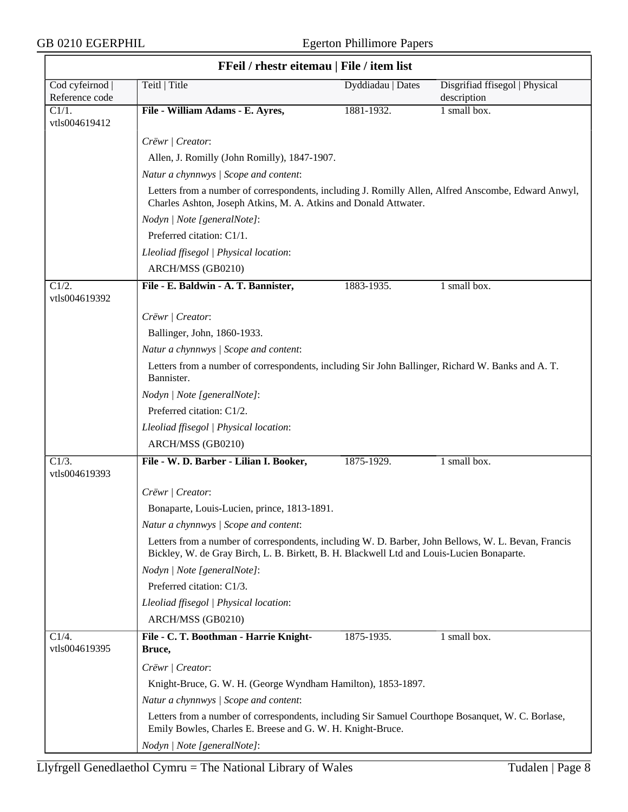$\overline{\phantom{a}}$ 

|                                 | FFeil / rhestr eitemau   File / item list                                                                                                                                                        |                   |                                               |
|---------------------------------|--------------------------------------------------------------------------------------------------------------------------------------------------------------------------------------------------|-------------------|-----------------------------------------------|
| Cod cyfeirnod<br>Reference code | Teitl   Title                                                                                                                                                                                    | Dyddiadau   Dates | Disgrifiad ffisegol   Physical<br>description |
| C1/1.<br>vtls004619412          | File - William Adams - E. Ayres,                                                                                                                                                                 | 1881-1932.        | 1 small box.                                  |
|                                 | Crëwr   Creator:                                                                                                                                                                                 |                   |                                               |
|                                 | Allen, J. Romilly (John Romilly), 1847-1907.                                                                                                                                                     |                   |                                               |
|                                 | Natur a chynnwys / Scope and content:                                                                                                                                                            |                   |                                               |
|                                 | Letters from a number of correspondents, including J. Romilly Allen, Alfred Anscombe, Edward Anwyl,<br>Charles Ashton, Joseph Atkins, M. A. Atkins and Donald Attwater.                          |                   |                                               |
|                                 | Nodyn   Note [generalNote]:                                                                                                                                                                      |                   |                                               |
|                                 | Preferred citation: C1/1.                                                                                                                                                                        |                   |                                               |
|                                 | Lleoliad ffisegol   Physical location:                                                                                                                                                           |                   |                                               |
|                                 | ARCH/MSS (GB0210)                                                                                                                                                                                |                   |                                               |
| C1/2.<br>vtls004619392          | File - E. Baldwin - A. T. Bannister,                                                                                                                                                             | 1883-1935.        | 1 small box.                                  |
|                                 | Crëwr   Creator:                                                                                                                                                                                 |                   |                                               |
|                                 | Ballinger, John, 1860-1933.                                                                                                                                                                      |                   |                                               |
|                                 | Natur a chynnwys / Scope and content:                                                                                                                                                            |                   |                                               |
|                                 | Letters from a number of correspondents, including Sir John Ballinger, Richard W. Banks and A. T.<br>Bannister.                                                                                  |                   |                                               |
|                                 | Nodyn   Note [generalNote]:                                                                                                                                                                      |                   |                                               |
|                                 | Preferred citation: C1/2.                                                                                                                                                                        |                   |                                               |
|                                 | Lleoliad ffisegol   Physical location:                                                                                                                                                           |                   |                                               |
|                                 | ARCH/MSS (GB0210)                                                                                                                                                                                |                   |                                               |
| C1/3.                           | File - W. D. Barber - Lilian I. Booker,                                                                                                                                                          | 1875-1929.        | 1 small box.                                  |
| vtls004619393                   |                                                                                                                                                                                                  |                   |                                               |
|                                 | Crëwr   Creator:                                                                                                                                                                                 |                   |                                               |
|                                 | Bonaparte, Louis-Lucien, prince, 1813-1891.                                                                                                                                                      |                   |                                               |
|                                 | Natur a chynnwys / Scope and content:                                                                                                                                                            |                   |                                               |
|                                 | Letters from a number of correspondents, including W. D. Barber, John Bellows, W. L. Bevan, Francis<br>Bickley, W. de Gray Birch, L. B. Birkett, B. H. Blackwell Ltd and Louis-Lucien Bonaparte. |                   |                                               |
|                                 | Nodyn   Note [generalNote]:                                                                                                                                                                      |                   |                                               |
|                                 | Preferred citation: C1/3.                                                                                                                                                                        |                   |                                               |
|                                 | Lleoliad ffisegol   Physical location:                                                                                                                                                           |                   |                                               |
|                                 | ARCH/MSS (GB0210)                                                                                                                                                                                |                   |                                               |
| C1/4.<br>vtls004619395          | File - C. T. Boothman - Harrie Knight-<br>Bruce,                                                                                                                                                 | 1875-1935.        | 1 small box.                                  |
|                                 | Crëwr   Creator:                                                                                                                                                                                 |                   |                                               |
|                                 | Knight-Bruce, G. W. H. (George Wyndham Hamilton), 1853-1897.                                                                                                                                     |                   |                                               |
|                                 | Natur a chynnwys / Scope and content:                                                                                                                                                            |                   |                                               |
|                                 | Letters from a number of correspondents, including Sir Samuel Courthope Bosanquet, W. C. Borlase,<br>Emily Bowles, Charles E. Breese and G. W. H. Knight-Bruce.                                  |                   |                                               |
|                                 | Nodyn   Note [generalNote]:                                                                                                                                                                      |                   |                                               |

#### **FFeil / rhestr eitemau | File / item list**

٦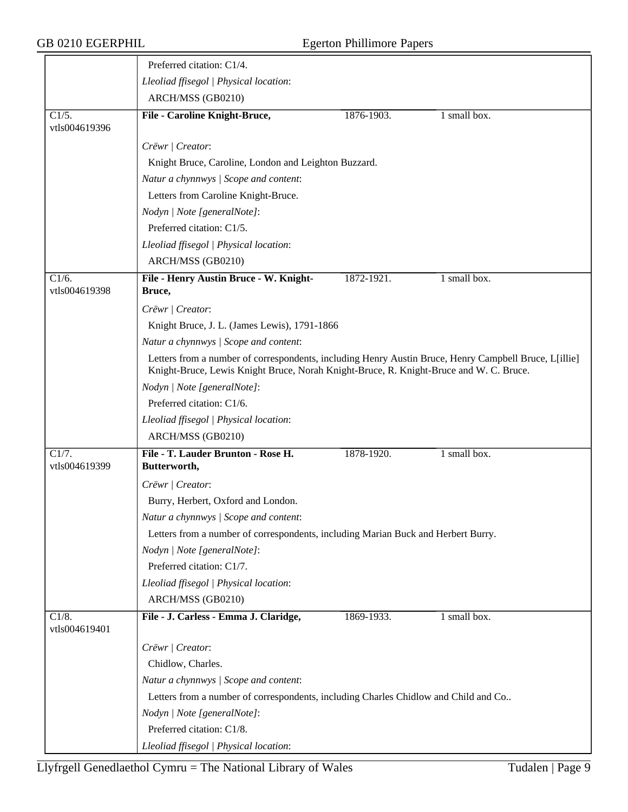|                                      | Preferred citation: C1/4.                                                                                                                                                                       |                                                                                     |              |  |  |
|--------------------------------------|-------------------------------------------------------------------------------------------------------------------------------------------------------------------------------------------------|-------------------------------------------------------------------------------------|--------------|--|--|
|                                      | Lleoliad ffisegol   Physical location:                                                                                                                                                          |                                                                                     |              |  |  |
|                                      | ARCH/MSS (GB0210)                                                                                                                                                                               |                                                                                     |              |  |  |
| C1/5.<br>vtls004619396               | File - Caroline Knight-Bruce,                                                                                                                                                                   | 1876-1903.                                                                          | 1 small box. |  |  |
|                                      | Crëwr   Creator:                                                                                                                                                                                |                                                                                     |              |  |  |
|                                      | Knight Bruce, Caroline, London and Leighton Buzzard.                                                                                                                                            |                                                                                     |              |  |  |
|                                      | Natur a chynnwys / Scope and content:                                                                                                                                                           |                                                                                     |              |  |  |
|                                      | Letters from Caroline Knight-Bruce.                                                                                                                                                             |                                                                                     |              |  |  |
|                                      | Nodyn   Note [generalNote]:                                                                                                                                                                     |                                                                                     |              |  |  |
|                                      | Preferred citation: C1/5.                                                                                                                                                                       |                                                                                     |              |  |  |
|                                      | Lleoliad ffisegol   Physical location:                                                                                                                                                          |                                                                                     |              |  |  |
|                                      | ARCH/MSS (GB0210)                                                                                                                                                                               |                                                                                     |              |  |  |
| C1/6.<br>vtls004619398               | File - Henry Austin Bruce - W. Knight-<br>Bruce,                                                                                                                                                | 1872-1921.                                                                          | 1 small box. |  |  |
|                                      | Crëwr   Creator:                                                                                                                                                                                |                                                                                     |              |  |  |
|                                      | Knight Bruce, J. L. (James Lewis), 1791-1866                                                                                                                                                    |                                                                                     |              |  |  |
|                                      | Natur a chynnwys / Scope and content:                                                                                                                                                           |                                                                                     |              |  |  |
|                                      | Letters from a number of correspondents, including Henry Austin Bruce, Henry Campbell Bruce, L[illie]<br>Knight-Bruce, Lewis Knight Bruce, Norah Knight-Bruce, R. Knight-Bruce and W. C. Bruce. |                                                                                     |              |  |  |
|                                      | Nodyn   Note [generalNote]:                                                                                                                                                                     |                                                                                     |              |  |  |
|                                      | Preferred citation: C1/6.                                                                                                                                                                       |                                                                                     |              |  |  |
|                                      | Lleoliad ffisegol   Physical location:                                                                                                                                                          |                                                                                     |              |  |  |
|                                      | ARCH/MSS (GB0210)                                                                                                                                                                               |                                                                                     |              |  |  |
| $\overline{C1/7}$ .<br>vtls004619399 | File - T. Lauder Brunton - Rose H.<br>Butterworth,                                                                                                                                              | 1878-1920.                                                                          | 1 small box. |  |  |
|                                      | Crëwr   Creator:                                                                                                                                                                                |                                                                                     |              |  |  |
|                                      | Burry, Herbert, Oxford and London.                                                                                                                                                              |                                                                                     |              |  |  |
|                                      | Natur a chynnwys / Scope and content:                                                                                                                                                           |                                                                                     |              |  |  |
|                                      | Letters from a number of correspondents, including Marian Buck and Herbert Burry.                                                                                                               |                                                                                     |              |  |  |
|                                      | Nodyn   Note [generalNote]:                                                                                                                                                                     |                                                                                     |              |  |  |
|                                      | Preferred citation: C1/7.                                                                                                                                                                       |                                                                                     |              |  |  |
|                                      | Lleoliad ffisegol   Physical location:                                                                                                                                                          |                                                                                     |              |  |  |
|                                      | ARCH/MSS (GB0210)                                                                                                                                                                               |                                                                                     |              |  |  |
| C1/8.<br>vtls004619401               | File - J. Carless - Emma J. Claridge,                                                                                                                                                           | 1869-1933.                                                                          | 1 small box. |  |  |
|                                      | Crëwr   Creator:                                                                                                                                                                                |                                                                                     |              |  |  |
|                                      | Chidlow, Charles.                                                                                                                                                                               |                                                                                     |              |  |  |
|                                      | Natur a chynnwys / Scope and content:                                                                                                                                                           |                                                                                     |              |  |  |
|                                      |                                                                                                                                                                                                 | Letters from a number of correspondents, including Charles Chidlow and Child and Co |              |  |  |
|                                      | Nodyn   Note [generalNote]:                                                                                                                                                                     |                                                                                     |              |  |  |
|                                      | Preferred citation: C1/8.                                                                                                                                                                       |                                                                                     |              |  |  |
|                                      | Lleoliad ffisegol   Physical location:                                                                                                                                                          |                                                                                     |              |  |  |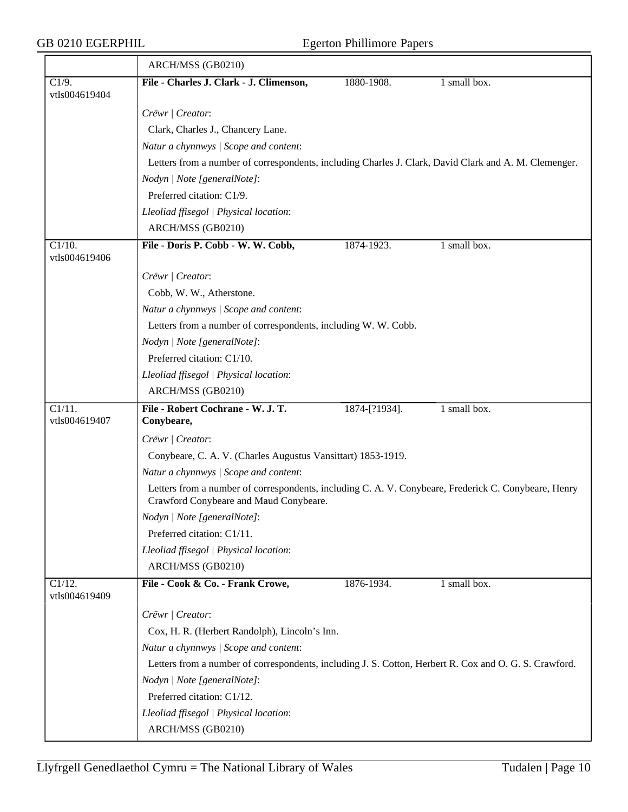## GB 0210 EGERPHIL Egerton Phillimore Papers

|                                       | ARCH/MSS (GB0210)                                                                                                                              |               |              |
|---------------------------------------|------------------------------------------------------------------------------------------------------------------------------------------------|---------------|--------------|
| C1/9.<br>vtls004619404                | File - Charles J. Clark - J. Climenson,                                                                                                        | 1880-1908.    | 1 small box. |
|                                       | Crëwr   Creator:                                                                                                                               |               |              |
|                                       | Clark, Charles J., Chancery Lane.                                                                                                              |               |              |
|                                       | Natur a chynnwys / Scope and content:                                                                                                          |               |              |
|                                       | Letters from a number of correspondents, including Charles J. Clark, David Clark and A. M. Clemenger.                                          |               |              |
|                                       | Nodyn   Note [generalNote]:                                                                                                                    |               |              |
|                                       | Preferred citation: C1/9.                                                                                                                      |               |              |
|                                       | Lleoliad ffisegol   Physical location:                                                                                                         |               |              |
|                                       | ARCH/MSS (GB0210)                                                                                                                              |               |              |
| C1/10.<br>vtls004619406               | File - Doris P. Cobb - W. W. Cobb,                                                                                                             | 1874-1923.    | 1 small box. |
|                                       | Crëwr   Creator:                                                                                                                               |               |              |
|                                       | Cobb, W. W., Atherstone.                                                                                                                       |               |              |
|                                       | Natur a chynnwys / Scope and content:                                                                                                          |               |              |
|                                       | Letters from a number of correspondents, including W. W. Cobb.                                                                                 |               |              |
|                                       | Nodyn   Note [generalNote]:                                                                                                                    |               |              |
|                                       | Preferred citation: C1/10.                                                                                                                     |               |              |
|                                       | Lleoliad ffisegol   Physical location:                                                                                                         |               |              |
|                                       | ARCH/MSS (GB0210)                                                                                                                              |               |              |
| $\overline{C1/11}$ .<br>vtls004619407 | File - Robert Cochrane - W. J. T.<br>Conybeare,                                                                                                | 1874-[?1934]. | 1 small box. |
|                                       | Crëwr   Creator:                                                                                                                               |               |              |
|                                       | Conybeare, C. A. V. (Charles Augustus Vansittart) 1853-1919.                                                                                   |               |              |
|                                       | Natur a chynnwys / Scope and content:                                                                                                          |               |              |
|                                       | Letters from a number of correspondents, including C. A. V. Conybeare, Frederick C. Conybeare, Henry<br>Crawford Conybeare and Maud Conybeare. |               |              |
|                                       | Nodyn   Note [generalNote]:                                                                                                                    |               |              |
|                                       | Preferred citation: C1/11.                                                                                                                     |               |              |
|                                       | Lleoliad ffisegol   Physical location:                                                                                                         |               |              |
|                                       | ARCH/MSS (GB0210)                                                                                                                              |               |              |
| $C1/12$ .<br>vtls004619409            | File - Cook & Co. - Frank Crowe,                                                                                                               | 1876-1934.    | 1 small box. |
|                                       | Crëwr   Creator:                                                                                                                               |               |              |
|                                       | Cox, H. R. (Herbert Randolph), Lincoln's Inn.                                                                                                  |               |              |
|                                       | Natur a chynnwys / Scope and content:                                                                                                          |               |              |
|                                       | Letters from a number of correspondents, including J. S. Cotton, Herbert R. Cox and O. G. S. Crawford.                                         |               |              |
|                                       | Nodyn   Note [generalNote]:                                                                                                                    |               |              |
|                                       | Preferred citation: C1/12.                                                                                                                     |               |              |
|                                       | Lleoliad ffisegol   Physical location:                                                                                                         |               |              |
|                                       | ARCH/MSS (GB0210)                                                                                                                              |               |              |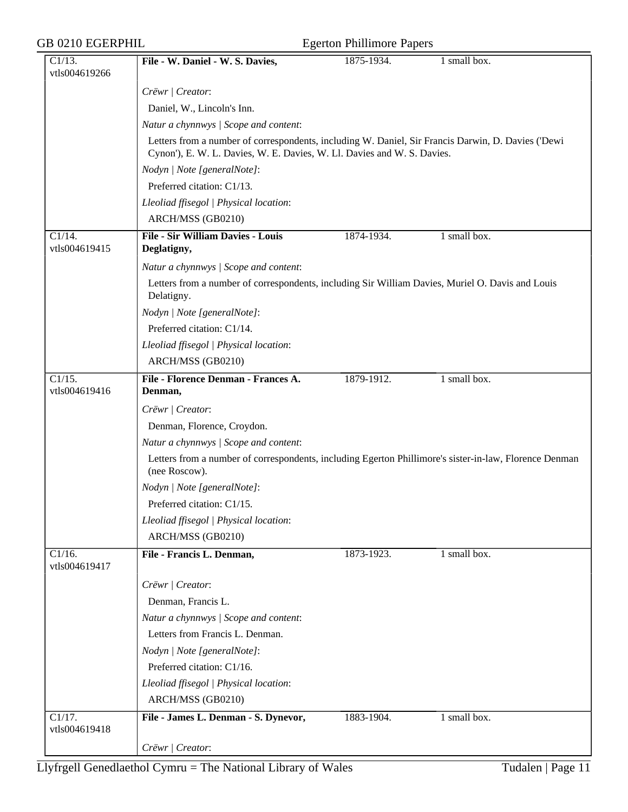| <b>Egerton Phillimore Papers</b> |  |  |
|----------------------------------|--|--|
|----------------------------------|--|--|

| $C1/13$ .                             | File - W. Daniel - W. S. Davies,                                                                                        | 1875-1934. | 1 small box.                      |
|---------------------------------------|-------------------------------------------------------------------------------------------------------------------------|------------|-----------------------------------|
| vtls004619266                         |                                                                                                                         |            |                                   |
|                                       | Crëwr   Creator:                                                                                                        |            |                                   |
|                                       | Daniel, W., Lincoln's Inn.                                                                                              |            |                                   |
|                                       | Natur a chynnwys / Scope and content:                                                                                   |            |                                   |
|                                       | Letters from a number of correspondents, including W. Daniel, Sir Francis Darwin, D. Davies ('Dewi                      |            |                                   |
|                                       | Cynon'), E. W. L. Davies, W. E. Davies, W. Ll. Davies and W. S. Davies.                                                 |            |                                   |
|                                       | Nodyn   Note [generalNote]:                                                                                             |            |                                   |
|                                       | Preferred citation: C1/13.                                                                                              |            |                                   |
|                                       | Lleoliad ffisegol   Physical location:                                                                                  |            |                                   |
|                                       | ARCH/MSS (GB0210)                                                                                                       |            |                                   |
| $C1/14$ .<br>vtls004619415            | File - Sir William Davies - Louis<br>Deglatigny,                                                                        | 1874-1934. | 1 small box.                      |
|                                       | Natur a chynnwys / Scope and content:                                                                                   |            |                                   |
|                                       | Letters from a number of correspondents, including Sir William Davies, Muriel O. Davis and Louis<br>Delatigny.          |            |                                   |
|                                       | Nodyn   Note [generalNote]:                                                                                             |            |                                   |
|                                       | Preferred citation: C1/14.                                                                                              |            |                                   |
|                                       | Lleoliad ffisegol   Physical location:                                                                                  |            |                                   |
|                                       | ARCH/MSS (GB0210)                                                                                                       |            |                                   |
| $\overline{C1/15}$ .                  | File - Florence Denman - Frances A.                                                                                     | 1879-1912. | $1 \overline{\text{small box}}$ . |
| vtls004619416                         | Denman,                                                                                                                 |            |                                   |
|                                       | Crëwr   Creator:                                                                                                        |            |                                   |
|                                       | Denman, Florence, Croydon.                                                                                              |            |                                   |
|                                       | Natur a chynnwys / Scope and content:                                                                                   |            |                                   |
|                                       | Letters from a number of correspondents, including Egerton Phillimore's sister-in-law, Florence Denman<br>(nee Roscow). |            |                                   |
|                                       | Nodyn   Note [generalNote]:                                                                                             |            |                                   |
|                                       | Preferred citation: C1/15.                                                                                              |            |                                   |
|                                       | Lleoliad ffisegol   Physical location:                                                                                  |            |                                   |
|                                       | ARCH/MSS (GB0210)                                                                                                       |            |                                   |
| $\overline{C1/16}$ .<br>vtls004619417 | File - Francis L. Denman,                                                                                               | 1873-1923. | $1 \overline{\text{small box}}$ . |
|                                       | Crëwr   Creator:                                                                                                        |            |                                   |
|                                       | Denman, Francis L.                                                                                                      |            |                                   |
|                                       | Natur a chynnwys / Scope and content:                                                                                   |            |                                   |
|                                       | Letters from Francis L. Denman.                                                                                         |            |                                   |
|                                       | Nodyn   Note [generalNote]:                                                                                             |            |                                   |
|                                       | Preferred citation: C1/16.                                                                                              |            |                                   |
|                                       | Lleoliad ffisegol   Physical location:                                                                                  |            |                                   |
|                                       | ARCH/MSS (GB0210)                                                                                                       |            |                                   |
| $\overline{C1/17}$ .                  | File - James L. Denman - S. Dynevor,                                                                                    | 1883-1904. | 1 small box.                      |
| vtls004619418                         |                                                                                                                         |            |                                   |
|                                       | Crëwr / Creator:                                                                                                        |            |                                   |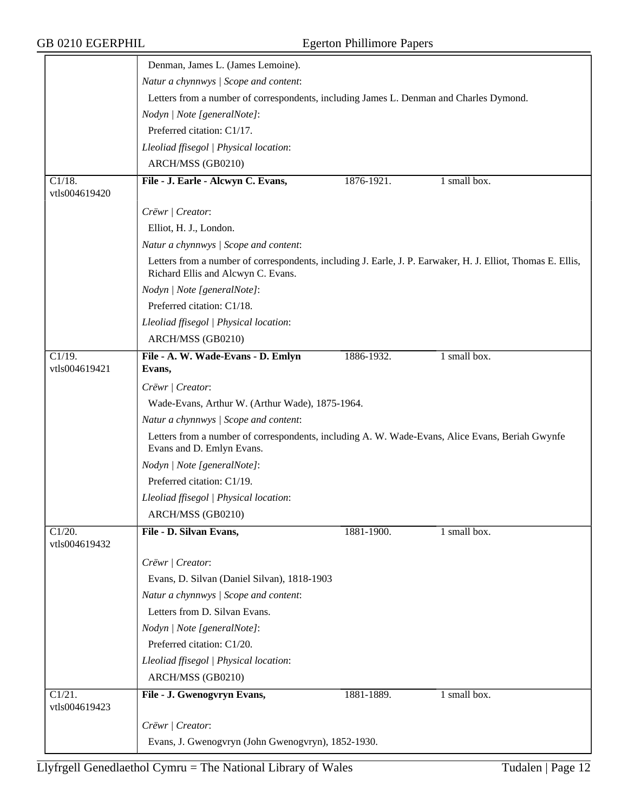|                            | Denman, James L. (James Lemoine).                                                                                                                 |            |              |
|----------------------------|---------------------------------------------------------------------------------------------------------------------------------------------------|------------|--------------|
|                            | Natur a chynnwys / Scope and content:                                                                                                             |            |              |
|                            | Letters from a number of correspondents, including James L. Denman and Charles Dymond.                                                            |            |              |
|                            | Nodyn   Note [generalNote]:                                                                                                                       |            |              |
|                            | Preferred citation: C1/17.                                                                                                                        |            |              |
|                            | Lleoliad ffisegol   Physical location:                                                                                                            |            |              |
|                            | ARCH/MSS (GB0210)                                                                                                                                 |            |              |
| $C1/18$ .<br>vtls004619420 | File - J. Earle - Alcwyn C. Evans,                                                                                                                | 1876-1921. | 1 small box. |
|                            | Crëwr   Creator:                                                                                                                                  |            |              |
|                            | Elliot, H. J., London.                                                                                                                            |            |              |
|                            | Natur a chynnwys / Scope and content:                                                                                                             |            |              |
|                            | Letters from a number of correspondents, including J. Earle, J. P. Earwaker, H. J. Elliot, Thomas E. Ellis,<br>Richard Ellis and Alcwyn C. Evans. |            |              |
|                            | Nodyn   Note [generalNote]:                                                                                                                       |            |              |
|                            | Preferred citation: C1/18.                                                                                                                        |            |              |
|                            | Lleoliad ffisegol   Physical location:                                                                                                            |            |              |
|                            | ARCH/MSS (GB0210)                                                                                                                                 |            |              |
| C1/19.<br>vtls004619421    | File - A. W. Wade-Evans - D. Emlyn<br>Evans,                                                                                                      | 1886-1932. | 1 small box. |
|                            | Crëwr / Creator:                                                                                                                                  |            |              |
|                            | Wade-Evans, Arthur W. (Arthur Wade), 1875-1964.                                                                                                   |            |              |
|                            | Natur a chynnwys / Scope and content:                                                                                                             |            |              |
|                            | Letters from a number of correspondents, including A. W. Wade-Evans, Alice Evans, Beriah Gwynfe<br>Evans and D. Emlyn Evans.                      |            |              |
|                            | Nodyn   Note [generalNote]:                                                                                                                       |            |              |
|                            | Preferred citation: C1/19.                                                                                                                        |            |              |
|                            | Lleoliad ffisegol   Physical location:                                                                                                            |            |              |
|                            | ARCH/MSS (GB0210)                                                                                                                                 |            |              |
| $C1/20$ .<br>vtls004619432 | File - D. Silvan Evans,                                                                                                                           | 1881-1900. | 1 small box. |
|                            | Crëwr   Creator:                                                                                                                                  |            |              |
|                            | Evans, D. Silvan (Daniel Silvan), 1818-1903                                                                                                       |            |              |
|                            | Natur a chynnwys / Scope and content:                                                                                                             |            |              |
|                            | Letters from D. Silvan Evans.                                                                                                                     |            |              |
|                            | Nodyn   Note [generalNote]:                                                                                                                       |            |              |
|                            | Preferred citation: C1/20.                                                                                                                        |            |              |
|                            | Lleoliad ffisegol   Physical location:                                                                                                            |            |              |
|                            | ARCH/MSS (GB0210)                                                                                                                                 |            |              |
| C1/21.<br>vtls004619423    | File - J. Gwenogvryn Evans,                                                                                                                       | 1881-1889. | 1 small box. |
|                            | Crëwr   Creator:                                                                                                                                  |            |              |
|                            | Evans, J. Gwenogvryn (John Gwenogvryn), 1852-1930.                                                                                                |            |              |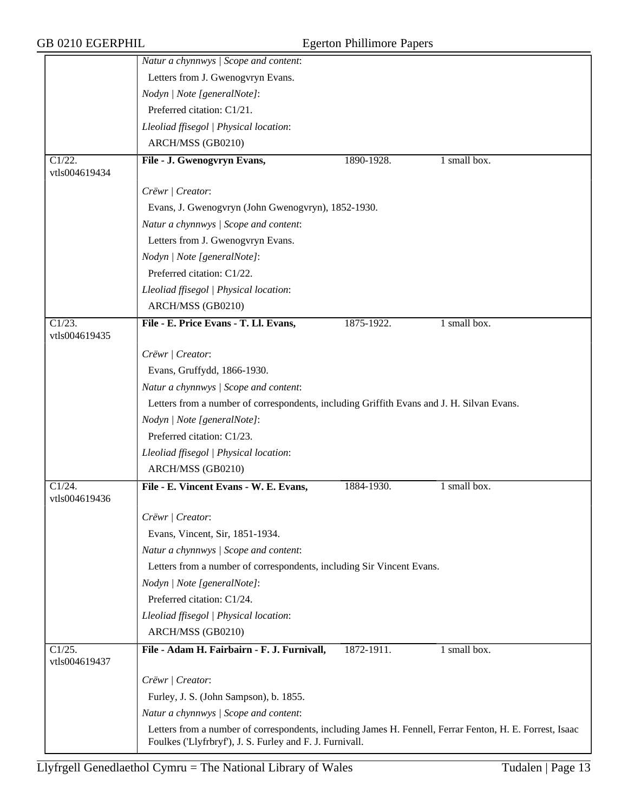|                         | Natur a chynnwys / Scope and content:                                                                    |            |              |
|-------------------------|----------------------------------------------------------------------------------------------------------|------------|--------------|
|                         | Letters from J. Gwenogvryn Evans.                                                                        |            |              |
|                         | Nodyn   Note [generalNote]:                                                                              |            |              |
|                         | Preferred citation: C1/21.                                                                               |            |              |
|                         | Lleoliad ffisegol   Physical location:                                                                   |            |              |
|                         | ARCH/MSS (GB0210)                                                                                        |            |              |
| $\overline{C1/22}$ .    | File - J. Gwenogvryn Evans,                                                                              | 1890-1928. | 1 small box. |
| vtls004619434           |                                                                                                          |            |              |
|                         | Crëwr   Creator:                                                                                         |            |              |
|                         | Evans, J. Gwenogvryn (John Gwenogvryn), 1852-1930.                                                       |            |              |
|                         | Natur a chynnwys / Scope and content:                                                                    |            |              |
|                         | Letters from J. Gwenogvryn Evans.                                                                        |            |              |
|                         | Nodyn   Note [generalNote]:                                                                              |            |              |
|                         | Preferred citation: C1/22.                                                                               |            |              |
|                         | Lleoliad ffisegol   Physical location:                                                                   |            |              |
|                         | ARCH/MSS (GB0210)                                                                                        |            |              |
| $\overline{C1/23}$ .    | File - E. Price Evans - T. Ll. Evans,                                                                    | 1875-1922. | 1 small box. |
| vtls004619435           |                                                                                                          |            |              |
|                         | Crëwr   Creator:                                                                                         |            |              |
|                         | Evans, Gruffydd, 1866-1930.                                                                              |            |              |
|                         | Natur a chynnwys / Scope and content:                                                                    |            |              |
|                         | Letters from a number of correspondents, including Griffith Evans and J. H. Silvan Evans.                |            |              |
|                         | Nodyn   Note [generalNote]:                                                                              |            |              |
|                         | Preferred citation: C1/23.                                                                               |            |              |
|                         | Lleoliad ffisegol   Physical location:                                                                   |            |              |
|                         | ARCH/MSS (GB0210)                                                                                        |            |              |
| $\overline{C1/24}$ .    | File - E. Vincent Evans - W. E. Evans,                                                                   | 1884-1930. | 1 small box. |
| vtls004619436           |                                                                                                          |            |              |
|                         | Crëwr   Creator:                                                                                         |            |              |
|                         | Evans, Vincent, Sir, 1851-1934.                                                                          |            |              |
|                         | Natur a chynnwys / Scope and content:                                                                    |            |              |
|                         | Letters from a number of correspondents, including Sir Vincent Evans.                                    |            |              |
|                         | Nodyn   Note [generalNote]:                                                                              |            |              |
|                         | Preferred citation: C1/24.                                                                               |            |              |
|                         | Lleoliad ffisegol   Physical location:                                                                   |            |              |
|                         | ARCH/MSS (GB0210)                                                                                        |            |              |
| C1/25.<br>vtls004619437 | File - Adam H. Fairbairn - F. J. Furnivall,                                                              | 1872-1911. | 1 small box. |
|                         | Crëwr   Creator:                                                                                         |            |              |
|                         | Furley, J. S. (John Sampson), b. 1855.                                                                   |            |              |
|                         | Natur a chynnwys / Scope and content:                                                                    |            |              |
|                         | Letters from a number of correspondents, including James H. Fennell, Ferrar Fenton, H. E. Forrest, Isaac |            |              |
|                         | Foulkes ('Llyfrbryf'), J. S. Furley and F. J. Furnivall.                                                 |            |              |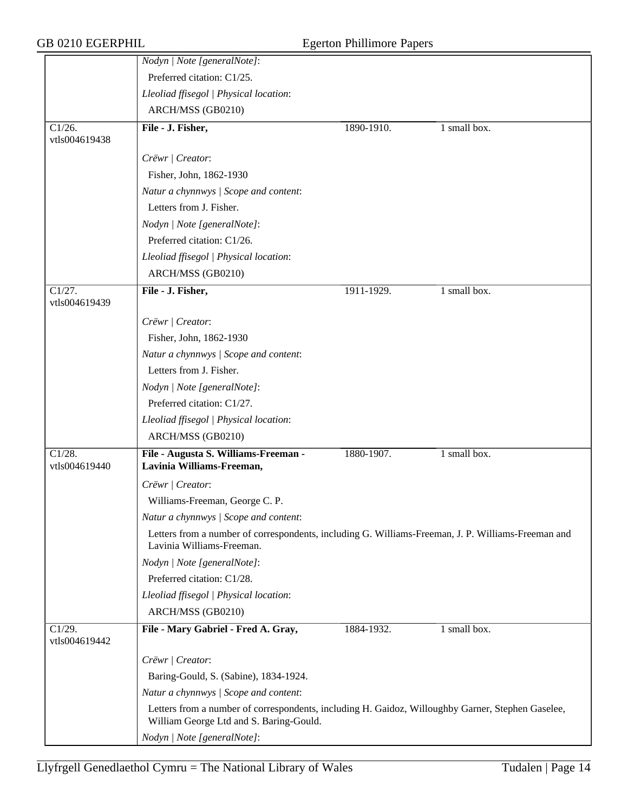|                                       | Nodyn   Note [generalNote]:                                                                                                                  |            |              |
|---------------------------------------|----------------------------------------------------------------------------------------------------------------------------------------------|------------|--------------|
|                                       | Preferred citation: C1/25.                                                                                                                   |            |              |
|                                       | Lleoliad ffisegol   Physical location:                                                                                                       |            |              |
|                                       | ARCH/MSS (GB0210)                                                                                                                            |            |              |
| $\overline{C1/26}$ .<br>vtls004619438 | File - J. Fisher,                                                                                                                            | 1890-1910. | 1 small box. |
|                                       | Crëwr   Creator:                                                                                                                             |            |              |
|                                       | Fisher, John, 1862-1930                                                                                                                      |            |              |
|                                       | Natur a chynnwys / Scope and content:                                                                                                        |            |              |
|                                       | Letters from J. Fisher.                                                                                                                      |            |              |
|                                       | Nodyn   Note [generalNote]:                                                                                                                  |            |              |
|                                       | Preferred citation: C1/26.                                                                                                                   |            |              |
|                                       | Lleoliad ffisegol   Physical location:                                                                                                       |            |              |
|                                       | ARCH/MSS (GB0210)                                                                                                                            |            |              |
| $\overline{C1/27}$ .<br>vtls004619439 | File - J. Fisher,                                                                                                                            | 1911-1929. | 1 small box. |
|                                       | Crëwr   Creator:                                                                                                                             |            |              |
|                                       | Fisher, John, 1862-1930                                                                                                                      |            |              |
|                                       | Natur a chynnwys / Scope and content:                                                                                                        |            |              |
|                                       | Letters from J. Fisher.                                                                                                                      |            |              |
|                                       | Nodyn   Note [generalNote]:                                                                                                                  |            |              |
|                                       | Preferred citation: C1/27.                                                                                                                   |            |              |
|                                       | Lleoliad ffisegol   Physical location:                                                                                                       |            |              |
|                                       | ARCH/MSS (GB0210)                                                                                                                            |            |              |
| $\overline{C1/28}$ .<br>vtls004619440 | File - Augusta S. Williams-Freeman -<br>Lavinia Williams-Freeman,                                                                            | 1880-1907. | 1 small box. |
|                                       | Crëwr   Creator:                                                                                                                             |            |              |
|                                       | Williams-Freeman, George C. P.                                                                                                               |            |              |
|                                       | Natur a chynnwys / Scope and content:                                                                                                        |            |              |
|                                       | Letters from a number of correspondents, including G. Williams-Freeman, J. P. Williams-Freeman and<br>Lavinia Williams-Freeman.              |            |              |
|                                       | Nodyn   Note [generalNote]:                                                                                                                  |            |              |
|                                       | Preferred citation: C1/28.                                                                                                                   |            |              |
|                                       | Lleoliad ffisegol   Physical location:                                                                                                       |            |              |
|                                       | ARCH/MSS (GB0210)                                                                                                                            |            |              |
| $\overline{C1/29}$ .<br>vtls004619442 | File - Mary Gabriel - Fred A. Gray,                                                                                                          | 1884-1932. | 1 small box. |
|                                       | Crëwr   Creator:                                                                                                                             |            |              |
|                                       | Baring-Gould, S. (Sabine), 1834-1924.                                                                                                        |            |              |
|                                       | Natur a chynnwys / Scope and content:                                                                                                        |            |              |
|                                       | Letters from a number of correspondents, including H. Gaidoz, Willoughby Garner, Stephen Gaselee,<br>William George Ltd and S. Baring-Gould. |            |              |
|                                       | Nodyn   Note [generalNote]:                                                                                                                  |            |              |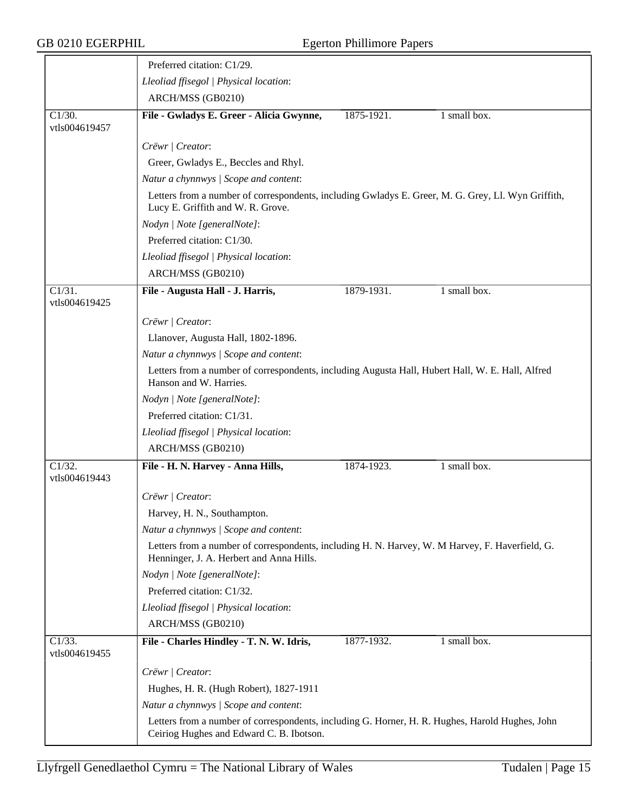|                                       | Preferred citation: C1/29.                                                                                                                  |
|---------------------------------------|---------------------------------------------------------------------------------------------------------------------------------------------|
|                                       | Lleoliad ffisegol   Physical location:                                                                                                      |
|                                       | ARCH/MSS (GB0210)                                                                                                                           |
| $\overline{C1/30}$ .<br>vtls004619457 | File - Gwladys E. Greer - Alicia Gwynne,<br>1 small box.<br>1875-1921.                                                                      |
|                                       | Crëwr   Creator:                                                                                                                            |
|                                       | Greer, Gwladys E., Beccles and Rhyl.                                                                                                        |
|                                       | Natur a chynnwys / Scope and content:                                                                                                       |
|                                       | Letters from a number of correspondents, including Gwladys E. Greer, M. G. Grey, Ll. Wyn Griffith,<br>Lucy E. Griffith and W. R. Grove.     |
|                                       | Nodyn   Note [generalNote]:                                                                                                                 |
|                                       | Preferred citation: C1/30.                                                                                                                  |
|                                       | Lleoliad ffisegol   Physical location:                                                                                                      |
|                                       | ARCH/MSS (GB0210)                                                                                                                           |
| $\overline{C1/31}$ .                  | 1 small box.<br>File - Augusta Hall - J. Harris,<br>1879-1931.                                                                              |
| vtls004619425                         |                                                                                                                                             |
|                                       | Crëwr   Creator:                                                                                                                            |
|                                       | Llanover, Augusta Hall, 1802-1896.                                                                                                          |
|                                       | Natur a chynnwys / Scope and content:                                                                                                       |
|                                       | Letters from a number of correspondents, including Augusta Hall, Hubert Hall, W. E. Hall, Alfred<br>Hanson and W. Harries.                  |
|                                       | Nodyn   Note [generalNote]:                                                                                                                 |
|                                       | Preferred citation: C1/31.                                                                                                                  |
|                                       | Lleoliad ffisegol   Physical location:                                                                                                      |
|                                       | ARCH/MSS (GB0210)                                                                                                                           |
| $\overline{C1/32}$ .                  | 1 small box.<br>File - H. N. Harvey - Anna Hills,<br>1874-1923.                                                                             |
| vtls004619443                         |                                                                                                                                             |
|                                       | Crëwr   Creator:                                                                                                                            |
|                                       | Harvey, H. N., Southampton                                                                                                                  |
|                                       | Natur a chynnwys / Scope and content:                                                                                                       |
|                                       | Letters from a number of correspondents, including H. N. Harvey, W. M Harvey, F. Haverfield, G.<br>Henninger, J. A. Herbert and Anna Hills. |
|                                       | Nodyn   Note [generalNote]:                                                                                                                 |
|                                       | Preferred citation: C1/32.                                                                                                                  |
|                                       | Lleoliad ffisegol   Physical location:                                                                                                      |
|                                       | ARCH/MSS (GB0210)                                                                                                                           |
| C1/33.<br>vtls004619455               | 1 small box.<br>File - Charles Hindley - T. N. W. Idris,<br>1877-1932.                                                                      |
|                                       | Crëwr   Creator:                                                                                                                            |
|                                       | Hughes, H. R. (Hugh Robert), 1827-1911                                                                                                      |
|                                       | Natur a chynnwys / Scope and content:                                                                                                       |
|                                       | Letters from a number of correspondents, including G. Horner, H. R. Hughes, Harold Hughes, John<br>Ceiriog Hughes and Edward C. B. Ibotson. |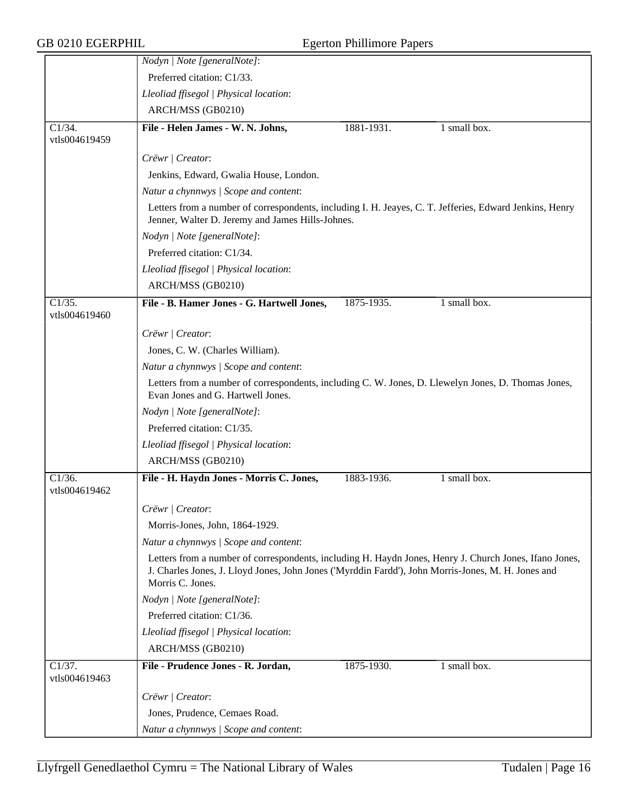|                                       | Nodyn   Note [generalNote]:                                                                                                                                 |            |              |  |  |
|---------------------------------------|-------------------------------------------------------------------------------------------------------------------------------------------------------------|------------|--------------|--|--|
|                                       | Preferred citation: C1/33.                                                                                                                                  |            |              |  |  |
|                                       | Lleoliad ffisegol   Physical location:                                                                                                                      |            |              |  |  |
|                                       | ARCH/MSS (GB0210)                                                                                                                                           |            |              |  |  |
| $C1/34$ .<br>vtls004619459            | File - Helen James - W. N. Johns,                                                                                                                           | 1881-1931. | 1 small box. |  |  |
|                                       | Crëwr   Creator:                                                                                                                                            |            |              |  |  |
|                                       | Jenkins, Edward, Gwalia House, London.                                                                                                                      |            |              |  |  |
|                                       | Natur a chynnwys / Scope and content:                                                                                                                       |            |              |  |  |
|                                       | Letters from a number of correspondents, including I. H. Jeaves, C. T. Jefferies, Edward Jenkins, Henry<br>Jenner, Walter D. Jeremy and James Hills-Johnes. |            |              |  |  |
|                                       | Nodyn   Note [generalNote]:                                                                                                                                 |            |              |  |  |
|                                       | Preferred citation: C1/34.                                                                                                                                  |            |              |  |  |
|                                       | Lleoliad ffisegol   Physical location:                                                                                                                      |            |              |  |  |
|                                       | ARCH/MSS (GB0210)                                                                                                                                           |            |              |  |  |
| $\overline{C1/35}$ .<br>vtls004619460 | File - B. Hamer Jones - G. Hartwell Jones,                                                                                                                  | 1875-1935. | 1 small box. |  |  |
|                                       | Crëwr   Creator:                                                                                                                                            |            |              |  |  |
|                                       | Jones, C. W. (Charles William).                                                                                                                             |            |              |  |  |
|                                       | Natur a chynnwys / Scope and content:                                                                                                                       |            |              |  |  |
|                                       | Letters from a number of correspondents, including C. W. Jones, D. Llewelyn Jones, D. Thomas Jones,<br>Evan Jones and G. Hartwell Jones.                    |            |              |  |  |
|                                       | Nodyn   Note [generalNote]:                                                                                                                                 |            |              |  |  |
|                                       | Preferred citation: C1/35.                                                                                                                                  |            |              |  |  |
|                                       | Lleoliad ffisegol   Physical location:                                                                                                                      |            |              |  |  |
|                                       | ARCH/MSS (GB0210)                                                                                                                                           |            |              |  |  |
| $\overline{C1/36}$ .<br>vtls004619462 | File - H. Haydn Jones - Morris C. Jones,                                                                                                                    | 1883-1936. | 1 small box. |  |  |
|                                       |                                                                                                                                                             |            |              |  |  |
|                                       | Crëwr   Creator:                                                                                                                                            |            |              |  |  |
|                                       | Morris-Jones, John, 1864-1929.                                                                                                                              |            |              |  |  |
|                                       | Natur a chynnwys / Scope and content:<br>Letters from a number of correspondents, including H. Haydn Jones, Henry J. Church Jones, Ifano Jones,             |            |              |  |  |
|                                       | J. Charles Jones, J. Lloyd Jones, John Jones ('Myrddin Fardd'), John Morris-Jones, M. H. Jones and<br>Morris C. Jones.                                      |            |              |  |  |
|                                       | Nodyn   Note [generalNote]:                                                                                                                                 |            |              |  |  |
|                                       | Preferred citation: C1/36.                                                                                                                                  |            |              |  |  |
|                                       | Lleoliad ffisegol   Physical location:                                                                                                                      |            |              |  |  |
|                                       | ARCH/MSS (GB0210)                                                                                                                                           |            |              |  |  |
| Cl/37.<br>vtls004619463               | File - Prudence Jones - R. Jordan,                                                                                                                          | 1875-1930. | 1 small box. |  |  |
|                                       | Crëwr   Creator:                                                                                                                                            |            |              |  |  |
|                                       | Jones, Prudence, Cemaes Road.                                                                                                                               |            |              |  |  |
|                                       | Natur a chynnwys / Scope and content:                                                                                                                       |            |              |  |  |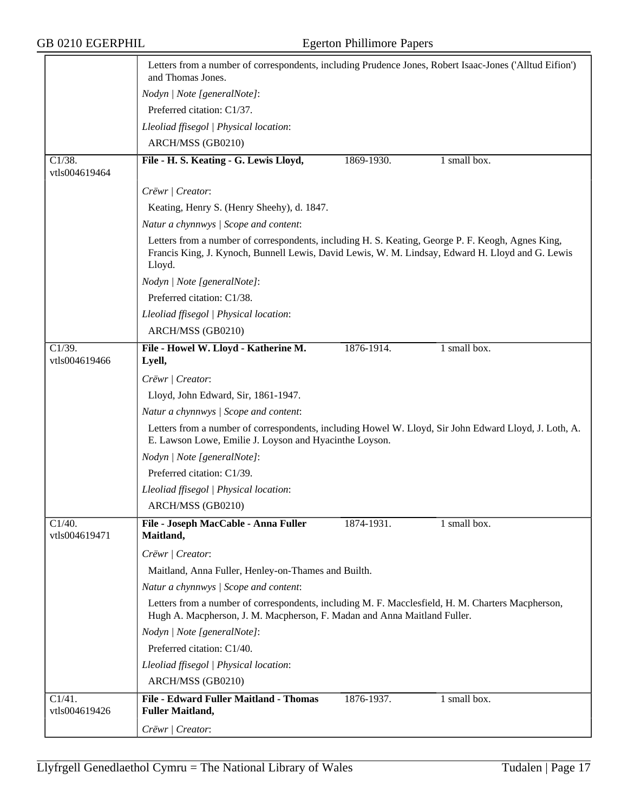|                                       | Letters from a number of correspondents, including Prudence Jones, Robert Isaac-Jones ('Alltud Eifion')<br>and Thomas Jones.                                                                                    |
|---------------------------------------|-----------------------------------------------------------------------------------------------------------------------------------------------------------------------------------------------------------------|
|                                       | Nodyn   Note [generalNote]:                                                                                                                                                                                     |
|                                       | Preferred citation: C1/37.                                                                                                                                                                                      |
|                                       | Lleoliad ffisegol   Physical location:                                                                                                                                                                          |
|                                       | ARCH/MSS (GB0210)                                                                                                                                                                                               |
| $C1/38$ .                             | File - H. S. Keating - G. Lewis Lloyd,<br>1869-1930.<br>1 small box.                                                                                                                                            |
| vtls004619464                         |                                                                                                                                                                                                                 |
|                                       | Crëwr   Creator:                                                                                                                                                                                                |
|                                       | Keating, Henry S. (Henry Sheehy), d. 1847.                                                                                                                                                                      |
|                                       | Natur a chynnwys / Scope and content:                                                                                                                                                                           |
|                                       | Letters from a number of correspondents, including H. S. Keating, George P. F. Keogh, Agnes King,<br>Francis King, J. Kynoch, Bunnell Lewis, David Lewis, W. M. Lindsay, Edward H. Lloyd and G. Lewis<br>Lloyd. |
|                                       | Nodyn   Note [generalNote]:                                                                                                                                                                                     |
|                                       | Preferred citation: C1/38.                                                                                                                                                                                      |
|                                       | Lleoliad ffisegol   Physical location:                                                                                                                                                                          |
|                                       | ARCH/MSS (GB0210)                                                                                                                                                                                               |
| $\overline{C1/39}$ .                  | File - Howel W. Lloyd - Katherine M.<br>1876-1914.<br>1 small box.                                                                                                                                              |
| vtls004619466                         | Lyell,                                                                                                                                                                                                          |
|                                       | Crëwr   Creator:                                                                                                                                                                                                |
|                                       | Lloyd, John Edward, Sir, 1861-1947.                                                                                                                                                                             |
|                                       | Natur a chynnwys / Scope and content:                                                                                                                                                                           |
|                                       | Letters from a number of correspondents, including Howel W. Lloyd, Sir John Edward Lloyd, J. Loth, A.<br>E. Lawson Lowe, Emilie J. Loyson and Hyacinthe Loyson.                                                 |
|                                       | Nodyn   Note [generalNote]:                                                                                                                                                                                     |
|                                       | Preferred citation: C1/39.                                                                                                                                                                                      |
|                                       | Lleoliad ffisegol   Physical location:                                                                                                                                                                          |
|                                       | ARCH/MSS (GB0210)                                                                                                                                                                                               |
| C1/40.<br>vtls004619471               | File - Joseph MacCable - Anna Fuller<br>1874-1931.<br>1 small box.<br>Maitland,                                                                                                                                 |
|                                       | Crëwr   Creator:                                                                                                                                                                                                |
|                                       | Maitland, Anna Fuller, Henley-on-Thames and Builth.                                                                                                                                                             |
|                                       | Natur a chynnwys / Scope and content:                                                                                                                                                                           |
|                                       | Letters from a number of correspondents, including M. F. Macclesfield, H. M. Charters Macpherson,<br>Hugh A. Macpherson, J. M. Macpherson, F. Madan and Anna Maitland Fuller.                                   |
|                                       | Nodyn   Note [generalNote]:                                                                                                                                                                                     |
|                                       | Preferred citation: C1/40.                                                                                                                                                                                      |
|                                       | Lleoliad ffisegol   Physical location:                                                                                                                                                                          |
|                                       | ARCH/MSS (GB0210)                                                                                                                                                                                               |
| $\overline{C1/41}$ .<br>vtls004619426 | File - Edward Fuller Maitland - Thomas<br>1876-1937.<br>1 small box.<br><b>Fuller Maitland,</b>                                                                                                                 |
|                                       | Crëwr / Creator:                                                                                                                                                                                                |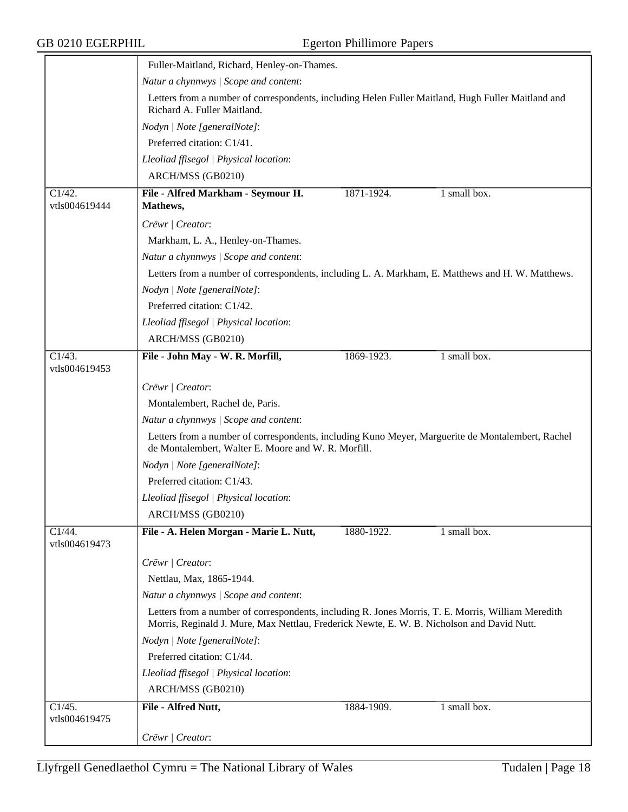|                                       | Fuller-Maitland, Richard, Henley-on-Thames.                                                                                                                                                      |  |  |  |  |
|---------------------------------------|--------------------------------------------------------------------------------------------------------------------------------------------------------------------------------------------------|--|--|--|--|
|                                       | Natur a chynnwys / Scope and content:                                                                                                                                                            |  |  |  |  |
|                                       | Letters from a number of correspondents, including Helen Fuller Maitland, Hugh Fuller Maitland and<br>Richard A. Fuller Maitland.                                                                |  |  |  |  |
|                                       | Nodyn   Note [generalNote]:                                                                                                                                                                      |  |  |  |  |
|                                       | Preferred citation: C1/41.                                                                                                                                                                       |  |  |  |  |
|                                       | Lleoliad ffisegol   Physical location:                                                                                                                                                           |  |  |  |  |
|                                       | ARCH/MSS (GB0210)                                                                                                                                                                                |  |  |  |  |
| C1/42.                                | 1 small box.<br>File - Alfred Markham - Seymour H.<br>1871-1924.                                                                                                                                 |  |  |  |  |
| vtls004619444                         | Mathews,                                                                                                                                                                                         |  |  |  |  |
|                                       | Crëwr   Creator:                                                                                                                                                                                 |  |  |  |  |
|                                       | Markham, L. A., Henley-on-Thames.                                                                                                                                                                |  |  |  |  |
|                                       | Natur a chynnwys / Scope and content:                                                                                                                                                            |  |  |  |  |
|                                       | Letters from a number of correspondents, including L. A. Markham, E. Matthews and H. W. Matthews.                                                                                                |  |  |  |  |
|                                       | Nodyn   Note [generalNote]:                                                                                                                                                                      |  |  |  |  |
|                                       | Preferred citation: C1/42.                                                                                                                                                                       |  |  |  |  |
|                                       | Lleoliad ffisegol   Physical location:                                                                                                                                                           |  |  |  |  |
|                                       | ARCH/MSS (GB0210)                                                                                                                                                                                |  |  |  |  |
| $\overline{C1/43}$ .<br>vtls004619453 | 1 small box.<br>File - John May - W. R. Morfill,<br>1869-1923.                                                                                                                                   |  |  |  |  |
|                                       | Crëwr / Creator:                                                                                                                                                                                 |  |  |  |  |
|                                       | Montalembert, Rachel de, Paris.                                                                                                                                                                  |  |  |  |  |
|                                       | Natur a chynnwys / Scope and content:                                                                                                                                                            |  |  |  |  |
|                                       | Letters from a number of correspondents, including Kuno Meyer, Marguerite de Montalembert, Rachel<br>de Montalembert, Walter E. Moore and W. R. Morfill.                                         |  |  |  |  |
|                                       | Nodyn   Note [generalNote]:                                                                                                                                                                      |  |  |  |  |
|                                       | Preferred citation: C1/43.                                                                                                                                                                       |  |  |  |  |
|                                       | Lleoliad ffisegol   Physical location:                                                                                                                                                           |  |  |  |  |
|                                       | ARCH/MSS (GB0210)                                                                                                                                                                                |  |  |  |  |
| C1/44.<br>vtls004619473               | File - A. Helen Morgan - Marie L. Nutt,<br>1 small box.<br>1880-1922.                                                                                                                            |  |  |  |  |
|                                       | Crëwr   Creator:                                                                                                                                                                                 |  |  |  |  |
|                                       | Nettlau, Max, 1865-1944.                                                                                                                                                                         |  |  |  |  |
|                                       | Natur a chynnwys / Scope and content:                                                                                                                                                            |  |  |  |  |
|                                       | Letters from a number of correspondents, including R. Jones Morris, T. E. Morris, William Meredith<br>Morris, Reginald J. Mure, Max Nettlau, Frederick Newte, E. W. B. Nicholson and David Nutt. |  |  |  |  |
|                                       | Nodyn   Note [generalNote]:                                                                                                                                                                      |  |  |  |  |
|                                       | Preferred citation: C1/44.                                                                                                                                                                       |  |  |  |  |
|                                       | Lleoliad ffisegol   Physical location:                                                                                                                                                           |  |  |  |  |
|                                       | ARCH/MSS (GB0210)                                                                                                                                                                                |  |  |  |  |
| C1/45.<br>vtls004619475               | File - Alfred Nutt,<br>1 small box.<br>1884-1909.                                                                                                                                                |  |  |  |  |
|                                       | Crëwr   Creator:                                                                                                                                                                                 |  |  |  |  |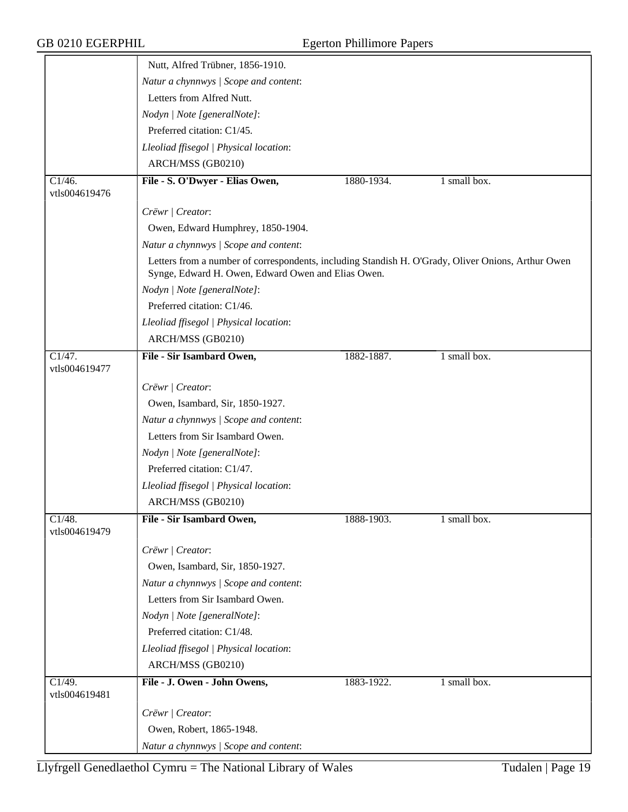|                         | Nutt, Alfred Trübner, 1856-1910.                                                                                                                         |            |              |
|-------------------------|----------------------------------------------------------------------------------------------------------------------------------------------------------|------------|--------------|
|                         | Natur a chynnwys / Scope and content:                                                                                                                    |            |              |
|                         | Letters from Alfred Nutt.                                                                                                                                |            |              |
|                         | Nodyn   Note [generalNote]:                                                                                                                              |            |              |
|                         | Preferred citation: C1/45.                                                                                                                               |            |              |
|                         | Lleoliad ffisegol   Physical location:                                                                                                                   |            |              |
|                         | ARCH/MSS (GB0210)                                                                                                                                        |            |              |
| C1/46.                  | File - S. O'Dwyer - Elias Owen,                                                                                                                          | 1880-1934. | 1 small box. |
| vtls004619476           |                                                                                                                                                          |            |              |
|                         | Crëwr   Creator:                                                                                                                                         |            |              |
|                         | Owen, Edward Humphrey, 1850-1904.                                                                                                                        |            |              |
|                         | Natur a chynnwys / Scope and content:                                                                                                                    |            |              |
|                         | Letters from a number of correspondents, including Standish H. O'Grady, Oliver Onions, Arthur Owen<br>Synge, Edward H. Owen, Edward Owen and Elias Owen. |            |              |
|                         | Nodyn   Note [generalNote]:                                                                                                                              |            |              |
|                         | Preferred citation: C1/46.                                                                                                                               |            |              |
|                         | Lleoliad ffisegol   Physical location:                                                                                                                   |            |              |
|                         | ARCH/MSS (GB0210)                                                                                                                                        |            |              |
| C1/47.                  | File - Sir Isambard Owen,                                                                                                                                | 1882-1887. | 1 small box. |
| vtls004619477           |                                                                                                                                                          |            |              |
|                         | Crëwr   Creator:                                                                                                                                         |            |              |
|                         | Owen, Isambard, Sir, 1850-1927.                                                                                                                          |            |              |
|                         | Natur a chynnwys / Scope and content:                                                                                                                    |            |              |
|                         | Letters from Sir Isambard Owen.                                                                                                                          |            |              |
|                         | Nodyn   Note [generalNote]:                                                                                                                              |            |              |
|                         | Preferred citation: C1/47.                                                                                                                               |            |              |
|                         | Lleoliad ffisegol   Physical location:                                                                                                                   |            |              |
|                         | ARCH/MSS (GB0210)                                                                                                                                        |            |              |
| C1/48.<br>vtls004619479 | File - Sir Isambard Owen,                                                                                                                                | 1888-1903. | 1 small box. |
|                         | Crëwr   Creator:                                                                                                                                         |            |              |
|                         | Owen, Isambard, Sir, 1850-1927.                                                                                                                          |            |              |
|                         | Natur a chynnwys / Scope and content:                                                                                                                    |            |              |
|                         | Letters from Sir Isambard Owen.                                                                                                                          |            |              |
|                         | Nodyn   Note [generalNote]:                                                                                                                              |            |              |
|                         | Preferred citation: C1/48.                                                                                                                               |            |              |
|                         | Lleoliad ffisegol   Physical location:                                                                                                                   |            |              |
|                         | ARCH/MSS (GB0210)                                                                                                                                        |            |              |
| C1/49.<br>vtls004619481 | File - J. Owen - John Owens,                                                                                                                             | 1883-1922. | 1 small box. |
|                         | Crëwr   Creator:                                                                                                                                         |            |              |
|                         | Owen, Robert, 1865-1948.                                                                                                                                 |            |              |
|                         | Natur a chynnwys / Scope and content:                                                                                                                    |            |              |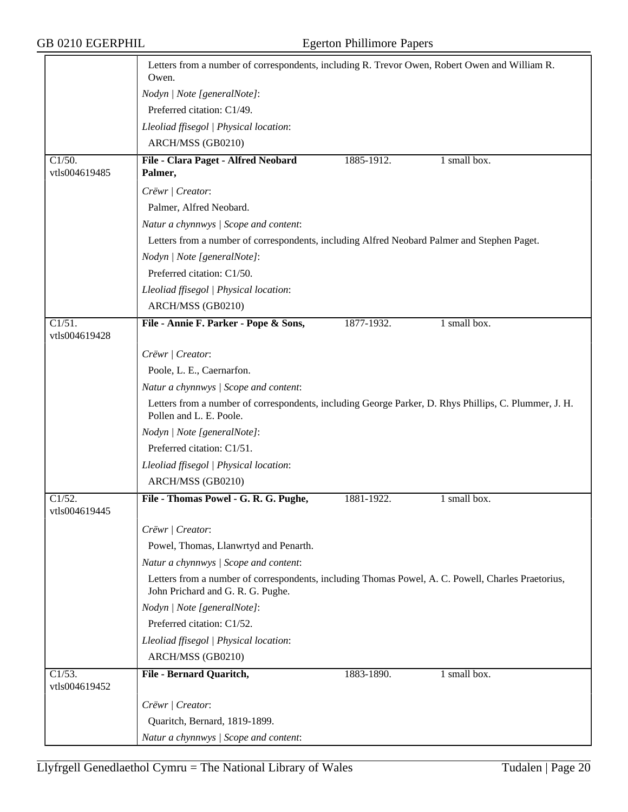|                         | Letters from a number of correspondents, including R. Trevor Owen, Robert Owen and William R.<br>Owen.                                  |            |              |  |  |
|-------------------------|-----------------------------------------------------------------------------------------------------------------------------------------|------------|--------------|--|--|
|                         | Nodyn   Note [generalNote]:                                                                                                             |            |              |  |  |
|                         | Preferred citation: C1/49.                                                                                                              |            |              |  |  |
|                         | Lleoliad ffisegol   Physical location:                                                                                                  |            |              |  |  |
|                         | ARCH/MSS (GB0210)                                                                                                                       |            |              |  |  |
| $\overline{C1/50}$ .    | File - Clara Paget - Alfred Neobard                                                                                                     | 1885-1912. | 1 small box. |  |  |
| vtls004619485           | Palmer,                                                                                                                                 |            |              |  |  |
|                         | Crëwr   Creator:                                                                                                                        |            |              |  |  |
|                         | Palmer, Alfred Neobard.                                                                                                                 |            |              |  |  |
|                         | Natur a chynnwys / Scope and content:                                                                                                   |            |              |  |  |
|                         | Letters from a number of correspondents, including Alfred Neobard Palmer and Stephen Paget.                                             |            |              |  |  |
|                         | Nodyn   Note [generalNote]:                                                                                                             |            |              |  |  |
|                         | Preferred citation: C1/50.                                                                                                              |            |              |  |  |
|                         | Lleoliad ffisegol   Physical location:                                                                                                  |            |              |  |  |
|                         | ARCH/MSS (GB0210)                                                                                                                       |            |              |  |  |
| $\overline{C1/51}$ .    | File - Annie F. Parker - Pope & Sons,                                                                                                   | 1877-1932. | 1 small box. |  |  |
| vtls004619428           |                                                                                                                                         |            |              |  |  |
|                         | Crëwr   Creator:                                                                                                                        |            |              |  |  |
|                         | Poole, L. E., Caernarfon.                                                                                                               |            |              |  |  |
|                         | Natur a chynnwys / Scope and content:                                                                                                   |            |              |  |  |
|                         | Letters from a number of correspondents, including George Parker, D. Rhys Phillips, C. Plummer, J. H.<br>Pollen and L. E. Poole.        |            |              |  |  |
|                         | Nodyn   Note [generalNote]:                                                                                                             |            |              |  |  |
|                         | Preferred citation: C1/51.                                                                                                              |            |              |  |  |
|                         | Lleoliad ffisegol   Physical location:                                                                                                  |            |              |  |  |
|                         | ARCH/MSS (GB0210)                                                                                                                       |            |              |  |  |
| C1/52.                  | File - Thomas Powel - G. R. G. Pughe,                                                                                                   | 1881-1922. | 1 small box. |  |  |
| vtls004619445           |                                                                                                                                         |            |              |  |  |
|                         | Crëwr   Creator:                                                                                                                        |            |              |  |  |
|                         | Powel, Thomas, Llanwrtyd and Penarth.                                                                                                   |            |              |  |  |
|                         | Natur a chynnwys / Scope and content:                                                                                                   |            |              |  |  |
|                         | Letters from a number of correspondents, including Thomas Powel, A. C. Powell, Charles Praetorius,<br>John Prichard and G. R. G. Pughe. |            |              |  |  |
|                         | Nodyn   Note [generalNote]:                                                                                                             |            |              |  |  |
|                         | Preferred citation: C1/52.                                                                                                              |            |              |  |  |
|                         | Lleoliad ffisegol   Physical location:                                                                                                  |            |              |  |  |
|                         | ARCH/MSS (GB0210)                                                                                                                       |            |              |  |  |
| Cl/53.<br>vtls004619452 | File - Bernard Quaritch,                                                                                                                | 1883-1890. | 1 small box. |  |  |
|                         | Crëwr   Creator:                                                                                                                        |            |              |  |  |
|                         | Quaritch, Bernard, 1819-1899.                                                                                                           |            |              |  |  |
|                         | Natur a chynnwys / Scope and content:                                                                                                   |            |              |  |  |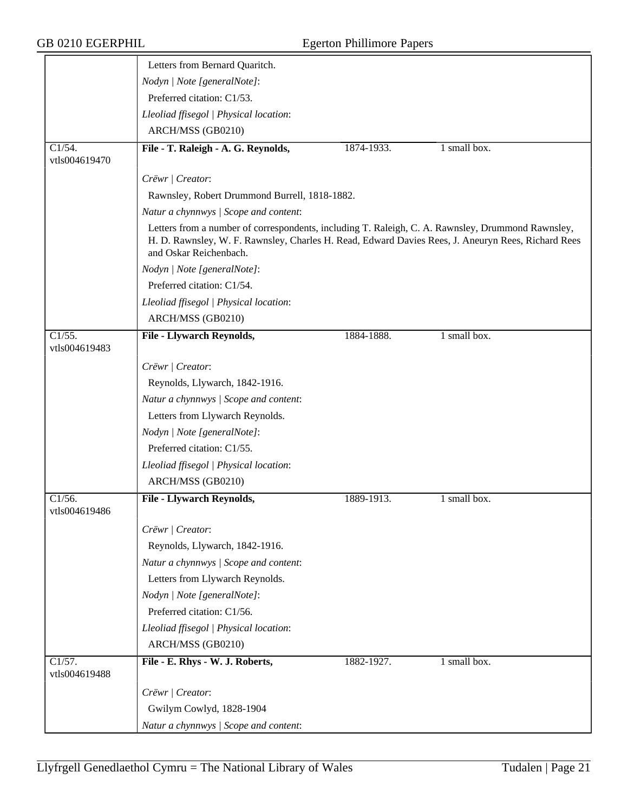## GB 0210 EGERPHIL Egerton Phillimore Papers

|                                       | Letters from Bernard Quaritch.                                                                                                                                                                                                    |            |                                   |
|---------------------------------------|-----------------------------------------------------------------------------------------------------------------------------------------------------------------------------------------------------------------------------------|------------|-----------------------------------|
|                                       | Nodyn   Note [generalNote]:                                                                                                                                                                                                       |            |                                   |
|                                       | Preferred citation: C1/53.                                                                                                                                                                                                        |            |                                   |
|                                       | Lleoliad ffisegol   Physical location:                                                                                                                                                                                            |            |                                   |
|                                       | ARCH/MSS (GB0210)                                                                                                                                                                                                                 |            |                                   |
| C1/54.                                | File - T. Raleigh - A. G. Reynolds,                                                                                                                                                                                               | 1874-1933. | $1 \overline{\text{small box}}$ . |
| vtls004619470                         |                                                                                                                                                                                                                                   |            |                                   |
|                                       | Crëwr   Creator:                                                                                                                                                                                                                  |            |                                   |
|                                       | Rawnsley, Robert Drummond Burrell, 1818-1882.                                                                                                                                                                                     |            |                                   |
|                                       | Natur a chynnwys / Scope and content:                                                                                                                                                                                             |            |                                   |
|                                       | Letters from a number of correspondents, including T. Raleigh, C. A. Rawnsley, Drummond Rawnsley,<br>H. D. Rawnsley, W. F. Rawnsley, Charles H. Read, Edward Davies Rees, J. Aneuryn Rees, Richard Rees<br>and Oskar Reichenbach. |            |                                   |
|                                       | Nodyn   Note [generalNote]:                                                                                                                                                                                                       |            |                                   |
|                                       | Preferred citation: C1/54.                                                                                                                                                                                                        |            |                                   |
|                                       | Lleoliad ffisegol   Physical location:                                                                                                                                                                                            |            |                                   |
|                                       | ARCH/MSS (GB0210)                                                                                                                                                                                                                 |            |                                   |
| $\overline{C1/55}$ .<br>vtls004619483 | File - Llywarch Reynolds,                                                                                                                                                                                                         | 1884-1888. | 1 small box.                      |
|                                       | Crëwr   Creator:                                                                                                                                                                                                                  |            |                                   |
|                                       | Reynolds, Llywarch, 1842-1916.                                                                                                                                                                                                    |            |                                   |
|                                       | Natur a chynnwys / Scope and content:                                                                                                                                                                                             |            |                                   |
|                                       | Letters from Llywarch Reynolds.                                                                                                                                                                                                   |            |                                   |
|                                       | Nodyn   Note [generalNote]:                                                                                                                                                                                                       |            |                                   |
|                                       | Preferred citation: C1/55.                                                                                                                                                                                                        |            |                                   |
|                                       | Lleoliad ffisegol   Physical location:                                                                                                                                                                                            |            |                                   |
|                                       | ARCH/MSS (GB0210)                                                                                                                                                                                                                 |            |                                   |
| C1/56.<br>vtls004619486               | <b>File - Llywarch Reynolds,</b>                                                                                                                                                                                                  | 1889-1913. | 1 small box.                      |
|                                       | Crëwr   Creator:                                                                                                                                                                                                                  |            |                                   |
|                                       | Reynolds, Llywarch, 1842-1916.                                                                                                                                                                                                    |            |                                   |
|                                       | Natur a chynnwys / Scope and content:                                                                                                                                                                                             |            |                                   |
|                                       | Letters from Llywarch Reynolds.                                                                                                                                                                                                   |            |                                   |
|                                       | Nodyn   Note [generalNote]:                                                                                                                                                                                                       |            |                                   |
|                                       | Preferred citation: C1/56.                                                                                                                                                                                                        |            |                                   |
|                                       | Lleoliad ffisegol   Physical location:                                                                                                                                                                                            |            |                                   |
|                                       | ARCH/MSS (GB0210)                                                                                                                                                                                                                 |            |                                   |
| $\overline{C1/57}$ .                  | File - E. Rhys - W. J. Roberts,                                                                                                                                                                                                   | 1882-1927. | 1 small box.                      |
| vtls004619488                         |                                                                                                                                                                                                                                   |            |                                   |
|                                       | Crëwr   Creator:                                                                                                                                                                                                                  |            |                                   |
|                                       | Gwilym Cowlyd, 1828-1904                                                                                                                                                                                                          |            |                                   |
|                                       | Natur a chynnwys / Scope and content:                                                                                                                                                                                             |            |                                   |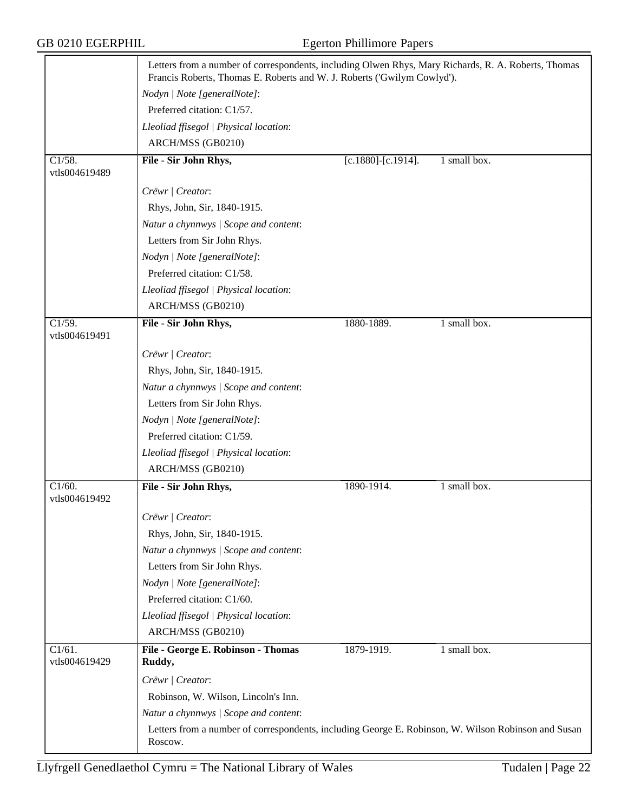|                                       | Letters from a number of correspondents, including Olwen Rhys, Mary Richards, R. A. Roberts, Thomas<br>Francis Roberts, Thomas E. Roberts and W. J. Roberts ('Gwilym Cowlyd'). |                    |              |
|---------------------------------------|--------------------------------------------------------------------------------------------------------------------------------------------------------------------------------|--------------------|--------------|
|                                       | Nodyn   Note [generalNote]:                                                                                                                                                    |                    |              |
|                                       | Preferred citation: C1/57.                                                                                                                                                     |                    |              |
|                                       | Lleoliad ffisegol   Physical location:                                                                                                                                         |                    |              |
|                                       | ARCH/MSS (GB0210)                                                                                                                                                              |                    |              |
| $\overline{C1/58}$ .                  | File - Sir John Rhys,                                                                                                                                                          | [c.1880]-[c.1914]. | 1 small box. |
| vtls004619489                         |                                                                                                                                                                                |                    |              |
|                                       | Crëwr   Creator:                                                                                                                                                               |                    |              |
|                                       | Rhys, John, Sir, 1840-1915.                                                                                                                                                    |                    |              |
|                                       | Natur a chynnwys / Scope and content:                                                                                                                                          |                    |              |
|                                       | Letters from Sir John Rhys.                                                                                                                                                    |                    |              |
|                                       | Nodyn   Note [generalNote]:                                                                                                                                                    |                    |              |
|                                       | Preferred citation: C1/58.                                                                                                                                                     |                    |              |
|                                       | Lleoliad ffisegol   Physical location:                                                                                                                                         |                    |              |
|                                       | ARCH/MSS (GB0210)                                                                                                                                                              |                    |              |
| $\overline{C1/59}$ .                  | File - Sir John Rhys,                                                                                                                                                          | 1880-1889.         | 1 small box. |
| vtls004619491                         |                                                                                                                                                                                |                    |              |
|                                       | Crëwr   Creator:                                                                                                                                                               |                    |              |
|                                       | Rhys, John, Sir, 1840-1915.                                                                                                                                                    |                    |              |
|                                       | Natur a chynnwys / Scope and content:                                                                                                                                          |                    |              |
|                                       | Letters from Sir John Rhys.                                                                                                                                                    |                    |              |
|                                       | Nodyn   Note [generalNote]:                                                                                                                                                    |                    |              |
|                                       | Preferred citation: C1/59.                                                                                                                                                     |                    |              |
|                                       | Lleoliad ffisegol   Physical location:                                                                                                                                         |                    |              |
|                                       | ARCH/MSS (GB0210)                                                                                                                                                              |                    |              |
| C1/60.                                | File - Sir John Rhys,                                                                                                                                                          | 1890-1914.         | 1 small box. |
| vtls004619492                         |                                                                                                                                                                                |                    |              |
|                                       | Crëwr   Creator:                                                                                                                                                               |                    |              |
|                                       | Rhys, John, Sir, 1840-1915.                                                                                                                                                    |                    |              |
|                                       | Natur a chynnwys / Scope and content:                                                                                                                                          |                    |              |
|                                       | Letters from Sir John Rhys.                                                                                                                                                    |                    |              |
|                                       | Nodyn   Note [generalNote]:                                                                                                                                                    |                    |              |
|                                       | Preferred citation: C1/60.                                                                                                                                                     |                    |              |
|                                       | Lleoliad ffisegol   Physical location:                                                                                                                                         |                    |              |
|                                       | ARCH/MSS (GB0210)                                                                                                                                                              |                    |              |
| $\overline{C1/61}$ .<br>vtls004619429 | File - George E. Robinson - Thomas<br>Ruddy,                                                                                                                                   | 1879-1919.         | 1 small box. |
|                                       | Crëwr   Creator:                                                                                                                                                               |                    |              |
|                                       | Robinson, W. Wilson, Lincoln's Inn.                                                                                                                                            |                    |              |
|                                       | Natur a chynnwys / Scope and content:                                                                                                                                          |                    |              |
|                                       | Letters from a number of correspondents, including George E. Robinson, W. Wilson Robinson and Susan<br>Roscow.                                                                 |                    |              |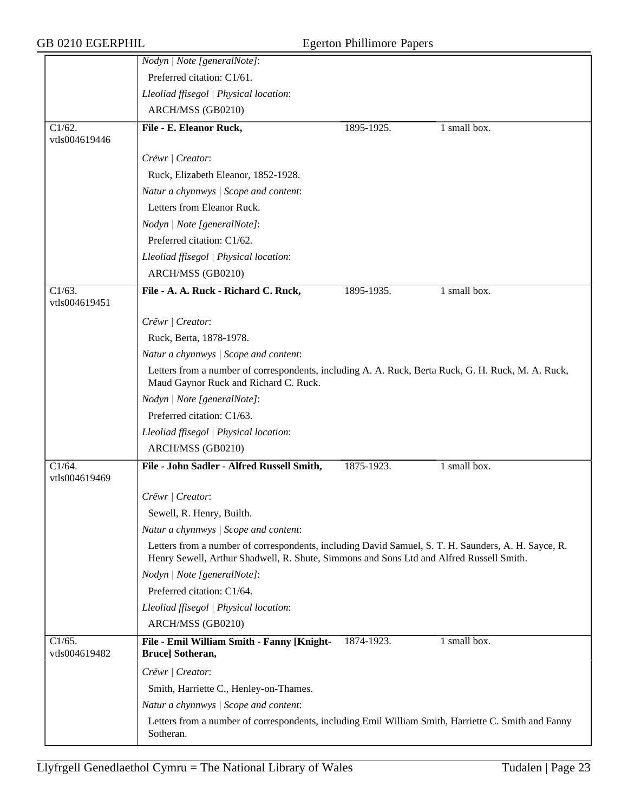|                                       | Nodyn   Note [generalNote]:                                                                                                                                                                    |            |              |  |  |
|---------------------------------------|------------------------------------------------------------------------------------------------------------------------------------------------------------------------------------------------|------------|--------------|--|--|
|                                       | Preferred citation: C1/61.                                                                                                                                                                     |            |              |  |  |
|                                       | Lleoliad ffisegol   Physical location:                                                                                                                                                         |            |              |  |  |
|                                       | ARCH/MSS (GB0210)                                                                                                                                                                              |            |              |  |  |
| C1/62.<br>vtls004619446               | File - E. Eleanor Ruck,                                                                                                                                                                        | 1895-1925. | 1 small box. |  |  |
|                                       | Crëwr   Creator:                                                                                                                                                                               |            |              |  |  |
|                                       | Ruck, Elizabeth Eleanor, 1852-1928.                                                                                                                                                            |            |              |  |  |
|                                       | Natur a chynnwys / Scope and content:                                                                                                                                                          |            |              |  |  |
|                                       | Letters from Eleanor Ruck.                                                                                                                                                                     |            |              |  |  |
|                                       | Nodyn   Note [generalNote]:                                                                                                                                                                    |            |              |  |  |
|                                       | Preferred citation: C1/62.                                                                                                                                                                     |            |              |  |  |
|                                       | Lleoliad ffisegol   Physical location:                                                                                                                                                         |            |              |  |  |
|                                       | ARCH/MSS (GB0210)                                                                                                                                                                              |            |              |  |  |
| $\overline{C1/63}$ .                  | File - A. A. Ruck - Richard C. Ruck,                                                                                                                                                           | 1895-1935. | 1 small box. |  |  |
| vtls004619451                         |                                                                                                                                                                                                |            |              |  |  |
|                                       | Crëwr   Creator:                                                                                                                                                                               |            |              |  |  |
|                                       | Ruck, Berta, 1878-1978.                                                                                                                                                                        |            |              |  |  |
|                                       | Natur a chynnwys / Scope and content:                                                                                                                                                          |            |              |  |  |
|                                       | Letters from a number of correspondents, including A. A. Ruck, Berta Ruck, G. H. Ruck, M. A. Ruck,<br>Maud Gaynor Ruck and Richard C. Ruck.                                                    |            |              |  |  |
|                                       | Nodyn   Note [generalNote]:                                                                                                                                                                    |            |              |  |  |
|                                       | Preferred citation: C1/63.                                                                                                                                                                     |            |              |  |  |
|                                       | Lleoliad ffisegol   Physical location:                                                                                                                                                         |            |              |  |  |
|                                       | ARCH/MSS (GB0210)                                                                                                                                                                              |            |              |  |  |
| $\overline{C1/64}$ .                  | File - John Sadler - Alfred Russell Smith,                                                                                                                                                     | 1875-1923. | 1 small box. |  |  |
| vtls004619469                         |                                                                                                                                                                                                |            |              |  |  |
|                                       | Crëwr   Creator:                                                                                                                                                                               |            |              |  |  |
|                                       | Sewell, R. Henry, Builth.                                                                                                                                                                      |            |              |  |  |
|                                       | Natur a chynnwys / Scope and content:                                                                                                                                                          |            |              |  |  |
|                                       | Letters from a number of correspondents, including David Samuel, S. T. H. Saunders, A. H. Sayce, R.<br>Henry Sewell, Arthur Shadwell, R. Shute, Simmons and Sons Ltd and Alfred Russell Smith. |            |              |  |  |
|                                       | Nodyn   Note [generalNote]:                                                                                                                                                                    |            |              |  |  |
|                                       | Preferred citation: C1/64.                                                                                                                                                                     |            |              |  |  |
|                                       | Lleoliad ffisegol   Physical location:                                                                                                                                                         |            |              |  |  |
|                                       | ARCH/MSS (GB0210)                                                                                                                                                                              |            |              |  |  |
| $\overline{C1/65}$ .<br>vtls004619482 | File - Emil William Smith - Fanny [Knight-<br>Bruce] Sotheran,                                                                                                                                 | 1874-1923. | 1 small box. |  |  |
|                                       | Crëwr   Creator:                                                                                                                                                                               |            |              |  |  |
|                                       | Smith, Harriette C., Henley-on-Thames.                                                                                                                                                         |            |              |  |  |
|                                       | Natur a chynnwys / Scope and content:                                                                                                                                                          |            |              |  |  |
|                                       | Letters from a number of correspondents, including Emil William Smith, Harriette C. Smith and Fanny<br>Sotheran.                                                                               |            |              |  |  |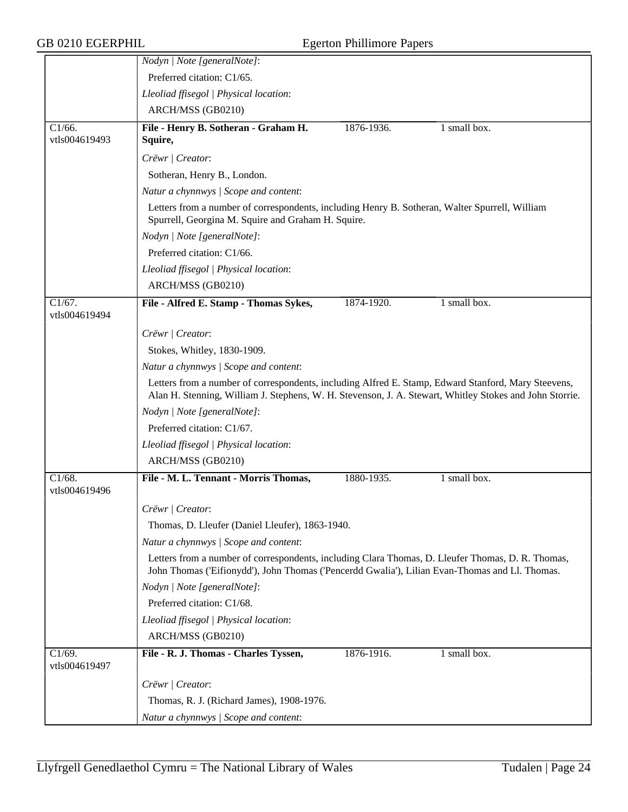|                            | Nodyn   Note [generalNote]:                                                                                                                                                                                    |            |              |  |  |
|----------------------------|----------------------------------------------------------------------------------------------------------------------------------------------------------------------------------------------------------------|------------|--------------|--|--|
|                            | Preferred citation: C1/65.                                                                                                                                                                                     |            |              |  |  |
|                            | Lleoliad ffisegol   Physical location:                                                                                                                                                                         |            |              |  |  |
|                            | ARCH/MSS (GB0210)                                                                                                                                                                                              |            |              |  |  |
| $C1/66$ .<br>vtls004619493 | File - Henry B. Sotheran - Graham H.<br>Squire,                                                                                                                                                                | 1876-1936. | 1 small box. |  |  |
|                            | Crëwr   Creator:                                                                                                                                                                                               |            |              |  |  |
|                            | Sotheran, Henry B., London.                                                                                                                                                                                    |            |              |  |  |
|                            | Natur a chynnwys / Scope and content:                                                                                                                                                                          |            |              |  |  |
|                            | Letters from a number of correspondents, including Henry B. Sotheran, Walter Spurrell, William<br>Spurrell, Georgina M. Squire and Graham H. Squire.                                                           |            |              |  |  |
|                            | Nodyn   Note [generalNote]:                                                                                                                                                                                    |            |              |  |  |
|                            | Preferred citation: C1/66.                                                                                                                                                                                     |            |              |  |  |
|                            | Lleoliad ffisegol   Physical location:                                                                                                                                                                         |            |              |  |  |
|                            | ARCH/MSS (GB0210)                                                                                                                                                                                              |            |              |  |  |
| $C1/67$ .<br>vtls004619494 | File - Alfred E. Stamp - Thomas Sykes,                                                                                                                                                                         | 1874-1920. | 1 small box. |  |  |
|                            | Crëwr   Creator:                                                                                                                                                                                               |            |              |  |  |
|                            | Stokes, Whitley, 1830-1909.                                                                                                                                                                                    |            |              |  |  |
|                            | Natur a chynnwys / Scope and content:                                                                                                                                                                          |            |              |  |  |
|                            | Letters from a number of correspondents, including Alfred E. Stamp, Edward Stanford, Mary Steevens,<br>Alan H. Stenning, William J. Stephens, W. H. Stevenson, J. A. Stewart, Whitley Stokes and John Storrie. |            |              |  |  |
|                            | Nodyn   Note [generalNote]:                                                                                                                                                                                    |            |              |  |  |
|                            | Preferred citation: C1/67.                                                                                                                                                                                     |            |              |  |  |
|                            | Lleoliad ffisegol   Physical location:                                                                                                                                                                         |            |              |  |  |
|                            | ARCH/MSS (GB0210)                                                                                                                                                                                              |            |              |  |  |
| $C1/68$ .<br>vtls004619496 | File - M. L. Tennant - Morris Thomas,                                                                                                                                                                          | 1880-1935. | 1 small box. |  |  |
|                            | Crëwr   Creator:                                                                                                                                                                                               |            |              |  |  |
|                            | Thomas, D. Lleufer (Daniel Lleufer), 1863-1940.                                                                                                                                                                |            |              |  |  |
|                            | Natur a chynnwys / Scope and content:                                                                                                                                                                          |            |              |  |  |
|                            | Letters from a number of correspondents, including Clara Thomas, D. Lleufer Thomas, D. R. Thomas,<br>John Thomas ('Eifionydd'), John Thomas ('Pencerdd Gwalia'), Lilian Evan-Thomas and Ll. Thomas.            |            |              |  |  |
|                            | Nodyn   Note [generalNote]:                                                                                                                                                                                    |            |              |  |  |
|                            | Preferred citation: C1/68.                                                                                                                                                                                     |            |              |  |  |
|                            | Lleoliad ffisegol   Physical location:                                                                                                                                                                         |            |              |  |  |
|                            | ARCH/MSS (GB0210)                                                                                                                                                                                              |            |              |  |  |
| C1/69.<br>vtls004619497    | File - R. J. Thomas - Charles Tyssen,                                                                                                                                                                          | 1876-1916. | 1 small box. |  |  |
|                            | Crëwr   Creator:                                                                                                                                                                                               |            |              |  |  |
|                            | Thomas, R. J. (Richard James), 1908-1976.                                                                                                                                                                      |            |              |  |  |
|                            | Natur a chynnwys / Scope and content:                                                                                                                                                                          |            |              |  |  |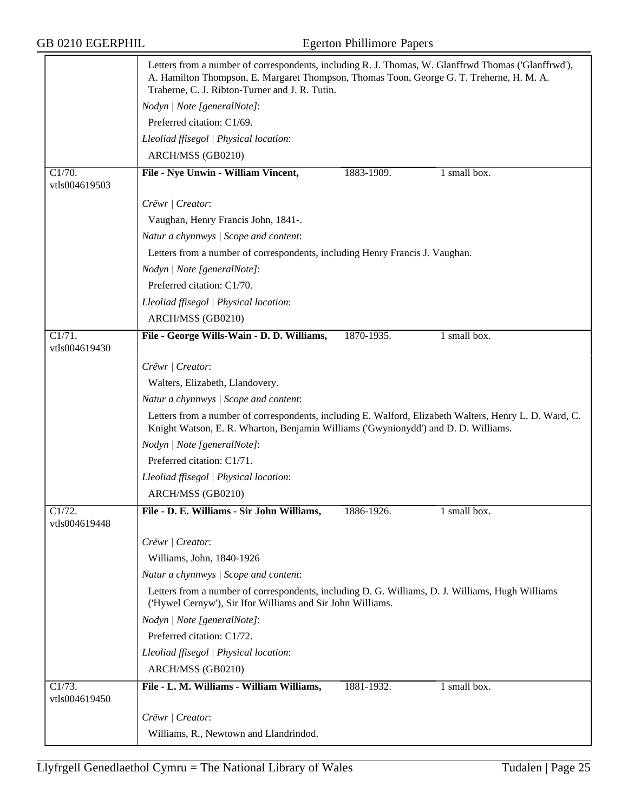|                            | Letters from a number of correspondents, including R. J. Thomas, W. Glanffrwd Thomas ('Glanffrwd'),<br>A. Hamilton Thompson, E. Margaret Thompson, Thomas Toon, George G. T. Treherne, H. M. A.<br>Traherne, C. J. Ribton-Turner and J. R. Tutin. |            |              |
|----------------------------|---------------------------------------------------------------------------------------------------------------------------------------------------------------------------------------------------------------------------------------------------|------------|--------------|
|                            | Nodyn   Note [generalNote]:                                                                                                                                                                                                                       |            |              |
|                            | Preferred citation: C1/69.                                                                                                                                                                                                                        |            |              |
|                            | Lleoliad ffisegol   Physical location:                                                                                                                                                                                                            |            |              |
|                            | ARCH/MSS (GB0210)                                                                                                                                                                                                                                 |            |              |
| C1/70.<br>vtls004619503    | File - Nye Unwin - William Vincent,                                                                                                                                                                                                               | 1883-1909. | 1 small box. |
|                            | Crëwr   Creator:                                                                                                                                                                                                                                  |            |              |
|                            | Vaughan, Henry Francis John, 1841-.                                                                                                                                                                                                               |            |              |
|                            | Natur a chynnwys / Scope and content:                                                                                                                                                                                                             |            |              |
|                            | Letters from a number of correspondents, including Henry Francis J. Vaughan.                                                                                                                                                                      |            |              |
|                            | Nodyn   Note [generalNote]:                                                                                                                                                                                                                       |            |              |
|                            | Preferred citation: C1/70.                                                                                                                                                                                                                        |            |              |
|                            | Lleoliad ffisegol   Physical location:                                                                                                                                                                                                            |            |              |
|                            | ARCH/MSS (GB0210)                                                                                                                                                                                                                                 |            |              |
| $\overline{C1/71}$ .       | File - George Wills-Wain - D. D. Williams,                                                                                                                                                                                                        | 1870-1935. | 1 small box. |
| vtls004619430              |                                                                                                                                                                                                                                                   |            |              |
|                            | Crëwr   Creator:                                                                                                                                                                                                                                  |            |              |
|                            | Walters, Elizabeth, Llandovery.                                                                                                                                                                                                                   |            |              |
|                            | Natur a chynnwys / Scope and content:                                                                                                                                                                                                             |            |              |
|                            | Letters from a number of correspondents, including E. Walford, Elizabeth Walters, Henry L. D. Ward, C.<br>Knight Watson, E. R. Wharton, Benjamin Williams ('Gwynionydd') and D. D. Williams.                                                      |            |              |
|                            | Nodyn   Note [generalNote]:                                                                                                                                                                                                                       |            |              |
|                            | Preferred citation: C1/71.                                                                                                                                                                                                                        |            |              |
|                            | Lleoliad ffisegol   Physical location:                                                                                                                                                                                                            |            |              |
|                            | ARCH/MSS (GB0210)                                                                                                                                                                                                                                 |            |              |
| $C1/72$ .<br>vtls004619448 | File - D. E. Williams - Sir John Williams,                                                                                                                                                                                                        | 1886-1926. | 1 small box. |
|                            | Crëwr   Creator:                                                                                                                                                                                                                                  |            |              |
|                            | Williams, John, 1840-1926                                                                                                                                                                                                                         |            |              |
|                            | Natur a chynnwys / Scope and content:                                                                                                                                                                                                             |            |              |
|                            | Letters from a number of correspondents, including D. G. Williams, D. J. Williams, Hugh Williams<br>('Hywel Cernyw'), Sir Ifor Williams and Sir John Williams.                                                                                    |            |              |
|                            | Nodyn   Note [generalNote]:                                                                                                                                                                                                                       |            |              |
|                            | Preferred citation: C1/72.                                                                                                                                                                                                                        |            |              |
|                            | Lleoliad ffisegol   Physical location:                                                                                                                                                                                                            |            |              |
|                            | ARCH/MSS (GB0210)                                                                                                                                                                                                                                 |            |              |
| C1/73.<br>vtls004619450    | File - L. M. Williams - William Williams,                                                                                                                                                                                                         | 1881-1932. | 1 small box. |
|                            | Crëwr   Creator:                                                                                                                                                                                                                                  |            |              |
|                            |                                                                                                                                                                                                                                                   |            |              |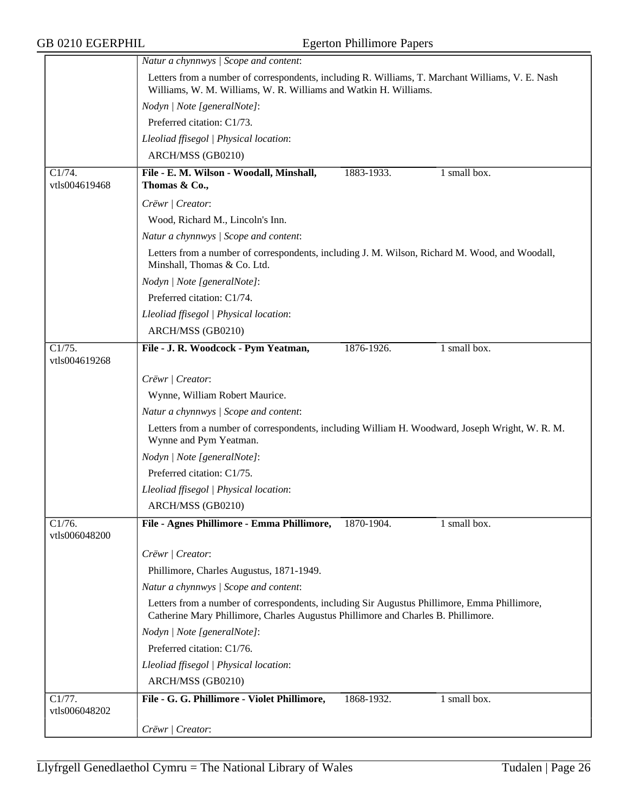GB 0210 EGERPHIL Egerton Phillimore Papers

|                         | Natur a chynnwys / Scope and content:                                                                                                                                             |  |  |  |
|-------------------------|-----------------------------------------------------------------------------------------------------------------------------------------------------------------------------------|--|--|--|
|                         | Letters from a number of correspondents, including R. Williams, T. Marchant Williams, V. E. Nash<br>Williams, W. M. Williams, W. R. Williams and Watkin H. Williams.              |  |  |  |
|                         | Nodyn   Note [generalNote]:                                                                                                                                                       |  |  |  |
|                         | Preferred citation: C1/73.                                                                                                                                                        |  |  |  |
|                         | Lleoliad ffisegol   Physical location:                                                                                                                                            |  |  |  |
|                         | ARCH/MSS (GB0210)                                                                                                                                                                 |  |  |  |
| C1/74.<br>vtls004619468 | File - E. M. Wilson - Woodall, Minshall,<br>1 small box.<br>1883-1933.<br>Thomas & Co.,                                                                                           |  |  |  |
|                         | Crëwr   Creator:                                                                                                                                                                  |  |  |  |
|                         | Wood, Richard M., Lincoln's Inn.                                                                                                                                                  |  |  |  |
|                         | Natur a chynnwys / Scope and content:                                                                                                                                             |  |  |  |
|                         | Letters from a number of correspondents, including J. M. Wilson, Richard M. Wood, and Woodall,<br>Minshall, Thomas & Co. Ltd.                                                     |  |  |  |
|                         | Nodyn   Note [generalNote]:                                                                                                                                                       |  |  |  |
|                         | Preferred citation: C1/74.                                                                                                                                                        |  |  |  |
|                         | Lleoliad ffisegol   Physical location:                                                                                                                                            |  |  |  |
|                         | ARCH/MSS (GB0210)                                                                                                                                                                 |  |  |  |
| C1/75.<br>vtls004619268 | File - J. R. Woodcock - Pym Yeatman,<br>1876-1926.<br>1 small box.                                                                                                                |  |  |  |
|                         | Crëwr   Creator:                                                                                                                                                                  |  |  |  |
|                         | Wynne, William Robert Maurice.                                                                                                                                                    |  |  |  |
|                         | Natur a chynnwys / Scope and content:                                                                                                                                             |  |  |  |
|                         | Letters from a number of correspondents, including William H. Woodward, Joseph Wright, W. R. M.<br>Wynne and Pym Yeatman.                                                         |  |  |  |
|                         | Nodyn   Note [generalNote]:                                                                                                                                                       |  |  |  |
|                         | Preferred citation: C1/75.                                                                                                                                                        |  |  |  |
|                         | Lleoliad ffisegol   Physical location:                                                                                                                                            |  |  |  |
|                         | ARCH/MSS (GB0210)                                                                                                                                                                 |  |  |  |
| C1/76.<br>vtls006048200 | File - Agnes Phillimore - Emma Phillimore,<br>1 small box.<br>1870-1904.                                                                                                          |  |  |  |
|                         | Crëwr   Creator:                                                                                                                                                                  |  |  |  |
|                         | Phillimore, Charles Augustus, 1871-1949.                                                                                                                                          |  |  |  |
|                         | Natur a chynnwys / Scope and content:                                                                                                                                             |  |  |  |
|                         | Letters from a number of correspondents, including Sir Augustus Phillimore, Emma Phillimore,<br>Catherine Mary Phillimore, Charles Augustus Phillimore and Charles B. Phillimore. |  |  |  |
|                         | Nodyn   Note [generalNote]:                                                                                                                                                       |  |  |  |
|                         | Preferred citation: C1/76.                                                                                                                                                        |  |  |  |
|                         | Lleoliad ffisegol   Physical location:                                                                                                                                            |  |  |  |
|                         | ARCH/MSS (GB0210)                                                                                                                                                                 |  |  |  |
| C1/77.<br>vtls006048202 | File - G. G. Phillimore - Violet Phillimore,<br>1868-1932.<br>1 small box.                                                                                                        |  |  |  |
|                         | Crëwr / Creator:                                                                                                                                                                  |  |  |  |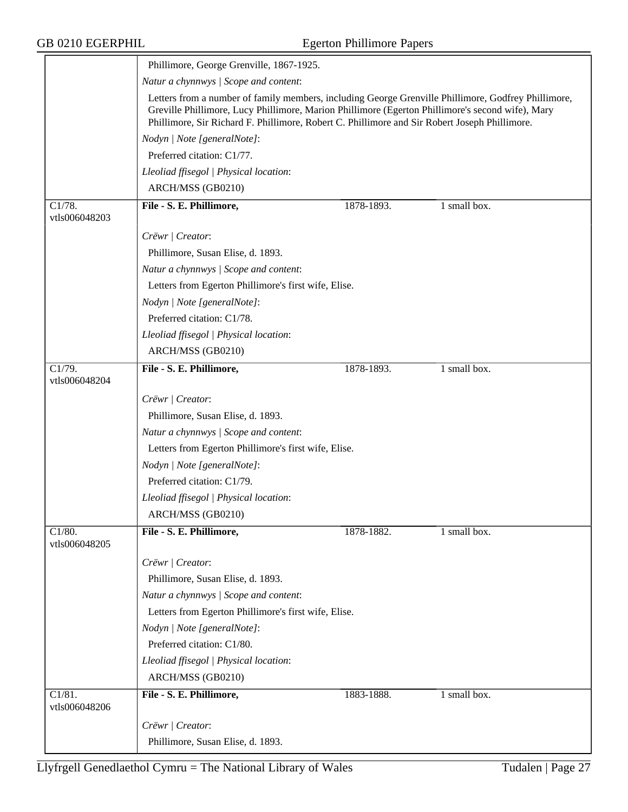|                                       | Phillimore, George Grenville, 1867-1925.                                                                                                                                                                                                                                                                 |            |              |  |  |
|---------------------------------------|----------------------------------------------------------------------------------------------------------------------------------------------------------------------------------------------------------------------------------------------------------------------------------------------------------|------------|--------------|--|--|
|                                       | Natur a chynnwys / Scope and content:                                                                                                                                                                                                                                                                    |            |              |  |  |
|                                       | Letters from a number of family members, including George Grenville Phillimore, Godfrey Phillimore,<br>Greville Phillimore, Lucy Phillimore, Marion Phillimore (Egerton Phillimore's second wife), Mary<br>Phillimore, Sir Richard F. Phillimore, Robert C. Phillimore and Sir Robert Joseph Phillimore. |            |              |  |  |
|                                       | Nodyn   Note [generalNote]:                                                                                                                                                                                                                                                                              |            |              |  |  |
|                                       | Preferred citation: C1/77.                                                                                                                                                                                                                                                                               |            |              |  |  |
|                                       | Lleoliad ffisegol   Physical location:                                                                                                                                                                                                                                                                   |            |              |  |  |
|                                       | ARCH/MSS (GB0210)                                                                                                                                                                                                                                                                                        |            |              |  |  |
| C1/78.<br>vtls006048203               | File - S. E. Phillimore,                                                                                                                                                                                                                                                                                 | 1878-1893. | 1 small box. |  |  |
|                                       | Crëwr   Creator:                                                                                                                                                                                                                                                                                         |            |              |  |  |
|                                       | Phillimore, Susan Elise, d. 1893.                                                                                                                                                                                                                                                                        |            |              |  |  |
|                                       | Natur a chynnwys / Scope and content:                                                                                                                                                                                                                                                                    |            |              |  |  |
|                                       | Letters from Egerton Phillimore's first wife, Elise.                                                                                                                                                                                                                                                     |            |              |  |  |
|                                       | Nodyn   Note [generalNote]:                                                                                                                                                                                                                                                                              |            |              |  |  |
|                                       | Preferred citation: C1/78.                                                                                                                                                                                                                                                                               |            |              |  |  |
|                                       | Lleoliad ffisegol   Physical location:                                                                                                                                                                                                                                                                   |            |              |  |  |
|                                       | ARCH/MSS (GB0210)                                                                                                                                                                                                                                                                                        |            |              |  |  |
| C1/79.<br>vtls006048204               | File - S. E. Phillimore,                                                                                                                                                                                                                                                                                 | 1878-1893. | 1 small box. |  |  |
|                                       | Crëwr   Creator:                                                                                                                                                                                                                                                                                         |            |              |  |  |
|                                       | Phillimore, Susan Elise, d. 1893.                                                                                                                                                                                                                                                                        |            |              |  |  |
|                                       | Natur a chynnwys / Scope and content:                                                                                                                                                                                                                                                                    |            |              |  |  |
|                                       | Letters from Egerton Phillimore's first wife, Elise.                                                                                                                                                                                                                                                     |            |              |  |  |
|                                       | Nodyn   Note [generalNote]:                                                                                                                                                                                                                                                                              |            |              |  |  |
|                                       | Preferred citation: C1/79.                                                                                                                                                                                                                                                                               |            |              |  |  |
|                                       | Lleoliad ffisegol   Physical location:                                                                                                                                                                                                                                                                   |            |              |  |  |
|                                       | ARCH/MSS (GB0210)                                                                                                                                                                                                                                                                                        |            |              |  |  |
| $C1/80$ .<br>vtls006048205            | File - S. E. Phillimore,                                                                                                                                                                                                                                                                                 | 1878-1882. | 1 small box. |  |  |
|                                       | Crëwr   Creator:                                                                                                                                                                                                                                                                                         |            |              |  |  |
|                                       | Phillimore, Susan Elise, d. 1893.                                                                                                                                                                                                                                                                        |            |              |  |  |
|                                       | Natur a chynnwys / Scope and content:                                                                                                                                                                                                                                                                    |            |              |  |  |
|                                       | Letters from Egerton Phillimore's first wife, Elise.                                                                                                                                                                                                                                                     |            |              |  |  |
|                                       | Nodyn   Note [generalNote]:                                                                                                                                                                                                                                                                              |            |              |  |  |
|                                       | Preferred citation: C1/80.                                                                                                                                                                                                                                                                               |            |              |  |  |
|                                       | Lleoliad ffisegol   Physical location:                                                                                                                                                                                                                                                                   |            |              |  |  |
|                                       | ARCH/MSS (GB0210)                                                                                                                                                                                                                                                                                        |            |              |  |  |
| $\overline{C1/81}$ .<br>vtls006048206 | File - S. E. Phillimore,                                                                                                                                                                                                                                                                                 | 1883-1888. | 1 small box. |  |  |
|                                       | Crëwr   Creator:                                                                                                                                                                                                                                                                                         |            |              |  |  |
|                                       | Phillimore, Susan Elise, d. 1893.                                                                                                                                                                                                                                                                        |            |              |  |  |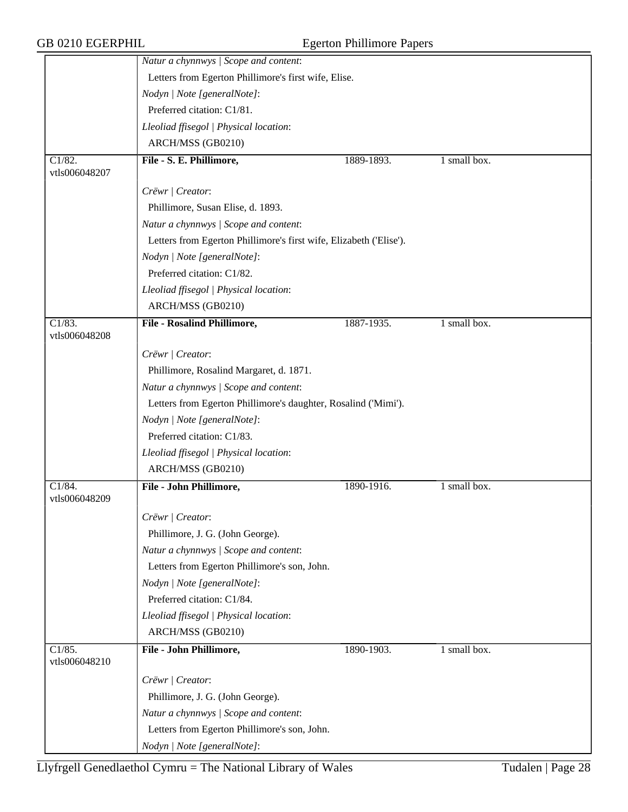|                                       | Natur a chynnwys / Scope and content:                              |                                                      |              |  |  |
|---------------------------------------|--------------------------------------------------------------------|------------------------------------------------------|--------------|--|--|
|                                       |                                                                    | Letters from Egerton Phillimore's first wife, Elise. |              |  |  |
|                                       | Nodyn   Note [generalNote]:                                        |                                                      |              |  |  |
|                                       | Preferred citation: C1/81.                                         |                                                      |              |  |  |
|                                       | Lleoliad ffisegol   Physical location:                             |                                                      |              |  |  |
|                                       | ARCH/MSS (GB0210)                                                  |                                                      |              |  |  |
| $\overline{C1/82}$ .                  | File - S. E. Phillimore,                                           | 1889-1893.                                           | 1 small box. |  |  |
| vtls006048207                         |                                                                    |                                                      |              |  |  |
|                                       | Crëwr   Creator:                                                   |                                                      |              |  |  |
|                                       | Phillimore, Susan Elise, d. 1893.                                  |                                                      |              |  |  |
|                                       | Natur a chynnwys / Scope and content:                              |                                                      |              |  |  |
|                                       | Letters from Egerton Phillimore's first wife, Elizabeth ('Elise'). |                                                      |              |  |  |
|                                       | Nodyn   Note [generalNote]:                                        |                                                      |              |  |  |
|                                       | Preferred citation: C1/82.                                         |                                                      |              |  |  |
|                                       | Lleoliad ffisegol   Physical location:                             |                                                      |              |  |  |
|                                       | ARCH/MSS (GB0210)                                                  |                                                      |              |  |  |
| $\overline{C1/83}$ .                  | <b>File - Rosalind Phillimore,</b>                                 | 1887-1935.                                           | 1 small box. |  |  |
| vtls006048208                         |                                                                    |                                                      |              |  |  |
|                                       | Crëwr   Creator:                                                   |                                                      |              |  |  |
|                                       | Phillimore, Rosalind Margaret, d. 1871.                            |                                                      |              |  |  |
|                                       | Natur a chynnwys / Scope and content:                              |                                                      |              |  |  |
|                                       | Letters from Egerton Phillimore's daughter, Rosalind ('Mimi').     |                                                      |              |  |  |
|                                       | Nodyn   Note [generalNote]:                                        |                                                      |              |  |  |
|                                       | Preferred citation: C1/83.                                         |                                                      |              |  |  |
|                                       | Lleoliad ffisegol   Physical location:                             |                                                      |              |  |  |
|                                       | ARCH/MSS (GB0210)                                                  |                                                      |              |  |  |
| $\overline{C1/84}$ .                  | File - John Phillimore,                                            | 1890-1916.                                           | 1 small box. |  |  |
| vtls006048209                         |                                                                    |                                                      |              |  |  |
|                                       | Crëwr   Creator:                                                   |                                                      |              |  |  |
|                                       | Phillimore, J. G. (John George).                                   |                                                      |              |  |  |
|                                       | Natur a chynnwys / Scope and content:                              |                                                      |              |  |  |
|                                       | Letters from Egerton Phillimore's son, John.                       |                                                      |              |  |  |
|                                       | Nodyn   Note [generalNote]:                                        |                                                      |              |  |  |
|                                       | Preferred citation: C1/84.                                         |                                                      |              |  |  |
|                                       | Lleoliad ffisegol   Physical location:                             |                                                      |              |  |  |
|                                       | ARCH/MSS (GB0210)                                                  |                                                      |              |  |  |
| $\overline{C1/85}$ .<br>vtls006048210 | File - John Phillimore,                                            | 1890-1903.                                           | 1 small box. |  |  |
|                                       | Crëwr   Creator:                                                   |                                                      |              |  |  |
|                                       | Phillimore, J. G. (John George).                                   |                                                      |              |  |  |
|                                       | Natur a chynnwys / Scope and content:                              |                                                      |              |  |  |
|                                       | Letters from Egerton Phillimore's son, John.                       |                                                      |              |  |  |
|                                       | Nodyn   Note [generalNote]:                                        |                                                      |              |  |  |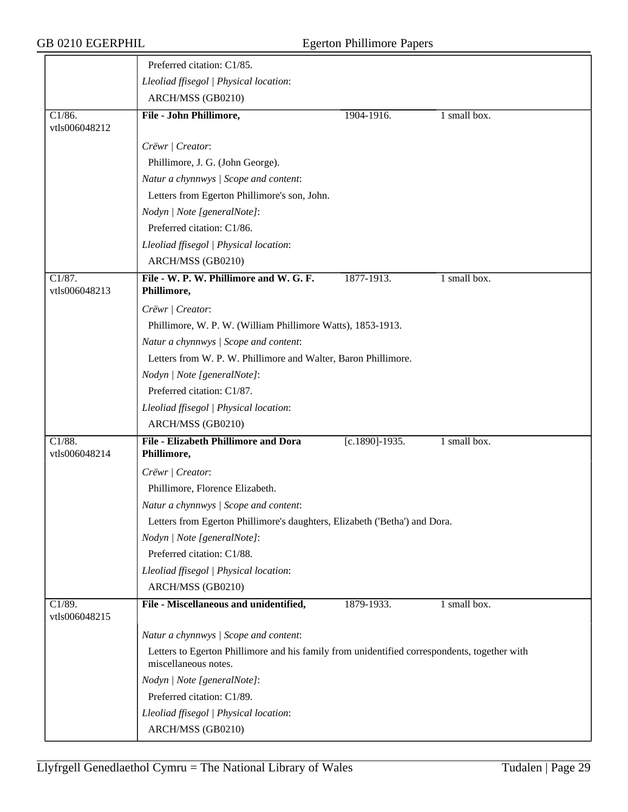|                                       | Preferred citation: C1/85.                                                                                           |                    |              |  |  |  |
|---------------------------------------|----------------------------------------------------------------------------------------------------------------------|--------------------|--------------|--|--|--|
|                                       | Lleoliad ffisegol   Physical location:                                                                               |                    |              |  |  |  |
|                                       | ARCH/MSS (GB0210)                                                                                                    |                    |              |  |  |  |
| C1/86.<br>vtls006048212               | File - John Phillimore,                                                                                              | 1904-1916.         | 1 small box. |  |  |  |
|                                       | Crëwr   Creator:                                                                                                     |                    |              |  |  |  |
|                                       | Phillimore, J. G. (John George).                                                                                     |                    |              |  |  |  |
|                                       | Natur a chynnwys / Scope and content:                                                                                |                    |              |  |  |  |
|                                       | Letters from Egerton Phillimore's son, John.                                                                         |                    |              |  |  |  |
|                                       | Nodyn   Note [generalNote]:                                                                                          |                    |              |  |  |  |
|                                       | Preferred citation: C1/86.                                                                                           |                    |              |  |  |  |
|                                       | Lleoliad ffisegol   Physical location:                                                                               |                    |              |  |  |  |
|                                       | ARCH/MSS (GB0210)                                                                                                    |                    |              |  |  |  |
| Cl/87.<br>vtls006048213               | File - W. P. W. Phillimore and W. G. F.<br>Phillimore,                                                               | 1877-1913.         | 1 small box. |  |  |  |
|                                       | Crëwr   Creator:                                                                                                     |                    |              |  |  |  |
|                                       | Phillimore, W. P. W. (William Phillimore Watts), 1853-1913.                                                          |                    |              |  |  |  |
|                                       | Natur a chynnwys / Scope and content:                                                                                |                    |              |  |  |  |
|                                       | Letters from W. P. W. Phillimore and Walter, Baron Phillimore.                                                       |                    |              |  |  |  |
|                                       | Nodyn   Note [generalNote]:                                                                                          |                    |              |  |  |  |
|                                       | Preferred citation: C1/87.                                                                                           |                    |              |  |  |  |
|                                       | Lleoliad ffisegol   Physical location:                                                                               |                    |              |  |  |  |
|                                       | ARCH/MSS (GB0210)                                                                                                    |                    |              |  |  |  |
| $\overline{C1/88}$ .<br>vtls006048214 | File - Elizabeth Phillimore and Dora<br>Phillimore,                                                                  | $[c.1890] - 1935.$ | 1 small box. |  |  |  |
|                                       | Crëwr   Creator:                                                                                                     |                    |              |  |  |  |
|                                       | Phillimore, Florence Elizabeth.                                                                                      |                    |              |  |  |  |
|                                       | Natur a chynnwys / Scope and content:                                                                                |                    |              |  |  |  |
|                                       | Letters from Egerton Phillimore's daughters, Elizabeth ('Betha') and Dora.                                           |                    |              |  |  |  |
|                                       | Nodyn   Note [generalNote]:                                                                                          |                    |              |  |  |  |
|                                       | Preferred citation: C1/88.                                                                                           |                    |              |  |  |  |
|                                       | Lleoliad ffisegol   Physical location:                                                                               |                    |              |  |  |  |
|                                       | ARCH/MSS (GB0210)                                                                                                    |                    |              |  |  |  |
| $\overline{C1/89}$ .<br>vtls006048215 | File - Miscellaneous and unidentified,                                                                               | 1879-1933.         | 1 small box. |  |  |  |
|                                       | Natur a chynnwys / Scope and content:                                                                                |                    |              |  |  |  |
|                                       | Letters to Egerton Phillimore and his family from unidentified correspondents, together with<br>miscellaneous notes. |                    |              |  |  |  |
|                                       | Nodyn   Note [generalNote]:                                                                                          |                    |              |  |  |  |
|                                       | Preferred citation: C1/89.                                                                                           |                    |              |  |  |  |
|                                       | Lleoliad ffisegol   Physical location:                                                                               |                    |              |  |  |  |
|                                       | ARCH/MSS (GB0210)                                                                                                    |                    |              |  |  |  |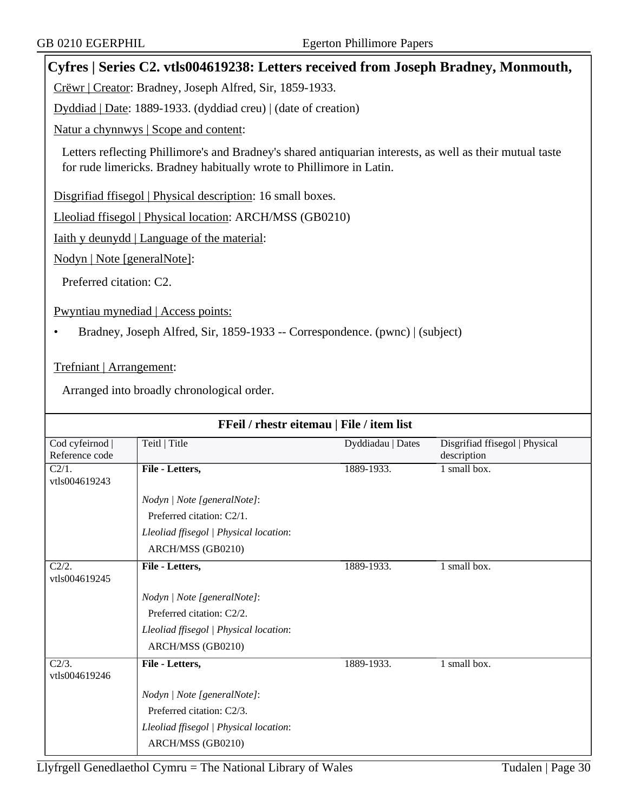# **Cyfres | Series C2. vtls004619238: Letters received from Joseph Bradney, Monmouth,**

Crëwr | Creator: Bradney, Joseph Alfred, Sir, 1859-1933.

Dyddiad | Date: 1889-1933. (dyddiad creu) | (date of creation)

Natur a chynnwys | Scope and content:

Letters reflecting Phillimore's and Bradney's shared antiquarian interests, as well as their mutual taste for rude limericks. Bradney habitually wrote to Phillimore in Latin.

Disgrifiad ffisegol | Physical description: 16 small boxes.

Lleoliad ffisegol | Physical location: ARCH/MSS (GB0210)

Iaith y deunydd | Language of the material:

Nodyn | Note [generalNote]:

Preferred citation: C2.

Pwyntiau mynediad | Access points:

• Bradney, Joseph Alfred, Sir, 1859-1933 -- Correspondence. (pwnc) | (subject)

Trefniant | Arrangement:

Arranged into broadly chronological order.

| FFeil / rhestr eitemau   File / item list |                                        |                   |                                |  |  |
|-------------------------------------------|----------------------------------------|-------------------|--------------------------------|--|--|
| Cod cyfeirnod                             | Teitl   Title                          | Dyddiadau   Dates | Disgrifiad ffisegol   Physical |  |  |
| Reference code                            |                                        |                   | description                    |  |  |
| C2/1.                                     | File - Letters,                        | 1889-1933.        | 1 small box.                   |  |  |
| vtls004619243                             |                                        |                   |                                |  |  |
|                                           | Nodyn   Note [generalNote]:            |                   |                                |  |  |
|                                           | Preferred citation: C2/1.              |                   |                                |  |  |
|                                           | Lleoliad ffisegol   Physical location: |                   |                                |  |  |
|                                           | ARCH/MSS (GB0210)                      |                   |                                |  |  |
| $C2/2$ .                                  | File - Letters,                        | 1889-1933.        | 1 small box.                   |  |  |
| vtls004619245                             |                                        |                   |                                |  |  |
|                                           | Nodyn   Note [generalNote]:            |                   |                                |  |  |
|                                           | Preferred citation: C2/2.              |                   |                                |  |  |
|                                           | Lleoliad ffisegol   Physical location: |                   |                                |  |  |
|                                           | ARCH/MSS (GB0210)                      |                   |                                |  |  |
| $\overline{C2/3}$ .                       | File - Letters,                        | 1889-1933.        | 1 small box.                   |  |  |
| vtls004619246                             |                                        |                   |                                |  |  |
|                                           | Nodyn   Note [generalNote]:            |                   |                                |  |  |
|                                           | Preferred citation: C2/3.              |                   |                                |  |  |
|                                           | Lleoliad ffisegol   Physical location: |                   |                                |  |  |
|                                           | ARCH/MSS (GB0210)                      |                   |                                |  |  |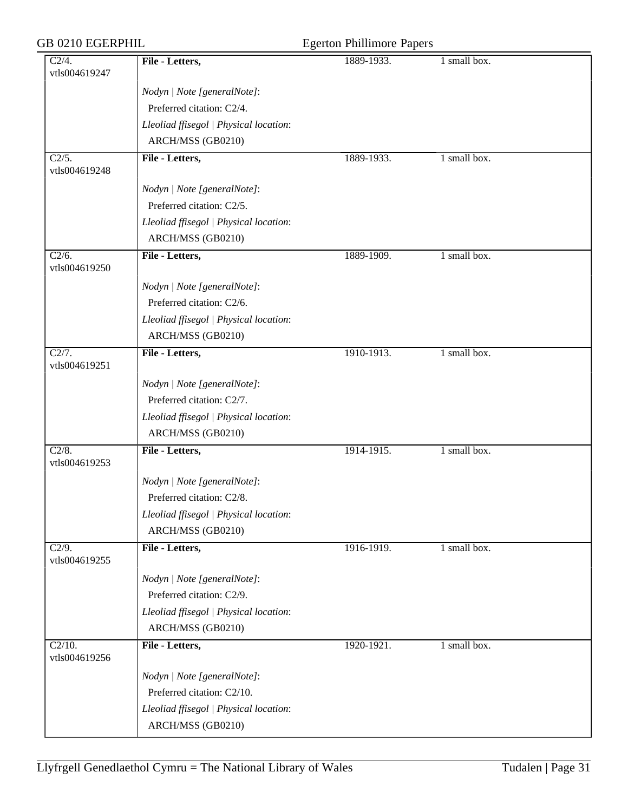| <b>GB 0210 EGERPHIL</b>              |                                        | <b>Egerton Phillimore Papers</b> |              |  |
|--------------------------------------|----------------------------------------|----------------------------------|--------------|--|
| C2/4.<br>vtls004619247               | File - Letters,                        | 1889-1933.                       | 1 small box. |  |
|                                      | Nodyn   Note [generalNote]:            |                                  |              |  |
|                                      | Preferred citation: C2/4.              |                                  |              |  |
|                                      | Lleoliad ffisegol   Physical location: |                                  |              |  |
|                                      | ARCH/MSS (GB0210)                      |                                  |              |  |
| $\overline{C2/5}$ .<br>vtls004619248 | File - Letters,                        | 1889-1933.                       | 1 small box. |  |
|                                      | Nodyn   Note [generalNote]:            |                                  |              |  |
|                                      | Preferred citation: C2/5.              |                                  |              |  |
|                                      | Lleoliad ffisegol   Physical location: |                                  |              |  |
|                                      | ARCH/MSS (GB0210)                      |                                  |              |  |
| $\overline{C2/6}$ .<br>vtls004619250 | File - Letters,                        | 1889-1909.                       | 1 small box. |  |
|                                      | Nodyn   Note [generalNote]:            |                                  |              |  |
|                                      | Preferred citation: C2/6.              |                                  |              |  |
|                                      | Lleoliad ffisegol   Physical location: |                                  |              |  |
|                                      | ARCH/MSS (GB0210)                      |                                  |              |  |
| C2/7.<br>vtls004619251               | File - Letters,                        | 1910-1913.                       | 1 small box. |  |
|                                      | Nodyn   Note [generalNote]:            |                                  |              |  |
|                                      | Preferred citation: C2/7.              |                                  |              |  |
|                                      | Lleoliad ffisegol   Physical location: |                                  |              |  |
|                                      | ARCH/MSS (GB0210)                      |                                  |              |  |
| C2/8.<br>vtls004619253               | File - Letters,                        | 1914-1915.                       | 1 small box. |  |
|                                      | Nodyn   Note [generalNote]:            |                                  |              |  |
|                                      | Preferred citation: C2/8.              |                                  |              |  |
|                                      | Lleoliad ffisegol   Physical location: |                                  |              |  |
|                                      | ARCH/MSS (GB0210)                      |                                  |              |  |
| $\overline{C2/9}$ .<br>vtls004619255 | File - Letters,                        | 1916-1919.                       | 1 small box. |  |
|                                      | Nodyn   Note [generalNote]:            |                                  |              |  |
|                                      | Preferred citation: C2/9.              |                                  |              |  |
|                                      | Lleoliad ffisegol   Physical location: |                                  |              |  |
|                                      | ARCH/MSS (GB0210)                      |                                  |              |  |
| $C2/10$ .<br>vtls004619256           | File - Letters,                        | 1920-1921.                       | 1 small box. |  |
|                                      | Nodyn   Note [generalNote]:            |                                  |              |  |
|                                      | Preferred citation: C2/10.             |                                  |              |  |
|                                      | Lleoliad ffisegol   Physical location: |                                  |              |  |
|                                      | ARCH/MSS (GB0210)                      |                                  |              |  |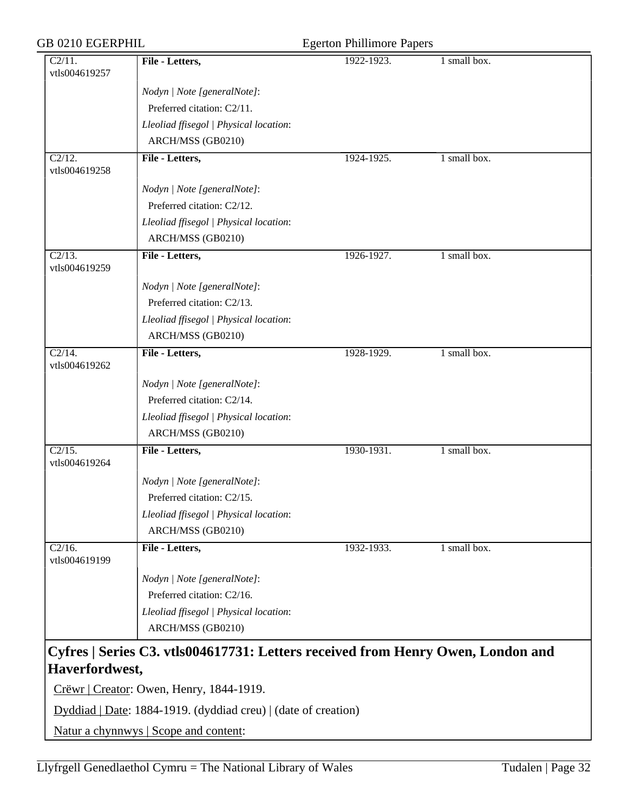| <b>GB 0210 EGERPHIL</b>                     |                                                                                 | <b>Egerton Phillimore Papers</b> |              |
|---------------------------------------------|---------------------------------------------------------------------------------|----------------------------------|--------------|
| C2/11.<br>vtls004619257                     | File - Letters,                                                                 | 1922-1923.                       | 1 small box. |
|                                             | Nodyn   Note [generalNote]:                                                     |                                  |              |
|                                             | Preferred citation: C2/11.                                                      |                                  |              |
|                                             | Lleoliad ffisegol   Physical location:                                          |                                  |              |
|                                             | ARCH/MSS (GB0210)                                                               |                                  |              |
| $\overline{\text{C}2/12.}$<br>vtls004619258 | File - Letters,                                                                 | 1924-1925.                       | 1 small box. |
|                                             | Nodyn   Note [generalNote]:                                                     |                                  |              |
|                                             | Preferred citation: C2/12.                                                      |                                  |              |
|                                             | Lleoliad ffisegol   Physical location:                                          |                                  |              |
|                                             | ARCH/MSS (GB0210)                                                               |                                  |              |
| $\overline{C2/13}$ .<br>vtls004619259       | File - Letters,                                                                 | 1926-1927.                       | 1 small box. |
|                                             | Nodyn   Note [generalNote]:                                                     |                                  |              |
|                                             | Preferred citation: C2/13.                                                      |                                  |              |
|                                             | Lleoliad ffisegol   Physical location:                                          |                                  |              |
|                                             | ARCH/MSS (GB0210)                                                               |                                  |              |
| $C2/14$ .<br>vtls004619262                  | File - Letters,                                                                 | 1928-1929.                       | 1 small box. |
|                                             | Nodyn   Note [generalNote]:                                                     |                                  |              |
|                                             | Preferred citation: C2/14.                                                      |                                  |              |
|                                             | Lleoliad ffisegol   Physical location:                                          |                                  |              |
|                                             | ARCH/MSS (GB0210)                                                               |                                  |              |
| $\overline{C2/15}$ .<br>vtls004619264       | File - Letters,                                                                 | 1930-1931.                       | 1 small box. |
|                                             | Nodyn   Note [generalNote]:                                                     |                                  |              |
|                                             | Preferred citation: C2/15.                                                      |                                  |              |
|                                             | Lleoliad ffisegol   Physical location:                                          |                                  |              |
|                                             | ARCH/MSS (GB0210)                                                               |                                  |              |
| $C2/16$ .<br>vtls004619199                  | File - Letters,                                                                 | 1932-1933.                       | 1 small box. |
|                                             | Nodyn   Note [generalNote]:                                                     |                                  |              |
|                                             | Preferred citation: C2/16.                                                      |                                  |              |
|                                             | Lleoliad ffisegol   Physical location:                                          |                                  |              |
|                                             | ARCH/MSS (GB0210)                                                               |                                  |              |
|                                             | Cyfres   Series C3. vtls004617731: Letters received from Henry Owen, London and |                                  |              |
| Haverfordwest,                              |                                                                                 |                                  |              |
|                                             | Crëwr   Creator: Owen, Henry, 1844-1919.                                        |                                  |              |
|                                             | Dyddiad   Date: 1884-1919. (dyddiad creu)   (date of creation)                  |                                  |              |

Natur a chynnwys | Scope and content: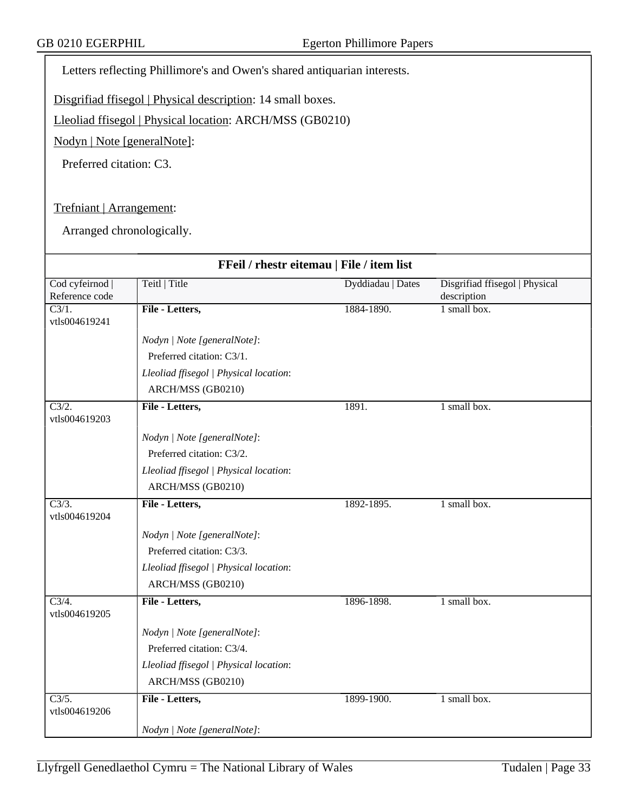Letters reflecting Phillimore's and Owen's shared antiquarian interests.

Disgrifiad ffisegol | Physical description: 14 small boxes.

Lleoliad ffisegol | Physical location: ARCH/MSS (GB0210)

Nodyn | Note [generalNote]:

Preferred citation: C3.

Trefniant | Arrangement:

Arranged chronologically.

|                                       | FFeil / rhestr eitemau   File / item list |                   |                                |  |  |
|---------------------------------------|-------------------------------------------|-------------------|--------------------------------|--|--|
| Cod cyfeirnod                         | Teitl   Title                             | Dyddiadau   Dates | Disgrifiad ffisegol   Physical |  |  |
| Reference code<br>$\overline{C3/1}$ . | File - Letters,                           | 1884-1890.        | description<br>1 small box.    |  |  |
| vtls004619241                         |                                           |                   |                                |  |  |
|                                       | Nodyn   Note [generalNote]:               |                   |                                |  |  |
|                                       | Preferred citation: C3/1.                 |                   |                                |  |  |
|                                       | Lleoliad ffisegol   Physical location:    |                   |                                |  |  |
|                                       | ARCH/MSS (GB0210)                         |                   |                                |  |  |
| C3/2.<br>vtls004619203                | File - Letters,                           | 1891.             | 1 small box.                   |  |  |
|                                       | Nodyn   Note [generalNote]:               |                   |                                |  |  |
|                                       | Preferred citation: C3/2.                 |                   |                                |  |  |
|                                       | Lleoliad ffisegol   Physical location:    |                   |                                |  |  |
|                                       | ARCH/MSS (GB0210)                         |                   |                                |  |  |
| $\overline{C3/3}$ .<br>vtls004619204  | File - Letters,                           | 1892-1895.        | 1 small box.                   |  |  |
|                                       | Nodyn   Note [generalNote]:               |                   |                                |  |  |
|                                       | Preferred citation: C3/3.                 |                   |                                |  |  |
|                                       | Lleoliad ffisegol   Physical location:    |                   |                                |  |  |
|                                       | ARCH/MSS (GB0210)                         |                   |                                |  |  |
| $\overline{C3/4}$ .<br>vtls004619205  | File - Letters,                           | 1896-1898.        | 1 small box.                   |  |  |
|                                       | Nodyn   Note [generalNote]:               |                   |                                |  |  |
|                                       | Preferred citation: C3/4.                 |                   |                                |  |  |
|                                       | Lleoliad ffisegol   Physical location:    |                   |                                |  |  |
|                                       | ARCH/MSS (GB0210)                         |                   |                                |  |  |
| $\overline{C3/5}$ .<br>vtls004619206  | File - Letters,                           | 1899-1900.        | 1 small box.                   |  |  |
|                                       | Nodyn   Note [generalNote]:               |                   |                                |  |  |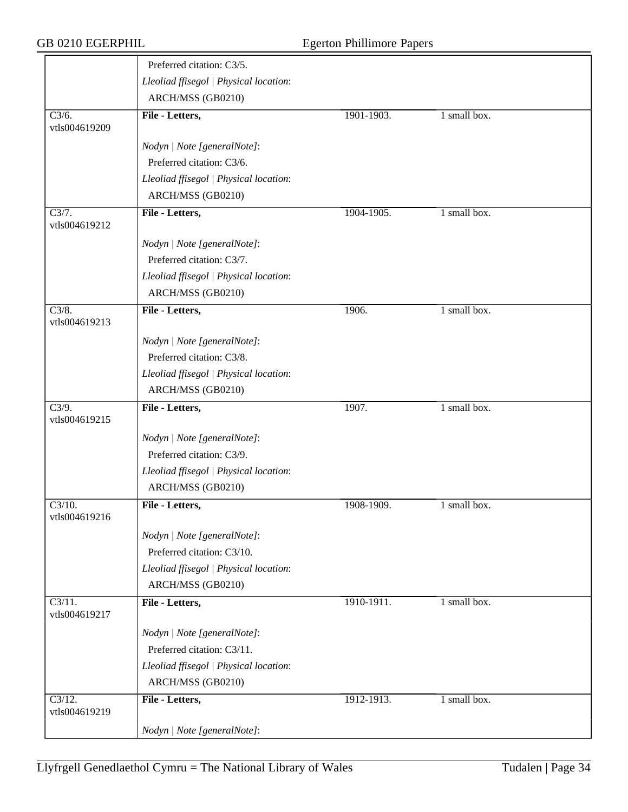|                                       | Preferred citation: C3/5.              |            |              |  |
|---------------------------------------|----------------------------------------|------------|--------------|--|
|                                       | Lleoliad ffisegol   Physical location: |            |              |  |
|                                       | ARCH/MSS (GB0210)                      |            |              |  |
| $\overline{C3/6}$ .<br>vtls004619209  | File - Letters,                        | 1901-1903. | 1 small box. |  |
|                                       | Nodyn   Note [generalNote]:            |            |              |  |
|                                       | Preferred citation: C3/6.              |            |              |  |
|                                       | Lleoliad ffisegol   Physical location: |            |              |  |
|                                       | ARCH/MSS (GB0210)                      |            |              |  |
| C3/7.<br>vtls004619212                | File - Letters,                        | 1904-1905. | 1 small box. |  |
|                                       | Nodyn   Note [generalNote]:            |            |              |  |
|                                       | Preferred citation: C3/7.              |            |              |  |
|                                       | Lleoliad ffisegol   Physical location: |            |              |  |
|                                       | ARCH/MSS (GB0210)                      |            |              |  |
| C3/8.<br>vtls004619213                | File - Letters,                        | 1906.      | 1 small box. |  |
|                                       | Nodyn   Note [generalNote]:            |            |              |  |
|                                       | Preferred citation: C3/8.              |            |              |  |
|                                       | Lleoliad ffisegol   Physical location: |            |              |  |
|                                       | ARCH/MSS (GB0210)                      |            |              |  |
| $\overline{C3/9}$ .<br>vtls004619215  | File - Letters,                        | 1907.      | 1 small box. |  |
|                                       | Nodyn   Note [generalNote]:            |            |              |  |
|                                       | Preferred citation: C3/9.              |            |              |  |
|                                       | Lleoliad ffisegol   Physical location: |            |              |  |
|                                       | ARCH/MSS (GB0210)                      |            |              |  |
| C3/10.<br>vtls004619216               | File - Letters,                        | 1908-1909. | 1 small box. |  |
|                                       | Nodyn   Note [generalNote]:            |            |              |  |
|                                       | Preferred citation: C3/10.             |            |              |  |
|                                       | Lleoliad ffisegol   Physical location: |            |              |  |
|                                       | ARCH/MSS (GB0210)                      |            |              |  |
| $C3/11$ .<br>vtls004619217            | File - Letters,                        | 1910-1911. | 1 small box. |  |
|                                       | Nodyn   Note [generalNote]:            |            |              |  |
|                                       | Preferred citation: C3/11.             |            |              |  |
|                                       | Lleoliad ffisegol   Physical location: |            |              |  |
|                                       | ARCH/MSS (GB0210)                      |            |              |  |
| $\overline{C3/12}$ .<br>vtls004619219 | File - Letters,                        | 1912-1913. | 1 small box. |  |
|                                       | Nodyn   Note [generalNote]:            |            |              |  |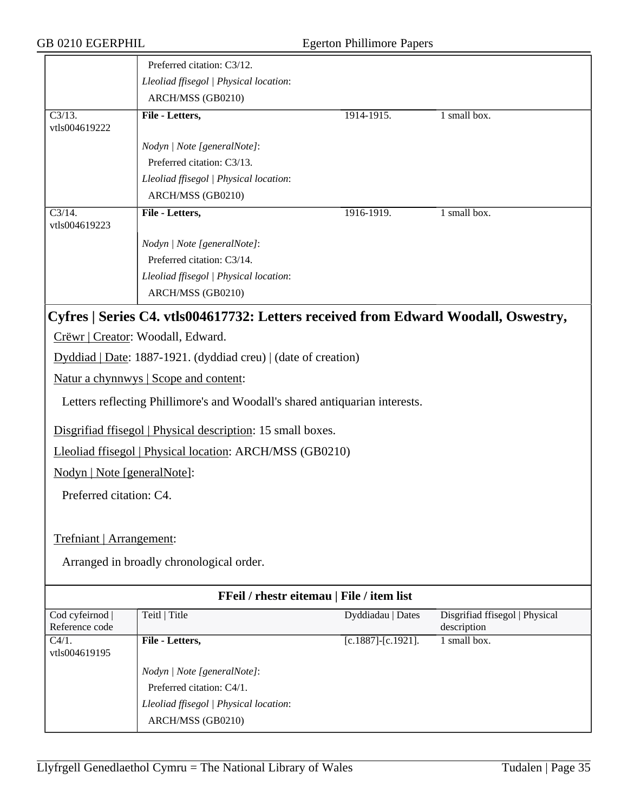|                                           | Preferred citation: C3/12.                                                         |                           |                                               |  |
|-------------------------------------------|------------------------------------------------------------------------------------|---------------------------|-----------------------------------------------|--|
|                                           | Lleoliad ffisegol   Physical location:                                             |                           |                                               |  |
|                                           | ARCH/MSS (GB0210)                                                                  |                           |                                               |  |
| $\overline{C3/13}$ .<br>vtls004619222     | File - Letters,                                                                    | 1914-1915.                | 1 small box.                                  |  |
|                                           | Nodyn   Note [generalNote]:                                                        |                           |                                               |  |
|                                           | Preferred citation: C3/13.                                                         |                           |                                               |  |
|                                           | Lleoliad ffisegol   Physical location:                                             |                           |                                               |  |
|                                           | ARCH/MSS (GB0210)                                                                  |                           |                                               |  |
| $\overline{C3/14}$ .<br>vtls004619223     | File - Letters,                                                                    | 1916-1919.                | 1 small box.                                  |  |
|                                           | Nodyn   Note [generalNote]:                                                        |                           |                                               |  |
|                                           | Preferred citation: C3/14.                                                         |                           |                                               |  |
|                                           | Lleoliad ffisegol   Physical location:                                             |                           |                                               |  |
|                                           | ARCH/MSS (GB0210)                                                                  |                           |                                               |  |
|                                           | Cyfres   Series C4. vtls004617732: Letters received from Edward Woodall, Oswestry, |                           |                                               |  |
|                                           | Crëwr   Creator: Woodall, Edward.                                                  |                           |                                               |  |
|                                           | Dyddiad   Date: 1887-1921. (dyddiad creu)   (date of creation)                     |                           |                                               |  |
|                                           | Natur a chynnwys   Scope and content:                                              |                           |                                               |  |
|                                           | Letters reflecting Phillimore's and Woodall's shared antiquarian interests.        |                           |                                               |  |
|                                           | Disgrifiad ffisegol   Physical description: 15 small boxes.                        |                           |                                               |  |
|                                           | Lleoliad ffisegol   Physical location: ARCH/MSS (GB0210)                           |                           |                                               |  |
| Nodyn   Note [generalNote]:               |                                                                                    |                           |                                               |  |
| Preferred citation: C4.                   |                                                                                    |                           |                                               |  |
|                                           |                                                                                    |                           |                                               |  |
| Trefniant   Arrangement:                  |                                                                                    |                           |                                               |  |
|                                           | Arranged in broadly chronological order.                                           |                           |                                               |  |
| FFeil / rhestr eitemau   File / item list |                                                                                    |                           |                                               |  |
| Cod cyfeirnod  <br>Reference code         | Teitl   Title                                                                      | Dyddiadau   Dates         | Disgrifiad ffisegol   Physical<br>description |  |
| C4/1.<br>vtls004619195                    | File - Letters,                                                                    | $[c.1887]$ - $[c.1921]$ . | 1 small box.                                  |  |
|                                           | Nodyn   Note [generalNote]:                                                        |                           |                                               |  |
|                                           | Preferred citation: C4/1.                                                          |                           |                                               |  |
|                                           | Lleoliad ffisegol   Physical location:                                             |                           |                                               |  |
|                                           | ARCH/MSS (GB0210)                                                                  |                           |                                               |  |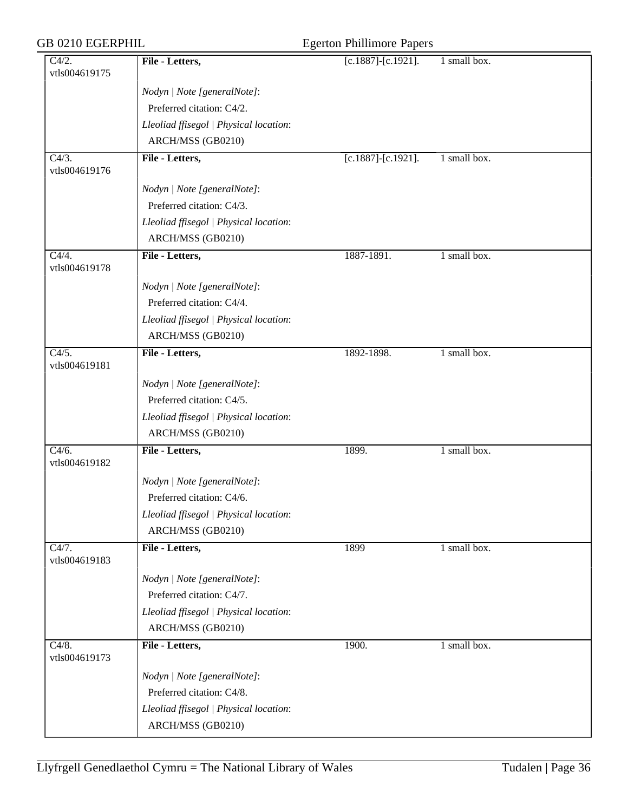| <b>GB 0210 EGERPHIL</b>              |                                        | <b>Egerton Phillimore Papers</b> |              |  |
|--------------------------------------|----------------------------------------|----------------------------------|--------------|--|
| C4/2.<br>vtls004619175               | File - Letters,                        | $[c.1887]$ - $[c.1921]$ .        | 1 small box. |  |
|                                      | Nodyn   Note [generalNote]:            |                                  |              |  |
|                                      | Preferred citation: C4/2.              |                                  |              |  |
|                                      | Lleoliad ffisegol   Physical location: |                                  |              |  |
|                                      | ARCH/MSS (GB0210)                      |                                  |              |  |
| $\overline{C4/3}$ .<br>vtls004619176 | File - Letters,                        | $[c.1887]$ - $[c.1921]$ .        | 1 small box. |  |
|                                      | Nodyn   Note [generalNote]:            |                                  |              |  |
|                                      | Preferred citation: C4/3.              |                                  |              |  |
|                                      | Lleoliad ffisegol   Physical location: |                                  |              |  |
|                                      | ARCH/MSS (GB0210)                      |                                  |              |  |
| $\overline{C4/4}$ .<br>vtls004619178 | File - Letters,                        | 1887-1891.                       | 1 small box. |  |
|                                      | Nodyn   Note [generalNote]:            |                                  |              |  |
|                                      | Preferred citation: C4/4.              |                                  |              |  |
|                                      | Lleoliad ffisegol   Physical location: |                                  |              |  |
|                                      | ARCH/MSS (GB0210)                      |                                  |              |  |
| C4/5.<br>vtls004619181               | File - Letters,                        | 1892-1898.                       | 1 small box. |  |
|                                      | Nodyn   Note [generalNote]:            |                                  |              |  |
|                                      | Preferred citation: C4/5.              |                                  |              |  |
|                                      | Lleoliad ffisegol   Physical location: |                                  |              |  |
|                                      | ARCH/MSS (GB0210)                      |                                  |              |  |
| $\overline{C4/6}$ .<br>vtls004619182 | File - Letters,                        | 1899.                            | 1 small box. |  |
|                                      | Nodyn   Note [generalNote]:            |                                  |              |  |
|                                      | Preferred citation: C4/6.              |                                  |              |  |
|                                      | Lleoliad ffisegol   Physical location: |                                  |              |  |
|                                      | ARCH/MSS (GB0210)                      |                                  |              |  |
| $\overline{C4/7}$ .<br>vtls004619183 | File - Letters,                        | 1899                             | 1 small box. |  |
|                                      | Nodyn   Note [generalNote]:            |                                  |              |  |
|                                      | Preferred citation: C4/7.              |                                  |              |  |
|                                      | Lleoliad ffisegol   Physical location: |                                  |              |  |
|                                      | ARCH/MSS (GB0210)                      |                                  |              |  |
| C4/8.<br>vtls004619173               | File - Letters,                        | 1900.                            | 1 small box. |  |
|                                      | Nodyn   Note [generalNote]:            |                                  |              |  |
|                                      | Preferred citation: C4/8.              |                                  |              |  |
|                                      | Lleoliad ffisegol   Physical location: |                                  |              |  |
|                                      | ARCH/MSS (GB0210)                      |                                  |              |  |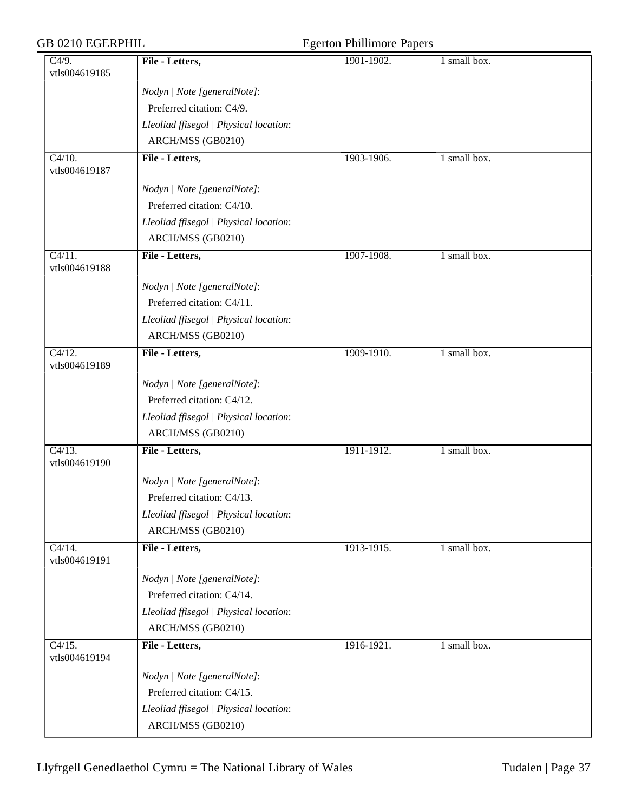| <b>GB 0210 EGERPHIL</b>               |                                        | <b>Egerton Phillimore Papers</b> |              |  |
|---------------------------------------|----------------------------------------|----------------------------------|--------------|--|
| C4/9.<br>vtls004619185                | File - Letters,                        | 1901-1902.                       | 1 small box. |  |
|                                       | Nodyn   Note [generalNote]:            |                                  |              |  |
|                                       | Preferred citation: C4/9.              |                                  |              |  |
|                                       | Lleoliad ffisegol   Physical location: |                                  |              |  |
|                                       | ARCH/MSS (GB0210)                      |                                  |              |  |
| $\overline{C4/10}$ .<br>vtls004619187 | File - Letters,                        | 1903-1906.                       | 1 small box. |  |
|                                       | Nodyn   Note [generalNote]:            |                                  |              |  |
|                                       | Preferred citation: C4/10.             |                                  |              |  |
|                                       | Lleoliad ffisegol   Physical location: |                                  |              |  |
|                                       | ARCH/MSS (GB0210)                      |                                  |              |  |
| $\overline{C4/11}$ .<br>vtls004619188 | File - Letters,                        | 1907-1908.                       | 1 small box. |  |
|                                       | Nodyn   Note [generalNote]:            |                                  |              |  |
|                                       | Preferred citation: C4/11.             |                                  |              |  |
|                                       | Lleoliad ffisegol   Physical location: |                                  |              |  |
|                                       | ARCH/MSS (GB0210)                      |                                  |              |  |
| C4/12.<br>vtls004619189               | File - Letters,                        | 1909-1910.                       | 1 small box. |  |
|                                       | Nodyn   Note [generalNote]:            |                                  |              |  |
|                                       | Preferred citation: C4/12.             |                                  |              |  |
|                                       | Lleoliad ffisegol   Physical location: |                                  |              |  |
|                                       | ARCH/MSS (GB0210)                      |                                  |              |  |
| $\overline{C4/13}$ .<br>vtls004619190 | File - Letters,                        | 1911-1912.                       | 1 small box. |  |
|                                       | Nodyn   Note [generalNote]:            |                                  |              |  |
|                                       | Preferred citation: C4/13.             |                                  |              |  |
|                                       | Lleoliad ffisegol   Physical location: |                                  |              |  |
|                                       | ARCH/MSS (GB0210)                      |                                  |              |  |
| $\overline{C4/14}$ .<br>vtls004619191 | File - Letters,                        | 1913-1915.                       | 1 small box. |  |
|                                       | Nodyn   Note [generalNote]:            |                                  |              |  |
|                                       | Preferred citation: C4/14.             |                                  |              |  |
|                                       | Lleoliad ffisegol   Physical location: |                                  |              |  |
|                                       | ARCH/MSS (GB0210)                      |                                  |              |  |
| C4/15.<br>vtls004619194               | File - Letters,                        | 1916-1921.                       | 1 small box. |  |
|                                       | Nodyn   Note [generalNote]:            |                                  |              |  |
|                                       | Preferred citation: C4/15.             |                                  |              |  |
|                                       | Lleoliad ffisegol   Physical location: |                                  |              |  |
|                                       | ARCH/MSS (GB0210)                      |                                  |              |  |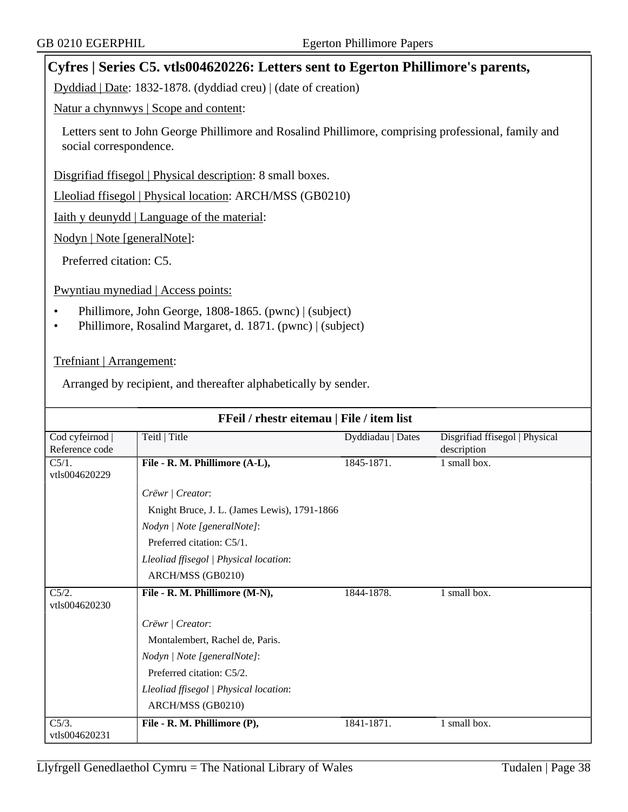### **Cyfres | Series C5. vtls004620226: Letters sent to Egerton Phillimore's parents,**

Dyddiad | Date: 1832-1878. (dyddiad creu) | (date of creation)

Natur a chynnwys | Scope and content:

Letters sent to John George Phillimore and Rosalind Phillimore, comprising professional, family and social correspondence.

Disgrifiad ffisegol | Physical description: 8 small boxes.

Lleoliad ffisegol | Physical location: ARCH/MSS (GB0210)

Iaith y deunydd | Language of the material:

Nodyn | Note [generalNote]:

Preferred citation: C5.

Pwyntiau mynediad | Access points:

- Phillimore, John George, 1808-1865. (pwnc) | (subject)
- Phillimore, Rosalind Margaret, d. 1871. (pwnc) | (subject)

Trefniant | Arrangement:

Arranged by recipient, and thereafter alphabetically by sender.

| FFeil / rhestr eitemau   File / item list |                                              |                   |                                               |  |  |
|-------------------------------------------|----------------------------------------------|-------------------|-----------------------------------------------|--|--|
| Cod cyfeirnod<br>Reference code           | Teitl   Title                                | Dyddiadau   Dates | Disgrifiad ffisegol   Physical<br>description |  |  |
| $C5/1$ .<br>vtls004620229                 | File - R. M. Phillimore (A-L),               | 1845-1871.        | 1 small box.                                  |  |  |
|                                           | Crëwr   Creator:                             |                   |                                               |  |  |
|                                           | Knight Bruce, J. L. (James Lewis), 1791-1866 |                   |                                               |  |  |
|                                           | Nodyn   Note [generalNote]:                  |                   |                                               |  |  |
|                                           | Preferred citation: C5/1.                    |                   |                                               |  |  |
|                                           | Lleoliad ffisegol   Physical location:       |                   |                                               |  |  |
|                                           | ARCH/MSS (GB0210)                            |                   |                                               |  |  |
| C5/2.<br>vtls004620230                    | File - R. M. Phillimore (M-N),               | 1844-1878.        | 1 small box.                                  |  |  |
|                                           | Crëwr   Creator:                             |                   |                                               |  |  |
|                                           | Montalembert, Rachel de, Paris.              |                   |                                               |  |  |
|                                           | Nodyn   Note [generalNote]:                  |                   |                                               |  |  |
|                                           | Preferred citation: C5/2.                    |                   |                                               |  |  |
|                                           | Lleoliad ffisegol   Physical location:       |                   |                                               |  |  |
|                                           | ARCH/MSS (GB0210)                            |                   |                                               |  |  |
| $C5/3$ .                                  | File - R. M. Phillimore (P),                 | 1841-1871.        | 1 small box.                                  |  |  |
| vtls004620231                             |                                              |                   |                                               |  |  |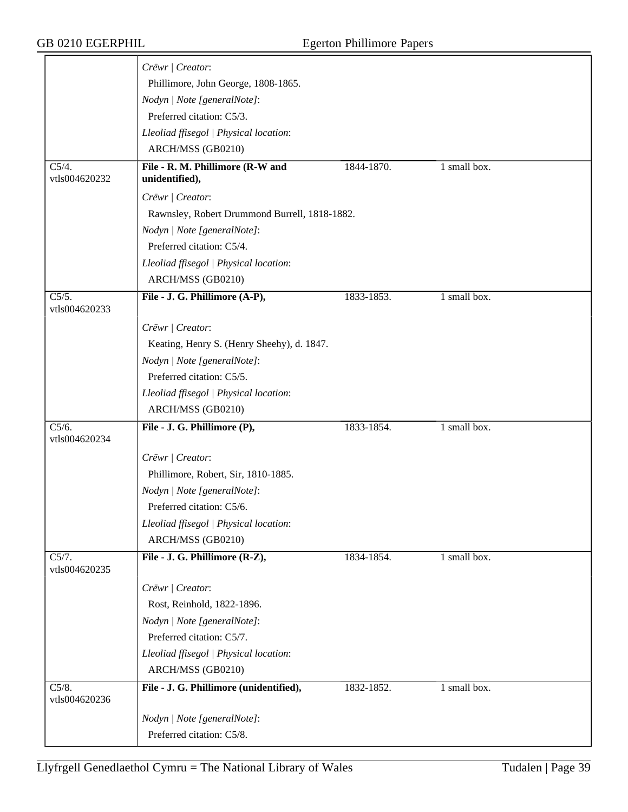| Crëwr   Creator:                           |                                                                                                                                                                                                                                                                                                                                                                                                                       |                                                                           |                              |
|--------------------------------------------|-----------------------------------------------------------------------------------------------------------------------------------------------------------------------------------------------------------------------------------------------------------------------------------------------------------------------------------------------------------------------------------------------------------------------|---------------------------------------------------------------------------|------------------------------|
| Phillimore, John George, 1808-1865.        |                                                                                                                                                                                                                                                                                                                                                                                                                       |                                                                           |                              |
| Nodyn   Note [generalNote]:                |                                                                                                                                                                                                                                                                                                                                                                                                                       |                                                                           |                              |
| Preferred citation: C5/3.                  |                                                                                                                                                                                                                                                                                                                                                                                                                       |                                                                           |                              |
|                                            |                                                                                                                                                                                                                                                                                                                                                                                                                       |                                                                           |                              |
|                                            |                                                                                                                                                                                                                                                                                                                                                                                                                       |                                                                           |                              |
|                                            |                                                                                                                                                                                                                                                                                                                                                                                                                       |                                                                           |                              |
| unidentified),                             |                                                                                                                                                                                                                                                                                                                                                                                                                       |                                                                           |                              |
| Crëwr   Creator:                           |                                                                                                                                                                                                                                                                                                                                                                                                                       |                                                                           |                              |
|                                            |                                                                                                                                                                                                                                                                                                                                                                                                                       |                                                                           |                              |
| Nodyn   Note [generalNote]:                |                                                                                                                                                                                                                                                                                                                                                                                                                       |                                                                           |                              |
| Preferred citation: C5/4.                  |                                                                                                                                                                                                                                                                                                                                                                                                                       |                                                                           |                              |
| Lleoliad ffisegol   Physical location:     |                                                                                                                                                                                                                                                                                                                                                                                                                       |                                                                           |                              |
| ARCH/MSS (GB0210)                          |                                                                                                                                                                                                                                                                                                                                                                                                                       |                                                                           |                              |
| File - J. G. Phillimore (A-P),             | 1833-1853.                                                                                                                                                                                                                                                                                                                                                                                                            | 1 small box.                                                              |                              |
|                                            |                                                                                                                                                                                                                                                                                                                                                                                                                       |                                                                           |                              |
| Crëwr   Creator:                           |                                                                                                                                                                                                                                                                                                                                                                                                                       |                                                                           |                              |
| Keating, Henry S. (Henry Sheehy), d. 1847. |                                                                                                                                                                                                                                                                                                                                                                                                                       |                                                                           |                              |
| Nodyn   Note [generalNote]:                |                                                                                                                                                                                                                                                                                                                                                                                                                       |                                                                           |                              |
| Preferred citation: C5/5.                  |                                                                                                                                                                                                                                                                                                                                                                                                                       |                                                                           |                              |
|                                            |                                                                                                                                                                                                                                                                                                                                                                                                                       |                                                                           |                              |
|                                            |                                                                                                                                                                                                                                                                                                                                                                                                                       |                                                                           |                              |
| File - J. G. Phillimore (P),               | 1833-1854.                                                                                                                                                                                                                                                                                                                                                                                                            | 1 small box.                                                              |                              |
|                                            |                                                                                                                                                                                                                                                                                                                                                                                                                       |                                                                           |                              |
|                                            |                                                                                                                                                                                                                                                                                                                                                                                                                       |                                                                           |                              |
|                                            |                                                                                                                                                                                                                                                                                                                                                                                                                       |                                                                           |                              |
|                                            |                                                                                                                                                                                                                                                                                                                                                                                                                       |                                                                           |                              |
|                                            |                                                                                                                                                                                                                                                                                                                                                                                                                       |                                                                           |                              |
|                                            |                                                                                                                                                                                                                                                                                                                                                                                                                       |                                                                           |                              |
|                                            |                                                                                                                                                                                                                                                                                                                                                                                                                       |                                                                           |                              |
|                                            |                                                                                                                                                                                                                                                                                                                                                                                                                       |                                                                           |                              |
| Crëwr   Creator:                           |                                                                                                                                                                                                                                                                                                                                                                                                                       |                                                                           |                              |
| Rost, Reinhold, 1822-1896.                 |                                                                                                                                                                                                                                                                                                                                                                                                                       |                                                                           |                              |
| Nodyn   Note [generalNote]:                |                                                                                                                                                                                                                                                                                                                                                                                                                       |                                                                           |                              |
| Preferred citation: C5/7.                  |                                                                                                                                                                                                                                                                                                                                                                                                                       |                                                                           |                              |
| Lleoliad ffisegol   Physical location:     |                                                                                                                                                                                                                                                                                                                                                                                                                       |                                                                           |                              |
| ARCH/MSS (GB0210)                          |                                                                                                                                                                                                                                                                                                                                                                                                                       |                                                                           |                              |
| File - J. G. Phillimore (unidentified),    | 1832-1852.                                                                                                                                                                                                                                                                                                                                                                                                            | 1 small box.                                                              |                              |
|                                            |                                                                                                                                                                                                                                                                                                                                                                                                                       |                                                                           |                              |
| Preferred citation: C5/8.                  |                                                                                                                                                                                                                                                                                                                                                                                                                       |                                                                           |                              |
|                                            | Lleoliad ffisegol   Physical location:<br>ARCH/MSS (GB0210)<br>File - R. M. Phillimore (R-W and<br>Lleoliad ffisegol   Physical location:<br>ARCH/MSS (GB0210)<br>Crëwr   Creator:<br>Phillimore, Robert, Sir, 1810-1885.<br>Nodyn   Note [generalNote]:<br>Preferred citation: C5/6.<br>Lleoliad ffisegol   Physical location:<br>ARCH/MSS (GB0210)<br>File - J. G. Phillimore (R-Z),<br>Nodyn   Note [generalNote]: | 1844-1870.<br>Rawnsley, Robert Drummond Burrell, 1818-1882.<br>1834-1854. | 1 small box.<br>1 small box. |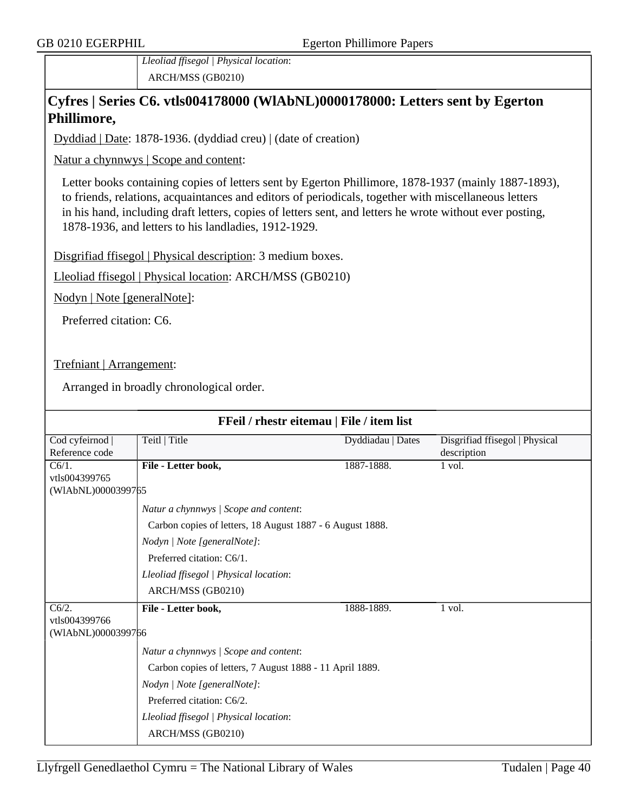*Lleoliad ffisegol | Physical location*: ARCH/MSS (GB0210)

### **Cyfres | Series C6. vtls004178000 (WlAbNL)0000178000: Letters sent by Egerton Phillimore,**

Dyddiad | Date: 1878-1936. (dyddiad creu) | (date of creation)

Natur a chynnwys | Scope and content:

Letter books containing copies of letters sent by Egerton Phillimore, 1878-1937 (mainly 1887-1893), to friends, relations, acquaintances and editors of periodicals, together with miscellaneous letters in his hand, including draft letters, copies of letters sent, and letters he wrote without ever posting, 1878-1936, and letters to his landladies, 1912-1929.

Disgrifiad ffisegol | Physical description: 3 medium boxes.

Lleoliad ffisegol | Physical location: ARCH/MSS (GB0210)

Nodyn | Note [generalNote]:

Preferred citation: C6.

Trefniant | Arrangement:

Arranged in broadly chronological order.

| FFeil / rhestr eitemau   File / item list       |                                                                                                                                                                                                                                                     |                   |                                               |  |  |
|-------------------------------------------------|-----------------------------------------------------------------------------------------------------------------------------------------------------------------------------------------------------------------------------------------------------|-------------------|-----------------------------------------------|--|--|
| Cod cyfeirnod<br>Reference code                 | Teitl   Title                                                                                                                                                                                                                                       | Dyddiadau   Dates | Disgrifiad ffisegol   Physical<br>description |  |  |
| $C6/1$ .<br>vtls004399765<br>(WIAbNL)0000399765 | File - Letter book,                                                                                                                                                                                                                                 | 1887-1888.        | 1 vol.                                        |  |  |
|                                                 | Natur a chynnwys / Scope and content:<br>Carbon copies of letters, 18 August 1887 - 6 August 1888.<br>Nodyn   Note [generalNote]:<br>Preferred citation: C6/1.<br>Lleoliad ffisegol   Physical location:<br>ARCH/MSS (GB0210)                       |                   |                                               |  |  |
| C6/2.<br>vtls004399766<br>(WIAbNL)0000399766    | File - Letter book,<br>Natur a chynnwys / Scope and content:<br>Carbon copies of letters, 7 August 1888 - 11 April 1889.<br>Nodyn   Note [generalNote]:<br>Preferred citation: C6/2.<br>Lleoliad ffisegol   Physical location:<br>ARCH/MSS (GB0210) | 1888-1889.        | 1 vol.                                        |  |  |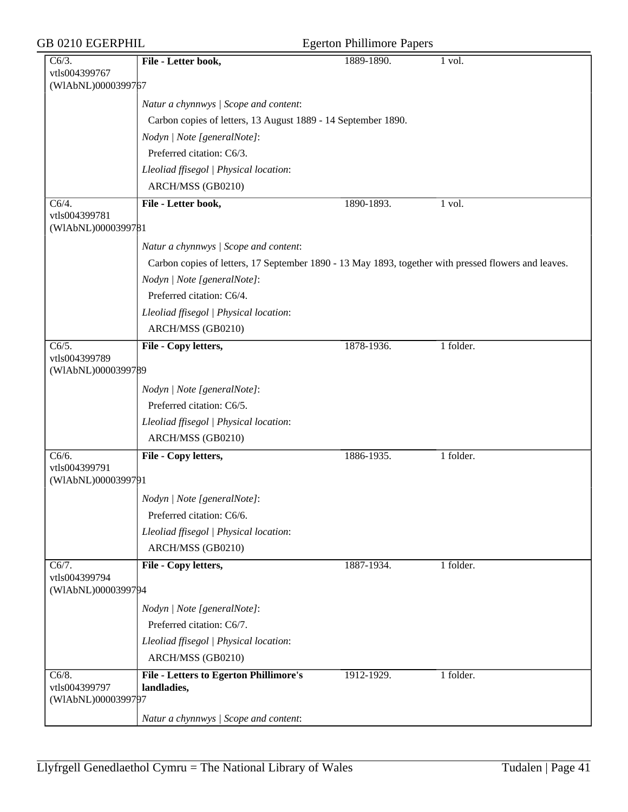| GB 0210 EGERPHIL                             |                                                                                                      | <b>Egerton Phillimore Papers</b> |           |
|----------------------------------------------|------------------------------------------------------------------------------------------------------|----------------------------------|-----------|
| C6/3.<br>vtls004399767<br>(WIAbNL)0000399767 | File - Letter book,                                                                                  | 1889-1890.                       | 1 vol.    |
|                                              | Natur a chynnwys / Scope and content:                                                                |                                  |           |
|                                              | Carbon copies of letters, 13 August 1889 - 14 September 1890.                                        |                                  |           |
|                                              | Nodyn   Note [generalNote]:                                                                          |                                  |           |
|                                              | Preferred citation: C6/3.                                                                            |                                  |           |
|                                              | Lleoliad ffisegol   Physical location:                                                               |                                  |           |
|                                              | ARCH/MSS (GB0210)                                                                                    |                                  |           |
| $\overline{C6/4}$ .                          | File - Letter book,                                                                                  | 1890-1893.                       | 1 vol.    |
| vtls004399781<br>(WIAbNL)0000399781          |                                                                                                      |                                  |           |
|                                              | Natur a chynnwys / Scope and content:                                                                |                                  |           |
|                                              | Carbon copies of letters, 17 September 1890 - 13 May 1893, together with pressed flowers and leaves. |                                  |           |
|                                              | Nodyn   Note [generalNote]:                                                                          |                                  |           |
|                                              | Preferred citation: C6/4.                                                                            |                                  |           |
|                                              | Lleoliad ffisegol   Physical location:                                                               |                                  |           |
|                                              | ARCH/MSS (GB0210)                                                                                    |                                  |           |
| $\overline{C6/5}$ .<br>vtls004399789         | File - Copy letters,                                                                                 | 1878-1936.                       | 1 folder. |
| (WIAbNL)0000399789                           |                                                                                                      |                                  |           |
|                                              | Nodyn   Note [generalNote]:                                                                          |                                  |           |
|                                              | Preferred citation: C6/5.                                                                            |                                  |           |
|                                              | Lleoliad ffisegol   Physical location:                                                               |                                  |           |
|                                              | ARCH/MSS (GB0210)                                                                                    |                                  |           |
| C6/6.<br>vtls004399791                       | File - Copy letters,                                                                                 | 1886-1935.                       | 1 folder. |
| (WIAbNL)0000399791                           |                                                                                                      |                                  |           |
|                                              | Nodyn   Note [generalNote]:                                                                          |                                  |           |
|                                              | Preferred citation: C6/6.                                                                            |                                  |           |
|                                              | Lleoliad ffisegol   Physical location:                                                               |                                  |           |
|                                              | ARCH/MSS (GB0210)                                                                                    |                                  |           |
| C6/7.                                        | File - Copy letters,                                                                                 | 1887-1934.                       | 1 folder. |
| vtls004399794<br>(WIAbNL)0000399794          |                                                                                                      |                                  |           |
|                                              | Nodyn   Note [generalNote]:                                                                          |                                  |           |
|                                              | Preferred citation: C6/7.                                                                            |                                  |           |
|                                              | Lleoliad ffisegol   Physical location:                                                               |                                  |           |
|                                              | ARCH/MSS (GB0210)                                                                                    |                                  |           |
| C6/8.<br>vtls004399797<br>(WIAbNL)0000399797 | <b>File - Letters to Egerton Phillimore's</b><br>landladies,                                         | 1912-1929.                       | 1 folder. |
|                                              | Natur a chynnwys / Scope and content:                                                                |                                  |           |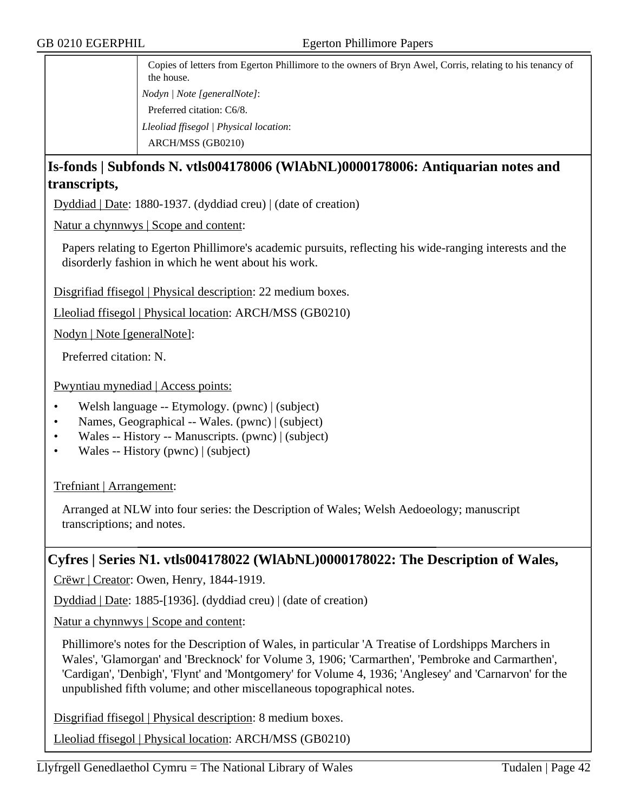Copies of letters from Egerton Phillimore to the owners of Bryn Awel, Corris, relating to his tenancy of the house. *Nodyn | Note [generalNote]*: Preferred citation: C6/8. *Lleoliad ffisegol | Physical location*:

ARCH/MSS (GB0210)

## **Is-fonds | Subfonds N. vtls004178006 (WlAbNL)0000178006: Antiquarian notes and transcripts,**

Dyddiad | Date: 1880-1937. (dyddiad creu) | (date of creation)

Natur a chynnwys | Scope and content:

Papers relating to Egerton Phillimore's academic pursuits, reflecting his wide-ranging interests and the disorderly fashion in which he went about his work.

Disgrifiad ffisegol | Physical description: 22 medium boxes.

Lleoliad ffisegol | Physical location: ARCH/MSS (GB0210)

Nodyn | Note [generalNote]:

Preferred citation: N.

Pwyntiau mynediad | Access points:

- Welsh language -- Etymology. (pwnc) | (subject)
- Names, Geographical -- Wales. (pwnc) | (subject)
- Wales -- History -- Manuscripts. (pwnc) | (subject)
- Wales -- History (pwnc) | (subject)

Trefniant | Arrangement:

Arranged at NLW into four series: the Description of Wales; Welsh Aedoeology; manuscript transcriptions; and notes.

### **Cyfres | Series N1. vtls004178022 (WlAbNL)0000178022: The Description of Wales,**

Crëwr | Creator: Owen, Henry, 1844-1919.

Dyddiad | Date: 1885-[1936]. (dyddiad creu) | (date of creation)

Natur a chynnwys | Scope and content:

Phillimore's notes for the Description of Wales, in particular 'A Treatise of Lordshipps Marchers in Wales', 'Glamorgan' and 'Brecknock' for Volume 3, 1906; 'Carmarthen', 'Pembroke and Carmarthen', 'Cardigan', 'Denbigh', 'Flynt' and 'Montgomery' for Volume 4, 1936; 'Anglesey' and 'Carnarvon' for the unpublished fifth volume; and other miscellaneous topographical notes.

Disgrifiad ffisegol | Physical description: 8 medium boxes.

Lleoliad ffisegol | Physical location: ARCH/MSS (GB0210)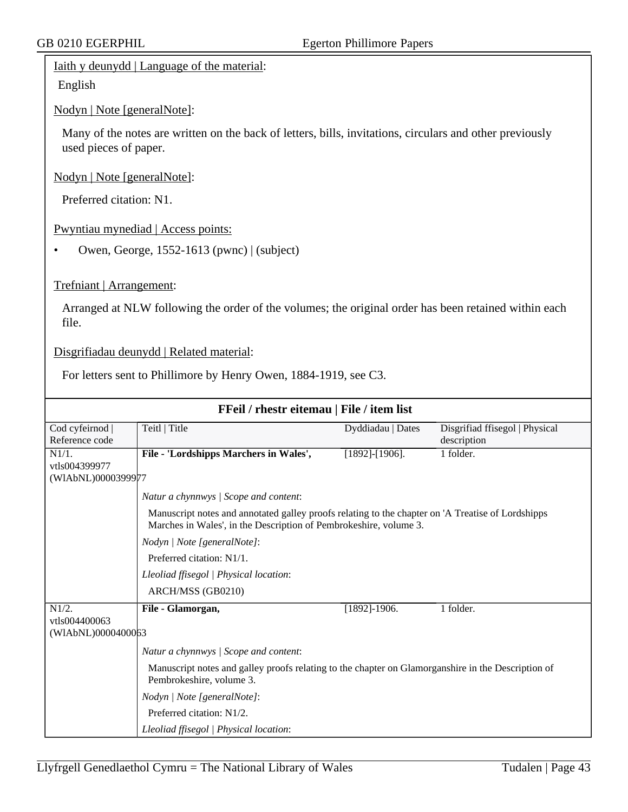#### Iaith y deunydd | Language of the material:

English

Nodyn | Note [generalNote]:

Many of the notes are written on the back of letters, bills, invitations, circulars and other previously used pieces of paper.

Nodyn | Note [generalNote]:

Preferred citation: N1.

Pwyntiau mynediad | Access points:

• Owen, George, 1552-1613 (pwnc) | (subject)

#### Trefniant | Arrangement:

Arranged at NLW following the order of the volumes; the original order has been retained within each file.

Disgrifiadau deunydd | Related material:

For letters sent to Phillimore by Henry Owen, 1884-1919, see C3.

| FFeil / rhestr eitemau   File / item list |                                                                                                                                                                        |                       |                                |  |  |
|-------------------------------------------|------------------------------------------------------------------------------------------------------------------------------------------------------------------------|-----------------------|--------------------------------|--|--|
| Cod cyfeirnod                             | Teitl   Title                                                                                                                                                          | Dyddiadau   Dates     | Disgrifiad ffisegol   Physical |  |  |
| Reference code                            |                                                                                                                                                                        |                       | description                    |  |  |
| N1/1.                                     | File - 'Lordshipps Marchers in Wales',                                                                                                                                 | $[1892]$ - $[1906]$ . | 1 folder.                      |  |  |
| vtls004399977                             |                                                                                                                                                                        |                       |                                |  |  |
| (WIAbNL)0000399977                        |                                                                                                                                                                        |                       |                                |  |  |
|                                           | Natur a chynnwys / Scope and content:                                                                                                                                  |                       |                                |  |  |
|                                           | Manuscript notes and annotated galley proofs relating to the chapter on 'A Treatise of Lordshipps<br>Marches in Wales', in the Description of Pembrokeshire, volume 3. |                       |                                |  |  |
|                                           | Nodyn   Note [generalNote]:                                                                                                                                            |                       |                                |  |  |
|                                           | Preferred citation: N1/1.                                                                                                                                              |                       |                                |  |  |
|                                           | Lleoliad ffisegol   Physical location:                                                                                                                                 |                       |                                |  |  |
|                                           | ARCH/MSS (GB0210)                                                                                                                                                      |                       |                                |  |  |
| $N1/2$ .                                  | File - Glamorgan,                                                                                                                                                      | $[1892]$ -1906.       | 1 folder.                      |  |  |
| vtls004400063                             |                                                                                                                                                                        |                       |                                |  |  |
| (WIAbNL)0000400063                        |                                                                                                                                                                        |                       |                                |  |  |
|                                           | Natur a chynnwys / Scope and content:                                                                                                                                  |                       |                                |  |  |
|                                           | Manuscript notes and galley proofs relating to the chapter on Glamorganshire in the Description of<br>Pembrokeshire, volume 3.                                         |                       |                                |  |  |
|                                           | Nodyn   Note [generalNote]:                                                                                                                                            |                       |                                |  |  |
|                                           | Preferred citation: N1/2.                                                                                                                                              |                       |                                |  |  |
|                                           | Lleoliad ffisegol   Physical location:                                                                                                                                 |                       |                                |  |  |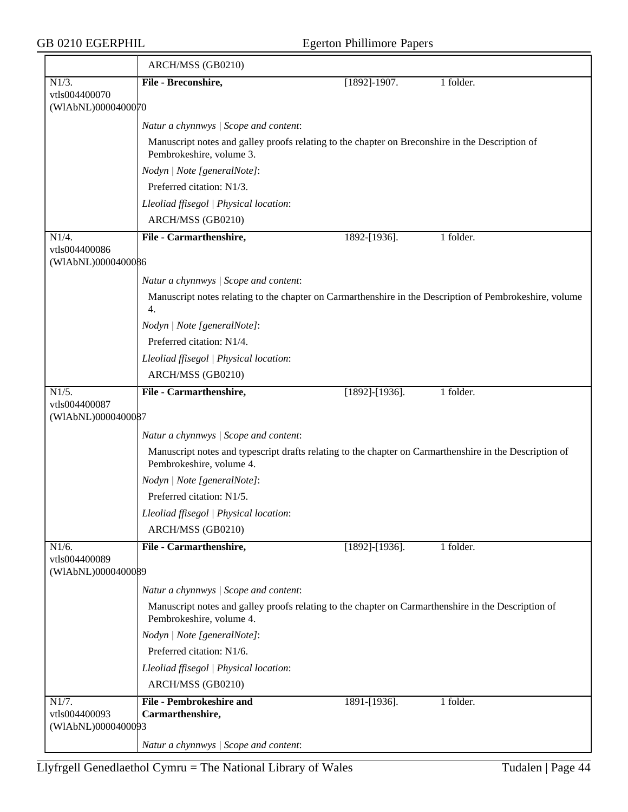|                                     | ARCH/MSS (GB0210)                                                                                                                   |                       |           |  |  |  |
|-------------------------------------|-------------------------------------------------------------------------------------------------------------------------------------|-----------------------|-----------|--|--|--|
| $N1/3$ .                            | File - Breconshire,                                                                                                                 | $[1892] - 1907.$      | 1 folder. |  |  |  |
| vtls004400070                       |                                                                                                                                     |                       |           |  |  |  |
| (WIAbNL)0000400070                  |                                                                                                                                     |                       |           |  |  |  |
|                                     | Natur a chynnwys / Scope and content:                                                                                               |                       |           |  |  |  |
|                                     | Manuscript notes and galley proofs relating to the chapter on Breconshire in the Description of<br>Pembrokeshire, volume 3.         |                       |           |  |  |  |
|                                     | Nodyn   Note [generalNote]:                                                                                                         |                       |           |  |  |  |
|                                     | Preferred citation: N1/3.                                                                                                           |                       |           |  |  |  |
|                                     | Lleoliad ffisegol   Physical location:                                                                                              |                       |           |  |  |  |
|                                     | ARCH/MSS (GB0210)                                                                                                                   |                       |           |  |  |  |
| N1/4.                               | File - Carmarthenshire,                                                                                                             | 1892-[1936].          | 1 folder. |  |  |  |
| vtls004400086<br>(WIAbNL)0000400086 |                                                                                                                                     |                       |           |  |  |  |
|                                     | Natur a chynnwys / Scope and content:                                                                                               |                       |           |  |  |  |
|                                     | Manuscript notes relating to the chapter on Carmarthenshire in the Description of Pembrokeshire, volume<br>4.                       |                       |           |  |  |  |
|                                     | Nodyn   Note [generalNote]:                                                                                                         |                       |           |  |  |  |
|                                     | Preferred citation: N1/4.                                                                                                           |                       |           |  |  |  |
|                                     | Lleoliad ffisegol   Physical location:                                                                                              |                       |           |  |  |  |
|                                     | ARCH/MSS (GB0210)                                                                                                                   |                       |           |  |  |  |
| $\overline{N1/5}$ .                 | File - Carmarthenshire,                                                                                                             | $[1892]$ - $[1936]$ . | 1 folder. |  |  |  |
| vtls004400087<br>(WIAbNL)0000400087 |                                                                                                                                     |                       |           |  |  |  |
|                                     | Natur a chynnwys / Scope and content:                                                                                               |                       |           |  |  |  |
|                                     | Manuscript notes and typescript drafts relating to the chapter on Carmarthenshire in the Description of<br>Pembrokeshire, volume 4. |                       |           |  |  |  |
|                                     | Nodyn   Note [generalNote]:                                                                                                         |                       |           |  |  |  |
|                                     | Preferred citation: N1/5.                                                                                                           |                       |           |  |  |  |
|                                     | Lleoliad ffisegol   Physical location:                                                                                              |                       |           |  |  |  |
|                                     | ARCH/MSS (GB0210)                                                                                                                   |                       |           |  |  |  |
| N1/6.                               | File - Carmarthenshire,                                                                                                             | $[1892] - [1936]$ .   | 1 folder. |  |  |  |
| vtls004400089<br>(WIAbNL)0000400089 |                                                                                                                                     |                       |           |  |  |  |
|                                     | Natur a chynnwys / Scope and content:                                                                                               |                       |           |  |  |  |
|                                     | Manuscript notes and galley proofs relating to the chapter on Carmarthenshire in the Description of<br>Pembrokeshire, volume 4.     |                       |           |  |  |  |
|                                     | Nodyn   Note [generalNote]:                                                                                                         |                       |           |  |  |  |
|                                     | Preferred citation: N1/6.                                                                                                           |                       |           |  |  |  |
|                                     | Lleoliad ffisegol   Physical location:                                                                                              |                       |           |  |  |  |
|                                     | ARCH/MSS (GB0210)                                                                                                                   |                       |           |  |  |  |
| N1/7.                               | <b>File - Pembrokeshire and</b>                                                                                                     | 1891-[1936].          | 1 folder. |  |  |  |
| vtls004400093<br>(WIAbNL)0000400093 | Carmarthenshire,                                                                                                                    |                       |           |  |  |  |
|                                     | Natur a chynnwys / Scope and content:                                                                                               |                       |           |  |  |  |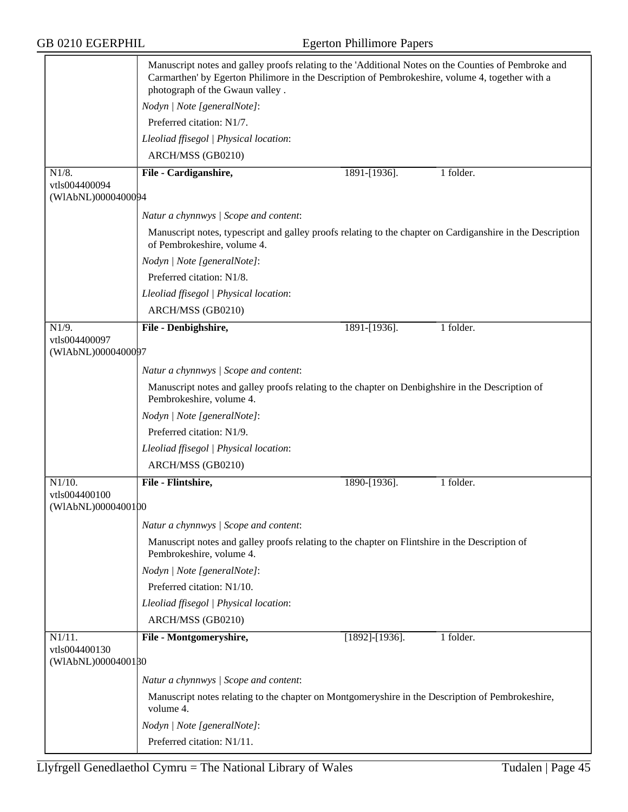|                                     | Manuscript notes and galley proofs relating to the 'Additional Notes on the Counties of Pembroke and<br>Carmarthen' by Egerton Philimore in the Description of Pembrokeshire, volume 4, together with a<br>photograph of the Gwaun valley. |                       |           |  |
|-------------------------------------|--------------------------------------------------------------------------------------------------------------------------------------------------------------------------------------------------------------------------------------------|-----------------------|-----------|--|
|                                     | Nodyn   Note [generalNote]:                                                                                                                                                                                                                |                       |           |  |
|                                     | Preferred citation: N1/7.                                                                                                                                                                                                                  |                       |           |  |
|                                     | Lleoliad ffisegol   Physical location:                                                                                                                                                                                                     |                       |           |  |
|                                     | ARCH/MSS (GB0210)                                                                                                                                                                                                                          |                       |           |  |
| N1/8.                               | File - Cardiganshire,                                                                                                                                                                                                                      | 1891-[1936].          | 1 folder. |  |
| vtls004400094<br>(WIAbNL)0000400094 |                                                                                                                                                                                                                                            |                       |           |  |
|                                     | Natur a chynnwys / Scope and content:                                                                                                                                                                                                      |                       |           |  |
|                                     | Manuscript notes, typescript and galley proofs relating to the chapter on Cardiganshire in the Description<br>of Pembrokeshire, volume 4.                                                                                                  |                       |           |  |
|                                     | Nodyn   Note [generalNote]:                                                                                                                                                                                                                |                       |           |  |
|                                     | Preferred citation: N1/8.                                                                                                                                                                                                                  |                       |           |  |
|                                     | Lleoliad ffisegol   Physical location:                                                                                                                                                                                                     |                       |           |  |
|                                     | ARCH/MSS (GB0210)                                                                                                                                                                                                                          |                       |           |  |
| $\overline{N1/9}$ .                 | File - Denbighshire,                                                                                                                                                                                                                       | 1891-[1936].          | 1 folder. |  |
| vtls004400097<br>(WIAbNL)0000400097 |                                                                                                                                                                                                                                            |                       |           |  |
|                                     | Natur a chynnwys / Scope and content:                                                                                                                                                                                                      |                       |           |  |
|                                     | Manuscript notes and galley proofs relating to the chapter on Denbighshire in the Description of<br>Pembrokeshire, volume 4.                                                                                                               |                       |           |  |
|                                     | Nodyn   Note [generalNote]:                                                                                                                                                                                                                |                       |           |  |
|                                     | Preferred citation: N1/9.                                                                                                                                                                                                                  |                       |           |  |
|                                     | Lleoliad ffisegol   Physical location:                                                                                                                                                                                                     |                       |           |  |
|                                     | ARCH/MSS (GB0210)                                                                                                                                                                                                                          |                       |           |  |
| $N1/10$ .                           | File - Flintshire,                                                                                                                                                                                                                         | 1890-[1936].          | 1 folder. |  |
| vtls004400100                       |                                                                                                                                                                                                                                            |                       |           |  |
| (WIAbNL)0000400100                  |                                                                                                                                                                                                                                            |                       |           |  |
|                                     | Natur a chynnwys / Scope and content:                                                                                                                                                                                                      |                       |           |  |
|                                     | Manuscript notes and galley proofs relating to the chapter on Flintshire in the Description of<br>Pembrokeshire, volume 4.                                                                                                                 |                       |           |  |
|                                     | Nodyn   Note [generalNote]:                                                                                                                                                                                                                |                       |           |  |
|                                     | Preferred citation: N1/10.                                                                                                                                                                                                                 |                       |           |  |
|                                     | Lleoliad ffisegol   Physical location:                                                                                                                                                                                                     |                       |           |  |
|                                     | ARCH/MSS (GB0210)                                                                                                                                                                                                                          |                       |           |  |
| $N1/11$ .<br>vtls004400130          | File - Montgomeryshire,                                                                                                                                                                                                                    | $[1892]$ - $[1936]$ . | 1 folder. |  |
| (WIAbNL)0000400180                  |                                                                                                                                                                                                                                            |                       |           |  |
|                                     | Natur a chynnwys / Scope and content:                                                                                                                                                                                                      |                       |           |  |
|                                     | Manuscript notes relating to the chapter on Montgomeryshire in the Description of Pembrokeshire,<br>volume 4.                                                                                                                              |                       |           |  |
|                                     | Nodyn   Note [generalNote]:                                                                                                                                                                                                                |                       |           |  |
|                                     | Preferred citation: N1/11.                                                                                                                                                                                                                 |                       |           |  |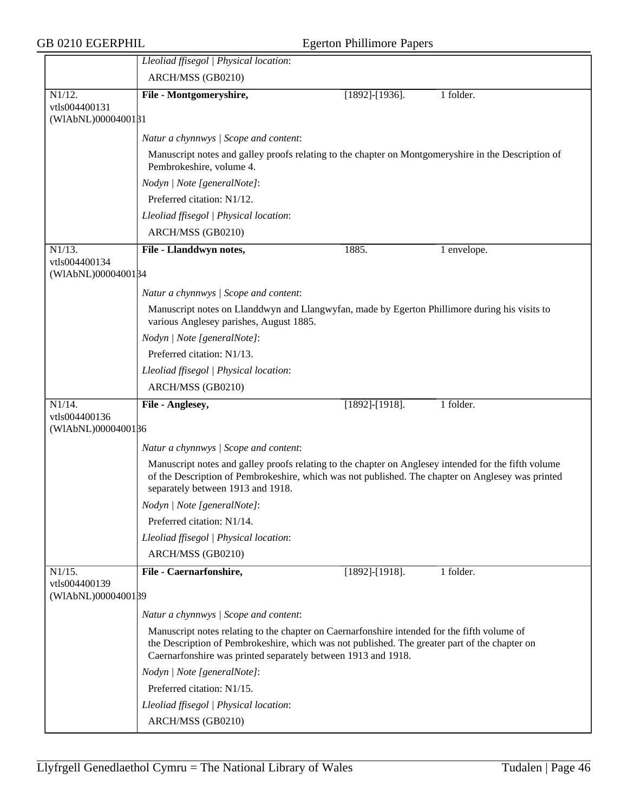|                                     | Lleoliad ffisegol   Physical location:                                                                                                                                                                                                                         |                       |             |
|-------------------------------------|----------------------------------------------------------------------------------------------------------------------------------------------------------------------------------------------------------------------------------------------------------------|-----------------------|-------------|
|                                     | ARCH/MSS (GB0210)                                                                                                                                                                                                                                              |                       |             |
| N1/12.                              | File - Montgomeryshire,                                                                                                                                                                                                                                        | $[1892]$ -[1936].     | 1 folder.   |
| vtls004400131                       |                                                                                                                                                                                                                                                                |                       |             |
| (WIAbNL)0000400181                  |                                                                                                                                                                                                                                                                |                       |             |
|                                     | Natur a chynnwys / Scope and content:                                                                                                                                                                                                                          |                       |             |
|                                     | Manuscript notes and galley proofs relating to the chapter on Montgomeryshire in the Description of<br>Pembrokeshire, volume 4.                                                                                                                                |                       |             |
|                                     | Nodyn   Note [generalNote]:                                                                                                                                                                                                                                    |                       |             |
|                                     | Preferred citation: N1/12.                                                                                                                                                                                                                                     |                       |             |
|                                     | Lleoliad ffisegol   Physical location:                                                                                                                                                                                                                         |                       |             |
|                                     | ARCH/MSS (GB0210)                                                                                                                                                                                                                                              |                       |             |
| N1/13.                              | File - Llanddwyn notes,                                                                                                                                                                                                                                        | 1885.                 | 1 envelope. |
| vtls004400134                       |                                                                                                                                                                                                                                                                |                       |             |
| (WIAbNL)0000400184                  |                                                                                                                                                                                                                                                                |                       |             |
|                                     | Natur a chynnwys / Scope and content:                                                                                                                                                                                                                          |                       |             |
|                                     | Manuscript notes on Llanddwyn and Llangwyfan, made by Egerton Phillimore during his visits to<br>various Anglesey parishes, August 1885.                                                                                                                       |                       |             |
|                                     | Nodyn   Note [generalNote]:                                                                                                                                                                                                                                    |                       |             |
|                                     | Preferred citation: N1/13.                                                                                                                                                                                                                                     |                       |             |
|                                     | Lleoliad ffisegol   Physical location:                                                                                                                                                                                                                         |                       |             |
|                                     | ARCH/MSS (GB0210)                                                                                                                                                                                                                                              |                       |             |
| N1/14.                              | File - Anglesey,                                                                                                                                                                                                                                               | $[1892]$ - $[1918]$ . | 1 folder.   |
| vtls004400136                       |                                                                                                                                                                                                                                                                |                       |             |
| (WIAbNL)0000400186                  |                                                                                                                                                                                                                                                                |                       |             |
|                                     | Natur a chynnwys / Scope and content:                                                                                                                                                                                                                          |                       |             |
|                                     | Manuscript notes and galley proofs relating to the chapter on Anglesey intended for the fifth volume<br>of the Description of Pembrokeshire, which was not published. The chapter on Anglesey was printed<br>separately between 1913 and 1918.                 |                       |             |
|                                     | Nodyn   Note [generalNote]:                                                                                                                                                                                                                                    |                       |             |
|                                     | Preferred citation: N1/14.                                                                                                                                                                                                                                     |                       |             |
|                                     | Lleoliad ffisegol   Physical location:                                                                                                                                                                                                                         |                       |             |
|                                     | ARCH/MSS (GB0210)                                                                                                                                                                                                                                              |                       |             |
| N1/15.                              | File - Caernarfonshire,                                                                                                                                                                                                                                        | $[1892] - [1918]$ .   | 1 folder.   |
| vtls004400139<br>(WIAbNL)0000400189 |                                                                                                                                                                                                                                                                |                       |             |
|                                     | Natur a chynnwys / Scope and content:                                                                                                                                                                                                                          |                       |             |
|                                     | Manuscript notes relating to the chapter on Caernarfonshire intended for the fifth volume of<br>the Description of Pembrokeshire, which was not published. The greater part of the chapter on<br>Caernarfonshire was printed separately between 1913 and 1918. |                       |             |
|                                     | Nodyn   Note [generalNote]:                                                                                                                                                                                                                                    |                       |             |
|                                     | Preferred citation: N1/15.                                                                                                                                                                                                                                     |                       |             |
|                                     | Lleoliad ffisegol   Physical location:                                                                                                                                                                                                                         |                       |             |
|                                     | ARCH/MSS (GB0210)                                                                                                                                                                                                                                              |                       |             |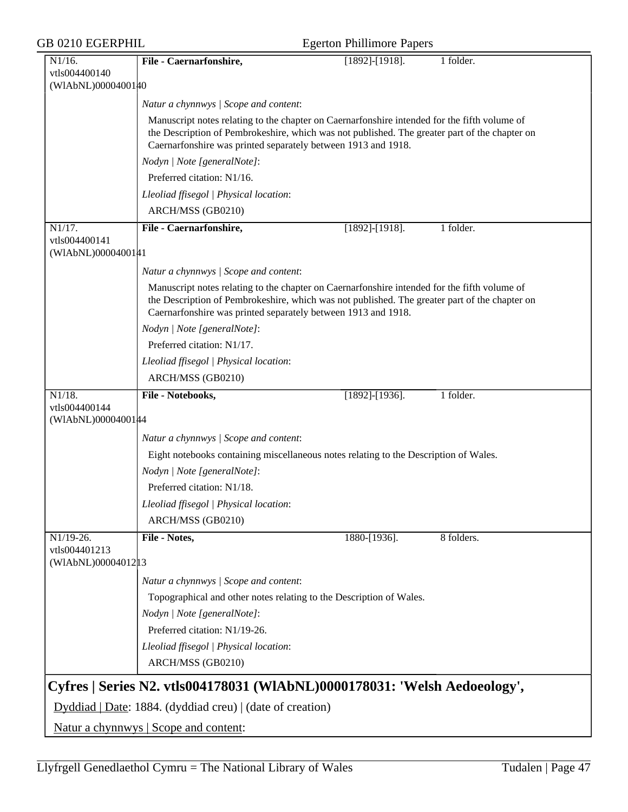| 1 folder.<br>$N1/16$ .<br>File - Caernarfonshire,<br>$[1892]$ - $[1918]$ .<br>vtls004400140<br>(WIAbNL)0000400140<br>Natur a chynnwys / Scope and content:<br>Manuscript notes relating to the chapter on Caernarfonshire intended for the fifth volume of<br>the Description of Pembrokeshire, which was not published. The greater part of the chapter on<br>Caernarfonshire was printed separately between 1913 and 1918.<br>Nodyn   Note [generalNote]:<br>Preferred citation: N1/16.<br>Lleoliad ffisegol   Physical location:<br>ARCH/MSS (GB0210)<br>N1/17.<br>File - Caernarfonshire,<br>$[1892]$ - $[1918]$ .<br>1 folder.<br>vtls004400141<br>(WIAbNL)0000400141<br>Natur a chynnwys / Scope and content:<br>Manuscript notes relating to the chapter on Caernarfonshire intended for the fifth volume of<br>the Description of Pembrokeshire, which was not published. The greater part of the chapter on<br>Caernarfonshire was printed separately between 1913 and 1918.<br>Nodyn   Note [generalNote]:<br>Preferred citation: N1/17.<br>Lleoliad ffisegol   Physical location:<br>ARCH/MSS (GB0210)<br>$\overline{N1/18}$ .<br>File - Notebooks,<br>1 folder.<br>$[1892]$ -[1936].<br>vtls004400144<br>(WIAbNL)00004001#4<br>Natur a chynnwys / Scope and content:<br>Eight notebooks containing miscellaneous notes relating to the Description of Wales.<br>Nodyn   Note [generalNote]:<br>Preferred citation: N1/18.<br>Lleoliad ffisegol   Physical location:<br>ARCH/MSS (GB0210)<br>N1/19-26.<br>File - Notes,<br>1880-[1936].<br>8 folders.<br>vtls004401213<br>(WIAbNL)00004012 13<br>Natur a chynnwys / Scope and content:<br>Topographical and other notes relating to the Description of Wales.<br>Nodyn   Note [generalNote]:<br>Preferred citation: N1/19-26.<br>Lleoliad ffisegol   Physical location:<br>ARCH/MSS (GB0210)<br>Cyfres   Series N2. vtls004178031 (WIAbNL)0000178031: 'Welsh Aedoeology',<br>Dyddiad   Date: 1884. (dyddiad creu)   (date of creation)<br>Natur a chynnwys   Scope and content: | GB 0210 EGERPHIL | <b>Egerton Phillimore Papers</b> |  |
|--------------------------------------------------------------------------------------------------------------------------------------------------------------------------------------------------------------------------------------------------------------------------------------------------------------------------------------------------------------------------------------------------------------------------------------------------------------------------------------------------------------------------------------------------------------------------------------------------------------------------------------------------------------------------------------------------------------------------------------------------------------------------------------------------------------------------------------------------------------------------------------------------------------------------------------------------------------------------------------------------------------------------------------------------------------------------------------------------------------------------------------------------------------------------------------------------------------------------------------------------------------------------------------------------------------------------------------------------------------------------------------------------------------------------------------------------------------------------------------------------------------------------------------------------------------------------------------------------------------------------------------------------------------------------------------------------------------------------------------------------------------------------------------------------------------------------------------------------------------------------------------------------------------------------------------------------------------------------------------------------------------------------------------------|------------------|----------------------------------|--|
|                                                                                                                                                                                                                                                                                                                                                                                                                                                                                                                                                                                                                                                                                                                                                                                                                                                                                                                                                                                                                                                                                                                                                                                                                                                                                                                                                                                                                                                                                                                                                                                                                                                                                                                                                                                                                                                                                                                                                                                                                                            |                  |                                  |  |
|                                                                                                                                                                                                                                                                                                                                                                                                                                                                                                                                                                                                                                                                                                                                                                                                                                                                                                                                                                                                                                                                                                                                                                                                                                                                                                                                                                                                                                                                                                                                                                                                                                                                                                                                                                                                                                                                                                                                                                                                                                            |                  |                                  |  |
|                                                                                                                                                                                                                                                                                                                                                                                                                                                                                                                                                                                                                                                                                                                                                                                                                                                                                                                                                                                                                                                                                                                                                                                                                                                                                                                                                                                                                                                                                                                                                                                                                                                                                                                                                                                                                                                                                                                                                                                                                                            |                  |                                  |  |
|                                                                                                                                                                                                                                                                                                                                                                                                                                                                                                                                                                                                                                                                                                                                                                                                                                                                                                                                                                                                                                                                                                                                                                                                                                                                                                                                                                                                                                                                                                                                                                                                                                                                                                                                                                                                                                                                                                                                                                                                                                            |                  |                                  |  |
|                                                                                                                                                                                                                                                                                                                                                                                                                                                                                                                                                                                                                                                                                                                                                                                                                                                                                                                                                                                                                                                                                                                                                                                                                                                                                                                                                                                                                                                                                                                                                                                                                                                                                                                                                                                                                                                                                                                                                                                                                                            |                  |                                  |  |
|                                                                                                                                                                                                                                                                                                                                                                                                                                                                                                                                                                                                                                                                                                                                                                                                                                                                                                                                                                                                                                                                                                                                                                                                                                                                                                                                                                                                                                                                                                                                                                                                                                                                                                                                                                                                                                                                                                                                                                                                                                            |                  |                                  |  |
|                                                                                                                                                                                                                                                                                                                                                                                                                                                                                                                                                                                                                                                                                                                                                                                                                                                                                                                                                                                                                                                                                                                                                                                                                                                                                                                                                                                                                                                                                                                                                                                                                                                                                                                                                                                                                                                                                                                                                                                                                                            |                  |                                  |  |
|                                                                                                                                                                                                                                                                                                                                                                                                                                                                                                                                                                                                                                                                                                                                                                                                                                                                                                                                                                                                                                                                                                                                                                                                                                                                                                                                                                                                                                                                                                                                                                                                                                                                                                                                                                                                                                                                                                                                                                                                                                            |                  |                                  |  |
|                                                                                                                                                                                                                                                                                                                                                                                                                                                                                                                                                                                                                                                                                                                                                                                                                                                                                                                                                                                                                                                                                                                                                                                                                                                                                                                                                                                                                                                                                                                                                                                                                                                                                                                                                                                                                                                                                                                                                                                                                                            |                  |                                  |  |
|                                                                                                                                                                                                                                                                                                                                                                                                                                                                                                                                                                                                                                                                                                                                                                                                                                                                                                                                                                                                                                                                                                                                                                                                                                                                                                                                                                                                                                                                                                                                                                                                                                                                                                                                                                                                                                                                                                                                                                                                                                            |                  |                                  |  |
|                                                                                                                                                                                                                                                                                                                                                                                                                                                                                                                                                                                                                                                                                                                                                                                                                                                                                                                                                                                                                                                                                                                                                                                                                                                                                                                                                                                                                                                                                                                                                                                                                                                                                                                                                                                                                                                                                                                                                                                                                                            |                  |                                  |  |
|                                                                                                                                                                                                                                                                                                                                                                                                                                                                                                                                                                                                                                                                                                                                                                                                                                                                                                                                                                                                                                                                                                                                                                                                                                                                                                                                                                                                                                                                                                                                                                                                                                                                                                                                                                                                                                                                                                                                                                                                                                            |                  |                                  |  |
|                                                                                                                                                                                                                                                                                                                                                                                                                                                                                                                                                                                                                                                                                                                                                                                                                                                                                                                                                                                                                                                                                                                                                                                                                                                                                                                                                                                                                                                                                                                                                                                                                                                                                                                                                                                                                                                                                                                                                                                                                                            |                  |                                  |  |
|                                                                                                                                                                                                                                                                                                                                                                                                                                                                                                                                                                                                                                                                                                                                                                                                                                                                                                                                                                                                                                                                                                                                                                                                                                                                                                                                                                                                                                                                                                                                                                                                                                                                                                                                                                                                                                                                                                                                                                                                                                            |                  |                                  |  |
|                                                                                                                                                                                                                                                                                                                                                                                                                                                                                                                                                                                                                                                                                                                                                                                                                                                                                                                                                                                                                                                                                                                                                                                                                                                                                                                                                                                                                                                                                                                                                                                                                                                                                                                                                                                                                                                                                                                                                                                                                                            |                  |                                  |  |
|                                                                                                                                                                                                                                                                                                                                                                                                                                                                                                                                                                                                                                                                                                                                                                                                                                                                                                                                                                                                                                                                                                                                                                                                                                                                                                                                                                                                                                                                                                                                                                                                                                                                                                                                                                                                                                                                                                                                                                                                                                            |                  |                                  |  |
|                                                                                                                                                                                                                                                                                                                                                                                                                                                                                                                                                                                                                                                                                                                                                                                                                                                                                                                                                                                                                                                                                                                                                                                                                                                                                                                                                                                                                                                                                                                                                                                                                                                                                                                                                                                                                                                                                                                                                                                                                                            |                  |                                  |  |
|                                                                                                                                                                                                                                                                                                                                                                                                                                                                                                                                                                                                                                                                                                                                                                                                                                                                                                                                                                                                                                                                                                                                                                                                                                                                                                                                                                                                                                                                                                                                                                                                                                                                                                                                                                                                                                                                                                                                                                                                                                            |                  |                                  |  |
|                                                                                                                                                                                                                                                                                                                                                                                                                                                                                                                                                                                                                                                                                                                                                                                                                                                                                                                                                                                                                                                                                                                                                                                                                                                                                                                                                                                                                                                                                                                                                                                                                                                                                                                                                                                                                                                                                                                                                                                                                                            |                  |                                  |  |
|                                                                                                                                                                                                                                                                                                                                                                                                                                                                                                                                                                                                                                                                                                                                                                                                                                                                                                                                                                                                                                                                                                                                                                                                                                                                                                                                                                                                                                                                                                                                                                                                                                                                                                                                                                                                                                                                                                                                                                                                                                            |                  |                                  |  |
|                                                                                                                                                                                                                                                                                                                                                                                                                                                                                                                                                                                                                                                                                                                                                                                                                                                                                                                                                                                                                                                                                                                                                                                                                                                                                                                                                                                                                                                                                                                                                                                                                                                                                                                                                                                                                                                                                                                                                                                                                                            |                  |                                  |  |
|                                                                                                                                                                                                                                                                                                                                                                                                                                                                                                                                                                                                                                                                                                                                                                                                                                                                                                                                                                                                                                                                                                                                                                                                                                                                                                                                                                                                                                                                                                                                                                                                                                                                                                                                                                                                                                                                                                                                                                                                                                            |                  |                                  |  |
|                                                                                                                                                                                                                                                                                                                                                                                                                                                                                                                                                                                                                                                                                                                                                                                                                                                                                                                                                                                                                                                                                                                                                                                                                                                                                                                                                                                                                                                                                                                                                                                                                                                                                                                                                                                                                                                                                                                                                                                                                                            |                  |                                  |  |
|                                                                                                                                                                                                                                                                                                                                                                                                                                                                                                                                                                                                                                                                                                                                                                                                                                                                                                                                                                                                                                                                                                                                                                                                                                                                                                                                                                                                                                                                                                                                                                                                                                                                                                                                                                                                                                                                                                                                                                                                                                            |                  |                                  |  |
|                                                                                                                                                                                                                                                                                                                                                                                                                                                                                                                                                                                                                                                                                                                                                                                                                                                                                                                                                                                                                                                                                                                                                                                                                                                                                                                                                                                                                                                                                                                                                                                                                                                                                                                                                                                                                                                                                                                                                                                                                                            |                  |                                  |  |
|                                                                                                                                                                                                                                                                                                                                                                                                                                                                                                                                                                                                                                                                                                                                                                                                                                                                                                                                                                                                                                                                                                                                                                                                                                                                                                                                                                                                                                                                                                                                                                                                                                                                                                                                                                                                                                                                                                                                                                                                                                            |                  |                                  |  |
|                                                                                                                                                                                                                                                                                                                                                                                                                                                                                                                                                                                                                                                                                                                                                                                                                                                                                                                                                                                                                                                                                                                                                                                                                                                                                                                                                                                                                                                                                                                                                                                                                                                                                                                                                                                                                                                                                                                                                                                                                                            |                  |                                  |  |
|                                                                                                                                                                                                                                                                                                                                                                                                                                                                                                                                                                                                                                                                                                                                                                                                                                                                                                                                                                                                                                                                                                                                                                                                                                                                                                                                                                                                                                                                                                                                                                                                                                                                                                                                                                                                                                                                                                                                                                                                                                            |                  |                                  |  |
|                                                                                                                                                                                                                                                                                                                                                                                                                                                                                                                                                                                                                                                                                                                                                                                                                                                                                                                                                                                                                                                                                                                                                                                                                                                                                                                                                                                                                                                                                                                                                                                                                                                                                                                                                                                                                                                                                                                                                                                                                                            |                  |                                  |  |
|                                                                                                                                                                                                                                                                                                                                                                                                                                                                                                                                                                                                                                                                                                                                                                                                                                                                                                                                                                                                                                                                                                                                                                                                                                                                                                                                                                                                                                                                                                                                                                                                                                                                                                                                                                                                                                                                                                                                                                                                                                            |                  |                                  |  |
|                                                                                                                                                                                                                                                                                                                                                                                                                                                                                                                                                                                                                                                                                                                                                                                                                                                                                                                                                                                                                                                                                                                                                                                                                                                                                                                                                                                                                                                                                                                                                                                                                                                                                                                                                                                                                                                                                                                                                                                                                                            |                  |                                  |  |
|                                                                                                                                                                                                                                                                                                                                                                                                                                                                                                                                                                                                                                                                                                                                                                                                                                                                                                                                                                                                                                                                                                                                                                                                                                                                                                                                                                                                                                                                                                                                                                                                                                                                                                                                                                                                                                                                                                                                                                                                                                            |                  |                                  |  |
|                                                                                                                                                                                                                                                                                                                                                                                                                                                                                                                                                                                                                                                                                                                                                                                                                                                                                                                                                                                                                                                                                                                                                                                                                                                                                                                                                                                                                                                                                                                                                                                                                                                                                                                                                                                                                                                                                                                                                                                                                                            |                  |                                  |  |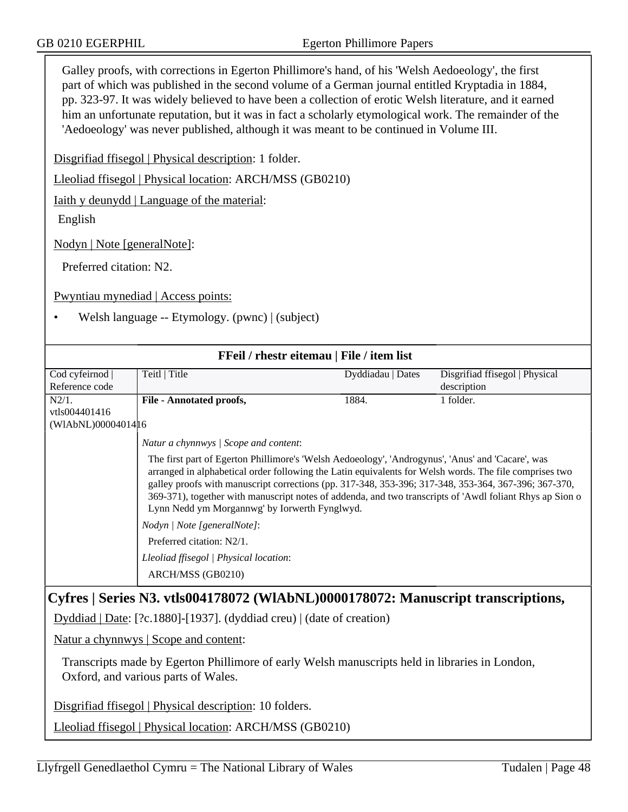Galley proofs, with corrections in Egerton Phillimore's hand, of his 'Welsh Aedoeology', the first part of which was published in the second volume of a German journal entitled Kryptadia in 1884, pp. 323-97. It was widely believed to have been a collection of erotic Welsh literature, and it earned him an unfortunate reputation, but it was in fact a scholarly etymological work. The remainder of the 'Aedoeology' was never published, although it was meant to be continued in Volume III.

Disgrifiad ffisegol | Physical description: 1 folder.

Lleoliad ffisegol | Physical location: ARCH/MSS (GB0210)

Iaith y deunydd | Language of the material:

English

Nodyn | Note [generalNote]:

Preferred citation: N2.

Pwyntiau mynediad | Access points:

• Welsh language -- Etymology. (pwnc) | (subject)

| FFeil / rhestr eitemau   File / item list                                        |                                                                                                                                                                                                                                                                                                                                                                                                                                                                                  |                   |                                |  |  |
|----------------------------------------------------------------------------------|----------------------------------------------------------------------------------------------------------------------------------------------------------------------------------------------------------------------------------------------------------------------------------------------------------------------------------------------------------------------------------------------------------------------------------------------------------------------------------|-------------------|--------------------------------|--|--|
| Cod cyfeirnod                                                                    | Teitl   Title                                                                                                                                                                                                                                                                                                                                                                                                                                                                    | Dyddiadau   Dates | Disgrifiad ffisegol   Physical |  |  |
| Reference code                                                                   |                                                                                                                                                                                                                                                                                                                                                                                                                                                                                  |                   | description                    |  |  |
| $N2/1$ .                                                                         | <b>File - Annotated proofs,</b>                                                                                                                                                                                                                                                                                                                                                                                                                                                  | 1884.             | 1 folder.                      |  |  |
| vtls004401416                                                                    |                                                                                                                                                                                                                                                                                                                                                                                                                                                                                  |                   |                                |  |  |
| (WIAbNL)0000401416                                                               |                                                                                                                                                                                                                                                                                                                                                                                                                                                                                  |                   |                                |  |  |
|                                                                                  | Natur a chynnwys / Scope and content:                                                                                                                                                                                                                                                                                                                                                                                                                                            |                   |                                |  |  |
|                                                                                  | The first part of Egerton Phillimore's 'Welsh Aedoeology', 'Androgynus', 'Anus' and 'Cacare', was<br>arranged in alphabetical order following the Latin equivalents for Welsh words. The file comprises two<br>galley proofs with manuscript corrections (pp. 317-348, 353-396; 317-348, 353-364, 367-396; 367-370,<br>369-371), together with manuscript notes of addenda, and two transcripts of 'Awdl foliant Rhys ap Sion o<br>Lynn Nedd ym Morgannwg' by Iorwerth Fynglwyd. |                   |                                |  |  |
|                                                                                  | Nodyn   Note [generalNote]:                                                                                                                                                                                                                                                                                                                                                                                                                                                      |                   |                                |  |  |
|                                                                                  | Preferred citation: N2/1.                                                                                                                                                                                                                                                                                                                                                                                                                                                        |                   |                                |  |  |
|                                                                                  | Lleoliad ffisegol   Physical location:                                                                                                                                                                                                                                                                                                                                                                                                                                           |                   |                                |  |  |
|                                                                                  | ARCH/MSS (GB0210)                                                                                                                                                                                                                                                                                                                                                                                                                                                                |                   |                                |  |  |
| Cyfres   Series N3. vtls004178072 (WIAbNL)0000178072: Manuscript transcriptions, |                                                                                                                                                                                                                                                                                                                                                                                                                                                                                  |                   |                                |  |  |
|                                                                                  | Dyddiad   Date: [?c.1880]-[1937]. (dyddiad creu)   (date of creation)                                                                                                                                                                                                                                                                                                                                                                                                            |                   |                                |  |  |
|                                                                                  |                                                                                                                                                                                                                                                                                                                                                                                                                                                                                  |                   |                                |  |  |

Natur a chynnwys | Scope and content:

Transcripts made by Egerton Phillimore of early Welsh manuscripts held in libraries in London, Oxford, and various parts of Wales.

Disgrifiad ffisegol | Physical description: 10 folders.

Lleoliad ffisegol | Physical location: ARCH/MSS (GB0210)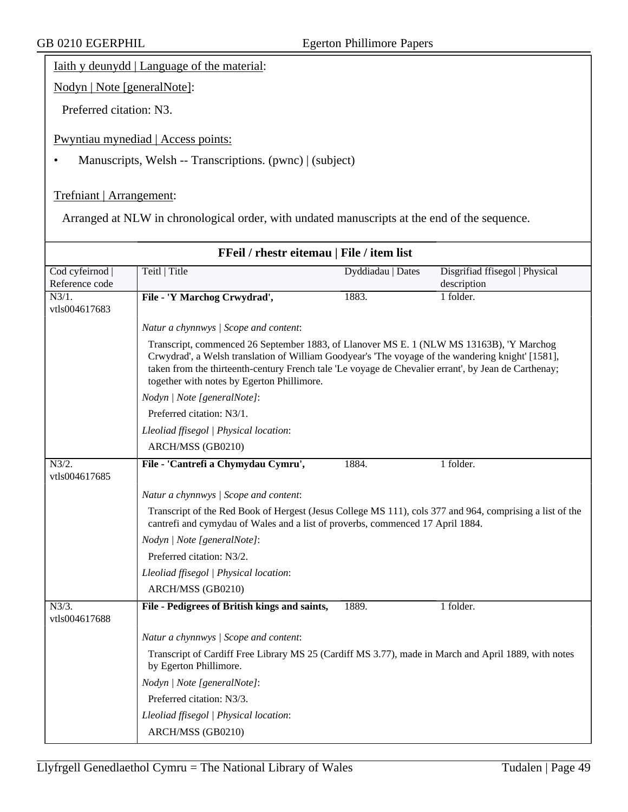Iaith y deunydd | Language of the material:

Nodyn | Note [generalNote]:

Preferred citation: N3.

Pwyntiau mynediad | Access points:

• Manuscripts, Welsh -- Transcriptions. (pwnc) | (subject)

Trefniant | Arrangement:

Arranged at NLW in chronological order, with undated manuscripts at the end of the sequence.

| FFeil / rhestr eitemau   File / item list |                                                                                                                                                                                                                                                                                                                                                     |                   |                                |  |  |
|-------------------------------------------|-----------------------------------------------------------------------------------------------------------------------------------------------------------------------------------------------------------------------------------------------------------------------------------------------------------------------------------------------------|-------------------|--------------------------------|--|--|
| Cod cyfeirnod                             | Teitl   Title                                                                                                                                                                                                                                                                                                                                       | Dyddiadau   Dates | Disgrifiad ffisegol   Physical |  |  |
| Reference code<br>N3/1.                   | File - 'Y Marchog Crwydrad',                                                                                                                                                                                                                                                                                                                        | 1883.             | description<br>1 folder.       |  |  |
| vtls004617683                             |                                                                                                                                                                                                                                                                                                                                                     |                   |                                |  |  |
|                                           | Natur a chynnwys / Scope and content:                                                                                                                                                                                                                                                                                                               |                   |                                |  |  |
|                                           | Transcript, commenced 26 September 1883, of Llanover MS E. 1 (NLW MS 13163B), 'Y Marchog<br>Crwydrad', a Welsh translation of William Goodyear's 'The voyage of the wandering knight' [1581],<br>taken from the thirteenth-century French tale 'Le voyage de Chevalier errant', by Jean de Carthenay;<br>together with notes by Egerton Phillimore. |                   |                                |  |  |
|                                           | Nodyn   Note [generalNote]:                                                                                                                                                                                                                                                                                                                         |                   |                                |  |  |
|                                           | Preferred citation: N3/1.                                                                                                                                                                                                                                                                                                                           |                   |                                |  |  |
|                                           | Lleoliad ffisegol   Physical location:                                                                                                                                                                                                                                                                                                              |                   |                                |  |  |
|                                           | ARCH/MSS (GB0210)                                                                                                                                                                                                                                                                                                                                   |                   |                                |  |  |
| N3/2.<br>vtls004617685                    | File - 'Cantrefi a Chymydau Cymru',                                                                                                                                                                                                                                                                                                                 | 1884.             | 1 folder.                      |  |  |
|                                           | Natur a chynnwys / Scope and content:                                                                                                                                                                                                                                                                                                               |                   |                                |  |  |
|                                           | Transcript of the Red Book of Hergest (Jesus College MS 111), cols 377 and 964, comprising a list of the<br>cantrefi and cymydau of Wales and a list of proverbs, commenced 17 April 1884.                                                                                                                                                          |                   |                                |  |  |
|                                           | Nodyn   Note [generalNote]:                                                                                                                                                                                                                                                                                                                         |                   |                                |  |  |
|                                           | Preferred citation: N3/2.                                                                                                                                                                                                                                                                                                                           |                   |                                |  |  |
|                                           | Lleoliad ffisegol   Physical location:                                                                                                                                                                                                                                                                                                              |                   |                                |  |  |
|                                           | ARCH/MSS (GB0210)                                                                                                                                                                                                                                                                                                                                   |                   |                                |  |  |
| $N3/3$ .<br>vtls004617688                 | File - Pedigrees of British kings and saints,                                                                                                                                                                                                                                                                                                       | 1889.             | 1 folder.                      |  |  |
|                                           | Natur a chynnwys / Scope and content:                                                                                                                                                                                                                                                                                                               |                   |                                |  |  |
|                                           | Transcript of Cardiff Free Library MS 25 (Cardiff MS 3.77), made in March and April 1889, with notes<br>by Egerton Phillimore.                                                                                                                                                                                                                      |                   |                                |  |  |
|                                           | Nodyn   Note [generalNote]:                                                                                                                                                                                                                                                                                                                         |                   |                                |  |  |
|                                           | Preferred citation: N3/3.                                                                                                                                                                                                                                                                                                                           |                   |                                |  |  |
|                                           | Lleoliad ffisegol   Physical location:                                                                                                                                                                                                                                                                                                              |                   |                                |  |  |
|                                           | ARCH/MSS (GB0210)                                                                                                                                                                                                                                                                                                                                   |                   |                                |  |  |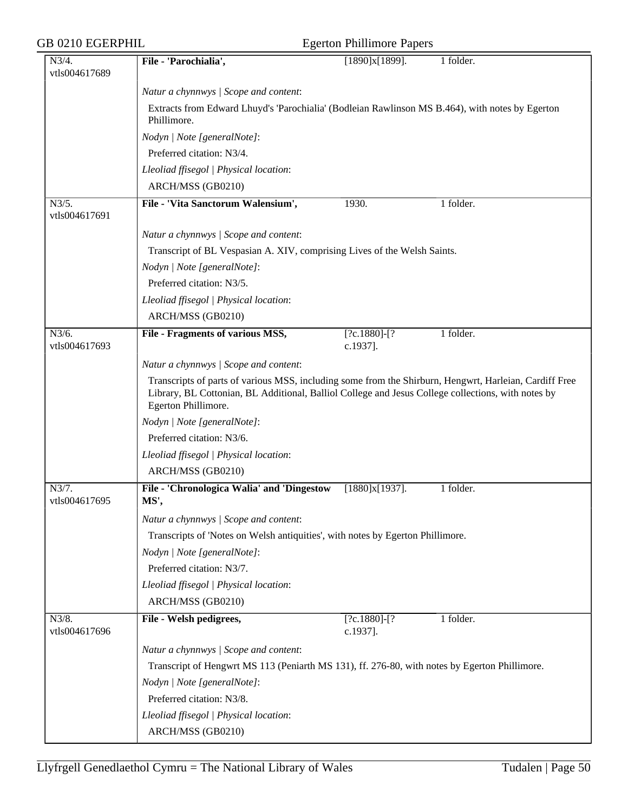## Egerton Phillimore Papers

| Natur a chynnwys / Scope and content:<br>Extracts from Edward Lhuyd's 'Parochialia' (Bodleian Rawlinson MS B.464), with notes by Egerton<br>Phillimore.<br>Nodyn   Note [generalNote]:<br>Preferred citation: N3/4.<br>Lleoliad ffisegol   Physical location:<br>ARCH/MSS (GB0210)<br>N3/5.<br>File - 'Vita Sanctorum Walensium',<br>1930.<br>1 folder.<br>vtls004617691<br>Natur a chynnwys / Scope and content:<br>Transcript of BL Vespasian A. XIV, comprising Lives of the Welsh Saints.<br>Nodyn   Note [generalNote]:<br>Preferred citation: N3/5.<br>Lleoliad ffisegol   Physical location:<br>ARCH/MSS (GB0210)<br>N3/6.<br>1 folder.<br>$[?c.1880] - [?]$<br>File - Fragments of various MSS,<br>vtls004617693<br>c.1937].<br>Natur a chynnwys / Scope and content:<br>Transcripts of parts of various MSS, including some from the Shirburn, Hengwrt, Harleian, Cardiff Free<br>Library, BL Cottonian, BL Additional, Balliol College and Jesus College collections, with notes by<br>Egerton Phillimore.<br>Nodyn   Note [generalNote]:<br>Preferred citation: N3/6.<br>Lleoliad ffisegol   Physical location:<br>ARCH/MSS (GB0210)<br>N3/7.<br>File - 'Chronologica Walia' and 'Dingestow<br>$[1880]x[1937]$ .<br>1 folder.<br>vtls004617695<br>MS',<br>Natur a chynnwys / Scope and content:<br>Transcripts of 'Notes on Welsh antiquities', with notes by Egerton Phillimore.<br>Nodyn   Note [generalNote]:<br>Preferred citation: N3/7.<br>Lleoliad ffisegol   Physical location:<br>ARCH/MSS (GB0210)<br>N3/8.<br>File - Welsh pedigrees,<br>$[?c.1880] - [?]$<br>1 folder.<br>vtls004617696<br>c.1937].<br>Natur a chynnwys / Scope and content:<br>Transcript of Hengwrt MS 113 (Peniarth MS 131), ff. 276-80, with notes by Egerton Phillimore. | N3/4.         | File - 'Parochialia',       | [1890]x[1899]. | 1 folder. |  |
|----------------------------------------------------------------------------------------------------------------------------------------------------------------------------------------------------------------------------------------------------------------------------------------------------------------------------------------------------------------------------------------------------------------------------------------------------------------------------------------------------------------------------------------------------------------------------------------------------------------------------------------------------------------------------------------------------------------------------------------------------------------------------------------------------------------------------------------------------------------------------------------------------------------------------------------------------------------------------------------------------------------------------------------------------------------------------------------------------------------------------------------------------------------------------------------------------------------------------------------------------------------------------------------------------------------------------------------------------------------------------------------------------------------------------------------------------------------------------------------------------------------------------------------------------------------------------------------------------------------------------------------------------------------------------------------------------------------------------------------------------------------------|---------------|-----------------------------|----------------|-----------|--|
|                                                                                                                                                                                                                                                                                                                                                                                                                                                                                                                                                                                                                                                                                                                                                                                                                                                                                                                                                                                                                                                                                                                                                                                                                                                                                                                                                                                                                                                                                                                                                                                                                                                                                                                                                                      | vtls004617689 |                             |                |           |  |
|                                                                                                                                                                                                                                                                                                                                                                                                                                                                                                                                                                                                                                                                                                                                                                                                                                                                                                                                                                                                                                                                                                                                                                                                                                                                                                                                                                                                                                                                                                                                                                                                                                                                                                                                                                      |               |                             |                |           |  |
|                                                                                                                                                                                                                                                                                                                                                                                                                                                                                                                                                                                                                                                                                                                                                                                                                                                                                                                                                                                                                                                                                                                                                                                                                                                                                                                                                                                                                                                                                                                                                                                                                                                                                                                                                                      |               |                             |                |           |  |
|                                                                                                                                                                                                                                                                                                                                                                                                                                                                                                                                                                                                                                                                                                                                                                                                                                                                                                                                                                                                                                                                                                                                                                                                                                                                                                                                                                                                                                                                                                                                                                                                                                                                                                                                                                      |               |                             |                |           |  |
|                                                                                                                                                                                                                                                                                                                                                                                                                                                                                                                                                                                                                                                                                                                                                                                                                                                                                                                                                                                                                                                                                                                                                                                                                                                                                                                                                                                                                                                                                                                                                                                                                                                                                                                                                                      |               |                             |                |           |  |
|                                                                                                                                                                                                                                                                                                                                                                                                                                                                                                                                                                                                                                                                                                                                                                                                                                                                                                                                                                                                                                                                                                                                                                                                                                                                                                                                                                                                                                                                                                                                                                                                                                                                                                                                                                      |               |                             |                |           |  |
|                                                                                                                                                                                                                                                                                                                                                                                                                                                                                                                                                                                                                                                                                                                                                                                                                                                                                                                                                                                                                                                                                                                                                                                                                                                                                                                                                                                                                                                                                                                                                                                                                                                                                                                                                                      |               |                             |                |           |  |
|                                                                                                                                                                                                                                                                                                                                                                                                                                                                                                                                                                                                                                                                                                                                                                                                                                                                                                                                                                                                                                                                                                                                                                                                                                                                                                                                                                                                                                                                                                                                                                                                                                                                                                                                                                      |               |                             |                |           |  |
|                                                                                                                                                                                                                                                                                                                                                                                                                                                                                                                                                                                                                                                                                                                                                                                                                                                                                                                                                                                                                                                                                                                                                                                                                                                                                                                                                                                                                                                                                                                                                                                                                                                                                                                                                                      |               |                             |                |           |  |
|                                                                                                                                                                                                                                                                                                                                                                                                                                                                                                                                                                                                                                                                                                                                                                                                                                                                                                                                                                                                                                                                                                                                                                                                                                                                                                                                                                                                                                                                                                                                                                                                                                                                                                                                                                      |               |                             |                |           |  |
|                                                                                                                                                                                                                                                                                                                                                                                                                                                                                                                                                                                                                                                                                                                                                                                                                                                                                                                                                                                                                                                                                                                                                                                                                                                                                                                                                                                                                                                                                                                                                                                                                                                                                                                                                                      |               |                             |                |           |  |
|                                                                                                                                                                                                                                                                                                                                                                                                                                                                                                                                                                                                                                                                                                                                                                                                                                                                                                                                                                                                                                                                                                                                                                                                                                                                                                                                                                                                                                                                                                                                                                                                                                                                                                                                                                      |               |                             |                |           |  |
|                                                                                                                                                                                                                                                                                                                                                                                                                                                                                                                                                                                                                                                                                                                                                                                                                                                                                                                                                                                                                                                                                                                                                                                                                                                                                                                                                                                                                                                                                                                                                                                                                                                                                                                                                                      |               |                             |                |           |  |
|                                                                                                                                                                                                                                                                                                                                                                                                                                                                                                                                                                                                                                                                                                                                                                                                                                                                                                                                                                                                                                                                                                                                                                                                                                                                                                                                                                                                                                                                                                                                                                                                                                                                                                                                                                      |               |                             |                |           |  |
|                                                                                                                                                                                                                                                                                                                                                                                                                                                                                                                                                                                                                                                                                                                                                                                                                                                                                                                                                                                                                                                                                                                                                                                                                                                                                                                                                                                                                                                                                                                                                                                                                                                                                                                                                                      |               |                             |                |           |  |
|                                                                                                                                                                                                                                                                                                                                                                                                                                                                                                                                                                                                                                                                                                                                                                                                                                                                                                                                                                                                                                                                                                                                                                                                                                                                                                                                                                                                                                                                                                                                                                                                                                                                                                                                                                      |               |                             |                |           |  |
|                                                                                                                                                                                                                                                                                                                                                                                                                                                                                                                                                                                                                                                                                                                                                                                                                                                                                                                                                                                                                                                                                                                                                                                                                                                                                                                                                                                                                                                                                                                                                                                                                                                                                                                                                                      |               |                             |                |           |  |
|                                                                                                                                                                                                                                                                                                                                                                                                                                                                                                                                                                                                                                                                                                                                                                                                                                                                                                                                                                                                                                                                                                                                                                                                                                                                                                                                                                                                                                                                                                                                                                                                                                                                                                                                                                      |               |                             |                |           |  |
|                                                                                                                                                                                                                                                                                                                                                                                                                                                                                                                                                                                                                                                                                                                                                                                                                                                                                                                                                                                                                                                                                                                                                                                                                                                                                                                                                                                                                                                                                                                                                                                                                                                                                                                                                                      |               |                             |                |           |  |
|                                                                                                                                                                                                                                                                                                                                                                                                                                                                                                                                                                                                                                                                                                                                                                                                                                                                                                                                                                                                                                                                                                                                                                                                                                                                                                                                                                                                                                                                                                                                                                                                                                                                                                                                                                      |               |                             |                |           |  |
|                                                                                                                                                                                                                                                                                                                                                                                                                                                                                                                                                                                                                                                                                                                                                                                                                                                                                                                                                                                                                                                                                                                                                                                                                                                                                                                                                                                                                                                                                                                                                                                                                                                                                                                                                                      |               |                             |                |           |  |
|                                                                                                                                                                                                                                                                                                                                                                                                                                                                                                                                                                                                                                                                                                                                                                                                                                                                                                                                                                                                                                                                                                                                                                                                                                                                                                                                                                                                                                                                                                                                                                                                                                                                                                                                                                      |               |                             |                |           |  |
|                                                                                                                                                                                                                                                                                                                                                                                                                                                                                                                                                                                                                                                                                                                                                                                                                                                                                                                                                                                                                                                                                                                                                                                                                                                                                                                                                                                                                                                                                                                                                                                                                                                                                                                                                                      |               |                             |                |           |  |
|                                                                                                                                                                                                                                                                                                                                                                                                                                                                                                                                                                                                                                                                                                                                                                                                                                                                                                                                                                                                                                                                                                                                                                                                                                                                                                                                                                                                                                                                                                                                                                                                                                                                                                                                                                      |               |                             |                |           |  |
|                                                                                                                                                                                                                                                                                                                                                                                                                                                                                                                                                                                                                                                                                                                                                                                                                                                                                                                                                                                                                                                                                                                                                                                                                                                                                                                                                                                                                                                                                                                                                                                                                                                                                                                                                                      |               |                             |                |           |  |
|                                                                                                                                                                                                                                                                                                                                                                                                                                                                                                                                                                                                                                                                                                                                                                                                                                                                                                                                                                                                                                                                                                                                                                                                                                                                                                                                                                                                                                                                                                                                                                                                                                                                                                                                                                      |               |                             |                |           |  |
|                                                                                                                                                                                                                                                                                                                                                                                                                                                                                                                                                                                                                                                                                                                                                                                                                                                                                                                                                                                                                                                                                                                                                                                                                                                                                                                                                                                                                                                                                                                                                                                                                                                                                                                                                                      |               |                             |                |           |  |
|                                                                                                                                                                                                                                                                                                                                                                                                                                                                                                                                                                                                                                                                                                                                                                                                                                                                                                                                                                                                                                                                                                                                                                                                                                                                                                                                                                                                                                                                                                                                                                                                                                                                                                                                                                      |               |                             |                |           |  |
|                                                                                                                                                                                                                                                                                                                                                                                                                                                                                                                                                                                                                                                                                                                                                                                                                                                                                                                                                                                                                                                                                                                                                                                                                                                                                                                                                                                                                                                                                                                                                                                                                                                                                                                                                                      |               |                             |                |           |  |
|                                                                                                                                                                                                                                                                                                                                                                                                                                                                                                                                                                                                                                                                                                                                                                                                                                                                                                                                                                                                                                                                                                                                                                                                                                                                                                                                                                                                                                                                                                                                                                                                                                                                                                                                                                      |               |                             |                |           |  |
|                                                                                                                                                                                                                                                                                                                                                                                                                                                                                                                                                                                                                                                                                                                                                                                                                                                                                                                                                                                                                                                                                                                                                                                                                                                                                                                                                                                                                                                                                                                                                                                                                                                                                                                                                                      |               |                             |                |           |  |
|                                                                                                                                                                                                                                                                                                                                                                                                                                                                                                                                                                                                                                                                                                                                                                                                                                                                                                                                                                                                                                                                                                                                                                                                                                                                                                                                                                                                                                                                                                                                                                                                                                                                                                                                                                      |               |                             |                |           |  |
|                                                                                                                                                                                                                                                                                                                                                                                                                                                                                                                                                                                                                                                                                                                                                                                                                                                                                                                                                                                                                                                                                                                                                                                                                                                                                                                                                                                                                                                                                                                                                                                                                                                                                                                                                                      |               | Nodyn   Note [generalNote]: |                |           |  |
| Preferred citation: N3/8.                                                                                                                                                                                                                                                                                                                                                                                                                                                                                                                                                                                                                                                                                                                                                                                                                                                                                                                                                                                                                                                                                                                                                                                                                                                                                                                                                                                                                                                                                                                                                                                                                                                                                                                                            |               |                             |                |           |  |
| Lleoliad ffisegol   Physical location:                                                                                                                                                                                                                                                                                                                                                                                                                                                                                                                                                                                                                                                                                                                                                                                                                                                                                                                                                                                                                                                                                                                                                                                                                                                                                                                                                                                                                                                                                                                                                                                                                                                                                                                               |               |                             |                |           |  |
| ARCH/MSS (GB0210)                                                                                                                                                                                                                                                                                                                                                                                                                                                                                                                                                                                                                                                                                                                                                                                                                                                                                                                                                                                                                                                                                                                                                                                                                                                                                                                                                                                                                                                                                                                                                                                                                                                                                                                                                    |               |                             |                |           |  |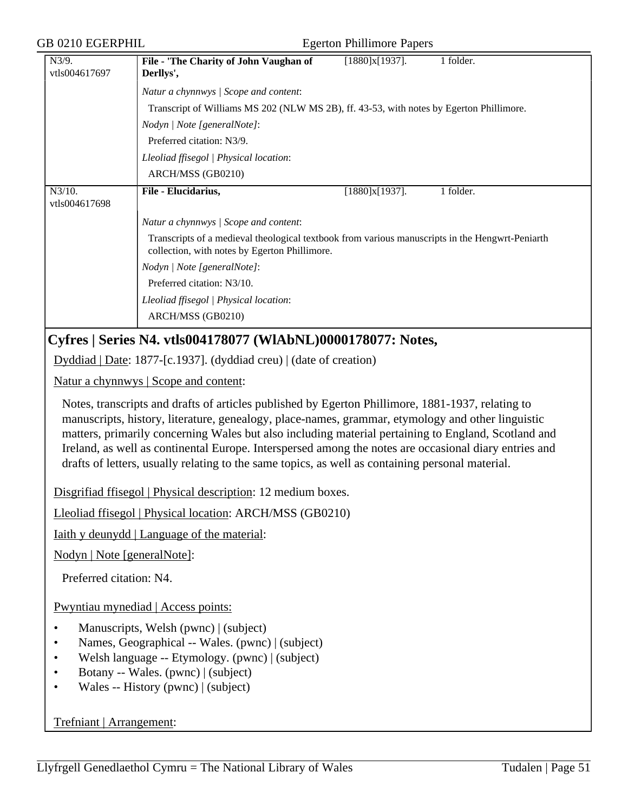| GB 0210 EGERPHIL<br><b>Egerton Phillimore Papers</b>                                                                                                                                                                                                                                                                                                                                                                                                                                                                       |                                                                                         |                                                                                                 |  |  |  |
|----------------------------------------------------------------------------------------------------------------------------------------------------------------------------------------------------------------------------------------------------------------------------------------------------------------------------------------------------------------------------------------------------------------------------------------------------------------------------------------------------------------------------|-----------------------------------------------------------------------------------------|-------------------------------------------------------------------------------------------------|--|--|--|
| N3/9.<br>vtls004617697                                                                                                                                                                                                                                                                                                                                                                                                                                                                                                     | File - 'The Charity of John Vaughan of<br>Derllys',                                     | $[1880]x[1937]$ .<br>1 folder.                                                                  |  |  |  |
|                                                                                                                                                                                                                                                                                                                                                                                                                                                                                                                            | Natur a chynnwys / Scope and content:                                                   |                                                                                                 |  |  |  |
|                                                                                                                                                                                                                                                                                                                                                                                                                                                                                                                            | Transcript of Williams MS 202 (NLW MS 2B), ff. 43-53, with notes by Egerton Phillimore. |                                                                                                 |  |  |  |
|                                                                                                                                                                                                                                                                                                                                                                                                                                                                                                                            | Nodyn   Note [generalNote]:                                                             |                                                                                                 |  |  |  |
|                                                                                                                                                                                                                                                                                                                                                                                                                                                                                                                            | Preferred citation: N3/9.                                                               |                                                                                                 |  |  |  |
|                                                                                                                                                                                                                                                                                                                                                                                                                                                                                                                            | Lleoliad ffisegol   Physical location:                                                  |                                                                                                 |  |  |  |
|                                                                                                                                                                                                                                                                                                                                                                                                                                                                                                                            | ARCH/MSS (GB0210)                                                                       |                                                                                                 |  |  |  |
| $N3/10$ .                                                                                                                                                                                                                                                                                                                                                                                                                                                                                                                  | File - Elucidarius,                                                                     | [1880]x[1937].<br>1 folder.                                                                     |  |  |  |
| vtls004617698                                                                                                                                                                                                                                                                                                                                                                                                                                                                                                              |                                                                                         |                                                                                                 |  |  |  |
|                                                                                                                                                                                                                                                                                                                                                                                                                                                                                                                            | Natur a chynnwys / Scope and content:                                                   |                                                                                                 |  |  |  |
|                                                                                                                                                                                                                                                                                                                                                                                                                                                                                                                            | collection, with notes by Egerton Phillimore.                                           | Transcripts of a medieval theological textbook from various manuscripts in the Hengwrt-Peniarth |  |  |  |
|                                                                                                                                                                                                                                                                                                                                                                                                                                                                                                                            | Nodyn   Note [generalNote]:                                                             |                                                                                                 |  |  |  |
|                                                                                                                                                                                                                                                                                                                                                                                                                                                                                                                            | Preferred citation: N3/10.                                                              |                                                                                                 |  |  |  |
|                                                                                                                                                                                                                                                                                                                                                                                                                                                                                                                            | Lleoliad ffisegol   Physical location:                                                  |                                                                                                 |  |  |  |
|                                                                                                                                                                                                                                                                                                                                                                                                                                                                                                                            | ARCH/MSS (GB0210)                                                                       |                                                                                                 |  |  |  |
|                                                                                                                                                                                                                                                                                                                                                                                                                                                                                                                            | Cyfres   Series N4. vtls004178077 (WIAbNL)0000178077: Notes,                            |                                                                                                 |  |  |  |
|                                                                                                                                                                                                                                                                                                                                                                                                                                                                                                                            | Dyddiad   Date: 1877-[c.1937]. (dyddiad creu)   (date of creation)                      |                                                                                                 |  |  |  |
|                                                                                                                                                                                                                                                                                                                                                                                                                                                                                                                            | Natur a chynnwys   Scope and content:                                                   |                                                                                                 |  |  |  |
| Notes, transcripts and drafts of articles published by Egerton Phillimore, 1881-1937, relating to<br>manuscripts, history, literature, genealogy, place-names, grammar, etymology and other linguistic<br>matters, primarily concerning Wales but also including material pertaining to England, Scotland and<br>Ireland, as well as continental Europe. Interspersed among the notes are occasional diary entries and<br>drafts of letters, usually relating to the same topics, as well as containing personal material. |                                                                                         |                                                                                                 |  |  |  |
|                                                                                                                                                                                                                                                                                                                                                                                                                                                                                                                            | Disgrifiad ffisegol   Physical description: 12 medium boxes.                            |                                                                                                 |  |  |  |
|                                                                                                                                                                                                                                                                                                                                                                                                                                                                                                                            | Lleoliad ffisegol   Physical location: ARCH/MSS (GB0210)                                |                                                                                                 |  |  |  |
| <u>Iaith y deunydd   Language of the material:</u>                                                                                                                                                                                                                                                                                                                                                                                                                                                                         |                                                                                         |                                                                                                 |  |  |  |
| Nodyn   Note [generalNote]:                                                                                                                                                                                                                                                                                                                                                                                                                                                                                                |                                                                                         |                                                                                                 |  |  |  |
| Preferred citation: N4.                                                                                                                                                                                                                                                                                                                                                                                                                                                                                                    |                                                                                         |                                                                                                 |  |  |  |
| Pwyntiau mynediad   Access points:                                                                                                                                                                                                                                                                                                                                                                                                                                                                                         |                                                                                         |                                                                                                 |  |  |  |
| Manuscripts, Welsh (pwnc)   (subject)<br>$\bullet$<br>Names, Geographical -- Wales. (pwnc)   (subject)<br>٠<br>Welsh language -- Etymology. (pwnc)   (subject)<br>Botany -- Wales. (pwnc)   (subject)<br>$\bullet$<br>Wales -- History (pwnc)   (subject)<br>$\bullet$                                                                                                                                                                                                                                                     |                                                                                         |                                                                                                 |  |  |  |

Trefniant | Arrangement: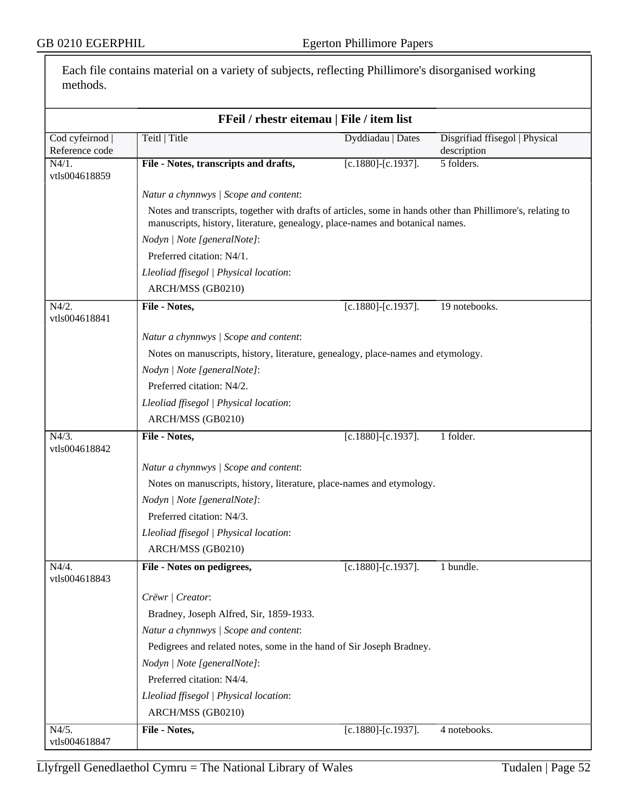Each file contains material on a variety of subjects, reflecting Phillimore's disorganised working methods.

| FFeil / rhestr eitemau   File / item list |                                                                                                                                                                                              |                           |                                               |  |  |
|-------------------------------------------|----------------------------------------------------------------------------------------------------------------------------------------------------------------------------------------------|---------------------------|-----------------------------------------------|--|--|
| Cod cyfeirnod  <br>Reference code         | Teitl   Title                                                                                                                                                                                | Dyddiadau   Dates         | Disgrifiad ffisegol   Physical<br>description |  |  |
| $N4/1$ .<br>vtls004618859                 | File - Notes, transcripts and drafts,                                                                                                                                                        | $[c.1880]$ - $[c.1937]$ . | 5 folders.                                    |  |  |
|                                           | Natur a chynnwys / Scope and content:                                                                                                                                                        |                           |                                               |  |  |
|                                           | Notes and transcripts, together with drafts of articles, some in hands other than Phillimore's, relating to<br>manuscripts, history, literature, genealogy, place-names and botanical names. |                           |                                               |  |  |
|                                           | Nodyn   Note [generalNote]:                                                                                                                                                                  |                           |                                               |  |  |
|                                           | Preferred citation: N4/1.                                                                                                                                                                    |                           |                                               |  |  |
|                                           | Lleoliad ffisegol   Physical location:                                                                                                                                                       |                           |                                               |  |  |
|                                           | ARCH/MSS (GB0210)                                                                                                                                                                            |                           |                                               |  |  |
| $N4/2$ .<br>vtls004618841                 | File - Notes,                                                                                                                                                                                | $[c.1880]$ - $[c.1937]$ . | 19 notebooks.                                 |  |  |
|                                           | Natur a chynnwys / Scope and content:                                                                                                                                                        |                           |                                               |  |  |
|                                           | Notes on manuscripts, history, literature, genealogy, place-names and etymology.                                                                                                             |                           |                                               |  |  |
|                                           | Nodyn   Note [generalNote]:                                                                                                                                                                  |                           |                                               |  |  |
|                                           | Preferred citation: N4/2.                                                                                                                                                                    |                           |                                               |  |  |
|                                           | Lleoliad ffisegol   Physical location:                                                                                                                                                       |                           |                                               |  |  |
|                                           | ARCH/MSS (GB0210)                                                                                                                                                                            |                           |                                               |  |  |
| $\overline{N4/3}$ .<br>vtls004618842      | File - Notes,                                                                                                                                                                                | $[c.1880]$ - $[c.1937]$ . | 1 folder.                                     |  |  |
|                                           | Natur a chynnwys / Scope and content:                                                                                                                                                        |                           |                                               |  |  |
|                                           | Notes on manuscripts, history, literature, place-names and etymology.                                                                                                                        |                           |                                               |  |  |
|                                           | Nodyn   Note [generalNote]:                                                                                                                                                                  |                           |                                               |  |  |
|                                           | Preferred citation: N4/3.                                                                                                                                                                    |                           |                                               |  |  |
|                                           | Lleoliad ffisegol   Physical location:                                                                                                                                                       |                           |                                               |  |  |
|                                           | ARCH/MSS (GB0210)                                                                                                                                                                            |                           |                                               |  |  |
| N4/4.<br>vtls004618843                    | File - Notes on pedigrees,                                                                                                                                                                   | $[c.1880]$ - $[c.1937]$ . | 1 bundle.                                     |  |  |
|                                           | Crëwr   Creator:                                                                                                                                                                             |                           |                                               |  |  |
|                                           | Bradney, Joseph Alfred, Sir, 1859-1933.                                                                                                                                                      |                           |                                               |  |  |
|                                           | Natur a chynnwys / Scope and content:                                                                                                                                                        |                           |                                               |  |  |
|                                           | Pedigrees and related notes, some in the hand of Sir Joseph Bradney.                                                                                                                         |                           |                                               |  |  |
|                                           | Nodyn   Note [generalNote]:                                                                                                                                                                  |                           |                                               |  |  |
|                                           | Preferred citation: N4/4.                                                                                                                                                                    |                           |                                               |  |  |
|                                           | Lleoliad ffisegol   Physical location:                                                                                                                                                       |                           |                                               |  |  |
|                                           | ARCH/MSS (GB0210)                                                                                                                                                                            |                           |                                               |  |  |
| N4/5.                                     | File - Notes,                                                                                                                                                                                | $[c.1880]$ - $[c.1937]$ . | 4 notebooks.                                  |  |  |
| vtls004618847                             |                                                                                                                                                                                              |                           |                                               |  |  |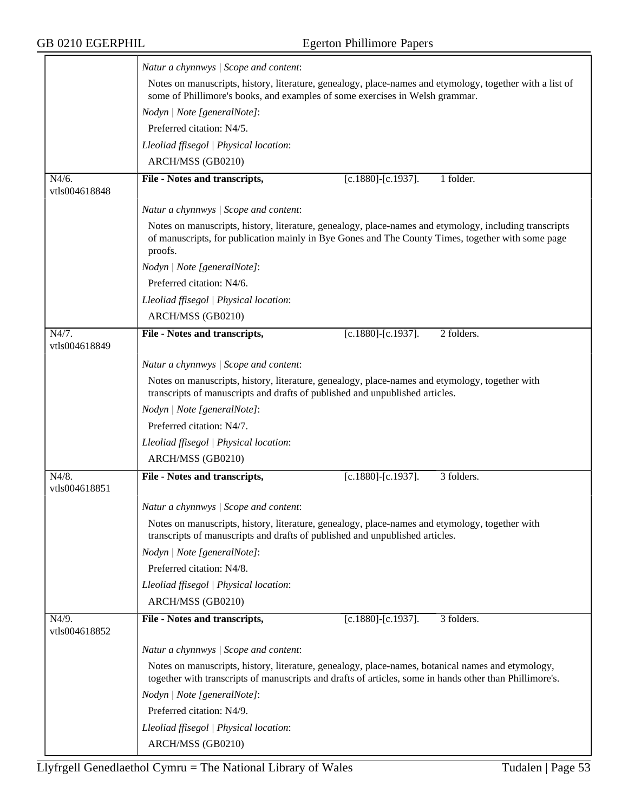|                        | Natur a chynnwys / Scope and content:                                                                                                                                                                                  |  |  |  |
|------------------------|------------------------------------------------------------------------------------------------------------------------------------------------------------------------------------------------------------------------|--|--|--|
|                        | Notes on manuscripts, history, literature, genealogy, place-names and etymology, together with a list of<br>some of Phillimore's books, and examples of some exercises in Welsh grammar.                               |  |  |  |
|                        | Nodyn   Note [generalNote]:                                                                                                                                                                                            |  |  |  |
|                        | Preferred citation: N4/5.                                                                                                                                                                                              |  |  |  |
|                        | Lleoliad ffisegol   Physical location:                                                                                                                                                                                 |  |  |  |
|                        | ARCH/MSS (GB0210)                                                                                                                                                                                                      |  |  |  |
| N4/6.<br>vtls004618848 | File - Notes and transcripts,<br>$[c.1880]$ - $[c.1937]$ .<br>1 folder.                                                                                                                                                |  |  |  |
|                        | Natur a chynnwys / Scope and content:                                                                                                                                                                                  |  |  |  |
|                        | Notes on manuscripts, history, literature, genealogy, place-names and etymology, including transcripts<br>of manuscripts, for publication mainly in Bye Gones and The County Times, together with some page<br>proofs. |  |  |  |
|                        | Nodyn   Note [generalNote]:                                                                                                                                                                                            |  |  |  |
|                        | Preferred citation: N4/6.                                                                                                                                                                                              |  |  |  |
|                        | Lleoliad ffisegol   Physical location:                                                                                                                                                                                 |  |  |  |
|                        | ARCH/MSS (GB0210)                                                                                                                                                                                                      |  |  |  |
| N4/7.                  | $[c.1880]$ - $[c.1937]$ .<br>2 folders.<br>File - Notes and transcripts,                                                                                                                                               |  |  |  |
| vtls004618849          |                                                                                                                                                                                                                        |  |  |  |
|                        | Natur a chynnwys / Scope and content:                                                                                                                                                                                  |  |  |  |
|                        | Notes on manuscripts, history, literature, genealogy, place-names and etymology, together with<br>transcripts of manuscripts and drafts of published and unpublished articles.                                         |  |  |  |
|                        | Nodyn   Note [generalNote]:                                                                                                                                                                                            |  |  |  |
|                        | Preferred citation: N4/7.                                                                                                                                                                                              |  |  |  |
|                        | Lleoliad ffisegol   Physical location:                                                                                                                                                                                 |  |  |  |
|                        | ARCH/MSS (GB0210)                                                                                                                                                                                                      |  |  |  |
| N4/8.                  | 3 folders.<br>File - Notes and transcripts,<br>[c.1880]-[c.1937].                                                                                                                                                      |  |  |  |
| vtls004618851          |                                                                                                                                                                                                                        |  |  |  |
|                        | Natur a chynnwys / Scope and content:                                                                                                                                                                                  |  |  |  |
|                        | Notes on manuscripts, history, literature, genealogy, place-names and etymology, together with<br>transcripts of manuscripts and drafts of published and unpublished articles.                                         |  |  |  |
|                        | Nodyn   Note [generalNote]:                                                                                                                                                                                            |  |  |  |
|                        | Preferred citation: N4/8.                                                                                                                                                                                              |  |  |  |
|                        | Lleoliad ffisegol   Physical location:                                                                                                                                                                                 |  |  |  |
|                        | ARCH/MSS (GB0210)                                                                                                                                                                                                      |  |  |  |
| N4/9.                  | File - Notes and transcripts,<br>$[c.1880]$ - $[c.1937]$ .<br>3 folders.                                                                                                                                               |  |  |  |
| vtls004618852          |                                                                                                                                                                                                                        |  |  |  |
|                        | Natur a chynnwys / Scope and content:                                                                                                                                                                                  |  |  |  |
|                        | Notes on manuscripts, history, literature, genealogy, place-names, botanical names and etymology,<br>together with transcripts of manuscripts and drafts of articles, some in hands other than Phillimore's.           |  |  |  |
|                        | Nodyn   Note [generalNote]:                                                                                                                                                                                            |  |  |  |
|                        | Preferred citation: N4/9.                                                                                                                                                                                              |  |  |  |
|                        | Lleoliad ffisegol   Physical location:                                                                                                                                                                                 |  |  |  |
|                        | ARCH/MSS (GB0210)                                                                                                                                                                                                      |  |  |  |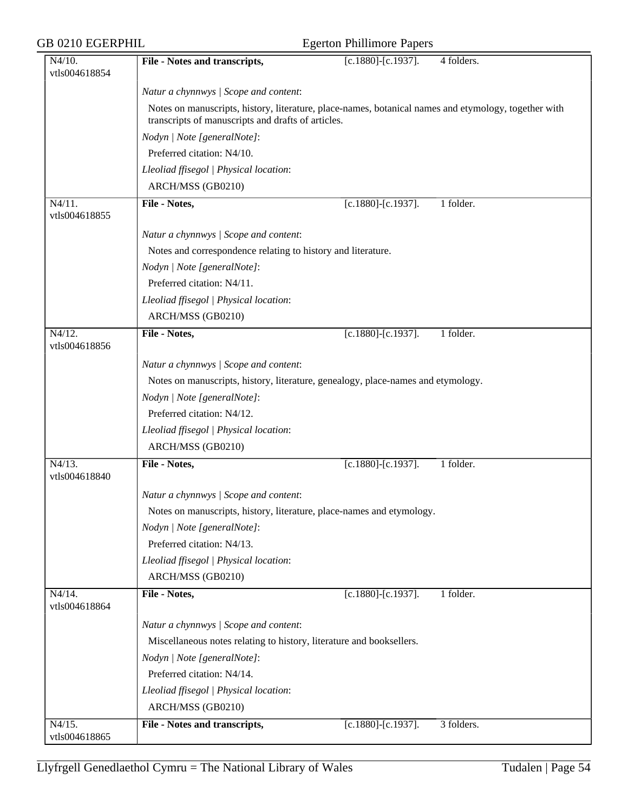| <b>GB 0210 EGERPHIL</b>    |                                                                                                                                                            | <b>Egerton Phillimore Papers</b> |            |
|----------------------------|------------------------------------------------------------------------------------------------------------------------------------------------------------|----------------------------------|------------|
| $N4/10$ .<br>vtls004618854 | File - Notes and transcripts,                                                                                                                              | $[c.1880]$ - $[c.1937]$ .        | 4 folders. |
|                            | Natur a chynnwys / Scope and content:                                                                                                                      |                                  |            |
|                            | Notes on manuscripts, history, literature, place-names, botanical names and etymology, together with<br>transcripts of manuscripts and drafts of articles. |                                  |            |
|                            | Nodyn   Note [generalNote]:                                                                                                                                |                                  |            |
|                            | Preferred citation: N4/10.                                                                                                                                 |                                  |            |
|                            | Lleoliad ffisegol   Physical location:                                                                                                                     |                                  |            |
|                            | ARCH/MSS (GB0210)                                                                                                                                          |                                  |            |
| $N4/11$ .                  | File - Notes,                                                                                                                                              | $[c.1880]$ - $[c.1937]$ .        | 1 folder.  |
| vtls004618855              |                                                                                                                                                            |                                  |            |
|                            | Natur a chynnwys / Scope and content:                                                                                                                      |                                  |            |
|                            | Notes and correspondence relating to history and literature.                                                                                               |                                  |            |
|                            | Nodyn   Note [generalNote]:                                                                                                                                |                                  |            |
|                            | Preferred citation: N4/11.                                                                                                                                 |                                  |            |
|                            | Lleoliad ffisegol   Physical location:                                                                                                                     |                                  |            |
|                            | ARCH/MSS (GB0210)                                                                                                                                          |                                  |            |
| N4/12.<br>vtls004618856    | File - Notes,                                                                                                                                              | $[c.1880]$ - $[c.1937]$ .        | 1 folder.  |
|                            |                                                                                                                                                            |                                  |            |
|                            | Natur a chynnwys / Scope and content:                                                                                                                      |                                  |            |
|                            | Notes on manuscripts, history, literature, genealogy, place-names and etymology.                                                                           |                                  |            |
|                            | Nodyn   Note [generalNote]:                                                                                                                                |                                  |            |
|                            | Preferred citation: N4/12.                                                                                                                                 |                                  |            |
|                            | Lleoliad ffisegol   Physical location:                                                                                                                     |                                  |            |
|                            | ARCH/MSS (GB0210)                                                                                                                                          |                                  |            |
| N4/13.<br>vtls004618840    | File - Notes,                                                                                                                                              | [c.1880]-[c.1937].               | 1 folder.  |
|                            | Natur a chynnwys / Scope and content:                                                                                                                      |                                  |            |
|                            | Notes on manuscripts, history, literature, place-names and etymology.                                                                                      |                                  |            |
|                            | Nodyn   Note [generalNote]:                                                                                                                                |                                  |            |
|                            | Preferred citation: N4/13.                                                                                                                                 |                                  |            |
|                            | Lleoliad ffisegol   Physical location:                                                                                                                     |                                  |            |
|                            | ARCH/MSS (GB0210)                                                                                                                                          |                                  |            |
| N4/14.<br>vtls004618864    | File - Notes,                                                                                                                                              | $[c.1880]$ - $[c.1937]$ .        | 1 folder.  |
|                            | Natur a chynnwys / Scope and content:                                                                                                                      |                                  |            |
|                            | Miscellaneous notes relating to history, literature and booksellers.                                                                                       |                                  |            |
|                            | Nodyn   Note [generalNote]:                                                                                                                                |                                  |            |
|                            | Preferred citation: N4/14.                                                                                                                                 |                                  |            |
|                            | Lleoliad ffisegol   Physical location:                                                                                                                     |                                  |            |
|                            | ARCH/MSS (GB0210)                                                                                                                                          |                                  |            |
| N4/15.                     | File - Notes and transcripts,                                                                                                                              | $[c.1880]$ - $[c.1937]$ .        | 3 folders. |
| vtls004618865              |                                                                                                                                                            |                                  |            |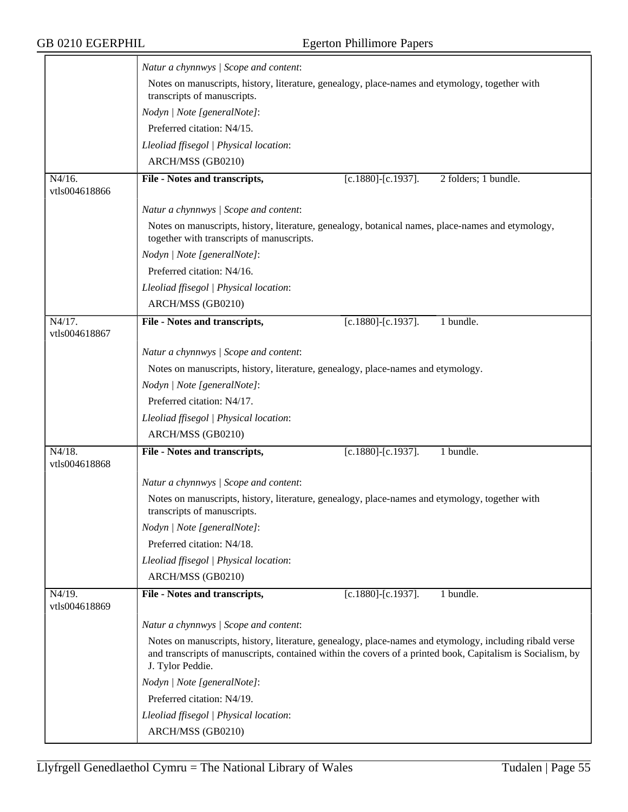|                                       | Natur a chynnwys / Scope and content:                                                                                                                                                                                                     |                           |                      |  |
|---------------------------------------|-------------------------------------------------------------------------------------------------------------------------------------------------------------------------------------------------------------------------------------------|---------------------------|----------------------|--|
|                                       | Notes on manuscripts, history, literature, genealogy, place-names and etymology, together with<br>transcripts of manuscripts.                                                                                                             |                           |                      |  |
|                                       | Nodyn   Note [generalNote]:                                                                                                                                                                                                               |                           |                      |  |
|                                       | Preferred citation: N4/15.                                                                                                                                                                                                                |                           |                      |  |
|                                       | Lleoliad ffisegol   Physical location:                                                                                                                                                                                                    |                           |                      |  |
|                                       | ARCH/MSS (GB0210)                                                                                                                                                                                                                         |                           |                      |  |
| $N4/16$ .<br>vtls004618866            | File - Notes and transcripts,                                                                                                                                                                                                             | $[c.1880]$ - $[c.1937]$ . | 2 folders; 1 bundle. |  |
|                                       | Natur a chynnwys / Scope and content:                                                                                                                                                                                                     |                           |                      |  |
|                                       | Notes on manuscripts, history, literature, genealogy, botanical names, place-names and etymology,<br>together with transcripts of manuscripts.                                                                                            |                           |                      |  |
|                                       | Nodyn   Note [generalNote]:                                                                                                                                                                                                               |                           |                      |  |
|                                       | Preferred citation: N4/16.                                                                                                                                                                                                                |                           |                      |  |
|                                       | Lleoliad ffisegol   Physical location:                                                                                                                                                                                                    |                           |                      |  |
|                                       | ARCH/MSS (GB0210)                                                                                                                                                                                                                         |                           |                      |  |
| $\overline{N4/17}$ .<br>vtls004618867 | File - Notes and transcripts,                                                                                                                                                                                                             | $[c.1880]$ - $[c.1937]$ . | 1 bundle.            |  |
|                                       | Natur a chynnwys / Scope and content:                                                                                                                                                                                                     |                           |                      |  |
|                                       | Notes on manuscripts, history, literature, genealogy, place-names and etymology.                                                                                                                                                          |                           |                      |  |
|                                       | Nodyn   Note [generalNote]:                                                                                                                                                                                                               |                           |                      |  |
|                                       | Preferred citation: N4/17.                                                                                                                                                                                                                |                           |                      |  |
|                                       | Lleoliad ffisegol   Physical location:                                                                                                                                                                                                    |                           |                      |  |
|                                       | ARCH/MSS (GB0210)                                                                                                                                                                                                                         |                           |                      |  |
| N4/18.                                | File - Notes and transcripts,                                                                                                                                                                                                             | $[c.1880]$ - $[c.1937]$ . | 1 bundle.            |  |
| vtls004618868                         |                                                                                                                                                                                                                                           |                           |                      |  |
|                                       | Natur a chynnwys / Scope and content:                                                                                                                                                                                                     |                           |                      |  |
|                                       | Notes on manuscripts, history, literature, genealogy, place-names and etymology, together with<br>transcripts of manuscripts.                                                                                                             |                           |                      |  |
|                                       | Nodyn   Note [generalNote]:                                                                                                                                                                                                               |                           |                      |  |
|                                       | Preferred citation: N4/18.                                                                                                                                                                                                                |                           |                      |  |
|                                       | Lleoliad ffisegol   Physical location:                                                                                                                                                                                                    |                           |                      |  |
|                                       | ARCH/MSS (GB0210)                                                                                                                                                                                                                         |                           |                      |  |
| $\overline{N4/19}$ .<br>vtls004618869 | File - Notes and transcripts,                                                                                                                                                                                                             | $[c.1880]$ - $[c.1937]$ . | 1 bundle.            |  |
|                                       | Natur a chynnwys / Scope and content:                                                                                                                                                                                                     |                           |                      |  |
|                                       | Notes on manuscripts, history, literature, genealogy, place-names and etymology, including ribald verse<br>and transcripts of manuscripts, contained within the covers of a printed book, Capitalism is Socialism, by<br>J. Tylor Peddie. |                           |                      |  |
|                                       | Nodyn   Note [generalNote]:                                                                                                                                                                                                               |                           |                      |  |
|                                       | Preferred citation: N4/19.                                                                                                                                                                                                                |                           |                      |  |
|                                       | Lleoliad ffisegol   Physical location:                                                                                                                                                                                                    |                           |                      |  |
|                                       | ARCH/MSS (GB0210)                                                                                                                                                                                                                         |                           |                      |  |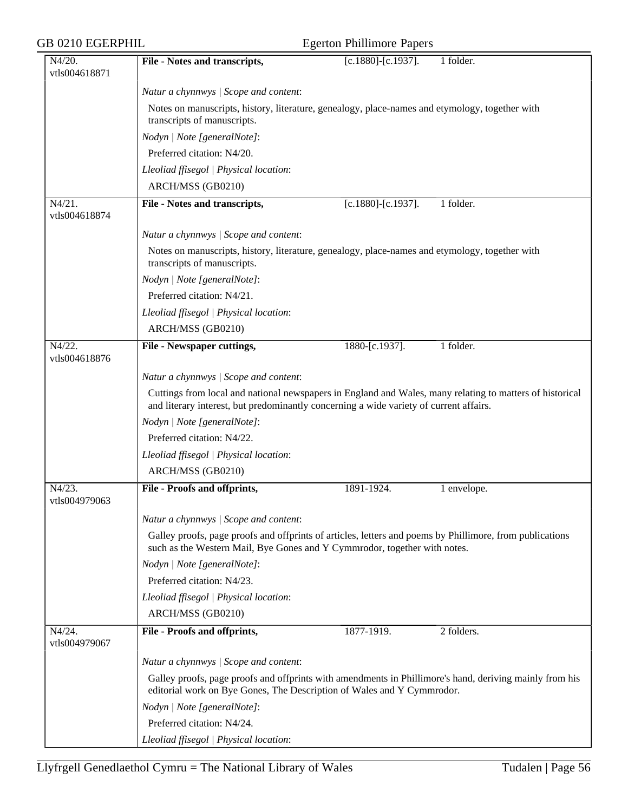| GB 0210 EGERPHIL                      |                                                                                                                                                                                                    | <b>Egerton Phillimore Papers</b> |             |  |
|---------------------------------------|----------------------------------------------------------------------------------------------------------------------------------------------------------------------------------------------------|----------------------------------|-------------|--|
| N4/20.<br>vtls004618871               | File - Notes and transcripts,                                                                                                                                                                      | $[c.1880]$ - $[c.1937]$ .        | 1 folder.   |  |
|                                       | Natur a chynnwys / Scope and content:                                                                                                                                                              |                                  |             |  |
|                                       | Notes on manuscripts, history, literature, genealogy, place-names and etymology, together with<br>transcripts of manuscripts.                                                                      |                                  |             |  |
|                                       | Nodyn   Note [generalNote]:                                                                                                                                                                        |                                  |             |  |
|                                       | Preferred citation: N4/20.                                                                                                                                                                         |                                  |             |  |
|                                       | Lleoliad ffisegol   Physical location:                                                                                                                                                             |                                  |             |  |
|                                       | ARCH/MSS (GB0210)                                                                                                                                                                                  |                                  |             |  |
| $N4/21$ .<br>vtls004618874            | File - Notes and transcripts,                                                                                                                                                                      | $[c.1880]$ - $[c.1937]$ .        | 1 folder.   |  |
|                                       | Natur a chynnwys / Scope and content:                                                                                                                                                              |                                  |             |  |
|                                       | Notes on manuscripts, history, literature, genealogy, place-names and etymology, together with<br>transcripts of manuscripts.                                                                      |                                  |             |  |
|                                       | Nodyn   Note [generalNote]:                                                                                                                                                                        |                                  |             |  |
|                                       | Preferred citation: N4/21.                                                                                                                                                                         |                                  |             |  |
|                                       | Lleoliad ffisegol   Physical location:                                                                                                                                                             |                                  |             |  |
|                                       | ARCH/MSS (GB0210)                                                                                                                                                                                  |                                  |             |  |
| $\overline{N4/22}$ .<br>vtls004618876 | File - Newspaper cuttings,                                                                                                                                                                         | 1880-[c.1937].                   | 1 folder.   |  |
|                                       | Natur a chynnwys / Scope and content:                                                                                                                                                              |                                  |             |  |
|                                       | Cuttings from local and national newspapers in England and Wales, many relating to matters of historical<br>and literary interest, but predominantly concerning a wide variety of current affairs. |                                  |             |  |
|                                       | Nodyn   Note [generalNote]:                                                                                                                                                                        |                                  |             |  |
|                                       | Preferred citation: N4/22.                                                                                                                                                                         |                                  |             |  |
|                                       | Lleoliad ffisegol   Physical location:                                                                                                                                                             |                                  |             |  |
|                                       | ARCH/MSS (GB0210)                                                                                                                                                                                  |                                  |             |  |
| N4/23.<br>vtls004979063               | File - Proofs and offprints,                                                                                                                                                                       | 1891-1924.                       | 1 envelope. |  |
|                                       | Natur a chynnwys / Scope and content:                                                                                                                                                              |                                  |             |  |
|                                       | Galley proofs, page proofs and offprints of articles, letters and poems by Phillimore, from publications<br>such as the Western Mail, Bye Gones and Y Cymmrodor, together with notes.              |                                  |             |  |
|                                       | Nodyn   Note [generalNote]:                                                                                                                                                                        |                                  |             |  |
|                                       | Preferred citation: N4/23.                                                                                                                                                                         |                                  |             |  |
|                                       | Lleoliad ffisegol   Physical location:                                                                                                                                                             |                                  |             |  |
|                                       | ARCH/MSS (GB0210)                                                                                                                                                                                  |                                  |             |  |
| N4/24.<br>vtls004979067               | File - Proofs and offprints,                                                                                                                                                                       | 1877-1919.                       | 2 folders.  |  |
|                                       | Natur a chynnwys / Scope and content:                                                                                                                                                              |                                  |             |  |
|                                       | Galley proofs, page proofs and offprints with amendments in Phillimore's hand, deriving mainly from his<br>editorial work on Bye Gones, The Description of Wales and Y Cymmrodor.                  |                                  |             |  |
|                                       | Nodyn   Note [generalNote]:                                                                                                                                                                        |                                  |             |  |
|                                       | Preferred citation: N4/24.                                                                                                                                                                         |                                  |             |  |
|                                       | Lleoliad ffisegol   Physical location:                                                                                                                                                             |                                  |             |  |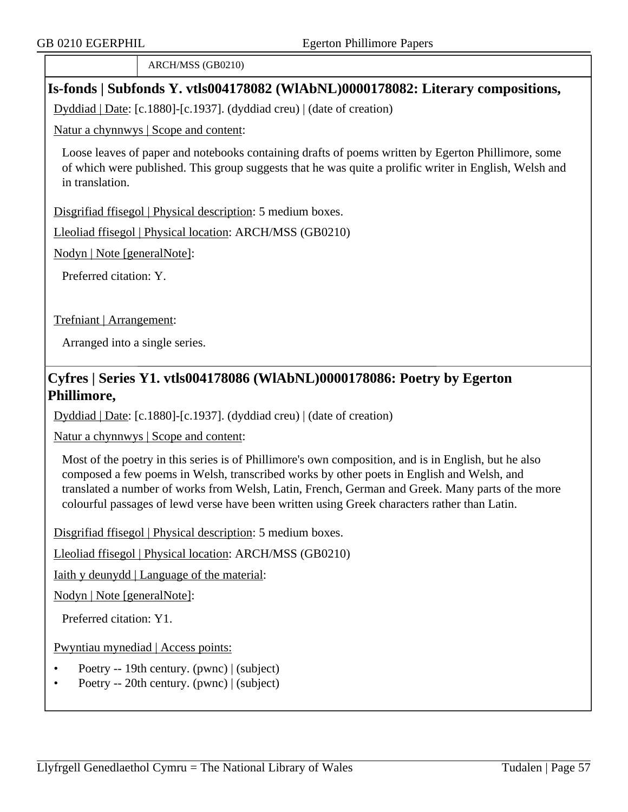ARCH/MSS (GB0210)

### **Is-fonds | Subfonds Y. vtls004178082 (WlAbNL)0000178082: Literary compositions,**

Dyddiad | Date: [c.1880]-[c.1937]. (dyddiad creu) | (date of creation)

Natur a chynnwys | Scope and content:

Loose leaves of paper and notebooks containing drafts of poems written by Egerton Phillimore, some of which were published. This group suggests that he was quite a prolific writer in English, Welsh and in translation.

Disgrifiad ffisegol | Physical description: 5 medium boxes.

Lleoliad ffisegol | Physical location: ARCH/MSS (GB0210)

Nodyn | Note [generalNote]:

Preferred citation: Y.

Trefniant | Arrangement:

Arranged into a single series.

## **Cyfres | Series Y1. vtls004178086 (WlAbNL)0000178086: Poetry by Egerton Phillimore,**

Dyddiad | Date: [c.1880]-[c.1937]. (dyddiad creu) | (date of creation)

Natur a chynnwys | Scope and content:

Most of the poetry in this series is of Phillimore's own composition, and is in English, but he also composed a few poems in Welsh, transcribed works by other poets in English and Welsh, and translated a number of works from Welsh, Latin, French, German and Greek. Many parts of the more colourful passages of lewd verse have been written using Greek characters rather than Latin.

Disgrifiad ffisegol | Physical description: 5 medium boxes.

Lleoliad ffisegol | Physical location: ARCH/MSS (GB0210)

Iaith y deunydd | Language of the material:

Nodyn | Note [generalNote]:

Preferred citation: Y1.

Pwyntiau mynediad | Access points:

- Poetry -- 19th century. (pwnc) | (subject)
- Poetry -- 20th century. (pwnc) | (subject)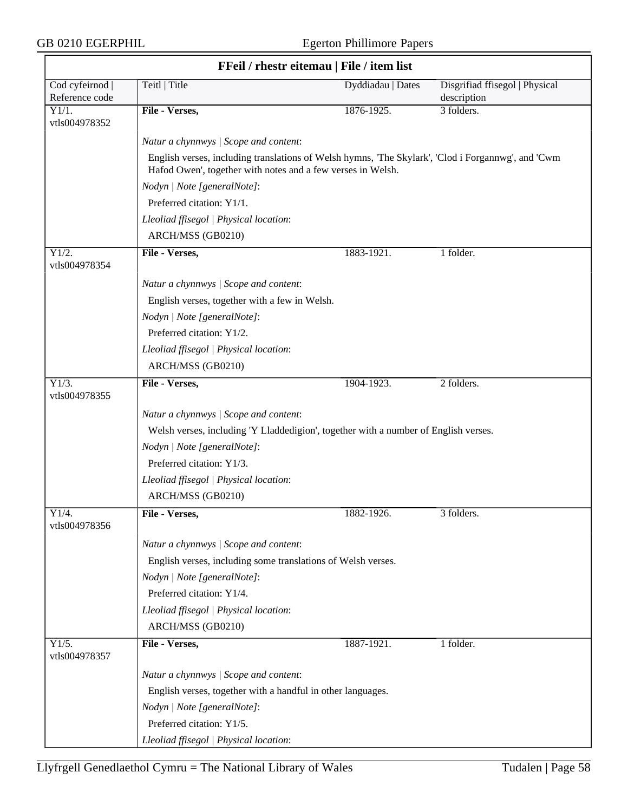$\overline{\phantom{a}}$ 

| FFeil / rhestr eitemau   File / item list |                                                                                                                                                                   |                   |                                               |  |
|-------------------------------------------|-------------------------------------------------------------------------------------------------------------------------------------------------------------------|-------------------|-----------------------------------------------|--|
| Cod cyfeirnod  <br>Reference code         | Teitl   Title                                                                                                                                                     | Dyddiadau   Dates | Disgrifiad ffisegol   Physical<br>description |  |
| Y1/1.<br>vtls004978352                    | File - Verses,                                                                                                                                                    | 1876-1925.        | 3 folders.                                    |  |
|                                           | Natur a chynnwys / Scope and content:                                                                                                                             |                   |                                               |  |
|                                           | English verses, including translations of Welsh hymns, 'The Skylark', 'Clod i Forgannwg', and 'Cwm<br>Hafod Owen', together with notes and a few verses in Welsh. |                   |                                               |  |
|                                           | Nodyn   Note [generalNote]:                                                                                                                                       |                   |                                               |  |
|                                           | Preferred citation: Y1/1.                                                                                                                                         |                   |                                               |  |
|                                           | Lleoliad ffisegol   Physical location:                                                                                                                            |                   |                                               |  |
|                                           | ARCH/MSS (GB0210)                                                                                                                                                 |                   |                                               |  |
| Y1/2.<br>vtls004978354                    | File - Verses,                                                                                                                                                    | 1883-1921.        | 1 folder.                                     |  |
|                                           | Natur a chynnwys / Scope and content:                                                                                                                             |                   |                                               |  |
|                                           | English verses, together with a few in Welsh.                                                                                                                     |                   |                                               |  |
|                                           | Nodyn   Note [generalNote]:                                                                                                                                       |                   |                                               |  |
|                                           | Preferred citation: Y1/2.                                                                                                                                         |                   |                                               |  |
|                                           | Lleoliad ffisegol   Physical location:                                                                                                                            |                   |                                               |  |
|                                           | ARCH/MSS (GB0210)                                                                                                                                                 |                   |                                               |  |
| $\overline{Y1/3}$ .<br>vtls004978355      | File - Verses,                                                                                                                                                    | 1904-1923.        | 2 folders.                                    |  |
|                                           | Natur a chynnwys / Scope and content:                                                                                                                             |                   |                                               |  |
|                                           | Welsh verses, including 'Y Lladdedigion', together with a number of English verses.                                                                               |                   |                                               |  |
|                                           | Nodyn   Note [generalNote]:                                                                                                                                       |                   |                                               |  |
|                                           | Preferred citation: Y1/3.                                                                                                                                         |                   |                                               |  |
|                                           | Lleoliad ffisegol   Physical location:                                                                                                                            |                   |                                               |  |
|                                           | ARCH/MSS (GB0210)                                                                                                                                                 |                   |                                               |  |
| Y1/4.<br>vtls004978356                    | File - Verses,                                                                                                                                                    | $1882 - 1926.$    | 3 folders.                                    |  |
|                                           | Natur a chynnwys / Scope and content:                                                                                                                             |                   |                                               |  |
|                                           | English verses, including some translations of Welsh verses.                                                                                                      |                   |                                               |  |
|                                           | Nodyn   Note [generalNote]:                                                                                                                                       |                   |                                               |  |
|                                           | Preferred citation: Y1/4.                                                                                                                                         |                   |                                               |  |
|                                           | Lleoliad ffisegol   Physical location:                                                                                                                            |                   |                                               |  |
|                                           | ARCH/MSS (GB0210)                                                                                                                                                 |                   |                                               |  |
| Y1/5.<br>vtls004978357                    | File - Verses,                                                                                                                                                    | 1887-1921.        | 1 folder.                                     |  |
|                                           | Natur a chynnwys / Scope and content:                                                                                                                             |                   |                                               |  |
|                                           | English verses, together with a handful in other languages.                                                                                                       |                   |                                               |  |
|                                           | Nodyn   Note [generalNote]:                                                                                                                                       |                   |                                               |  |
|                                           | Preferred citation: Y1/5.                                                                                                                                         |                   |                                               |  |
|                                           | Lleoliad ffisegol   Physical location:                                                                                                                            |                   |                                               |  |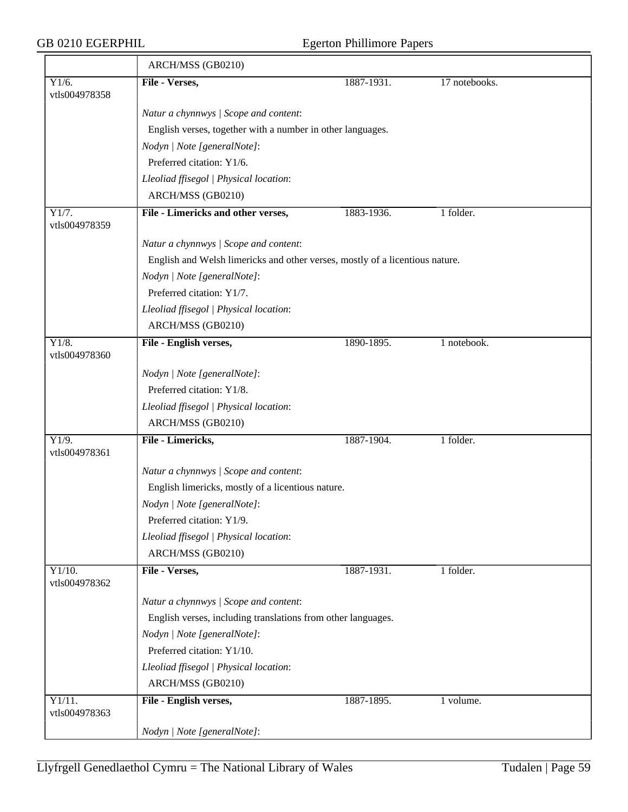|                                      | ARCH/MSS (GB0210)                                                            |            |               |  |  |
|--------------------------------------|------------------------------------------------------------------------------|------------|---------------|--|--|
| Y1/6.<br>vtls004978358               | File - Verses,                                                               | 1887-1931. | 17 notebooks. |  |  |
|                                      | Natur a chynnwys / Scope and content:                                        |            |               |  |  |
|                                      | English verses, together with a number in other languages.                   |            |               |  |  |
|                                      | Nodyn   Note [generalNote]:                                                  |            |               |  |  |
|                                      | Preferred citation: Y1/6.                                                    |            |               |  |  |
|                                      | Lleoliad ffisegol   Physical location:                                       |            |               |  |  |
|                                      | ARCH/MSS (GB0210)                                                            |            |               |  |  |
| Y1/7.<br>vtls004978359               | File - Limericks and other verses,                                           | 1883-1936. | 1 folder.     |  |  |
|                                      | Natur a chynnwys / Scope and content:                                        |            |               |  |  |
|                                      | English and Welsh limericks and other verses, mostly of a licentious nature. |            |               |  |  |
|                                      | Nodyn   Note [generalNote]:                                                  |            |               |  |  |
|                                      | Preferred citation: Y1/7.                                                    |            |               |  |  |
|                                      | Lleoliad ffisegol   Physical location:                                       |            |               |  |  |
|                                      | ARCH/MSS (GB0210)                                                            |            |               |  |  |
| Y1/8.<br>vtls004978360               | File - English verses,                                                       | 1890-1895. | 1 notebook.   |  |  |
|                                      | Nodyn   Note [generalNote]:                                                  |            |               |  |  |
|                                      | Preferred citation: Y1/8.                                                    |            |               |  |  |
|                                      | Lleoliad ffisegol   Physical location:                                       |            |               |  |  |
|                                      | ARCH/MSS (GB0210)                                                            |            |               |  |  |
| $\overline{Y1/9}$ .<br>vtls004978361 | File - Limericks,                                                            | 1887-1904. | 1 folder.     |  |  |
|                                      | Natur a chynnwys / Scope and content:                                        |            |               |  |  |
|                                      | English limericks, mostly of a licentious nature.                            |            |               |  |  |
|                                      | Nodyn   Note [generalNote]:                                                  |            |               |  |  |
|                                      | Preferred citation: Y1/9.                                                    |            |               |  |  |
|                                      | Lleoliad ffisegol   Physical location:                                       |            |               |  |  |
|                                      | ARCH/MSS (GB0210)                                                            |            |               |  |  |
| Y1/10.<br>vtls004978362              | File - Verses,                                                               | 1887-1931. | 1 folder.     |  |  |
|                                      | Natur a chynnwys / Scope and content:                                        |            |               |  |  |
|                                      | English verses, including translations from other languages.                 |            |               |  |  |
|                                      | Nodyn   Note [generalNote]:                                                  |            |               |  |  |
|                                      | Preferred citation: Y1/10.                                                   |            |               |  |  |
|                                      | Lleoliad ffisegol   Physical location:                                       |            |               |  |  |
|                                      | ARCH/MSS (GB0210)                                                            |            |               |  |  |
| Y1/11.<br>vtls004978363              | File - English verses,                                                       | 1887-1895. | 1 volume.     |  |  |
|                                      | Nodyn   Note [generalNote]:                                                  |            |               |  |  |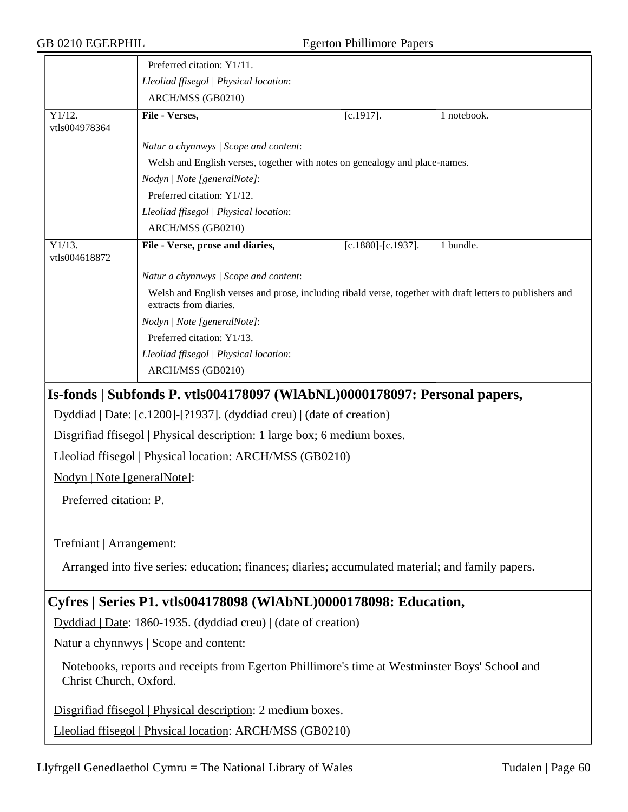|                                                                                                                          | Preferred citation: Y1/11.                                                                                                          |                           |             |  |  |
|--------------------------------------------------------------------------------------------------------------------------|-------------------------------------------------------------------------------------------------------------------------------------|---------------------------|-------------|--|--|
|                                                                                                                          | Lleoliad ffisegol   Physical location:                                                                                              |                           |             |  |  |
|                                                                                                                          | ARCH/MSS (GB0210)                                                                                                                   |                           |             |  |  |
| Y1/12.<br>vtls004978364                                                                                                  | File - Verses,                                                                                                                      | $[c.1917]$ .              | 1 notebook. |  |  |
|                                                                                                                          | Natur a chynnwys / Scope and content:                                                                                               |                           |             |  |  |
|                                                                                                                          | Welsh and English verses, together with notes on genealogy and place-names.                                                         |                           |             |  |  |
|                                                                                                                          | Nodyn   Note [generalNote]:                                                                                                         |                           |             |  |  |
|                                                                                                                          | Preferred citation: Y1/12.                                                                                                          |                           |             |  |  |
|                                                                                                                          | Lleoliad ffisegol   Physical location:                                                                                              |                           |             |  |  |
|                                                                                                                          | ARCH/MSS (GB0210)                                                                                                                   |                           |             |  |  |
| $Y1/13$ .<br>vtls004618872                                                                                               | File - Verse, prose and diaries,                                                                                                    | $[c.1880]$ - $[c.1937]$ . | 1 bundle.   |  |  |
|                                                                                                                          | Natur a chynnwys / Scope and content:                                                                                               |                           |             |  |  |
|                                                                                                                          | Welsh and English verses and prose, including ribald verse, together with draft letters to publishers and<br>extracts from diaries. |                           |             |  |  |
|                                                                                                                          | Nodyn   Note [generalNote]:                                                                                                         |                           |             |  |  |
|                                                                                                                          | Preferred citation: Y1/13.                                                                                                          |                           |             |  |  |
|                                                                                                                          | Lleoliad ffisegol   Physical location:                                                                                              |                           |             |  |  |
|                                                                                                                          | ARCH/MSS (GB0210)                                                                                                                   |                           |             |  |  |
|                                                                                                                          | Is-fonds   Subfonds P. vtls004178097 (WIAbNL)0000178097: Personal papers,                                                           |                           |             |  |  |
|                                                                                                                          | Dyddiad   Date: [c.1200]-[?1937]. (dyddiad creu)   (date of creation)                                                               |                           |             |  |  |
|                                                                                                                          | Disgrifiad ffisegol   Physical description: 1 large box; 6 medium boxes.                                                            |                           |             |  |  |
| Lleoliad ffisegol   Physical location: ARCH/MSS (GB0210)                                                                 |                                                                                                                                     |                           |             |  |  |
| Nodyn   Note [generalNote]:                                                                                              |                                                                                                                                     |                           |             |  |  |
| Preferred citation: P.                                                                                                   |                                                                                                                                     |                           |             |  |  |
|                                                                                                                          |                                                                                                                                     |                           |             |  |  |
| Trefniant   Arrangement:                                                                                                 |                                                                                                                                     |                           |             |  |  |
| Arranged into five series: education; finances; diaries; accumulated material; and family papers.                        |                                                                                                                                     |                           |             |  |  |
| Cyfres   Series P1. vtls004178098 (WIAbNL)0000178098: Education,                                                         |                                                                                                                                     |                           |             |  |  |
| Dyddiad   Date: 1860-1935. (dyddiad creu)   (date of creation)                                                           |                                                                                                                                     |                           |             |  |  |
| Natur a chynnwys   Scope and content:                                                                                    |                                                                                                                                     |                           |             |  |  |
| Notebooks, reports and receipts from Egerton Phillimore's time at Westminster Boys' School and<br>Christ Church, Oxford. |                                                                                                                                     |                           |             |  |  |
| Disgrifiad ffisegol   Physical description: 2 medium boxes.                                                              |                                                                                                                                     |                           |             |  |  |
|                                                                                                                          | Lleoliad ffisegol   Physical location: ARCH/MSS (GB0210)                                                                            |                           |             |  |  |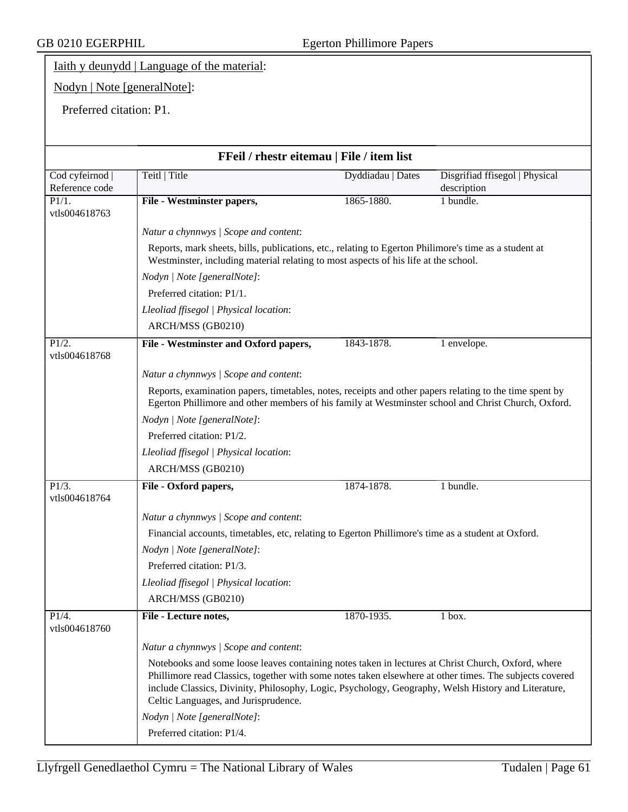## Iaith y deunydd | Language of the material:

# Nodyn | Note [generalNote]:

Preferred citation: P1.

| FFeil / rhestr eitemau   File / item list |                                                                                                                                                                                                                                                                                                                                                              |                   |                                               |  |  |
|-------------------------------------------|--------------------------------------------------------------------------------------------------------------------------------------------------------------------------------------------------------------------------------------------------------------------------------------------------------------------------------------------------------------|-------------------|-----------------------------------------------|--|--|
| Cod cyfeirnod  <br>Reference code         | Teitl   Title                                                                                                                                                                                                                                                                                                                                                | Dyddiadau   Dates | Disgrifiad ffisegol   Physical<br>description |  |  |
| P1/1.                                     | File - Westminster papers,                                                                                                                                                                                                                                                                                                                                   | 1865-1880.        | 1 bundle.                                     |  |  |
| vtls004618763                             |                                                                                                                                                                                                                                                                                                                                                              |                   |                                               |  |  |
|                                           | Natur a chynnwys / Scope and content:                                                                                                                                                                                                                                                                                                                        |                   |                                               |  |  |
|                                           | Reports, mark sheets, bills, publications, etc., relating to Egerton Philimore's time as a student at<br>Westminster, including material relating to most aspects of his life at the school.                                                                                                                                                                 |                   |                                               |  |  |
|                                           | Nodyn   Note [generalNote]:                                                                                                                                                                                                                                                                                                                                  |                   |                                               |  |  |
|                                           | Preferred citation: P1/1.                                                                                                                                                                                                                                                                                                                                    |                   |                                               |  |  |
|                                           | Lleoliad ffisegol   Physical location:                                                                                                                                                                                                                                                                                                                       |                   |                                               |  |  |
|                                           | ARCH/MSS (GB0210)                                                                                                                                                                                                                                                                                                                                            |                   |                                               |  |  |
| P1/2.<br>vtls004618768                    | File - Westminster and Oxford papers,                                                                                                                                                                                                                                                                                                                        | 1843-1878.        | 1 envelope.                                   |  |  |
|                                           | Natur a chynnwys / Scope and content:                                                                                                                                                                                                                                                                                                                        |                   |                                               |  |  |
|                                           | Reports, examination papers, timetables, notes, receipts and other papers relating to the time spent by<br>Egerton Phillimore and other members of his family at Westminster school and Christ Church, Oxford.                                                                                                                                               |                   |                                               |  |  |
|                                           | Nodyn   Note [generalNote]:                                                                                                                                                                                                                                                                                                                                  |                   |                                               |  |  |
|                                           | Preferred citation: P1/2.                                                                                                                                                                                                                                                                                                                                    |                   |                                               |  |  |
|                                           | Lleoliad ffisegol   Physical location:                                                                                                                                                                                                                                                                                                                       |                   |                                               |  |  |
|                                           | ARCH/MSS (GB0210)                                                                                                                                                                                                                                                                                                                                            |                   |                                               |  |  |
| P1/3.                                     | File - Oxford papers,                                                                                                                                                                                                                                                                                                                                        | 1874-1878.        | 1 bundle.                                     |  |  |
| vtls004618764                             |                                                                                                                                                                                                                                                                                                                                                              |                   |                                               |  |  |
|                                           | Natur a chynnwys / Scope and content:                                                                                                                                                                                                                                                                                                                        |                   |                                               |  |  |
|                                           | Financial accounts, timetables, etc, relating to Egerton Phillimore's time as a student at Oxford.                                                                                                                                                                                                                                                           |                   |                                               |  |  |
|                                           | Nodyn   Note [generalNote]:                                                                                                                                                                                                                                                                                                                                  |                   |                                               |  |  |
|                                           | Preferred citation: P1/3.                                                                                                                                                                                                                                                                                                                                    |                   |                                               |  |  |
|                                           | Lleoliad ffisegol   Physical location:                                                                                                                                                                                                                                                                                                                       |                   |                                               |  |  |
|                                           | ARCH/MSS (GB0210)                                                                                                                                                                                                                                                                                                                                            |                   |                                               |  |  |
| P1/4.<br>vtls004618760                    | File - Lecture notes,                                                                                                                                                                                                                                                                                                                                        | 1870-1935.        | 1 box.                                        |  |  |
|                                           | Natur a chynnwys / Scope and content:                                                                                                                                                                                                                                                                                                                        |                   |                                               |  |  |
|                                           | Notebooks and some loose leaves containing notes taken in lectures at Christ Church, Oxford, where<br>Phillimore read Classics, together with some notes taken elsewhere at other times. The subjects covered<br>include Classics, Divinity, Philosophy, Logic, Psychology, Geography, Welsh History and Literature,<br>Celtic Languages, and Jurisprudence. |                   |                                               |  |  |
|                                           | Nodyn   Note [generalNote]:                                                                                                                                                                                                                                                                                                                                  |                   |                                               |  |  |
|                                           | Preferred citation: P1/4.                                                                                                                                                                                                                                                                                                                                    |                   |                                               |  |  |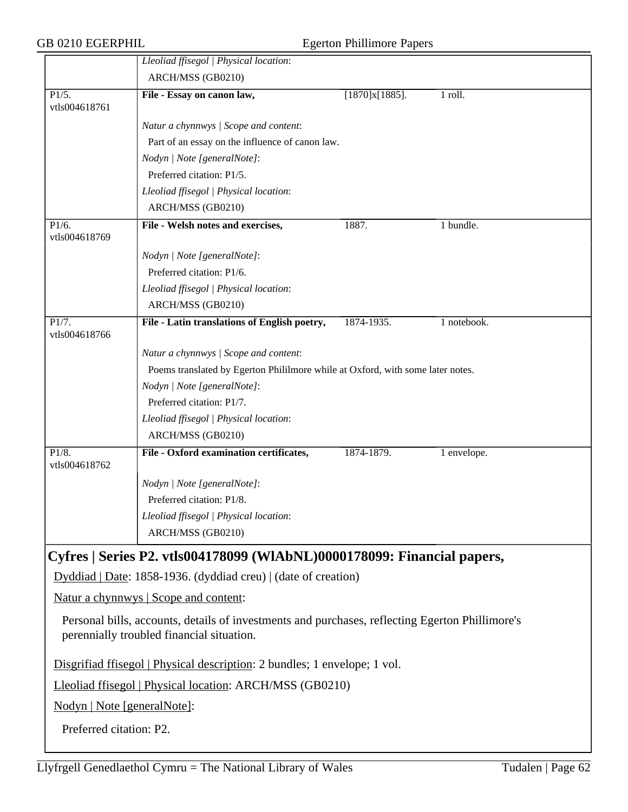| GB 0210 EGERPHIL            |                                                                                                                                              | <b>Egerton Phillimore Papers</b> |             |
|-----------------------------|----------------------------------------------------------------------------------------------------------------------------------------------|----------------------------------|-------------|
|                             | Lleoliad ffisegol   Physical location:<br>ARCH/MSS (GB0210)                                                                                  |                                  |             |
| P1/5.<br>vtls004618761      | File - Essay on canon law,                                                                                                                   | [1870]x[1885].                   | 1 roll.     |
|                             | Natur a chynnwys / Scope and content:                                                                                                        |                                  |             |
|                             | Part of an essay on the influence of canon law.                                                                                              |                                  |             |
|                             | Nodyn   Note [generalNote]:                                                                                                                  |                                  |             |
|                             | Preferred citation: P1/5.                                                                                                                    |                                  |             |
|                             | Lleoliad ffisegol   Physical location:                                                                                                       |                                  |             |
|                             | ARCH/MSS (GB0210)                                                                                                                            |                                  |             |
| P1/6.<br>vtls004618769      | File - Welsh notes and exercises,                                                                                                            | 1887.                            | 1 bundle.   |
|                             | Nodyn   Note [generalNote]:                                                                                                                  |                                  |             |
|                             | Preferred citation: P1/6.                                                                                                                    |                                  |             |
|                             | Lleoliad ffisegol   Physical location:                                                                                                       |                                  |             |
|                             | ARCH/MSS (GB0210)                                                                                                                            |                                  |             |
| P1/7.<br>vtls004618766      | File - Latin translations of English poetry,                                                                                                 | 1874-1935.                       | 1 notebook. |
|                             | Natur a chynnwys / Scope and content:                                                                                                        |                                  |             |
|                             | Poems translated by Egerton Phililmore while at Oxford, with some later notes.                                                               |                                  |             |
|                             | Nodyn   Note [generalNote]:                                                                                                                  |                                  |             |
|                             | Preferred citation: P1/7.                                                                                                                    |                                  |             |
|                             | Lleoliad ffisegol   Physical location:                                                                                                       |                                  |             |
|                             | ARCH/MSS (GB0210)                                                                                                                            |                                  |             |
| P1/8.<br>vtls004618762      | File - Oxford examination certificates,                                                                                                      | 1874-1879.                       | 1 envelope. |
|                             | Nodyn   Note [generalNote]:                                                                                                                  |                                  |             |
|                             | Preferred citation: P1/8.                                                                                                                    |                                  |             |
|                             | Lleoliad ffisegol   Physical location:                                                                                                       |                                  |             |
|                             | ARCH/MSS (GB0210)                                                                                                                            |                                  |             |
|                             | Cyfres   Series P2. vtls004178099 (WlAbNL)0000178099: Financial papers,                                                                      |                                  |             |
|                             | Dyddiad   Date: 1858-1936. (dyddiad creu)   (date of creation)                                                                               |                                  |             |
|                             | <u>Natur a chynnwys</u>   Scope and content:                                                                                                 |                                  |             |
|                             | Personal bills, accounts, details of investments and purchases, reflecting Egerton Phillimore's<br>perennially troubled financial situation. |                                  |             |
|                             | Disgrifiad ffisegol   Physical description: 2 bundles; 1 envelope; 1 vol.                                                                    |                                  |             |
|                             | Lleoliad ffisegol   Physical location: ARCH/MSS (GB0210)                                                                                     |                                  |             |
| Nodyn   Note [generalNote]: |                                                                                                                                              |                                  |             |
| Preferred citation: P2.     |                                                                                                                                              |                                  |             |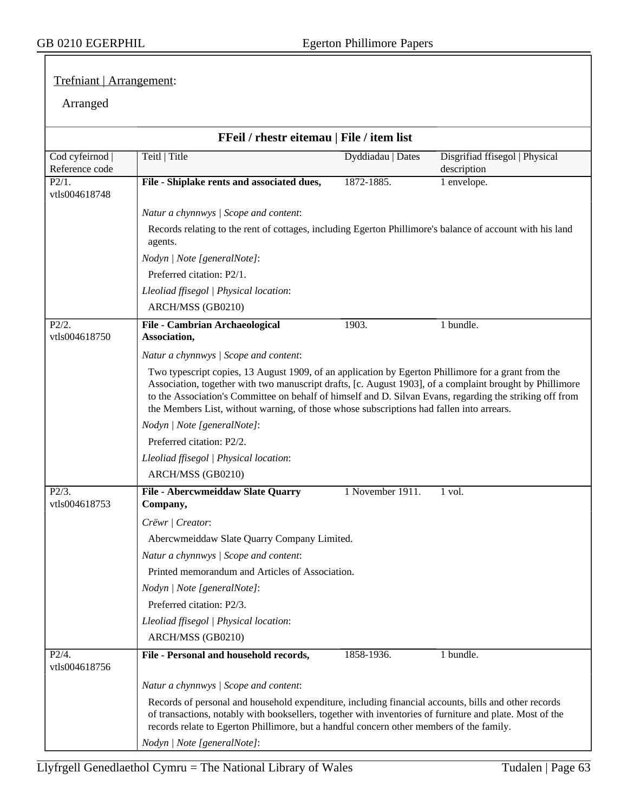### Trefniant | Arrangement:

## Arranged

|                                 | FFeil / rhestr eitemau   File / item list                                                                                                                                                                                                                                                                                                                                                                                                              |                   |                                               |  |  |
|---------------------------------|--------------------------------------------------------------------------------------------------------------------------------------------------------------------------------------------------------------------------------------------------------------------------------------------------------------------------------------------------------------------------------------------------------------------------------------------------------|-------------------|-----------------------------------------------|--|--|
| Cod cyfeirnod<br>Reference code | Teitl   Title                                                                                                                                                                                                                                                                                                                                                                                                                                          | Dyddiadau   Dates | Disgrifiad ffisegol   Physical<br>description |  |  |
| P2/1.<br>vtls004618748          | File - Shiplake rents and associated dues,                                                                                                                                                                                                                                                                                                                                                                                                             | 1872-1885.        | 1 envelope.                                   |  |  |
|                                 | Natur a chynnwys / Scope and content:                                                                                                                                                                                                                                                                                                                                                                                                                  |                   |                                               |  |  |
|                                 | Records relating to the rent of cottages, including Egerton Phillimore's balance of account with his land<br>agents.                                                                                                                                                                                                                                                                                                                                   |                   |                                               |  |  |
|                                 | Nodyn   Note [generalNote]:                                                                                                                                                                                                                                                                                                                                                                                                                            |                   |                                               |  |  |
|                                 | Preferred citation: P2/1.                                                                                                                                                                                                                                                                                                                                                                                                                              |                   |                                               |  |  |
|                                 | Lleoliad ffisegol   Physical location:<br>ARCH/MSS (GB0210)                                                                                                                                                                                                                                                                                                                                                                                            |                   |                                               |  |  |
| P2/2.                           | File - Cambrian Archaeological                                                                                                                                                                                                                                                                                                                                                                                                                         | 1903.             | 1 bundle.                                     |  |  |
| vtls004618750                   | Association,                                                                                                                                                                                                                                                                                                                                                                                                                                           |                   |                                               |  |  |
|                                 | Natur a chynnwys / Scope and content:                                                                                                                                                                                                                                                                                                                                                                                                                  |                   |                                               |  |  |
|                                 | Two typescript copies, 13 August 1909, of an application by Egerton Phillimore for a grant from the<br>Association, together with two manuscript drafts, [c. August 1903], of a complaint brought by Phillimore<br>to the Association's Committee on behalf of himself and D. Silvan Evans, regarding the striking off from<br>the Members List, without warning, of those whose subscriptions had fallen into arrears.<br>Nodyn   Note [generalNote]: |                   |                                               |  |  |
|                                 |                                                                                                                                                                                                                                                                                                                                                                                                                                                        |                   |                                               |  |  |
|                                 | Preferred citation: P2/2.                                                                                                                                                                                                                                                                                                                                                                                                                              |                   |                                               |  |  |
|                                 | Lleoliad ffisegol   Physical location:                                                                                                                                                                                                                                                                                                                                                                                                                 |                   |                                               |  |  |
|                                 | ARCH/MSS (GB0210)                                                                                                                                                                                                                                                                                                                                                                                                                                      |                   |                                               |  |  |
| P2/3.<br>vtls004618753          | File - Abercwmeiddaw Slate Quarry<br>Company,                                                                                                                                                                                                                                                                                                                                                                                                          | 1 November 1911.  | 1 vol.                                        |  |  |
|                                 | Crëwr   Creator:                                                                                                                                                                                                                                                                                                                                                                                                                                       |                   |                                               |  |  |
|                                 | Abercwmeiddaw Slate Quarry Company Limited.                                                                                                                                                                                                                                                                                                                                                                                                            |                   |                                               |  |  |
|                                 | Natur a chynnwys / Scope and content:                                                                                                                                                                                                                                                                                                                                                                                                                  |                   |                                               |  |  |
|                                 | Printed memorandum and Articles of Association.                                                                                                                                                                                                                                                                                                                                                                                                        |                   |                                               |  |  |
|                                 | Nodyn   Note [generalNote]:                                                                                                                                                                                                                                                                                                                                                                                                                            |                   |                                               |  |  |
|                                 | Preferred citation: P2/3.                                                                                                                                                                                                                                                                                                                                                                                                                              |                   |                                               |  |  |
|                                 | Lleoliad ffisegol   Physical location:                                                                                                                                                                                                                                                                                                                                                                                                                 |                   |                                               |  |  |
|                                 | ARCH/MSS (GB0210)                                                                                                                                                                                                                                                                                                                                                                                                                                      |                   |                                               |  |  |
| P2/4.<br>vtls004618756          | File - Personal and household records,                                                                                                                                                                                                                                                                                                                                                                                                                 | 1858-1936.        | 1 bundle.                                     |  |  |
|                                 | Natur a chynnwys / Scope and content:                                                                                                                                                                                                                                                                                                                                                                                                                  |                   |                                               |  |  |
|                                 | Records of personal and household expenditure, including financial accounts, bills and other records<br>of transactions, notably with booksellers, together with inventories of furniture and plate. Most of the<br>records relate to Egerton Phillimore, but a handful concern other members of the family.                                                                                                                                           |                   |                                               |  |  |
|                                 | Nodyn   Note [generalNote]:                                                                                                                                                                                                                                                                                                                                                                                                                            |                   |                                               |  |  |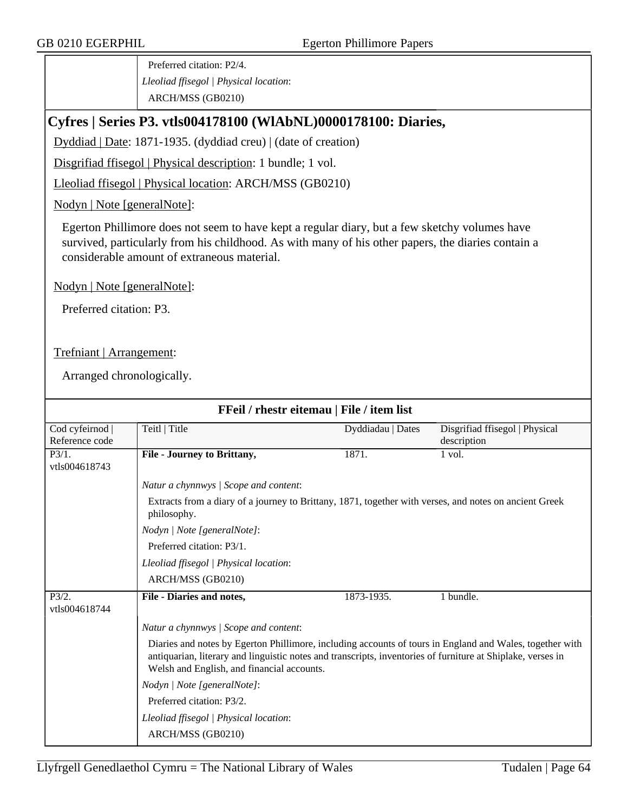Preferred citation: P2/4. *Lleoliad ffisegol | Physical location*: ARCH/MSS (GB0210)

### **Cyfres | Series P3. vtls004178100 (WlAbNL)0000178100: Diaries,**

Dyddiad | Date: 1871-1935. (dyddiad creu) | (date of creation)

Disgrifiad ffisegol | Physical description: 1 bundle; 1 vol.

Lleoliad ffisegol | Physical location: ARCH/MSS (GB0210)

Nodyn | Note [generalNote]:

Egerton Phillimore does not seem to have kept a regular diary, but a few sketchy volumes have survived, particularly from his childhood. As with many of his other papers, the diaries contain a considerable amount of extraneous material.

Nodyn | Note [generalNote]:

Preferred citation: P3.

Trefniant | Arrangement:

Arranged chronologically.

| FFeil / rhestr eitemau   File / item list |                                                                                                                                                                                                                                                                       |                   |                                               |  |  |
|-------------------------------------------|-----------------------------------------------------------------------------------------------------------------------------------------------------------------------------------------------------------------------------------------------------------------------|-------------------|-----------------------------------------------|--|--|
| Cod cyfeirnod  <br>Reference code         | Teitl   Title                                                                                                                                                                                                                                                         | Dyddiadau   Dates | Disgrifiad ffisegol   Physical<br>description |  |  |
| $\overline{P3/1}$ .<br>vtls004618743      | File - Journey to Brittany,                                                                                                                                                                                                                                           | 1871.             | 1 vol.                                        |  |  |
|                                           | Natur a chynnwys / Scope and content:                                                                                                                                                                                                                                 |                   |                                               |  |  |
|                                           | Extracts from a diary of a journey to Brittany, 1871, together with verses, and notes on ancient Greek<br>philosophy.<br>Nodyn   Note [generalNote]:                                                                                                                  |                   |                                               |  |  |
|                                           |                                                                                                                                                                                                                                                                       |                   |                                               |  |  |
|                                           | Preferred citation: P3/1.                                                                                                                                                                                                                                             |                   |                                               |  |  |
|                                           | Lleoliad ffisegol   Physical location:                                                                                                                                                                                                                                |                   |                                               |  |  |
|                                           | ARCH/MSS (GB0210)                                                                                                                                                                                                                                                     |                   |                                               |  |  |
| $\overline{P3/2}$ .<br>vtls004618744      | File - Diaries and notes,                                                                                                                                                                                                                                             | 1873-1935.        | 1 bundle.                                     |  |  |
|                                           | Natur a chynnwys / Scope and content:                                                                                                                                                                                                                                 |                   |                                               |  |  |
|                                           | Diaries and notes by Egerton Phillimore, including accounts of tours in England and Wales, together with<br>antiquarian, literary and linguistic notes and transcripts, inventories of furniture at Shiplake, verses in<br>Welsh and English, and financial accounts. |                   |                                               |  |  |
|                                           | Nodyn   Note [generalNote]:                                                                                                                                                                                                                                           |                   |                                               |  |  |
|                                           | Preferred citation: P3/2.                                                                                                                                                                                                                                             |                   |                                               |  |  |
|                                           | Lleoliad ffisegol   Physical location:                                                                                                                                                                                                                                |                   |                                               |  |  |
|                                           | ARCH/MSS (GB0210)                                                                                                                                                                                                                                                     |                   |                                               |  |  |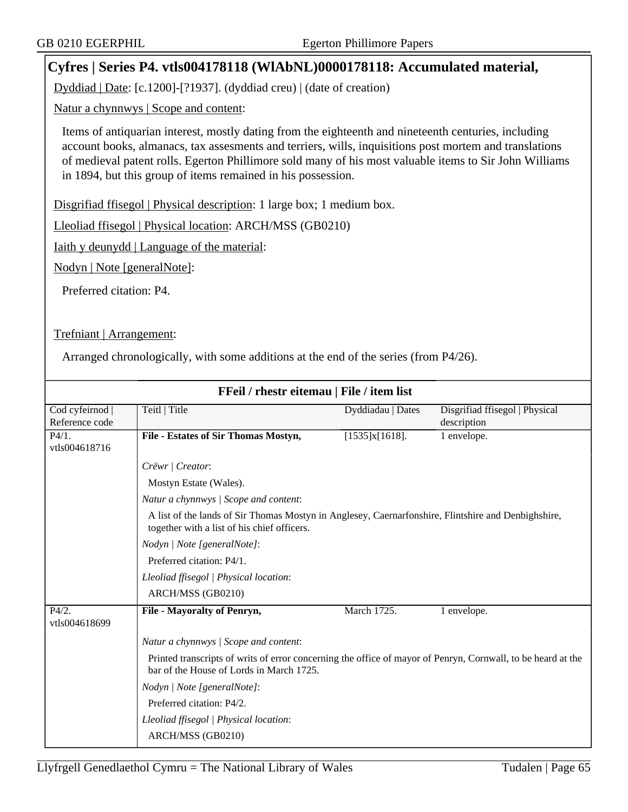## **Cyfres | Series P4. vtls004178118 (WlAbNL)0000178118: Accumulated material,**

Dyddiad | Date: [c.1200]-[?1937]. (dyddiad creu) | (date of creation)

Natur a chynnwys | Scope and content:

Items of antiquarian interest, mostly dating from the eighteenth and nineteenth centuries, including account books, almanacs, tax assesments and terriers, wills, inquisitions post mortem and translations of medieval patent rolls. Egerton Phillimore sold many of his most valuable items to Sir John Williams in 1894, but this group of items remained in his possession.

Disgrifiad ffisegol | Physical description: 1 large box; 1 medium box.

Lleoliad ffisegol | Physical location: ARCH/MSS (GB0210)

Iaith y deunydd | Language of the material:

Nodyn | Note [generalNote]:

Preferred citation: P4.

Trefniant | Arrangement:

Arranged chronologically, with some additions at the end of the series (from P4/26).

| FFeil / rhestr eitemau   File / item list |                                                                                                                                                          |                   |                                |  |
|-------------------------------------------|----------------------------------------------------------------------------------------------------------------------------------------------------------|-------------------|--------------------------------|--|
| Cod cyfeirnod                             | Teitl   Title                                                                                                                                            | Dyddiadau   Dates | Disgrifiad ffisegol   Physical |  |
| Reference code                            |                                                                                                                                                          |                   | description                    |  |
| P4/1.                                     | File - Estates of Sir Thomas Mostyn,                                                                                                                     | [1535]x[1618].    | 1 envelope.                    |  |
| vtls004618716                             |                                                                                                                                                          |                   |                                |  |
|                                           | Crëwr   Creator:                                                                                                                                         |                   |                                |  |
|                                           | Mostyn Estate (Wales).                                                                                                                                   |                   |                                |  |
|                                           | Natur a chynnwys / Scope and content:                                                                                                                    |                   |                                |  |
|                                           | A list of the lands of Sir Thomas Mostyn in Anglesey, Caernarfonshire, Flintshire and Denbighshire,<br>together with a list of his chief officers.       |                   |                                |  |
|                                           | Nodyn   Note [generalNote]:                                                                                                                              |                   |                                |  |
|                                           | Preferred citation: P4/1.                                                                                                                                |                   |                                |  |
|                                           | Lleoliad ffisegol   Physical location:                                                                                                                   |                   |                                |  |
|                                           | ARCH/MSS (GB0210)                                                                                                                                        |                   |                                |  |
| P4/2.                                     | <b>File - Mayoralty of Penryn,</b>                                                                                                                       | March 1725.       | 1 envelope.                    |  |
| vtls004618699                             |                                                                                                                                                          |                   |                                |  |
|                                           | Natur a chynnwys / Scope and content:                                                                                                                    |                   |                                |  |
|                                           | Printed transcripts of writs of error concerning the office of mayor of Penryn, Cornwall, to be heard at the<br>bar of the House of Lords in March 1725. |                   |                                |  |
|                                           | Nodyn   Note [generalNote]:                                                                                                                              |                   |                                |  |
|                                           | Preferred citation: P4/2.                                                                                                                                |                   |                                |  |
|                                           | Lleoliad ffisegol   Physical location:                                                                                                                   |                   |                                |  |
|                                           | ARCH/MSS (GB0210)                                                                                                                                        |                   |                                |  |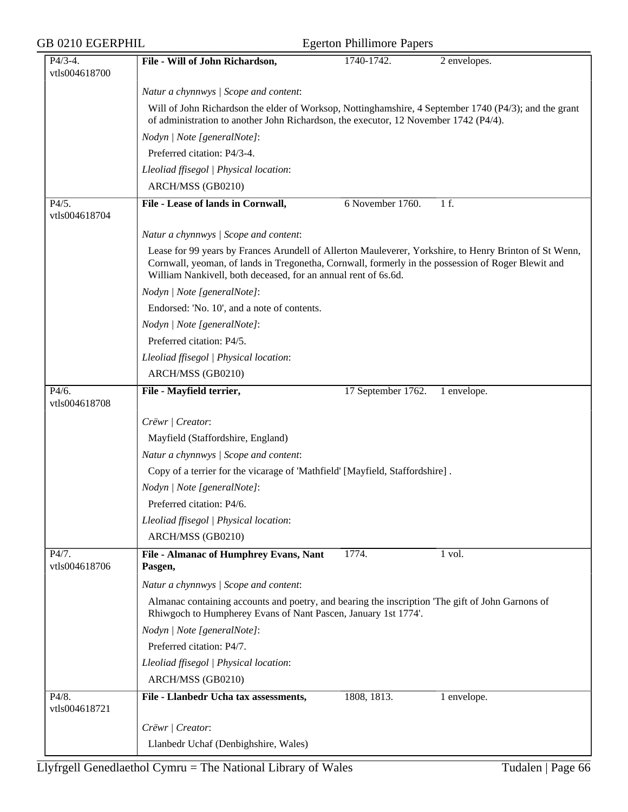| <b>GB 0210 EGERPHIL</b> | <b>Egerton Phillimore Papers</b>                                                                                                                                                                                                                                               |
|-------------------------|--------------------------------------------------------------------------------------------------------------------------------------------------------------------------------------------------------------------------------------------------------------------------------|
| $P4/3-4.$               | 1740-1742.<br>File - Will of John Richardson,<br>2 envelopes.                                                                                                                                                                                                                  |
| vtls004618700           |                                                                                                                                                                                                                                                                                |
|                         | Natur a chynnwys / Scope and content:                                                                                                                                                                                                                                          |
|                         | Will of John Richardson the elder of Worksop, Nottinghamshire, 4 September 1740 (P4/3); and the grant<br>of administration to another John Richardson, the executor, 12 November 1742 (P4/4).                                                                                  |
|                         | Nodyn   Note [generalNote]:                                                                                                                                                                                                                                                    |
|                         | Preferred citation: P4/3-4.                                                                                                                                                                                                                                                    |
|                         | Lleoliad ffisegol   Physical location:                                                                                                                                                                                                                                         |
|                         | ARCH/MSS (GB0210)                                                                                                                                                                                                                                                              |
| P4/5.<br>vtls004618704  | File - Lease of lands in Cornwall,<br>6 November 1760.<br>1f.                                                                                                                                                                                                                  |
|                         | Natur a chynnwys / Scope and content:                                                                                                                                                                                                                                          |
|                         | Lease for 99 years by Frances Arundell of Allerton Mauleverer, Yorkshire, to Henry Brinton of St Wenn,<br>Cornwall, yeoman, of lands in Tregonetha, Cornwall, formerly in the possession of Roger Blewit and<br>William Nankivell, both deceased, for an annual rent of 6s.6d. |
|                         | Nodyn   Note [generalNote]:                                                                                                                                                                                                                                                    |
|                         | Endorsed: 'No. 10', and a note of contents.                                                                                                                                                                                                                                    |
|                         | Nodyn   Note [generalNote]:                                                                                                                                                                                                                                                    |
|                         | Preferred citation: P4/5.                                                                                                                                                                                                                                                      |
|                         | Lleoliad ffisegol   Physical location:                                                                                                                                                                                                                                         |
|                         | ARCH/MSS (GB0210)                                                                                                                                                                                                                                                              |
| P4/6.<br>vtls004618708  | 17 September 1762.<br>File - Mayfield terrier,<br>1 envelope.                                                                                                                                                                                                                  |
|                         |                                                                                                                                                                                                                                                                                |
|                         | Crëwr   Creator:                                                                                                                                                                                                                                                               |
|                         | Mayfield (Staffordshire, England)                                                                                                                                                                                                                                              |
|                         | Natur a chynnwys / Scope and content:                                                                                                                                                                                                                                          |
|                         | Copy of a terrier for the vicarage of 'Mathfield' [Mayfield, Staffordshire].                                                                                                                                                                                                   |
|                         | Nodyn   Note [generalNote]:<br>Preferred citation: P4/6.                                                                                                                                                                                                                       |
|                         | Lleoliad ffisegol   Physical location:                                                                                                                                                                                                                                         |
|                         | ARCH/MSS (GB0210)                                                                                                                                                                                                                                                              |
| P4/7.                   | File - Almanac of Humphrey Evans, Nant<br>1774.<br>1 vol.                                                                                                                                                                                                                      |
| vtls004618706           | Pasgen,                                                                                                                                                                                                                                                                        |
|                         | Natur a chynnwys / Scope and content:                                                                                                                                                                                                                                          |
|                         | Almanac containing accounts and poetry, and bearing the inscription 'The gift of John Garnons of<br>Rhiwgoch to Humpherey Evans of Nant Pascen, January 1st 1774'.                                                                                                             |
|                         | Nodyn   Note [generalNote]:                                                                                                                                                                                                                                                    |
|                         | Preferred citation: P4/7.                                                                                                                                                                                                                                                      |
|                         | Lleoliad ffisegol   Physical location:                                                                                                                                                                                                                                         |
|                         | ARCH/MSS (GB0210)                                                                                                                                                                                                                                                              |
| P4/8.<br>vtls004618721  | File - Llanbedr Ucha tax assessments,<br>1808, 1813.<br>1 envelope.                                                                                                                                                                                                            |
|                         | Crëwr   Creator:                                                                                                                                                                                                                                                               |
|                         | Llanbedr Uchaf (Denbighshire, Wales)                                                                                                                                                                                                                                           |
|                         |                                                                                                                                                                                                                                                                                |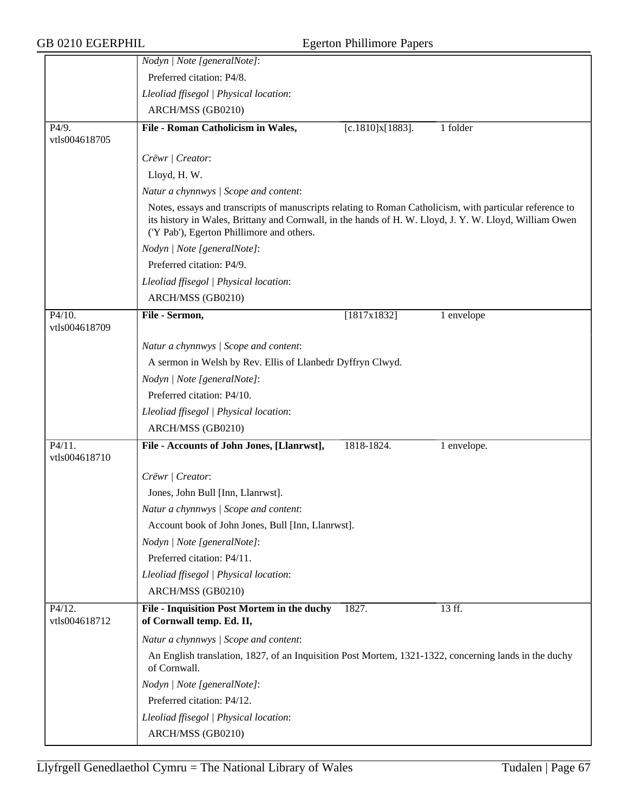|                                      | Nodyn   Note [generalNote]:                                                                                                                                                                                                                                     |
|--------------------------------------|-----------------------------------------------------------------------------------------------------------------------------------------------------------------------------------------------------------------------------------------------------------------|
|                                      | Preferred citation: P4/8.                                                                                                                                                                                                                                       |
|                                      | Lleoliad ffisegol   Physical location:                                                                                                                                                                                                                          |
|                                      | ARCH/MSS (GB0210)                                                                                                                                                                                                                                               |
| $\overline{P4/9}$ .<br>vtls004618705 | File - Roman Catholicism in Wales,<br>1 folder<br>[c.1810]x[1883].                                                                                                                                                                                              |
|                                      | Crëwr   Creator:                                                                                                                                                                                                                                                |
|                                      | Lloyd, H.W.                                                                                                                                                                                                                                                     |
|                                      | Natur a chynnwys / Scope and content:                                                                                                                                                                                                                           |
|                                      | Notes, essays and transcripts of manuscripts relating to Roman Catholicism, with particular reference to<br>its history in Wales, Brittany and Cornwall, in the hands of H. W. Lloyd, J. Y. W. Lloyd, William Owen<br>('Y Pab'), Egerton Phillimore and others. |
|                                      | Nodyn   Note [generalNote]:                                                                                                                                                                                                                                     |
|                                      | Preferred citation: P4/9.                                                                                                                                                                                                                                       |
|                                      | Lleoliad ffisegol   Physical location:                                                                                                                                                                                                                          |
|                                      | ARCH/MSS (GB0210)                                                                                                                                                                                                                                               |
| P4/10.<br>vtls004618709              | File - Sermon,<br>[1817x1832]<br>1 envelope                                                                                                                                                                                                                     |
|                                      | Natur a chynnwys / Scope and content:                                                                                                                                                                                                                           |
|                                      | A sermon in Welsh by Rev. Ellis of Llanbedr Dyffryn Clwyd.                                                                                                                                                                                                      |
|                                      | Nodyn   Note [generalNote]:                                                                                                                                                                                                                                     |
|                                      | Preferred citation: P4/10.                                                                                                                                                                                                                                      |
|                                      | Lleoliad ffisegol   Physical location:                                                                                                                                                                                                                          |
|                                      | ARCH/MSS (GB0210)                                                                                                                                                                                                                                               |
| P4/11.<br>vtls004618710              | File - Accounts of John Jones, [Llanrwst],<br>1818-1824.<br>1 envelope.                                                                                                                                                                                         |
|                                      | Crëwr   Creator:                                                                                                                                                                                                                                                |
|                                      | Jones, John Bull [Inn, Llanrwst].                                                                                                                                                                                                                               |
|                                      | Natur a chynnwys / Scope and content:                                                                                                                                                                                                                           |
|                                      | Account book of John Jones, Bull [Inn, Llanrwst].                                                                                                                                                                                                               |
|                                      | Nodyn   Note [generalNote]:                                                                                                                                                                                                                                     |
|                                      | Preferred citation: P4/11.                                                                                                                                                                                                                                      |
|                                      | Lleoliad ffisegol   Physical location:                                                                                                                                                                                                                          |
|                                      | ARCH/MSS (GB0210)                                                                                                                                                                                                                                               |
| P4/12.<br>vtls004618712              | File - Inquisition Post Mortem in the duchy<br>1827.<br>13 ff.<br>of Cornwall temp. Ed. II,                                                                                                                                                                     |
|                                      | Natur a chynnwys / Scope and content:                                                                                                                                                                                                                           |
|                                      | An English translation, 1827, of an Inquisition Post Mortem, 1321-1322, concerning lands in the duchy<br>of Cornwall.                                                                                                                                           |
|                                      | Nodyn   Note [generalNote]:                                                                                                                                                                                                                                     |
|                                      | Preferred citation: P4/12.                                                                                                                                                                                                                                      |
|                                      | Lleoliad ffisegol   Physical location:                                                                                                                                                                                                                          |
|                                      | ARCH/MSS (GB0210)                                                                                                                                                                                                                                               |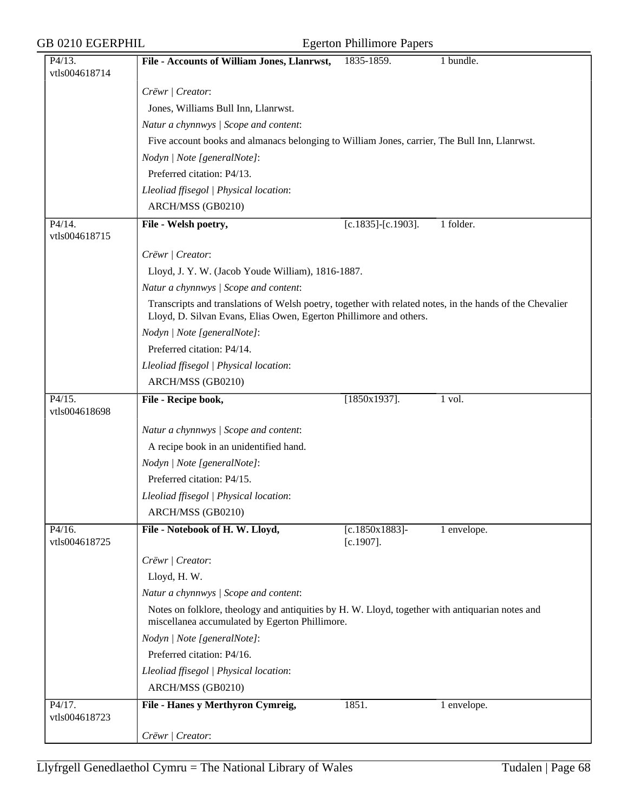| P4/13.                  | File - Accounts of William Jones, Llanrwst,                                                                                                                                    | 1835-1859.                        | 1 bundle.   |  |  |
|-------------------------|--------------------------------------------------------------------------------------------------------------------------------------------------------------------------------|-----------------------------------|-------------|--|--|
| vtls004618714           |                                                                                                                                                                                |                                   |             |  |  |
|                         | Crëwr   Creator:                                                                                                                                                               |                                   |             |  |  |
|                         | Jones, Williams Bull Inn, Llanrwst.                                                                                                                                            |                                   |             |  |  |
|                         | Natur a chynnwys / Scope and content:<br>Five account books and almanacs belonging to William Jones, carrier, The Bull Inn, Llanrwst.                                          |                                   |             |  |  |
|                         |                                                                                                                                                                                |                                   |             |  |  |
|                         | Nodyn   Note [generalNote]:                                                                                                                                                    |                                   |             |  |  |
|                         | Preferred citation: P4/13.                                                                                                                                                     |                                   |             |  |  |
|                         | Lleoliad ffisegol   Physical location:                                                                                                                                         |                                   |             |  |  |
|                         | ARCH/MSS (GB0210)                                                                                                                                                              |                                   |             |  |  |
| P4/14.                  | File - Welsh poetry,                                                                                                                                                           | $[c.1835]$ - $[c.1903]$ .         | 1 folder.   |  |  |
| vtls004618715           |                                                                                                                                                                                |                                   |             |  |  |
|                         | Crëwr   Creator:                                                                                                                                                               |                                   |             |  |  |
|                         | Lloyd, J. Y. W. (Jacob Youde William), 1816-1887.                                                                                                                              |                                   |             |  |  |
|                         | Natur a chynnwys / Scope and content:                                                                                                                                          |                                   |             |  |  |
|                         |                                                                                                                                                                                |                                   |             |  |  |
|                         | Transcripts and translations of Welsh poetry, together with related notes, in the hands of the Chevalier<br>Lloyd, D. Silvan Evans, Elias Owen, Egerton Phillimore and others. |                                   |             |  |  |
|                         | Nodyn   Note [generalNote]:                                                                                                                                                    |                                   |             |  |  |
|                         | Preferred citation: P4/14.                                                                                                                                                     |                                   |             |  |  |
|                         | Lleoliad ffisegol   Physical location:                                                                                                                                         |                                   |             |  |  |
|                         | ARCH/MSS (GB0210)                                                                                                                                                              |                                   |             |  |  |
| P4/15.<br>vtls004618698 | File - Recipe book,                                                                                                                                                            | $[1850x1937]$ .                   | 1 vol.      |  |  |
|                         | Natur a chynnwys / Scope and content:                                                                                                                                          |                                   |             |  |  |
|                         | A recipe book in an unidentified hand.                                                                                                                                         |                                   |             |  |  |
|                         | Nodyn   Note [generalNote]:                                                                                                                                                    |                                   |             |  |  |
|                         | Preferred citation: P4/15.                                                                                                                                                     |                                   |             |  |  |
|                         | Lleoliad ffisegol   Physical location:                                                                                                                                         |                                   |             |  |  |
|                         | ARCH/MSS (GB0210)                                                                                                                                                              |                                   |             |  |  |
| P4/16.<br>vtls004618725 | File - Notebook of H. W. Lloyd,                                                                                                                                                | $[c.1850x1883]$ -<br>$[c.1907]$ . | 1 envelope. |  |  |
|                         | Crëwr   Creator:                                                                                                                                                               |                                   |             |  |  |
|                         | Lloyd, H.W.                                                                                                                                                                    |                                   |             |  |  |
|                         | Natur a chynnwys / Scope and content:                                                                                                                                          |                                   |             |  |  |
|                         | Notes on folklore, theology and antiquities by H. W. Lloyd, together with antiquarian notes and                                                                                |                                   |             |  |  |
|                         | miscellanea accumulated by Egerton Phillimore.                                                                                                                                 |                                   |             |  |  |
|                         | Nodyn   Note [generalNote]:                                                                                                                                                    |                                   |             |  |  |
|                         | Preferred citation: P4/16.                                                                                                                                                     |                                   |             |  |  |
|                         | Lleoliad ffisegol   Physical location:                                                                                                                                         |                                   |             |  |  |
|                         | ARCH/MSS (GB0210)                                                                                                                                                              |                                   |             |  |  |
| P4/17.<br>vtls004618723 | File - Hanes y Merthyron Cymreig,                                                                                                                                              | 1851.                             | 1 envelope. |  |  |
|                         | Crëwr   Creator:                                                                                                                                                               |                                   |             |  |  |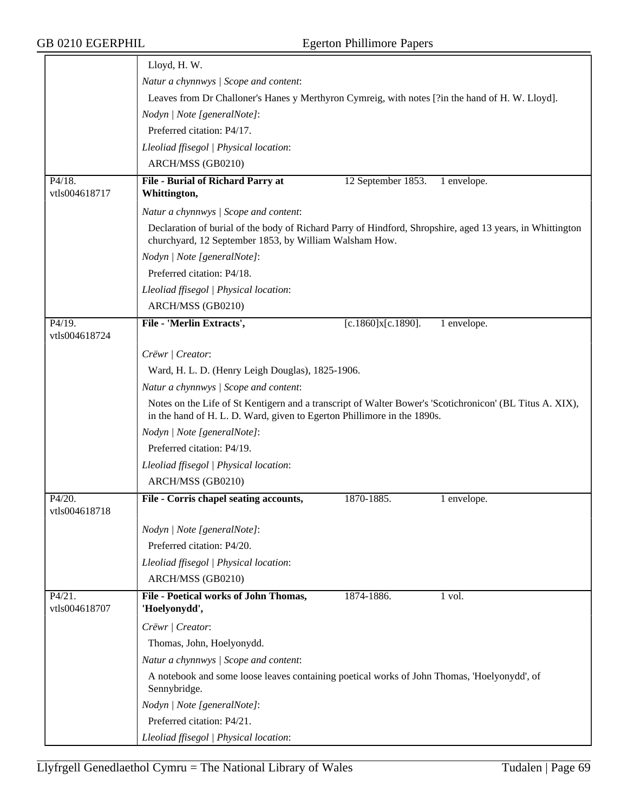|                         | Lloyd, H.W.                                                                                                                                                                         |                    |             |  |  |
|-------------------------|-------------------------------------------------------------------------------------------------------------------------------------------------------------------------------------|--------------------|-------------|--|--|
|                         | Natur a chynnwys / Scope and content:                                                                                                                                               |                    |             |  |  |
|                         | Leaves from Dr Challoner's Hanes y Merthyron Cymreig, with notes [?in the hand of H. W. Lloyd].                                                                                     |                    |             |  |  |
|                         | Nodyn   Note [generalNote]:                                                                                                                                                         |                    |             |  |  |
|                         | Preferred citation: P4/17.                                                                                                                                                          |                    |             |  |  |
|                         | Lleoliad ffisegol   Physical location:                                                                                                                                              |                    |             |  |  |
|                         | ARCH/MSS (GB0210)                                                                                                                                                                   |                    |             |  |  |
| P4/18.<br>vtls004618717 | File - Burial of Richard Parry at<br>Whittington,                                                                                                                                   | 12 September 1853. | 1 envelope. |  |  |
|                         | Natur a chynnwys / Scope and content:                                                                                                                                               |                    |             |  |  |
|                         | Declaration of burial of the body of Richard Parry of Hindford, Shropshire, aged 13 years, in Whittington<br>churchyard, 12 September 1853, by William Walsham How.                 |                    |             |  |  |
|                         | Nodyn   Note [generalNote]:                                                                                                                                                         |                    |             |  |  |
|                         | Preferred citation: P4/18.                                                                                                                                                          |                    |             |  |  |
|                         | Lleoliad ffisegol   Physical location:                                                                                                                                              |                    |             |  |  |
|                         | ARCH/MSS (GB0210)                                                                                                                                                                   |                    |             |  |  |
| P4/19.<br>vtls004618724 | File - 'Merlin Extracts',                                                                                                                                                           | [c.1860]x[c.1890]. | 1 envelope. |  |  |
|                         | Crëwr   Creator:                                                                                                                                                                    |                    |             |  |  |
|                         | Ward, H. L. D. (Henry Leigh Douglas), 1825-1906.                                                                                                                                    |                    |             |  |  |
|                         | Natur a chynnwys / Scope and content:                                                                                                                                               |                    |             |  |  |
|                         | Notes on the Life of St Kentigern and a transcript of Walter Bower's 'Scotichronicon' (BL Titus A. XIX),<br>in the hand of H. L. D. Ward, given to Egerton Phillimore in the 1890s. |                    |             |  |  |
|                         | Nodyn   Note [generalNote]:                                                                                                                                                         |                    |             |  |  |
|                         | Preferred citation: P4/19.                                                                                                                                                          |                    |             |  |  |
|                         | Lleoliad ffisegol   Physical location:                                                                                                                                              |                    |             |  |  |
|                         | ARCH/MSS (GB0210)                                                                                                                                                                   |                    |             |  |  |
| P4/20.<br>vtls004618718 | File - Corris chapel seating accounts,                                                                                                                                              | 1870-1885.         | 1 envelope. |  |  |
|                         | Nodyn   Note [generalNote]:                                                                                                                                                         |                    |             |  |  |
|                         | Preferred citation: P4/20.                                                                                                                                                          |                    |             |  |  |
|                         | Lleoliad ffisegol   Physical location:                                                                                                                                              |                    |             |  |  |
|                         | ARCH/MSS (GB0210)                                                                                                                                                                   |                    |             |  |  |
| P4/21.<br>vtls004618707 | File - Poetical works of John Thomas,<br>'Hoelyonydd',                                                                                                                              | 1874-1886.         | 1 vol.      |  |  |
|                         | Crëwr   Creator:                                                                                                                                                                    |                    |             |  |  |
|                         | Thomas, John, Hoelyonydd.                                                                                                                                                           |                    |             |  |  |
|                         | Natur a chynnwys / Scope and content:                                                                                                                                               |                    |             |  |  |
|                         | A notebook and some loose leaves containing poetical works of John Thomas, 'Hoelyonydd', of<br>Sennybridge.                                                                         |                    |             |  |  |
|                         | Nodyn   Note [generalNote]:                                                                                                                                                         |                    |             |  |  |
|                         | Preferred citation: P4/21.                                                                                                                                                          |                    |             |  |  |
|                         | Lleoliad ffisegol   Physical location:                                                                                                                                              |                    |             |  |  |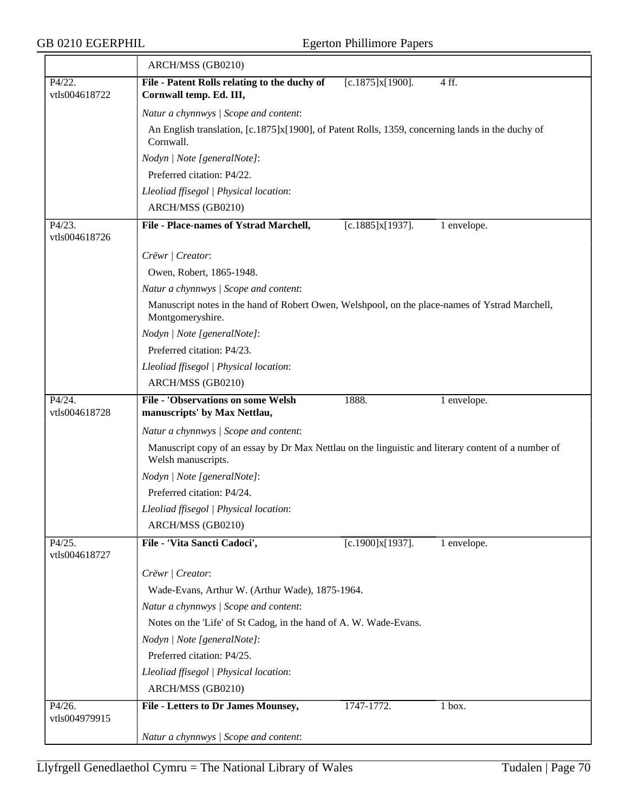|                         | ARCH/MSS (GB0210)                                                                                                         |                                                                                                  |             |  |  |  |
|-------------------------|---------------------------------------------------------------------------------------------------------------------------|--------------------------------------------------------------------------------------------------|-------------|--|--|--|
| P4/22.<br>vtls004618722 | File - Patent Rolls relating to the duchy of<br>Cornwall temp. Ed. III,                                                   | [c.1875]x[1900].                                                                                 | 4 ff.       |  |  |  |
|                         | Natur a chynnwys / Scope and content:                                                                                     |                                                                                                  |             |  |  |  |
|                         | Cornwall.                                                                                                                 | An English translation, [c.1875]x[1900], of Patent Rolls, 1359, concerning lands in the duchy of |             |  |  |  |
|                         | Nodyn   Note [generalNote]:                                                                                               |                                                                                                  |             |  |  |  |
|                         | Preferred citation: P4/22.                                                                                                |                                                                                                  |             |  |  |  |
|                         | Lleoliad ffisegol   Physical location:                                                                                    |                                                                                                  |             |  |  |  |
|                         | ARCH/MSS (GB0210)                                                                                                         |                                                                                                  |             |  |  |  |
| P4/23.<br>vtls004618726 | File - Place-names of Ystrad Marchell,                                                                                    | [c.1885]x[1937].                                                                                 | 1 envelope. |  |  |  |
|                         | Crëwr   Creator:                                                                                                          |                                                                                                  |             |  |  |  |
|                         | Owen, Robert, 1865-1948.                                                                                                  |                                                                                                  |             |  |  |  |
|                         | Natur a chynnwys / Scope and content:                                                                                     |                                                                                                  |             |  |  |  |
|                         | Manuscript notes in the hand of Robert Owen, Welshpool, on the place-names of Ystrad Marchell,<br>Montgomeryshire.        |                                                                                                  |             |  |  |  |
|                         | Nodyn   Note [generalNote]:                                                                                               |                                                                                                  |             |  |  |  |
|                         | Preferred citation: P4/23.                                                                                                |                                                                                                  |             |  |  |  |
|                         | Lleoliad ffisegol   Physical location:                                                                                    |                                                                                                  |             |  |  |  |
|                         | ARCH/MSS (GB0210)                                                                                                         |                                                                                                  |             |  |  |  |
| P4/24.<br>vtls004618728 | <b>File - 'Observations on some Welsh</b><br>manuscripts' by Max Nettlau,                                                 | 1888.                                                                                            | 1 envelope. |  |  |  |
|                         | Natur a chynnwys / Scope and content:                                                                                     |                                                                                                  |             |  |  |  |
|                         | Manuscript copy of an essay by Dr Max Nettlau on the linguistic and literary content of a number of<br>Welsh manuscripts. |                                                                                                  |             |  |  |  |
|                         | Nodyn   Note [generalNote]:                                                                                               |                                                                                                  |             |  |  |  |
|                         | Preferred citation: P4/24.                                                                                                |                                                                                                  |             |  |  |  |
|                         | Lleoliad ffisegol   Physical location:                                                                                    |                                                                                                  |             |  |  |  |
|                         | ARCH/MSS (GB0210)                                                                                                         |                                                                                                  |             |  |  |  |
| P4/25.<br>vtls004618727 | File - 'Vita Sancti Cadoci',                                                                                              | [c.1900]x[1937].                                                                                 | 1 envelope. |  |  |  |
|                         | Crëwr   Creator:                                                                                                          |                                                                                                  |             |  |  |  |
|                         | Wade-Evans, Arthur W. (Arthur Wade), 1875-1964.                                                                           |                                                                                                  |             |  |  |  |
|                         | Natur a chynnwys / Scope and content:                                                                                     |                                                                                                  |             |  |  |  |
|                         | Notes on the 'Life' of St Cadog, in the hand of A. W. Wade-Evans.                                                         |                                                                                                  |             |  |  |  |
|                         | Nodyn   Note [generalNote]:                                                                                               |                                                                                                  |             |  |  |  |
|                         | Preferred citation: P4/25.                                                                                                |                                                                                                  |             |  |  |  |
|                         | Lleoliad ffisegol   Physical location:                                                                                    |                                                                                                  |             |  |  |  |
|                         | ARCH/MSS (GB0210)                                                                                                         |                                                                                                  |             |  |  |  |
| P4/26.<br>vtls004979915 | File - Letters to Dr James Mounsey,                                                                                       | 1747-1772.                                                                                       | 1 box.      |  |  |  |
|                         | Natur a chynnwys / Scope and content:                                                                                     |                                                                                                  |             |  |  |  |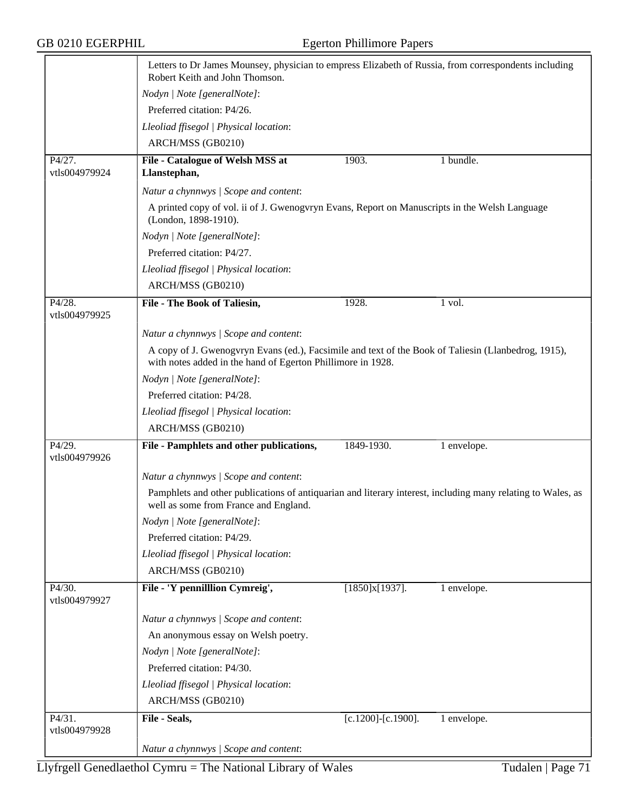|                         | Letters to Dr James Mounsey, physician to empress Elizabeth of Russia, from correspondents including<br>Robert Keith and John Thomson.                             |                           |             |
|-------------------------|--------------------------------------------------------------------------------------------------------------------------------------------------------------------|---------------------------|-------------|
|                         | Nodyn   Note [generalNote]:                                                                                                                                        |                           |             |
|                         | Preferred citation: P4/26.                                                                                                                                         |                           |             |
|                         | Lleoliad ffisegol   Physical location:                                                                                                                             |                           |             |
|                         | ARCH/MSS (GB0210)                                                                                                                                                  |                           |             |
| P4/27.<br>vtls004979924 | File - Catalogue of Welsh MSS at<br>Llanstephan,                                                                                                                   | 1903.                     | 1 bundle.   |
|                         | Natur a chynnwys / Scope and content:                                                                                                                              |                           |             |
|                         | A printed copy of vol. ii of J. Gwenogyryn Evans, Report on Manuscripts in the Welsh Language<br>(London, 1898-1910).                                              |                           |             |
|                         | Nodyn   Note [generalNote]:                                                                                                                                        |                           |             |
|                         | Preferred citation: P4/27.                                                                                                                                         |                           |             |
|                         | Lleoliad ffisegol   Physical location:                                                                                                                             |                           |             |
|                         | ARCH/MSS (GB0210)                                                                                                                                                  |                           |             |
| P4/28.<br>vtls004979925 | File - The Book of Taliesin,                                                                                                                                       | 1928.                     | 1 vol.      |
|                         | Natur a chynnwys / Scope and content:                                                                                                                              |                           |             |
|                         | A copy of J. Gwenogyryn Evans (ed.), Facsimile and text of the Book of Taliesin (Llanbedrog, 1915),<br>with notes added in the hand of Egerton Phillimore in 1928. |                           |             |
|                         | Nodyn   Note [generalNote]:                                                                                                                                        |                           |             |
|                         | Preferred citation: P4/28.                                                                                                                                         |                           |             |
|                         | Lleoliad ffisegol   Physical location:                                                                                                                             |                           |             |
|                         | ARCH/MSS (GB0210)                                                                                                                                                  |                           |             |
| P4/29.<br>vtls004979926 | File - Pamphlets and other publications,                                                                                                                           | 1849-1930.                | 1 envelope. |
|                         | Natur a chynnwys / Scope and content:                                                                                                                              |                           |             |
|                         | Pamphlets and other publications of antiquarian and literary interest, including many relating to Wales, as<br>well as some from France and England.               |                           |             |
|                         | Nodyn   Note [generalNote]:                                                                                                                                        |                           |             |
|                         | Preferred citation: P4/29.                                                                                                                                         |                           |             |
|                         | Lleoliad ffisegol   Physical location:                                                                                                                             |                           |             |
|                         | ARCH/MSS (GB0210)                                                                                                                                                  |                           |             |
| P4/30.<br>vtls004979927 | File - 'Y pennilllion Cymreig',                                                                                                                                    | $[1850]x[1937]$ .         | 1 envelope. |
|                         | Natur a chynnwys / Scope and content:                                                                                                                              |                           |             |
|                         | An anonymous essay on Welsh poetry.                                                                                                                                |                           |             |
|                         | Nodyn   Note [generalNote]:                                                                                                                                        |                           |             |
|                         | Preferred citation: P4/30.                                                                                                                                         |                           |             |
|                         | Lleoliad ffisegol   Physical location:                                                                                                                             |                           |             |
|                         | ARCH/MSS (GB0210)                                                                                                                                                  |                           |             |
| P4/31.<br>vtls004979928 | File - Seals,                                                                                                                                                      | $[c.1200]$ - $[c.1900]$ . | 1 envelope. |
|                         | Natur a chynnwys / Scope and content:                                                                                                                              |                           |             |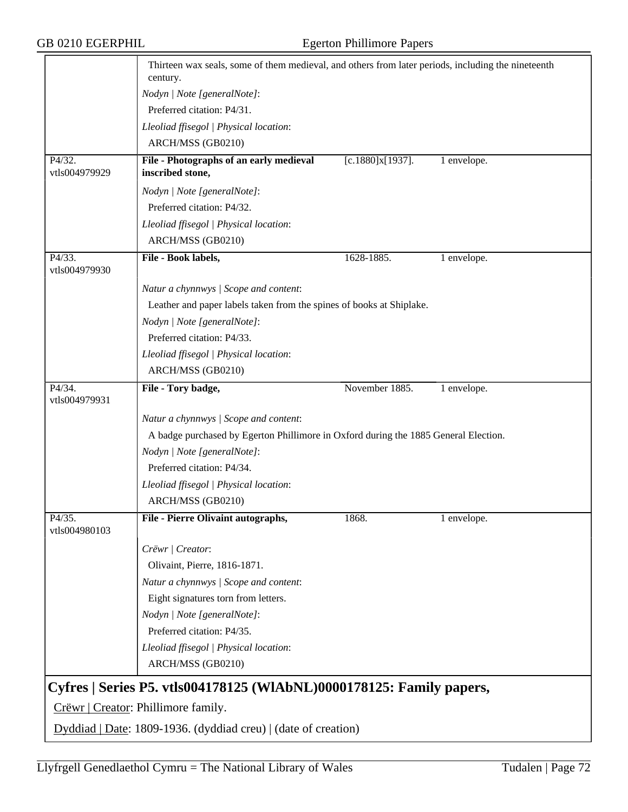|                                     | Thirteen wax seals, some of them medieval, and others from later periods, including the nineteenth<br>century. |                  |             |  |
|-------------------------------------|----------------------------------------------------------------------------------------------------------------|------------------|-------------|--|
|                                     | Nodyn   Note [generalNote]:                                                                                    |                  |             |  |
|                                     | Preferred citation: P4/31.                                                                                     |                  |             |  |
|                                     | Lleoliad ffisegol   Physical location:                                                                         |                  |             |  |
|                                     | ARCH/MSS (GB0210)                                                                                              |                  |             |  |
| P4/32.                              | File - Photographs of an early medieval                                                                        | [c.1880]x[1937]. | 1 envelope. |  |
| vtls004979929                       | inscribed stone,                                                                                               |                  |             |  |
|                                     | Nodyn   Note [generalNote]:                                                                                    |                  |             |  |
|                                     | Preferred citation: P4/32.                                                                                     |                  |             |  |
|                                     | Lleoliad ffisegol   Physical location:                                                                         |                  |             |  |
|                                     | ARCH/MSS (GB0210)                                                                                              |                  |             |  |
| P4/33.<br>vtls004979930             | File - Book labels,                                                                                            | 1628-1885.       | 1 envelope. |  |
|                                     | Natur a chynnwys / Scope and content:                                                                          |                  |             |  |
|                                     | Leather and paper labels taken from the spines of books at Shiplake.                                           |                  |             |  |
|                                     | Nodyn   Note [generalNote]:                                                                                    |                  |             |  |
|                                     | Preferred citation: P4/33.                                                                                     |                  |             |  |
|                                     | Lleoliad ffisegol   Physical location:                                                                         |                  |             |  |
|                                     | ARCH/MSS (GB0210)                                                                                              |                  |             |  |
| P4/34.<br>vtls004979931             | File - Tory badge,                                                                                             | November 1885.   | 1 envelope. |  |
|                                     | Natur a chynnwys / Scope and content:                                                                          |                  |             |  |
|                                     | A badge purchased by Egerton Phillimore in Oxford during the 1885 General Election.                            |                  |             |  |
|                                     | Nodyn   Note [generalNote]:                                                                                    |                  |             |  |
|                                     | Preferred citation: P4/34.                                                                                     |                  |             |  |
|                                     | Lleoliad ffisegol   Physical location:                                                                         |                  |             |  |
|                                     | ARCH/MSS (GB0210)                                                                                              |                  |             |  |
| P4/35.                              | File - Pierre Olivaint autographs,                                                                             | 1868.            | 1 envelope. |  |
| vtls004980103                       |                                                                                                                |                  |             |  |
|                                     | Crëwr   Creator:                                                                                               |                  |             |  |
|                                     | Olivaint, Pierre, 1816-1871.                                                                                   |                  |             |  |
|                                     | Natur a chynnwys / Scope and content:                                                                          |                  |             |  |
|                                     | Eight signatures torn from letters.                                                                            |                  |             |  |
|                                     | Nodyn   Note [generalNote]:                                                                                    |                  |             |  |
|                                     | Preferred citation: P4/35.                                                                                     |                  |             |  |
|                                     | Lleoliad ffisegol   Physical location:                                                                         |                  |             |  |
|                                     | ARCH/MSS (GB0210)                                                                                              |                  |             |  |
|                                     | Cyfres   Series P5. vtls004178125 (WIAbNL)0000178125: Family papers,                                           |                  |             |  |
| Crëwr   Creator: Phillimore family. |                                                                                                                |                  |             |  |
|                                     | Dyddiad   Date: 1809-1936. (dyddiad creu)   (date of creation)                                                 |                  |             |  |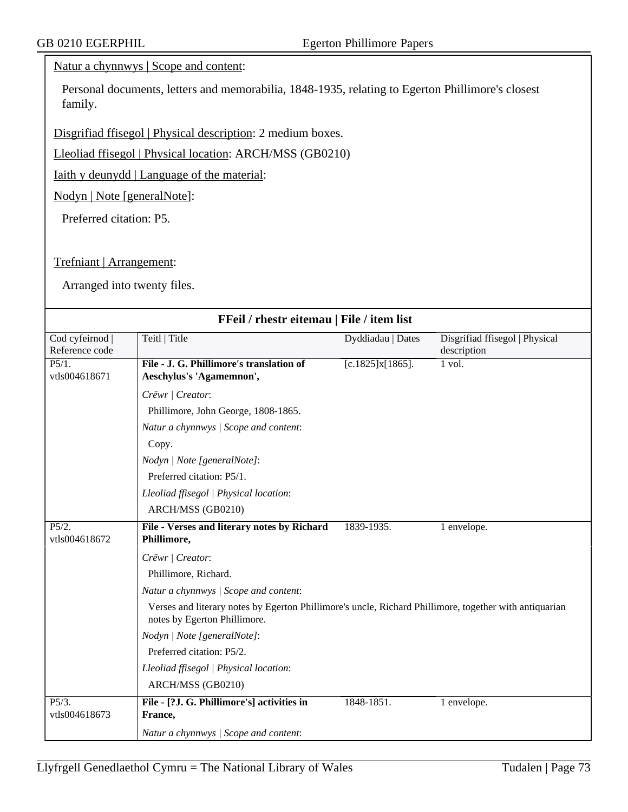## Natur a chynnwys | Scope and content:

Personal documents, letters and memorabilia, 1848-1935, relating to Egerton Phillimore's closest family.

Disgrifiad ffisegol | Physical description: 2 medium boxes.

Lleoliad ffisegol | Physical location: ARCH/MSS (GB0210)

Iaith y deunydd | Language of the material:

Nodyn | Note [generalNote]:

Preferred citation: P5.

Trefniant | Arrangement:

Arranged into twenty files.

| FFeil / rhestr eitemau   File / item list |                                                                                                                                        |                   |                                               |  |  |
|-------------------------------------------|----------------------------------------------------------------------------------------------------------------------------------------|-------------------|-----------------------------------------------|--|--|
| Cod cyfeirnod<br>Reference code           | Teitl   Title                                                                                                                          | Dyddiadau   Dates | Disgrifiad ffisegol   Physical<br>description |  |  |
| P5/1.<br>vtls004618671                    | File - J. G. Phillimore's translation of<br>Aeschylus's 'Agamemnon',                                                                   | [c.1825]x[1865].  | 1 vol.                                        |  |  |
|                                           | Crëwr   Creator:                                                                                                                       |                   |                                               |  |  |
|                                           | Phillimore, John George, 1808-1865.                                                                                                    |                   |                                               |  |  |
|                                           | Natur a chynnwys / Scope and content:                                                                                                  |                   |                                               |  |  |
|                                           | Copy.                                                                                                                                  |                   |                                               |  |  |
|                                           | Nodyn   Note [generalNote]:                                                                                                            |                   |                                               |  |  |
|                                           | Preferred citation: P5/1.                                                                                                              |                   |                                               |  |  |
|                                           | Lleoliad ffisegol   Physical location:                                                                                                 |                   |                                               |  |  |
|                                           | ARCH/MSS (GB0210)                                                                                                                      |                   |                                               |  |  |
| P5/2.<br>vtls004618672                    | File - Verses and literary notes by Richard<br>Phillimore,                                                                             | 1839-1935.        | 1 envelope.                                   |  |  |
|                                           | Crëwr   Creator:                                                                                                                       |                   |                                               |  |  |
|                                           | Phillimore, Richard.                                                                                                                   |                   |                                               |  |  |
|                                           | Natur a chynnwys / Scope and content:                                                                                                  |                   |                                               |  |  |
|                                           | Verses and literary notes by Egerton Phillimore's uncle, Richard Phillimore, together with antiquarian<br>notes by Egerton Phillimore. |                   |                                               |  |  |
|                                           | Nodyn   Note [generalNote]:                                                                                                            |                   |                                               |  |  |
|                                           | Preferred citation: P5/2.                                                                                                              |                   |                                               |  |  |
|                                           | Lleoliad ffisegol   Physical location:                                                                                                 |                   |                                               |  |  |
|                                           | ARCH/MSS (GB0210)                                                                                                                      |                   |                                               |  |  |
| P5/3.<br>vtls004618673                    | File - [?J. G. Phillimore's] activities in<br>France,                                                                                  | 1848-1851.        | 1 envelope.                                   |  |  |
|                                           | Natur a chynnwys / Scope and content:                                                                                                  |                   |                                               |  |  |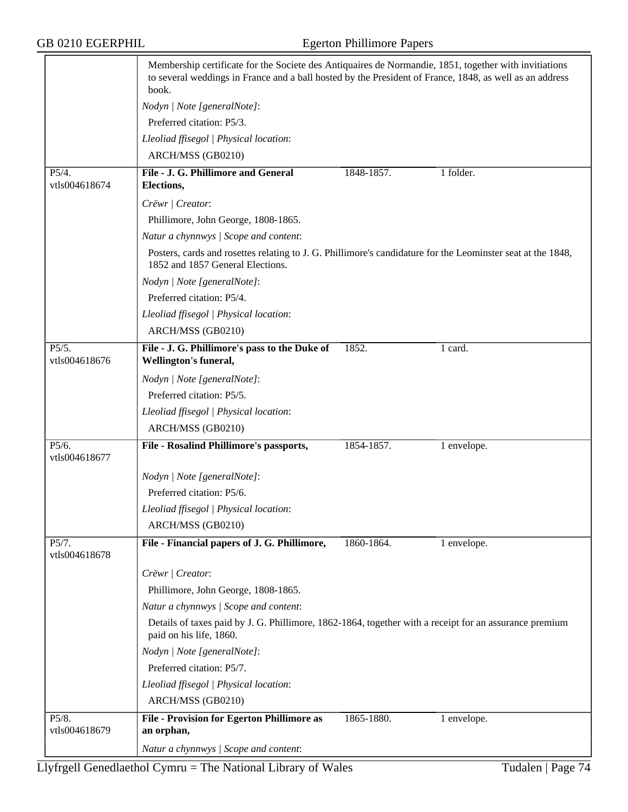## GB 0210 EGERPHIL Egerton Phillimore Papers

|                        | Membership certificate for the Societe des Antiquaires de Normandie, 1851, together with invitiations<br>to several weddings in France and a ball hosted by the President of France, 1848, as well as an address<br>book. |                                                                                                             |             |  |  |
|------------------------|---------------------------------------------------------------------------------------------------------------------------------------------------------------------------------------------------------------------------|-------------------------------------------------------------------------------------------------------------|-------------|--|--|
|                        | Nodyn   Note [generalNote]:                                                                                                                                                                                               |                                                                                                             |             |  |  |
|                        | Preferred citation: P5/3.                                                                                                                                                                                                 |                                                                                                             |             |  |  |
|                        | Lleoliad ffisegol   Physical location:                                                                                                                                                                                    |                                                                                                             |             |  |  |
|                        | ARCH/MSS (GB0210)                                                                                                                                                                                                         |                                                                                                             |             |  |  |
| P5/4.<br>vtls004618674 | File - J. G. Phillimore and General<br>Elections,                                                                                                                                                                         | 1848-1857.                                                                                                  | 1 folder.   |  |  |
|                        | Crëwr   Creator:                                                                                                                                                                                                          |                                                                                                             |             |  |  |
|                        | Phillimore, John George, 1808-1865.                                                                                                                                                                                       |                                                                                                             |             |  |  |
|                        | Natur a chynnwys / Scope and content:                                                                                                                                                                                     |                                                                                                             |             |  |  |
|                        | 1852 and 1857 General Elections.                                                                                                                                                                                          | Posters, cards and rosettes relating to J. G. Phillimore's candidature for the Leominster seat at the 1848, |             |  |  |
|                        | Nodyn   Note [generalNote]:                                                                                                                                                                                               |                                                                                                             |             |  |  |
|                        | Preferred citation: P5/4.                                                                                                                                                                                                 |                                                                                                             |             |  |  |
|                        | Lleoliad ffisegol   Physical location:                                                                                                                                                                                    |                                                                                                             |             |  |  |
|                        | ARCH/MSS (GB0210)                                                                                                                                                                                                         |                                                                                                             |             |  |  |
| P5/5.<br>vtls004618676 | File - J. G. Phillimore's pass to the Duke of<br>Wellington's funeral,                                                                                                                                                    | 1852.                                                                                                       | 1 card.     |  |  |
|                        | Nodyn   Note [generalNote]:                                                                                                                                                                                               |                                                                                                             |             |  |  |
|                        | Preferred citation: P5/5.                                                                                                                                                                                                 |                                                                                                             |             |  |  |
|                        | Lleoliad ffisegol   Physical location:                                                                                                                                                                                    |                                                                                                             |             |  |  |
|                        | ARCH/MSS (GB0210)                                                                                                                                                                                                         |                                                                                                             |             |  |  |
| P5/6.<br>vtls004618677 | File - Rosalind Phillimore's passports,                                                                                                                                                                                   | 1854-1857.                                                                                                  | 1 envelope. |  |  |
|                        | Nodyn   Note [generalNote]:                                                                                                                                                                                               |                                                                                                             |             |  |  |
|                        | Preferred citation: P5/6.                                                                                                                                                                                                 |                                                                                                             |             |  |  |
|                        | Lleoliad ffisegol   Physical location:                                                                                                                                                                                    |                                                                                                             |             |  |  |
|                        | ARCH/MSS (GB0210)                                                                                                                                                                                                         |                                                                                                             |             |  |  |
| P5/7.<br>vtls004618678 | File - Financial papers of J. G. Phillimore,                                                                                                                                                                              | 1860-1864.                                                                                                  | 1 envelope. |  |  |
|                        | Crëwr   Creator:                                                                                                                                                                                                          |                                                                                                             |             |  |  |
|                        | Phillimore, John George, 1808-1865.                                                                                                                                                                                       |                                                                                                             |             |  |  |
|                        | Natur a chynnwys / Scope and content:                                                                                                                                                                                     |                                                                                                             |             |  |  |
|                        | Details of taxes paid by J. G. Phillimore, 1862-1864, together with a receipt for an assurance premium<br>paid on his life, 1860.                                                                                         |                                                                                                             |             |  |  |
|                        | Nodyn   Note [generalNote]:                                                                                                                                                                                               |                                                                                                             |             |  |  |
|                        | Preferred citation: P5/7.                                                                                                                                                                                                 |                                                                                                             |             |  |  |
|                        | Lleoliad ffisegol   Physical location:                                                                                                                                                                                    |                                                                                                             |             |  |  |
|                        | ARCH/MSS (GB0210)                                                                                                                                                                                                         |                                                                                                             |             |  |  |
| P5/8.                  | <b>File - Provision for Egerton Phillimore as</b>                                                                                                                                                                         | 1865-1880.                                                                                                  | 1 envelope. |  |  |
| vtls004618679          | an orphan,                                                                                                                                                                                                                |                                                                                                             |             |  |  |
|                        | Natur a chynnwys / Scope and content:                                                                                                                                                                                     |                                                                                                             |             |  |  |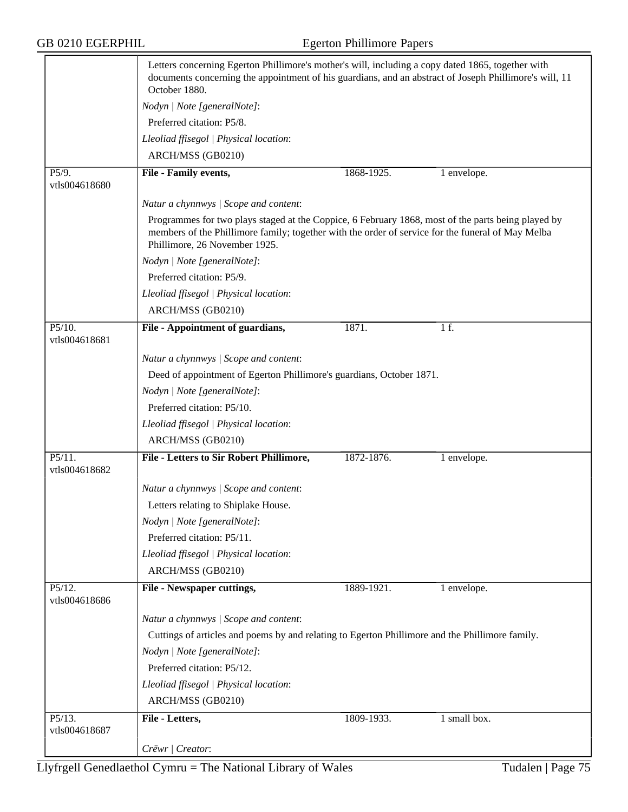GB 0210 EGERPHIL Egerton Phillimore Papers

|                         | Letters concerning Egerton Phillimore's mother's will, including a copy dated 1865, together with<br>documents concerning the appointment of his guardians, and an abstract of Joseph Phillimore's will, 11<br>October 1880.             |            |                                   |  |
|-------------------------|------------------------------------------------------------------------------------------------------------------------------------------------------------------------------------------------------------------------------------------|------------|-----------------------------------|--|
|                         | Nodyn   Note [generalNote]:                                                                                                                                                                                                              |            |                                   |  |
|                         | Preferred citation: P5/8.                                                                                                                                                                                                                |            |                                   |  |
|                         | Lleoliad ffisegol   Physical location:                                                                                                                                                                                                   |            |                                   |  |
|                         | ARCH/MSS (GB0210)                                                                                                                                                                                                                        |            |                                   |  |
| P5/9.                   | File - Family events,                                                                                                                                                                                                                    | 1868-1925. | 1 envelope.                       |  |
| vtls004618680           |                                                                                                                                                                                                                                          |            |                                   |  |
|                         | Natur a chynnwys / Scope and content:                                                                                                                                                                                                    |            |                                   |  |
|                         | Programmes for two plays staged at the Coppice, 6 February 1868, most of the parts being played by<br>members of the Phillimore family; together with the order of service for the funeral of May Melba<br>Phillimore, 26 November 1925. |            |                                   |  |
|                         | Nodyn   Note [generalNote]:                                                                                                                                                                                                              |            |                                   |  |
|                         | Preferred citation: P5/9.                                                                                                                                                                                                                |            |                                   |  |
|                         | Lleoliad ffisegol   Physical location:                                                                                                                                                                                                   |            |                                   |  |
|                         | ARCH/MSS (GB0210)                                                                                                                                                                                                                        |            |                                   |  |
| P5/10.                  | File - Appointment of guardians,                                                                                                                                                                                                         | 1871.      | 1 f.                              |  |
| vtls004618681           |                                                                                                                                                                                                                                          |            |                                   |  |
|                         | Natur a chynnwys / Scope and content:                                                                                                                                                                                                    |            |                                   |  |
|                         | Deed of appointment of Egerton Phillimore's guardians, October 1871.<br>Nodyn   Note [generalNote]:                                                                                                                                      |            |                                   |  |
|                         |                                                                                                                                                                                                                                          |            |                                   |  |
|                         | Preferred citation: P5/10.                                                                                                                                                                                                               |            |                                   |  |
|                         | Lleoliad ffisegol   Physical location:                                                                                                                                                                                                   |            |                                   |  |
|                         | ARCH/MSS (GB0210)                                                                                                                                                                                                                        |            |                                   |  |
| P5/11.                  | File - Letters to Sir Robert Phillimore,                                                                                                                                                                                                 | 1872-1876. | 1 envelope.                       |  |
| vtls004618682           |                                                                                                                                                                                                                                          |            |                                   |  |
|                         | Natur a chynnwys / Scope and content:                                                                                                                                                                                                    |            |                                   |  |
|                         | Letters relating to Shiplake House.                                                                                                                                                                                                      |            |                                   |  |
|                         | Nodyn   Note [generalNote]:                                                                                                                                                                                                              |            |                                   |  |
|                         | Preferred citation: P5/11.                                                                                                                                                                                                               |            |                                   |  |
|                         | Lleoliad ffisegol   Physical location:                                                                                                                                                                                                   |            |                                   |  |
|                         | ARCH/MSS (GB0210)                                                                                                                                                                                                                        |            |                                   |  |
| P5/12.                  | File - Newspaper cuttings,                                                                                                                                                                                                               | 1889-1921. | 1 envelope.                       |  |
| vtls004618686           |                                                                                                                                                                                                                                          |            |                                   |  |
|                         | Natur a chynnwys / Scope and content:                                                                                                                                                                                                    |            |                                   |  |
|                         | Cuttings of articles and poems by and relating to Egerton Phillimore and the Phillimore family.                                                                                                                                          |            |                                   |  |
|                         | Nodyn   Note [generalNote]:                                                                                                                                                                                                              |            |                                   |  |
|                         | Preferred citation: P5/12.                                                                                                                                                                                                               |            |                                   |  |
|                         | Lleoliad ffisegol   Physical location:                                                                                                                                                                                                   |            |                                   |  |
|                         | ARCH/MSS (GB0210)                                                                                                                                                                                                                        |            |                                   |  |
| P5/13.<br>vtls004618687 | File - Letters,                                                                                                                                                                                                                          | 1809-1933. | $1 \overline{\text{small box}}$ . |  |
|                         | Crëwr   Creator:                                                                                                                                                                                                                         |            |                                   |  |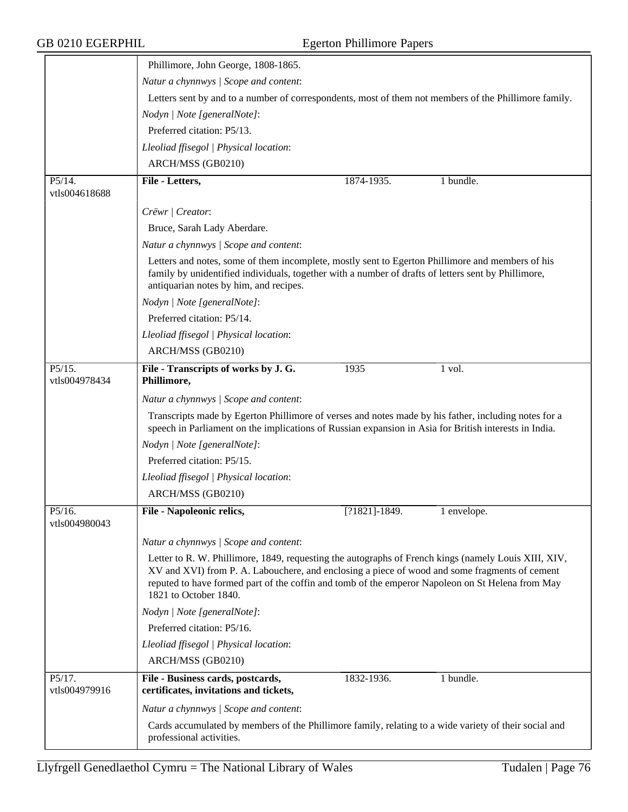|                                       | Phillimore, John George, 1808-1865.                                                                                                                                                                                                                                                                                                |                                                                                                       |             |  |  |
|---------------------------------------|------------------------------------------------------------------------------------------------------------------------------------------------------------------------------------------------------------------------------------------------------------------------------------------------------------------------------------|-------------------------------------------------------------------------------------------------------|-------------|--|--|
|                                       | Natur a chynnwys / Scope and content:                                                                                                                                                                                                                                                                                              |                                                                                                       |             |  |  |
|                                       |                                                                                                                                                                                                                                                                                                                                    | Letters sent by and to a number of correspondents, most of them not members of the Phillimore family. |             |  |  |
|                                       | Nodyn   Note [generalNote]:                                                                                                                                                                                                                                                                                                        |                                                                                                       |             |  |  |
|                                       | Preferred citation: P5/13.                                                                                                                                                                                                                                                                                                         |                                                                                                       |             |  |  |
|                                       | Lleoliad ffisegol   Physical location:                                                                                                                                                                                                                                                                                             |                                                                                                       |             |  |  |
|                                       | ARCH/MSS (GB0210)                                                                                                                                                                                                                                                                                                                  |                                                                                                       |             |  |  |
| P5/14.<br>vtls004618688               | File - Letters,                                                                                                                                                                                                                                                                                                                    | 1874-1935.                                                                                            | 1 bundle.   |  |  |
|                                       | Crëwr   Creator:                                                                                                                                                                                                                                                                                                                   |                                                                                                       |             |  |  |
|                                       | Bruce, Sarah Lady Aberdare.                                                                                                                                                                                                                                                                                                        |                                                                                                       |             |  |  |
|                                       | Natur a chynnwys / Scope and content:                                                                                                                                                                                                                                                                                              |                                                                                                       |             |  |  |
|                                       | Letters and notes, some of them incomplete, mostly sent to Egerton Phillimore and members of his<br>family by unidentified individuals, together with a number of drafts of letters sent by Phillimore,<br>antiquarian notes by him, and recipes.                                                                                  |                                                                                                       |             |  |  |
|                                       | Nodyn   Note [generalNote]:                                                                                                                                                                                                                                                                                                        |                                                                                                       |             |  |  |
|                                       | Preferred citation: P5/14.                                                                                                                                                                                                                                                                                                         |                                                                                                       |             |  |  |
|                                       | Lleoliad ffisegol   Physical location:                                                                                                                                                                                                                                                                                             |                                                                                                       |             |  |  |
|                                       | ARCH/MSS (GB0210)                                                                                                                                                                                                                                                                                                                  |                                                                                                       |             |  |  |
| P5/15.<br>vtls004978434               | File - Transcripts of works by J. G.<br>Phillimore,                                                                                                                                                                                                                                                                                | 1935                                                                                                  | 1 vol.      |  |  |
|                                       | Natur a chynnwys / Scope and content:                                                                                                                                                                                                                                                                                              |                                                                                                       |             |  |  |
|                                       | Transcripts made by Egerton Phillimore of verses and notes made by his father, including notes for a<br>speech in Parliament on the implications of Russian expansion in Asia for British interests in India.                                                                                                                      |                                                                                                       |             |  |  |
|                                       | Nodyn   Note [generalNote]:                                                                                                                                                                                                                                                                                                        |                                                                                                       |             |  |  |
|                                       | Preferred citation: P5/15.                                                                                                                                                                                                                                                                                                         |                                                                                                       |             |  |  |
|                                       | Lleoliad ffisegol   Physical location:                                                                                                                                                                                                                                                                                             |                                                                                                       |             |  |  |
|                                       | ARCH/MSS (GB0210)                                                                                                                                                                                                                                                                                                                  |                                                                                                       |             |  |  |
| P5/16.<br>vtls004980043               | File - Napoleonic relics,                                                                                                                                                                                                                                                                                                          | $[?1821] - 1849.$                                                                                     | 1 envelope. |  |  |
|                                       | Natur a chynnwys / Scope and content:                                                                                                                                                                                                                                                                                              |                                                                                                       |             |  |  |
|                                       | Letter to R. W. Phillimore, 1849, requesting the autographs of French kings (namely Louis XIII, XIV,<br>XV and XVI) from P. A. Labouchere, and enclosing a piece of wood and some fragments of cement<br>reputed to have formed part of the coffin and tomb of the emperor Napoleon on St Helena from May<br>1821 to October 1840. |                                                                                                       |             |  |  |
|                                       | Nodyn   Note [generalNote]:                                                                                                                                                                                                                                                                                                        |                                                                                                       |             |  |  |
|                                       | Preferred citation: P5/16.                                                                                                                                                                                                                                                                                                         |                                                                                                       |             |  |  |
|                                       | Lleoliad ffisegol   Physical location:                                                                                                                                                                                                                                                                                             |                                                                                                       |             |  |  |
|                                       | ARCH/MSS (GB0210)                                                                                                                                                                                                                                                                                                                  |                                                                                                       |             |  |  |
| $P5/\overline{17}$ .<br>vtls004979916 | File - Business cards, postcards,<br>certificates, invitations and tickets,                                                                                                                                                                                                                                                        | 1832-1936.                                                                                            | 1 bundle.   |  |  |
|                                       | Natur a chynnwys / Scope and content:                                                                                                                                                                                                                                                                                              |                                                                                                       |             |  |  |
|                                       | Cards accumulated by members of the Phillimore family, relating to a wide variety of their social and<br>professional activities.                                                                                                                                                                                                  |                                                                                                       |             |  |  |